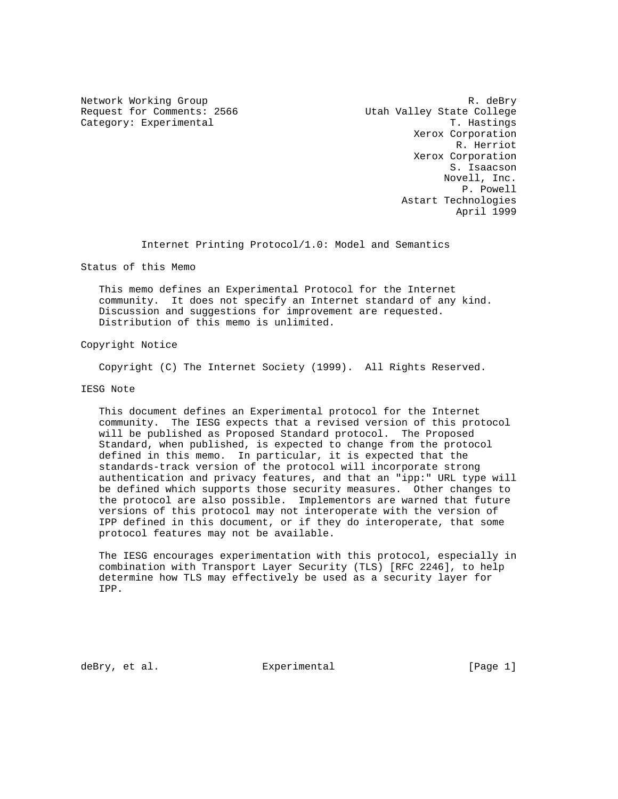Request for Comments: 2566 Utah Valley State College Category: Experimental T. Hastings

Network Working Group and the set of the R. deBry Xerox Corporation R. Herriot Xerox Corporation S. Isaacson Novell, Inc. P. Powell Astart Technologies April 1999

Internet Printing Protocol/1.0: Model and Semantics

Status of this Memo

 This memo defines an Experimental Protocol for the Internet community. It does not specify an Internet standard of any kind. Discussion and suggestions for improvement are requested. Distribution of this memo is unlimited.

Copyright Notice

Copyright (C) The Internet Society (1999). All Rights Reserved.

IESG Note

 This document defines an Experimental protocol for the Internet community. The IESG expects that a revised version of this protocol will be published as Proposed Standard protocol. The Proposed Standard, when published, is expected to change from the protocol defined in this memo. In particular, it is expected that the standards-track version of the protocol will incorporate strong authentication and privacy features, and that an "ipp:" URL type will be defined which supports those security measures. Other changes to the protocol are also possible. Implementors are warned that future versions of this protocol may not interoperate with the version of IPP defined in this document, or if they do interoperate, that some protocol features may not be available.

 The IESG encourages experimentation with this protocol, especially in combination with Transport Layer Security (TLS) [RFC 2246], to help determine how TLS may effectively be used as a security layer for IPP.

deBry, et al.  $\Box$  Experimental  $\Box$  [Page 1]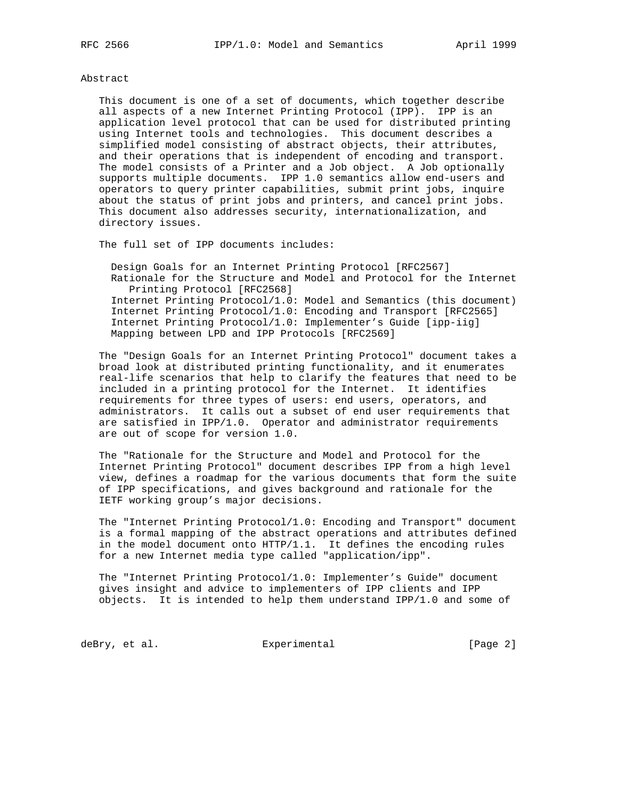#### Abstract

 This document is one of a set of documents, which together describe all aspects of a new Internet Printing Protocol (IPP). IPP is an application level protocol that can be used for distributed printing using Internet tools and technologies. This document describes a simplified model consisting of abstract objects, their attributes, and their operations that is independent of encoding and transport. The model consists of a Printer and a Job object. A Job optionally supports multiple documents. IPP 1.0 semantics allow end-users and operators to query printer capabilities, submit print jobs, inquire about the status of print jobs and printers, and cancel print jobs. This document also addresses security, internationalization, and directory issues.

The full set of IPP documents includes:

 Design Goals for an Internet Printing Protocol [RFC2567] Rationale for the Structure and Model and Protocol for the Internet Printing Protocol [RFC2568] Internet Printing Protocol/1.0: Model and Semantics (this document) Internet Printing Protocol/1.0: Encoding and Transport [RFC2565] Internet Printing Protocol/1.0: Implementer's Guide [ipp-iig] Mapping between LPD and IPP Protocols [RFC2569]

 The "Design Goals for an Internet Printing Protocol" document takes a broad look at distributed printing functionality, and it enumerates real-life scenarios that help to clarify the features that need to be included in a printing protocol for the Internet. It identifies requirements for three types of users: end users, operators, and administrators. It calls out a subset of end user requirements that are satisfied in IPP/1.0. Operator and administrator requirements are out of scope for version 1.0.

 The "Rationale for the Structure and Model and Protocol for the Internet Printing Protocol" document describes IPP from a high level view, defines a roadmap for the various documents that form the suite of IPP specifications, and gives background and rationale for the IETF working group's major decisions.

 The "Internet Printing Protocol/1.0: Encoding and Transport" document is a formal mapping of the abstract operations and attributes defined in the model document onto HTTP/1.1. It defines the encoding rules for a new Internet media type called "application/ipp".

 The "Internet Printing Protocol/1.0: Implementer's Guide" document gives insight and advice to implementers of IPP clients and IPP objects. It is intended to help them understand IPP/1.0 and some of

deBry, et al. Subsection Experimental Contracts [Page 2]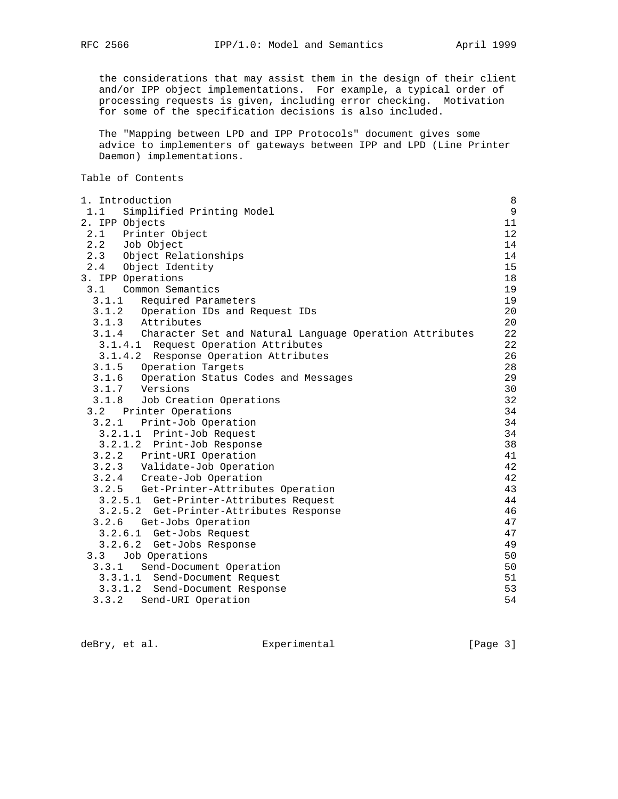the considerations that may assist them in the design of their client and/or IPP object implementations. For example, a typical order of processing requests is given, including error checking. Motivation

for some of the specification decisions is also included.

 The "Mapping between LPD and IPP Protocols" document gives some advice to implementers of gateways between IPP and LPD (Line Printer Daemon) implementations.

# Table of Contents

| 1. Introduction                                               | $\,8\,$        |
|---------------------------------------------------------------|----------------|
| 1.1<br>Simplified Printing Model                              | $\overline{9}$ |
| 2. IPP Objects                                                | 11             |
| 2.1 Printer Object                                            | 12             |
|                                                               | 14             |
| 2.2 Job Object<br>2.3 Object Relationships                    | 14             |
| 2.4 Object Identity                                           | 15             |
| 3. IPP Operations                                             | 18             |
| 3.1<br>Common Semantics                                       | 19             |
| 3.1.1 Required Parameters                                     | 19             |
| 3.1.2 Operation IDs and Request IDs<br>3.1.3 Attributes       | 20             |
|                                                               | 20             |
| 3.1.4 Character Set and Natural Language Operation Attributes | 22             |
| 3.1.4.1 Request Operation Attributes                          | 22             |
| 3.1.4.2 Response Operation Attributes                         | 26             |
| Operation Targets<br>3.1.5                                    | 28             |
| 3.1.6 Operation Status Codes and Messages                     | 29             |
| 3.1.7 Versions                                                | 30             |
| 3.1.8 Job Creation Operations                                 | 32             |
| 3.2 Printer Operations                                        | 34             |
| 3.2.1<br>Print-Job Operation                                  | 34             |
| 3.2.1.1 Print-Job Request                                     | 34             |
| 3.2.1.2 Print-Job Response                                    | 38             |
| 3.2.2 Print-URI Operation                                     | 41             |
| 3.2.3 Validate-Job Operation                                  | 42             |
| 3.2.4 Create-Job Operation                                    | 42             |
| 3.2.5 Get-Printer-Attributes Operation                        | 43             |
| 3.2.5.1 Get-Printer-Attributes Request                        | 44             |
| 3.2.5.2 Get-Printer-Attributes Response                       | 46             |
| Get-Jobs Operation<br>3.2.6                                   | 47             |
| 3.2.6.1 Get-Jobs Request                                      | 47             |
| 3.2.6.2 Get-Jobs Response                                     | 49             |
| Job Operations<br>3.3                                         | 50             |
| 3.3.1 Send-Document Operation                                 | 50             |
| 3.3.1.1 Send-Document Request                                 | 51             |
| 3.3.1.2 Send-Document Response                                | 53             |
| 3.3.2<br>Send-URI Operation                                   | 54             |

deBry, et al. <br>Experimental [Page 3]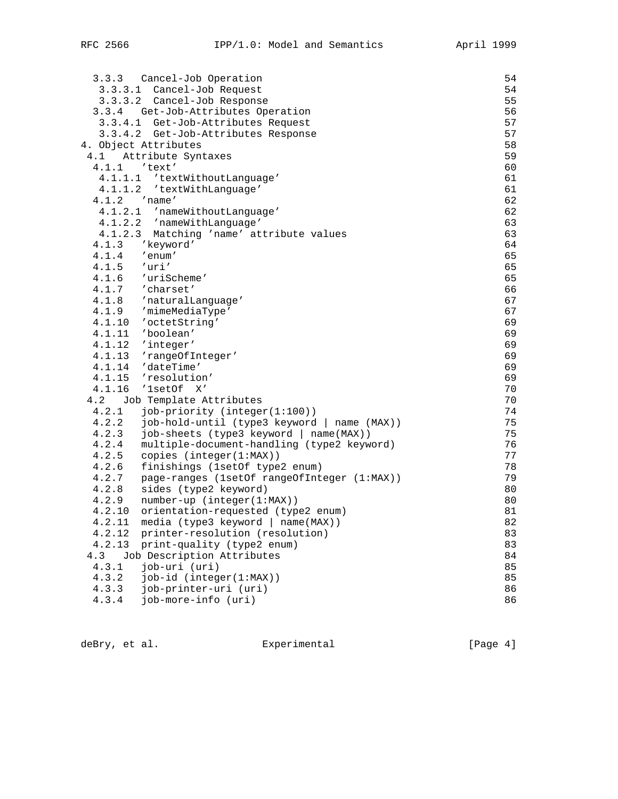|               | 3.3.3 Cancel-Job Operation                  | 54 |
|---------------|---------------------------------------------|----|
|               | 3.3.3.1 Cancel-Job Request                  | 54 |
|               | 3.3.3.2 Cancel-Job Response                 | 55 |
|               | 3.3.4 Get-Job-Attributes Operation          | 56 |
|               | 3.3.4.1 Get-Job-Attributes Request          | 57 |
|               | 3.3.4.2 Get-Job-Attributes Response         | 57 |
|               | 4. Object Attributes                        | 58 |
|               | 4.1 Attribute Syntaxes                      | 59 |
|               | 4.1.1 'text'                                | 60 |
|               | 4.1.1.1 'textWithoutLanguage'               | 61 |
|               | 4.1.1.2 'textWithLanguage'                  | 61 |
|               | $4.1.2$ 'name'                              | 62 |
|               | 4.1.2.1 'nameWithoutLanguage'               | 62 |
|               | 4.1.2.2 'nameWithLanguage'                  | 63 |
|               | 4.1.2.3 Matching 'name' attribute values    | 63 |
| 4.1.3         | 'keyword'                                   | 64 |
|               | $4.1.4$ 'enum'                              | 65 |
| $4.1.5$ 'uri' |                                             | 65 |
|               | 4.1.6 'uriScheme'                           | 65 |
|               | $4.1.7$ 'charset'                           | 66 |
|               | 4.1.8 'naturalLanguage'                     | 67 |
|               | 4.1.9 'mimeMediaType'                       | 67 |
|               | 4.1.10 'octetString'                        | 69 |
|               | 4.1.11 'boolean'                            | 69 |
|               | 4.1.12 'integer'                            | 69 |
|               | 4.1.13 'rangeOfInteger'                     | 69 |
|               | 4.1.14 'dateTime'                           | 69 |
|               | 4.1.15 'resolution'                         | 69 |
|               | 4.1.16 '1setOf X'                           | 70 |
| 4.2           | Job Template Attributes                     | 70 |
|               | 4.2.1 job-priority (integer(1:100))         | 74 |
| 4.2.2         | job-hold-until (type3 keyword   name (MAX)) | 75 |
| 4.2.3         | job-sheets (type3 keyword   name(MAX))      | 75 |
| 4.2.4         | multiple-document-handling (type2 keyword)  | 76 |
| 4.2.5         | copies (integer(1:MAX))                     | 77 |
| 4.2.6         | finishings (1setOf type2 enum)              | 78 |
| 4.2.7         | page-ranges (1setOf rangeOfInteger (1:MAX)) | 79 |
| 4.2.8         | sides (type2 keyword)                       | 80 |
| 4.2.9         | number-up (integer(1:MAX))                  | 80 |
|               | 4.2.10 orientation-requested (type2 enum)   | 81 |
| 4.2.11        | media (type3 keyword   name(MAX))           | 82 |
| 4.2.12        | printer-resolution (resolution)             | 83 |
| 4.2.13        | print-quality (type2 enum)                  | 83 |
| 4.3           | Job Description Attributes                  | 84 |
| 4.3.1         | job-uri (uri)                               | 85 |
| 4.3.2         | job-id (integer(1:MAX))                     | 85 |
| 4.3.3         | job-printer-uri (uri)                       | 86 |
| 4.3.4         | job-more-info (uri)                         | 86 |

deBry, et al. <br>Experimental [Page 4]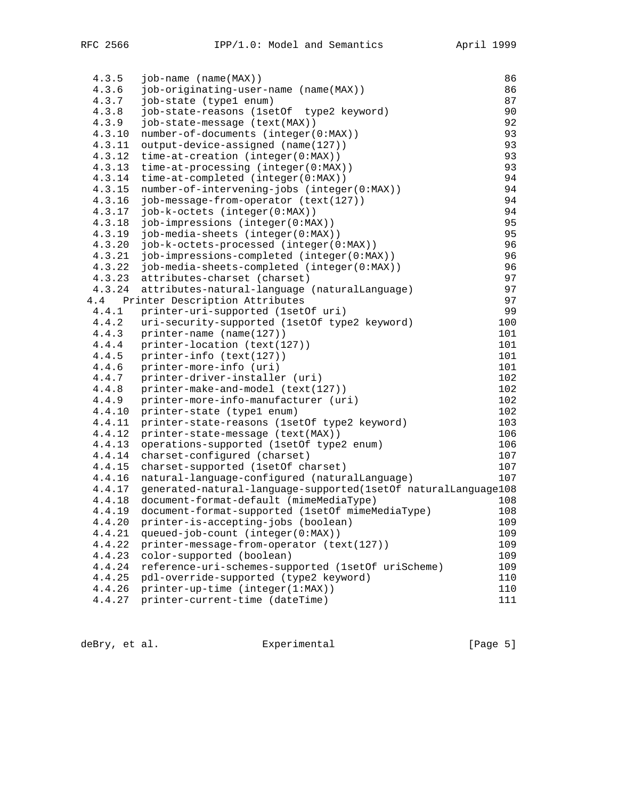| 4.3.5  | $job$ -name $(name(MAX))$                                      | 86  |
|--------|----------------------------------------------------------------|-----|
| 4.3.6  | job-originating-user-name (name(MAX))                          | 86  |
| 4.3.7  | job-state (type1 enum)                                         | 87  |
| 4.3.8  | job-state-reasons (1setOf type2 keyword)                       | 90  |
| 4.3.9  | job-state-message (text(MAX))                                  | 92  |
| 4.3.10 | number-of-documents (integer(0:MAX))                           | 93  |
| 4.3.11 | output-device-assigned (name(127))                             | 93  |
| 4.3.12 | time-at-creation (integer(0:MAX))                              | 93  |
| 4.3.13 | time-at-processing (integer(0:MAX))                            | 93  |
| 4.3.14 | time-at-completed (integer(0:MAX))                             | 94  |
| 4.3.15 | number-of-intervening-jobs (integer(0:MAX))                    | 94  |
| 4.3.16 | job-message-from-operator (text(127))                          | 94  |
| 4.3.17 | job-k-octets (integer(0:MAX))                                  | 94  |
| 4.3.18 | job-impressions (integer(0:MAX))                               | 95  |
| 4.3.19 | job-media-sheets (integer(0:MAX))                              | 95  |
| 4.3.20 | job-k-octets-processed (integer(0:MAX))                        | 96  |
| 4.3.21 | job-impressions-completed (integer(0:MAX))                     | 96  |
| 4.3.22 | job-media-sheets-completed (integer(0:MAX))                    | 96  |
| 4.3.23 | attributes-charset (charset)                                   | 97  |
| 4.3.24 | attributes-natural-language (naturalLanguage)                  | 97  |
| 4.4    | Printer Description Attributes                                 | 97  |
| 4.4.1  | printer-uri-supported (1setOf uri)                             | 99  |
| 4.4.2  | uri-security-supported (1setOf type2 keyword)                  | 100 |
| 4.4.3  | printer-name (name(127))                                       | 101 |
| 4.4.4  | printer-location (text(127))                                   | 101 |
| 4.4.5  | printer-info (text(127))                                       | 101 |
| 4.4.6  | printer-more-info (uri)                                        | 101 |
| 4.4.7  | printer-driver-installer (uri)                                 | 102 |
| 4.4.8  | printer-make-and-model (text(127))                             | 102 |
| 4.4.9  | printer-more-info-manufacturer (uri)                           | 102 |
| 4.4.10 | printer-state (type1 enum)                                     | 102 |
| 4.4.11 | printer-state-reasons (1setOf type2 keyword)                   | 103 |
| 4.4.12 | printer-state-message (text(MAX))                              | 106 |
| 4.4.13 | operations-supported (1setOf type2 enum)                       | 106 |
| 4.4.14 | charset-configured (charset)                                   | 107 |
| 4.4.15 | charset-supported (1setOf charset)                             | 107 |
| 4.4.16 | natural-language-configured (naturalLanguage)                  | 107 |
| 4.4.17 | generated-natural-language-supported(1setOf naturalLanguage108 |     |
| 4.4.18 | document-format-default (mimeMediaType)                        | 108 |
| 4.4.19 | document-format-supported (1setOf mimeMediaType)               | 108 |
| 4.4.20 | printer-is-accepting-jobs (boolean)                            | 109 |
| 4.4.21 | queued-job-count (integer(0:MAX))                              | 109 |
| 4.4.22 | printer-message-from-operator (text(127))                      | 109 |
| 4.4.23 | color-supported (boolean)                                      | 109 |
| 4.4.24 | reference-uri-schemes-supported (1setOf uriScheme)             | 109 |
| 4.4.25 | pdl-override-supported (type2 keyword)                         | 110 |
| 4.4.26 | printer-up-time (integer(1:MAX))                               | 110 |
| 4.4.27 | printer-current-time (dateTime)                                | 111 |

deBry, et al. <br>Experimental [Page 5]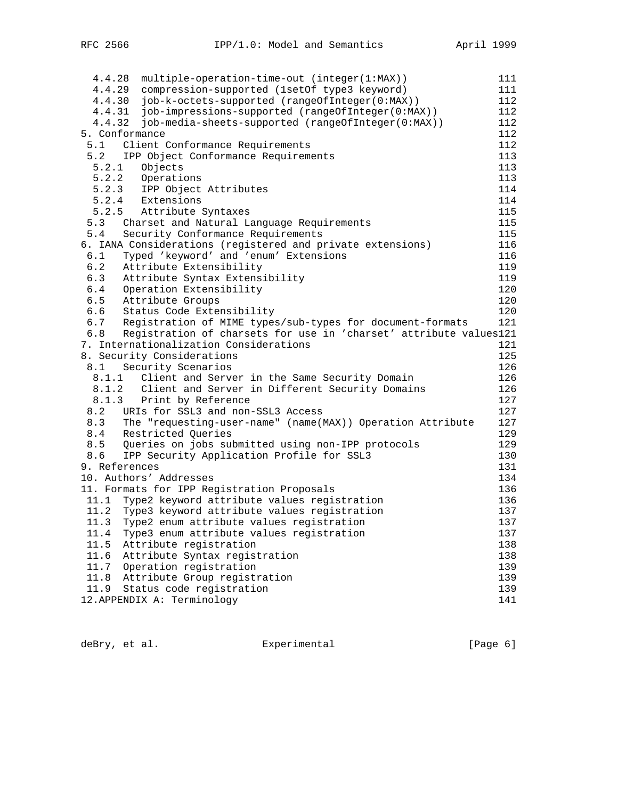| 4.4.28 | multiple-operation-time-out (integer(1:MAX))                      | 111 |
|--------|-------------------------------------------------------------------|-----|
|        | 4.4.29 compression-supported (lsetOf type3 keyword)               | 111 |
| 4.4.30 | job-k-octets-supported (rangeOfInteger(0:MAX))                    | 112 |
|        | 4.4.31 job-impressions-supported (rangeOfInteger(0:MAX))          | 112 |
| 4.4.32 | job-media-sheets-supported (rangeOfInteger(0:MAX))                | 112 |
|        | 5. Conformance                                                    | 112 |
| 5.1    | Client Conformance Requirements                                   | 112 |
| 5.2    | IPP Object Conformance Requirements                               | 113 |
| 5.2.1  | Objects                                                           | 113 |
|        | 5.2.2 Operations                                                  | 113 |
|        | 5.2.3 IPP Object Attributes                                       | 114 |
|        | 5.2.4 Extensions                                                  | 114 |
|        | 5.2.5 Attribute Syntaxes                                          | 115 |
| 5.3    | Charset and Natural Language Requirements                         | 115 |
| 5.4    | Security Conformance Requirements                                 | 115 |
|        | 6. IANA Considerations (registered and private extensions)        | 116 |
| 6.1    | Typed 'keyword' and 'enum' Extensions                             | 116 |
| 6.2    | Attribute Extensibility                                           | 119 |
| 6.3    | Attribute Syntax Extensibility                                    | 119 |
|        | 6.4 Operation Extensibility                                       | 120 |
|        | 6.5 Attribute Groups                                              | 120 |
|        | 6.6 Status Code Extensibility                                     | 120 |
| 6.7    | Registration of MIME types/sub-types for document-formats         | 121 |
| 6.8    | Registration of charsets for use in 'charset' attribute values121 |     |
|        | 7. Internationalization Considerations                            | 121 |
|        | 8. Security Considerations                                        | 125 |
| 8.1    | Security Scenarios                                                | 126 |
|        | 8.1.1 Client and Server in the Same Security Domain               | 126 |
|        | 8.1.2 Client and Server in Different Security Domains             | 126 |
|        | 8.1.3 Print by Reference                                          | 127 |
| 8.2    | URIs for SSL3 and non-SSL3 Access                                 | 127 |
| 8.3    | The "requesting-user-name" (name(MAX)) Operation Attribute        | 127 |
|        | 8.4 Restricted Queries                                            | 129 |
| 8.5    | Queries on jobs submitted using non-IPP protocols                 | 129 |
| 8.6    | IPP Security Application Profile for SSL3                         | 130 |
|        | 9. References                                                     | 131 |
|        | 10. Authors' Addresses                                            | 134 |
|        | 11. Formats for IPP Registration Proposals                        | 136 |
|        | 11.1 Type2 keyword attribute values registration                  | 136 |
|        | 11.2 Type3 keyword attribute values registration                  | 137 |
| 11.3   | Type2 enum attribute values registration                          | 137 |
| 11.4   | Type3 enum attribute values registration                          | 137 |
| 11.5   | Attribute registration                                            | 138 |
| 11.6   | Attribute Syntax registration                                     | 138 |
| 11.7   | Operation registration                                            | 139 |
| 11.8   | Attribute Group registration                                      | 139 |
| 11.9   | Status code registration                                          | 139 |
|        | 12. APPENDIX A: Terminology                                       | 141 |

deBry, et al. <br>Experimental [Page 6]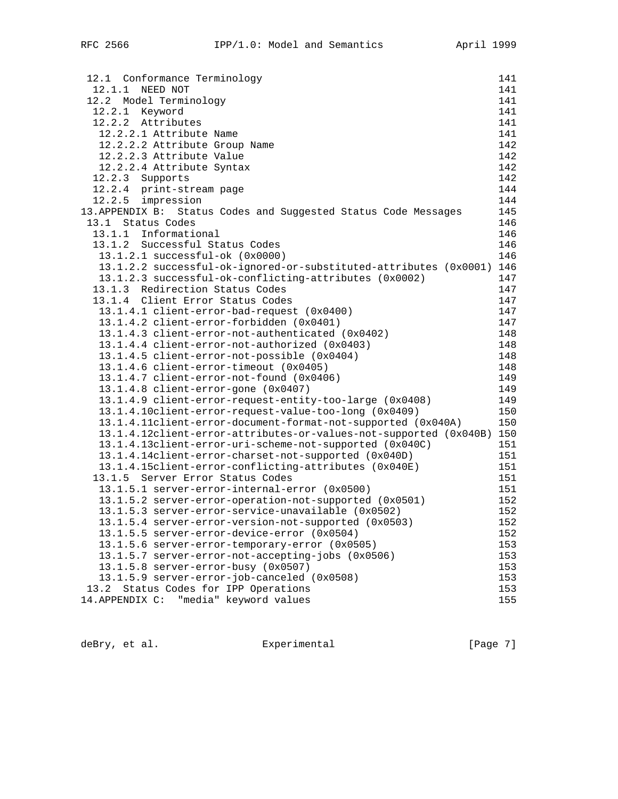| 12.1 Conformance Terminology                                      | 141 |
|-------------------------------------------------------------------|-----|
| 12.1.1 NEED NOT                                                   | 141 |
| 12.2 Model Terminology                                            | 141 |
| 12.2.1 Keyword                                                    | 141 |
| 12.2.2 Attributes                                                 | 141 |
| 12.2.2.1 Attribute Name                                           | 141 |
| 12.2.2.2 Attribute Group Name                                     | 142 |
| 12.2.2.3 Attribute Value                                          | 142 |
| 12.2.2.4 Attribute Syntax                                         | 142 |
| Supports<br>12.2.3                                                | 142 |
| 12.2.4 print-stream page                                          | 144 |
| 12.2.5 impression                                                 | 144 |
| 13. APPENDIX B: Status Codes and Suggested Status Code Messages   | 145 |
| Status Codes<br>13.1                                              | 146 |
| 13.1.1 Informational                                              | 146 |
| 13.1.2 Successful Status Codes                                    | 146 |
| 13.1.2.1 successful-ok (0x0000)                                   | 146 |
| 13.1.2.2 successful-ok-ignored-or-substituted-attributes (0x0001) | 146 |
| 13.1.2.3 successful-ok-conflicting-attributes (0x0002)            | 147 |
| 13.1.3 Redirection Status Codes                                   | 147 |
| 13.1.4 Client Error Status Codes                                  | 147 |
| 13.1.4.1 client-error-bad-request (0x0400)                        | 147 |
| 13.1.4.2 client-error-forbidden (0x0401)                          | 147 |
| 13.1.4.3 client-error-not-authenticated (0x0402)                  | 148 |
| 13.1.4.4 client-error-not-authorized (0x0403)                     | 148 |
| 13.1.4.5 client-error-not-possible (0x0404)                       | 148 |
| 13.1.4.6 client-error-timeout (0x0405)                            | 148 |
| 13.1.4.7 client-error-not-found (0x0406)                          | 149 |
| 13.1.4.8 client-error-gone (0x0407)                               | 149 |
| 13.1.4.9 client-error-request-entity-too-large (0x0408)           | 149 |
| 13.1.4.10client-error-request-value-too-long (0x0409)             | 150 |
| 13.1.4.11client-error-document-format-not-supported (0x040A)      | 150 |
| 13.1.4.12client-error-attributes-or-values-not-supported (0x040B) | 150 |
| 13.1.4.13client-error-uri-scheme-not-supported (0x040C)           | 151 |
| 13.1.4.14client-error-charset-not-supported (0x040D)              | 151 |
| 13.1.4.15client-error-conflicting-attributes (0x040E)             | 151 |
| 13.1.5 Server Error Status Codes                                  | 151 |
| 13.1.5.1 server-error-internal-error (0x0500)                     | 151 |
| 13.1.5.2 server-error-operation-not-supported (0x0501)            | 152 |
| 13.1.5.3 server-error-service-unavailable (0x0502)                | 152 |
| 13.1.5.4 server-error-version-not-supported (0x0503)              | 152 |
| 13.1.5.5 server-error-device-error (0x0504)                       | 152 |
| 13.1.5.6 server-error-temporary-error (0x0505)                    | 153 |
| 13.1.5.7 server-error-not-accepting-jobs (0x0506)                 | 153 |
| 13.1.5.8 server-error-busy (0x0507)                               | 153 |
| 13.1.5.9 server-error-job-canceled (0x0508)                       | 153 |
| Status Codes for IPP Operations<br>13.2                           | 153 |
| "media" keyword values<br>14. APPENDIX C:                         | 155 |

deBry, et al. <br>Experimental [Page 7]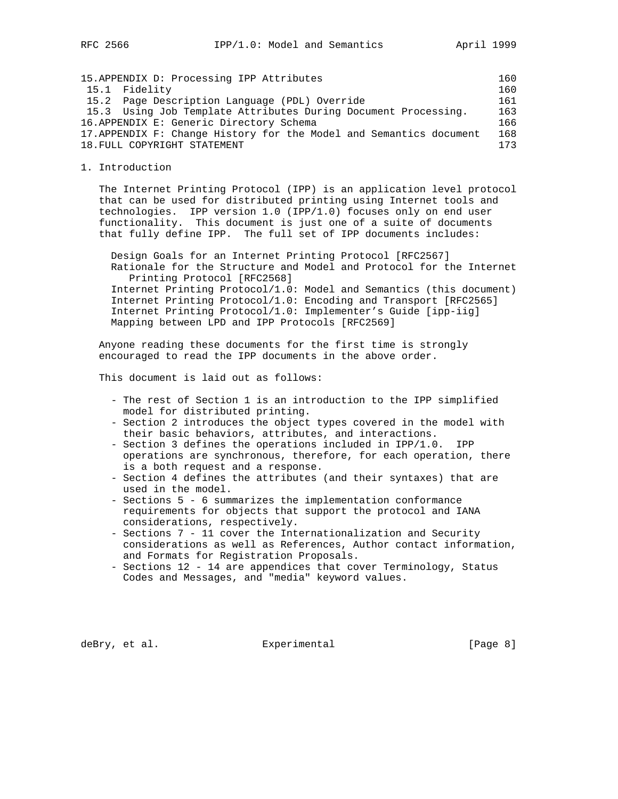15.APPENDIX D: Processing IPP Attributes 160 15.1 Fidelity 160 15.2 Page Description Language (PDL) Override 161 15.3 Using Job Template Attributes During Document Processing. 163 16.APPENDIX E: Generic Directory Schema 166 17.APPENDIX F: Change History for the Model and Semantics document 168 18. FULL COPYRIGHT STATEMENT 173

1. Introduction

 The Internet Printing Protocol (IPP) is an application level protocol that can be used for distributed printing using Internet tools and technologies. IPP version 1.0 (IPP/1.0) focuses only on end user functionality. This document is just one of a suite of documents that fully define IPP. The full set of IPP documents includes:

 Design Goals for an Internet Printing Protocol [RFC2567] Rationale for the Structure and Model and Protocol for the Internet Printing Protocol [RFC2568] Internet Printing Protocol/1.0: Model and Semantics (this document) Internet Printing Protocol/1.0: Encoding and Transport [RFC2565] Internet Printing Protocol/1.0: Implementer's Guide [ipp-iig] Mapping between LPD and IPP Protocols [RFC2569]

 Anyone reading these documents for the first time is strongly encouraged to read the IPP documents in the above order.

This document is laid out as follows:

- The rest of Section 1 is an introduction to the IPP simplified model for distributed printing.
- Section 2 introduces the object types covered in the model with their basic behaviors, attributes, and interactions.
- Section 3 defines the operations included in IPP/1.0. IPP operations are synchronous, therefore, for each operation, there is a both request and a response.
- Section 4 defines the attributes (and their syntaxes) that are used in the model.
- Sections 5 6 summarizes the implementation conformance requirements for objects that support the protocol and IANA considerations, respectively.
- Sections 7 11 cover the Internationalization and Security considerations as well as References, Author contact information, and Formats for Registration Proposals.
- Sections 12 14 are appendices that cover Terminology, Status Codes and Messages, and "media" keyword values.

deBry, et al. Subsection Experimental Contracts [Page 8]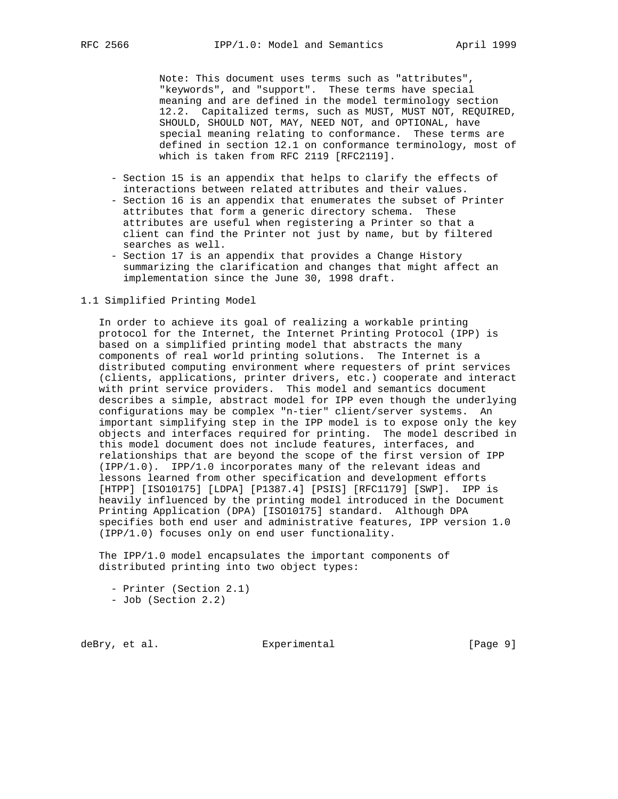Note: This document uses terms such as "attributes", "keywords", and "support". These terms have special meaning and are defined in the model terminology section 12.2. Capitalized terms, such as MUST, MUST NOT, REQUIRED, SHOULD, SHOULD NOT, MAY, NEED NOT, and OPTIONAL, have special meaning relating to conformance. These terms are defined in section 12.1 on conformance terminology, most of which is taken from RFC 2119 [RFC2119].

- Section 15 is an appendix that helps to clarify the effects of interactions between related attributes and their values.
- Section 16 is an appendix that enumerates the subset of Printer attributes that form a generic directory schema. These attributes are useful when registering a Printer so that a client can find the Printer not just by name, but by filtered searches as well.
- Section 17 is an appendix that provides a Change History summarizing the clarification and changes that might affect an implementation since the June 30, 1998 draft.

## 1.1 Simplified Printing Model

 In order to achieve its goal of realizing a workable printing protocol for the Internet, the Internet Printing Protocol (IPP) is based on a simplified printing model that abstracts the many components of real world printing solutions. The Internet is a distributed computing environment where requesters of print services (clients, applications, printer drivers, etc.) cooperate and interact with print service providers. This model and semantics document describes a simple, abstract model for IPP even though the underlying configurations may be complex "n-tier" client/server systems. An important simplifying step in the IPP model is to expose only the key objects and interfaces required for printing. The model described in this model document does not include features, interfaces, and relationships that are beyond the scope of the first version of IPP (IPP/1.0). IPP/1.0 incorporates many of the relevant ideas and lessons learned from other specification and development efforts [HTPP] [ISO10175] [LDPA] [P1387.4] [PSIS] [RFC1179] [SWP]. IPP is heavily influenced by the printing model introduced in the Document Printing Application (DPA) [ISO10175] standard. Although DPA specifies both end user and administrative features, IPP version 1.0 (IPP/1.0) focuses only on end user functionality.

 The IPP/1.0 model encapsulates the important components of distributed printing into two object types:

 - Printer (Section 2.1) - Job (Section 2.2)

deBry, et al. Subsection Experimental Contracts [Page 9]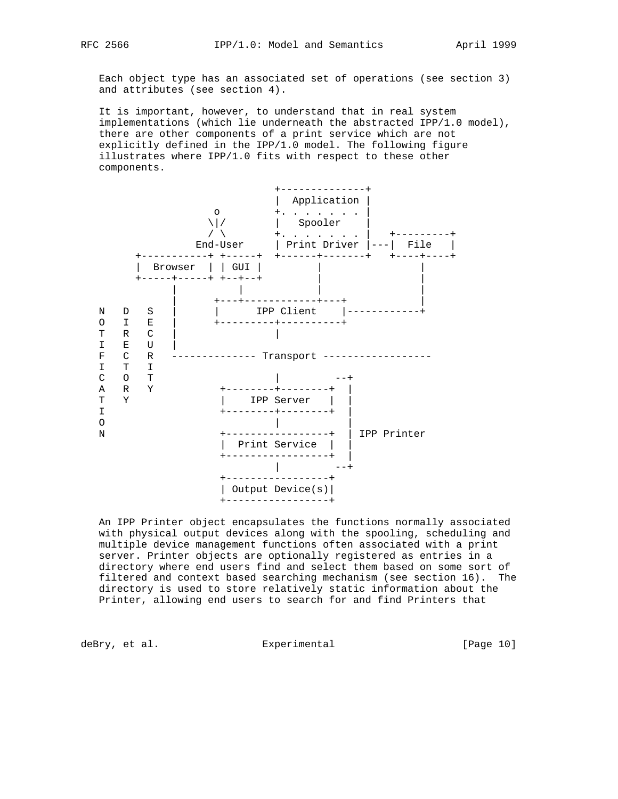Each object type has an associated set of operations (see section 3) and attributes (see section 4).

 It is important, however, to understand that in real system implementations (which lie underneath the abstracted IPP/1.0 model), there are other components of a print service which are not explicitly defined in the IPP/1.0 model. The following figure illustrates where IPP/1.0 fits with respect to these other components.



 An IPP Printer object encapsulates the functions normally associated with physical output devices along with the spooling, scheduling and multiple device management functions often associated with a print server. Printer objects are optionally registered as entries in a directory where end users find and select them based on some sort of filtered and context based searching mechanism (see section 16). The directory is used to store relatively static information about the Printer, allowing end users to search for and find Printers that

deBry, et al. Subsectimental Experimental (Page 10)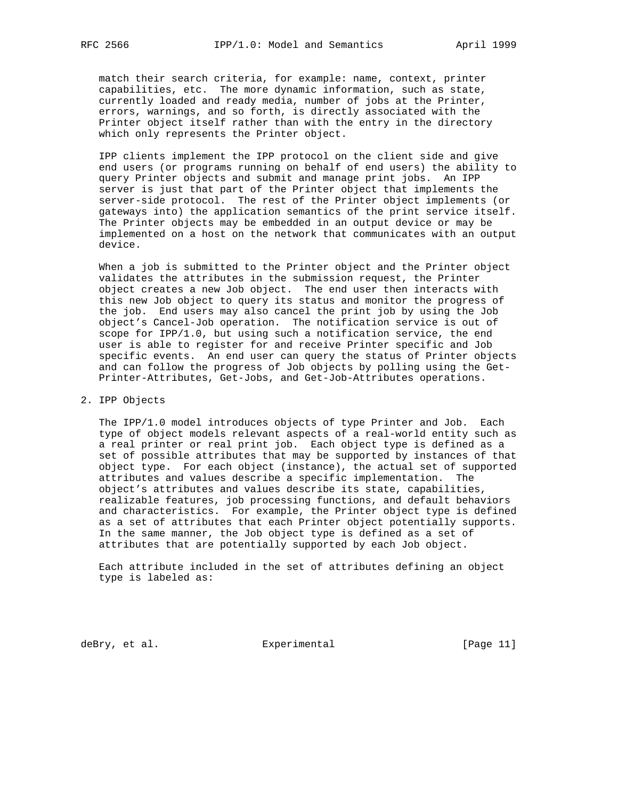match their search criteria, for example: name, context, printer capabilities, etc. The more dynamic information, such as state, currently loaded and ready media, number of jobs at the Printer, errors, warnings, and so forth, is directly associated with the Printer object itself rather than with the entry in the directory which only represents the Printer object.

 IPP clients implement the IPP protocol on the client side and give end users (or programs running on behalf of end users) the ability to query Printer objects and submit and manage print jobs. An IPP server is just that part of the Printer object that implements the server-side protocol. The rest of the Printer object implements (or gateways into) the application semantics of the print service itself. The Printer objects may be embedded in an output device or may be implemented on a host on the network that communicates with an output device.

 When a job is submitted to the Printer object and the Printer object validates the attributes in the submission request, the Printer object creates a new Job object. The end user then interacts with this new Job object to query its status and monitor the progress of the job. End users may also cancel the print job by using the Job object's Cancel-Job operation. The notification service is out of scope for IPP/1.0, but using such a notification service, the end user is able to register for and receive Printer specific and Job specific events. An end user can query the status of Printer objects and can follow the progress of Job objects by polling using the Get- Printer-Attributes, Get-Jobs, and Get-Job-Attributes operations.

#### 2. IPP Objects

 The IPP/1.0 model introduces objects of type Printer and Job. Each type of object models relevant aspects of a real-world entity such as a real printer or real print job. Each object type is defined as a set of possible attributes that may be supported by instances of that object type. For each object (instance), the actual set of supported attributes and values describe a specific implementation. The object's attributes and values describe its state, capabilities, realizable features, job processing functions, and default behaviors and characteristics. For example, the Printer object type is defined as a set of attributes that each Printer object potentially supports. In the same manner, the Job object type is defined as a set of attributes that are potentially supported by each Job object.

 Each attribute included in the set of attributes defining an object type is labeled as:

deBry, et al. <br>Experimental [Page 11]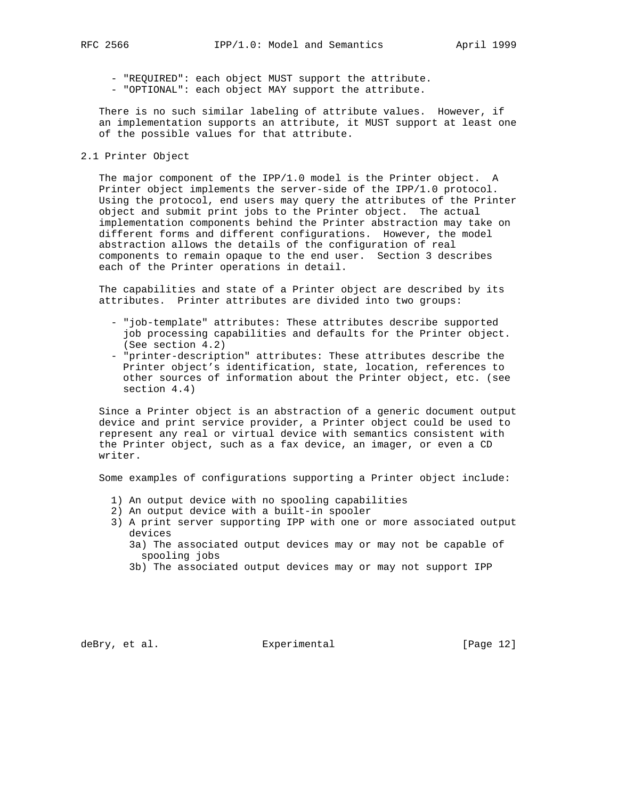- "REQUIRED": each object MUST support the attribute.

- "OPTIONAL": each object MAY support the attribute.

 There is no such similar labeling of attribute values. However, if an implementation supports an attribute, it MUST support at least one of the possible values for that attribute.

2.1 Printer Object

 The major component of the IPP/1.0 model is the Printer object. A Printer object implements the server-side of the IPP/1.0 protocol. Using the protocol, end users may query the attributes of the Printer object and submit print jobs to the Printer object. The actual implementation components behind the Printer abstraction may take on different forms and different configurations. However, the model abstraction allows the details of the configuration of real components to remain opaque to the end user. Section 3 describes each of the Printer operations in detail.

 The capabilities and state of a Printer object are described by its attributes. Printer attributes are divided into two groups:

- "job-template" attributes: These attributes describe supported job processing capabilities and defaults for the Printer object. (See section 4.2)
- "printer-description" attributes: These attributes describe the Printer object's identification, state, location, references to other sources of information about the Printer object, etc. (see section 4.4)

 Since a Printer object is an abstraction of a generic document output device and print service provider, a Printer object could be used to represent any real or virtual device with semantics consistent with the Printer object, such as a fax device, an imager, or even a CD writer.

Some examples of configurations supporting a Printer object include:

- 1) An output device with no spooling capabilities
- 2) An output device with a built-in spooler
- 3) A print server supporting IPP with one or more associated output devices
	- 3a) The associated output devices may or may not be capable of spooling jobs
	- 3b) The associated output devices may or may not support IPP

deBry, et al. Subsection Experimental Fage 12]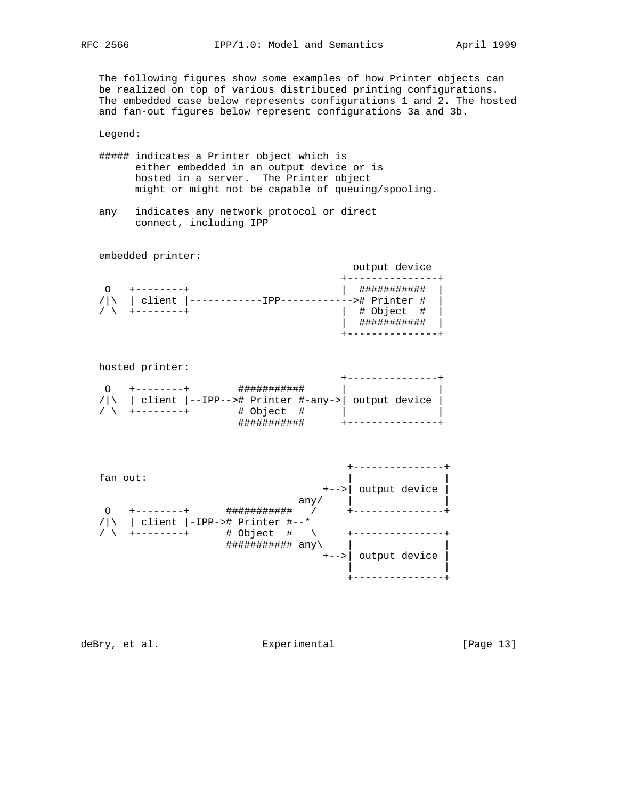The following figures show some examples of how Printer objects can be realized on top of various distributed printing configurations. The embedded case below represents configurations 1 and 2. The hosted and fan-out figures below represent configurations 3a and 3b.

Legend:

- ##### indicates a Printer object which is either embedded in an output device or is hosted in a server. The Printer object might or might not be capable of queuing/spooling.
- any indicates any network protocol or direct connect, including IPP

embedded printer:

| client<br>/   \ | -># Printer #<br># Object #<br>************ |  |
|-----------------|---------------------------------------------|--|

| hosted printer: |                                                              |  |
|-----------------|--------------------------------------------------------------|--|
|                 | client  --IPP--># Printer #-any->  output device<br># Object |  |

 +---------------+  $fan out:$  +-->| output device | any/  $|$  O +--------+ ########### / +---------------+ /|\ | client |-IPP-># Printer #--\* / \ +--------+ # Object # \ +---------------+ ########### any\ | | +-->| output device | | | +---------------+

deBry, et al. Subsectimental Experimental [Page 13]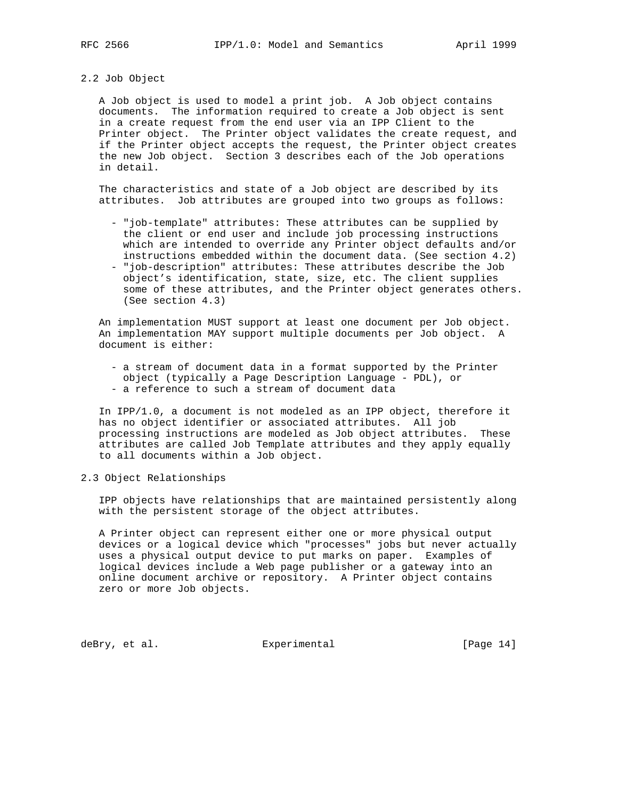#### 2.2 Job Object

 A Job object is used to model a print job. A Job object contains documents. The information required to create a Job object is sent in a create request from the end user via an IPP Client to the Printer object. The Printer object validates the create request, and if the Printer object accepts the request, the Printer object creates the new Job object. Section 3 describes each of the Job operations in detail.

 The characteristics and state of a Job object are described by its attributes. Job attributes are grouped into two groups as follows:

- "job-template" attributes: These attributes can be supplied by the client or end user and include job processing instructions which are intended to override any Printer object defaults and/or instructions embedded within the document data. (See section 4.2)
- "job-description" attributes: These attributes describe the Job object's identification, state, size, etc. The client supplies some of these attributes, and the Printer object generates others. (See section 4.3)

 An implementation MUST support at least one document per Job object. An implementation MAY support multiple documents per Job object. A document is either:

- a stream of document data in a format supported by the Printer object (typically a Page Description Language - PDL), or
- a reference to such a stream of document data

 In IPP/1.0, a document is not modeled as an IPP object, therefore it has no object identifier or associated attributes. All job processing instructions are modeled as Job object attributes. These attributes are called Job Template attributes and they apply equally to all documents within a Job object.

2.3 Object Relationships

 IPP objects have relationships that are maintained persistently along with the persistent storage of the object attributes.

 A Printer object can represent either one or more physical output devices or a logical device which "processes" jobs but never actually uses a physical output device to put marks on paper. Examples of logical devices include a Web page publisher or a gateway into an online document archive or repository. A Printer object contains zero or more Job objects.

deBry, et al. Subsection Experimental Contracts [Page 14]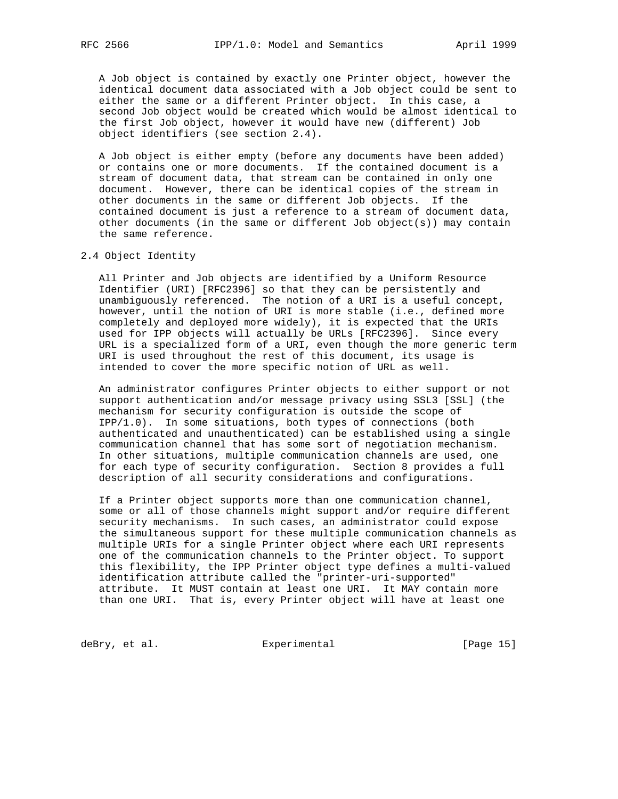A Job object is contained by exactly one Printer object, however the identical document data associated with a Job object could be sent to either the same or a different Printer object. In this case, a second Job object would be created which would be almost identical to the first Job object, however it would have new (different) Job object identifiers (see section 2.4).

 A Job object is either empty (before any documents have been added) or contains one or more documents. If the contained document is a stream of document data, that stream can be contained in only one document. However, there can be identical copies of the stream in other documents in the same or different Job objects. If the contained document is just a reference to a stream of document data, other documents (in the same or different Job object(s)) may contain the same reference.

2.4 Object Identity

 All Printer and Job objects are identified by a Uniform Resource Identifier (URI) [RFC2396] so that they can be persistently and unambiguously referenced. The notion of a URI is a useful concept, however, until the notion of URI is more stable (i.e., defined more completely and deployed more widely), it is expected that the URIs used for IPP objects will actually be URLs [RFC2396]. Since every URL is a specialized form of a URI, even though the more generic term URI is used throughout the rest of this document, its usage is intended to cover the more specific notion of URL as well.

 An administrator configures Printer objects to either support or not support authentication and/or message privacy using SSL3 [SSL] (the mechanism for security configuration is outside the scope of IPP/1.0). In some situations, both types of connections (both authenticated and unauthenticated) can be established using a single communication channel that has some sort of negotiation mechanism. In other situations, multiple communication channels are used, one for each type of security configuration. Section 8 provides a full description of all security considerations and configurations.

 If a Printer object supports more than one communication channel, some or all of those channels might support and/or require different security mechanisms. In such cases, an administrator could expose the simultaneous support for these multiple communication channels as multiple URIs for a single Printer object where each URI represents one of the communication channels to the Printer object. To support this flexibility, the IPP Printer object type defines a multi-valued identification attribute called the "printer-uri-supported" attribute. It MUST contain at least one URI. It MAY contain more than one URI. That is, every Printer object will have at least one

deBry, et al. Subsectimental Experimental [Page 15]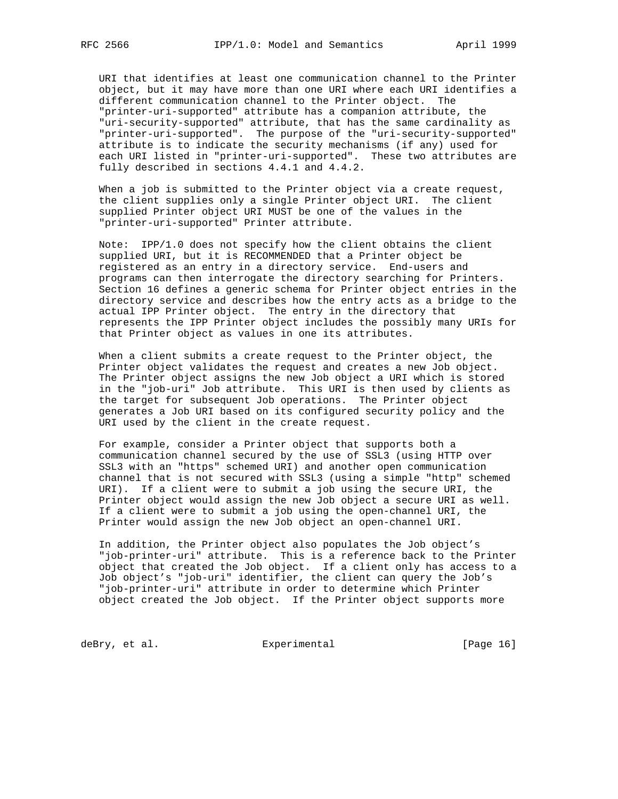URI that identifies at least one communication channel to the Printer object, but it may have more than one URI where each URI identifies a different communication channel to the Printer object. The "printer-uri-supported" attribute has a companion attribute, the "uri-security-supported" attribute, that has the same cardinality as "printer-uri-supported". The purpose of the "uri-security-supported" attribute is to indicate the security mechanisms (if any) used for each URI listed in "printer-uri-supported". These two attributes are fully described in sections 4.4.1 and 4.4.2.

 When a job is submitted to the Printer object via a create request, the client supplies only a single Printer object URI. The client supplied Printer object URI MUST be one of the values in the "printer-uri-supported" Printer attribute.

 Note: IPP/1.0 does not specify how the client obtains the client supplied URI, but it is RECOMMENDED that a Printer object be registered as an entry in a directory service. End-users and programs can then interrogate the directory searching for Printers. Section 16 defines a generic schema for Printer object entries in the directory service and describes how the entry acts as a bridge to the actual IPP Printer object. The entry in the directory that represents the IPP Printer object includes the possibly many URIs for that Printer object as values in one its attributes.

 When a client submits a create request to the Printer object, the Printer object validates the request and creates a new Job object. The Printer object assigns the new Job object a URI which is stored in the "job-uri" Job attribute. This URI is then used by clients as the target for subsequent Job operations. The Printer object generates a Job URI based on its configured security policy and the URI used by the client in the create request.

 For example, consider a Printer object that supports both a communication channel secured by the use of SSL3 (using HTTP over SSL3 with an "https" schemed URI) and another open communication channel that is not secured with SSL3 (using a simple "http" schemed URI). If a client were to submit a job using the secure URI, the Printer object would assign the new Job object a secure URI as well. If a client were to submit a job using the open-channel URI, the Printer would assign the new Job object an open-channel URI.

 In addition, the Printer object also populates the Job object's "job-printer-uri" attribute. This is a reference back to the Printer object that created the Job object. If a client only has access to a Job object's "job-uri" identifier, the client can query the Job's "job-printer-uri" attribute in order to determine which Printer object created the Job object. If the Printer object supports more

deBry, et al. Subsection Experimental CPage 16]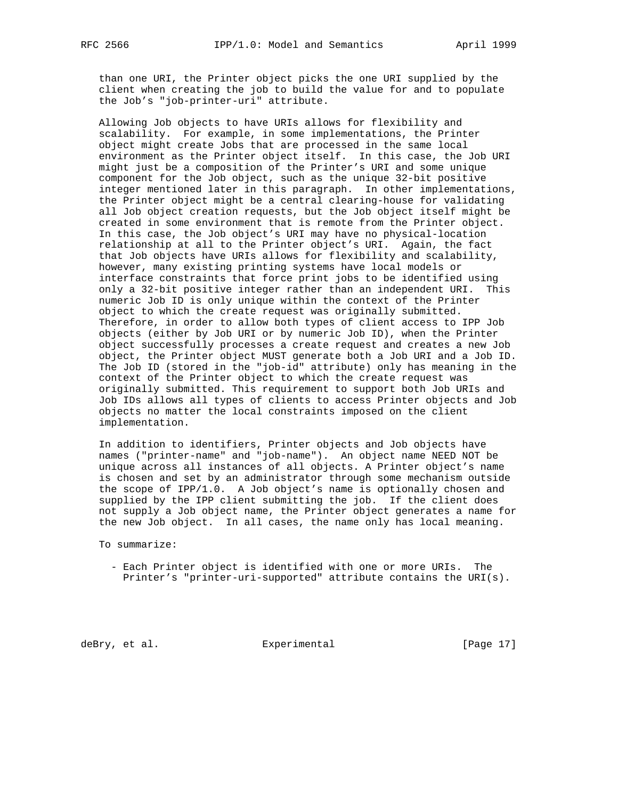than one URI, the Printer object picks the one URI supplied by the client when creating the job to build the value for and to populate the Job's "job-printer-uri" attribute.

 Allowing Job objects to have URIs allows for flexibility and scalability. For example, in some implementations, the Printer object might create Jobs that are processed in the same local environment as the Printer object itself. In this case, the Job URI might just be a composition of the Printer's URI and some unique component for the Job object, such as the unique 32-bit positive integer mentioned later in this paragraph. In other implementations, the Printer object might be a central clearing-house for validating all Job object creation requests, but the Job object itself might be created in some environment that is remote from the Printer object. In this case, the Job object's URI may have no physical-location relationship at all to the Printer object's URI. Again, the fact that Job objects have URIs allows for flexibility and scalability, however, many existing printing systems have local models or interface constraints that force print jobs to be identified using only a 32-bit positive integer rather than an independent URI. This numeric Job ID is only unique within the context of the Printer object to which the create request was originally submitted. Therefore, in order to allow both types of client access to IPP Job objects (either by Job URI or by numeric Job ID), when the Printer object successfully processes a create request and creates a new Job object, the Printer object MUST generate both a Job URI and a Job ID. The Job ID (stored in the "job-id" attribute) only has meaning in the context of the Printer object to which the create request was originally submitted. This requirement to support both Job URIs and Job IDs allows all types of clients to access Printer objects and Job objects no matter the local constraints imposed on the client implementation.

 In addition to identifiers, Printer objects and Job objects have names ("printer-name" and "job-name"). An object name NEED NOT be unique across all instances of all objects. A Printer object's name is chosen and set by an administrator through some mechanism outside the scope of IPP/1.0. A Job object's name is optionally chosen and supplied by the IPP client submitting the job. If the client does not supply a Job object name, the Printer object generates a name for the new Job object. In all cases, the name only has local meaning.

To summarize:

 - Each Printer object is identified with one or more URIs. The Printer's "printer-uri-supported" attribute contains the URI(s).

deBry, et al. Subsectimental Experimental [Page 17]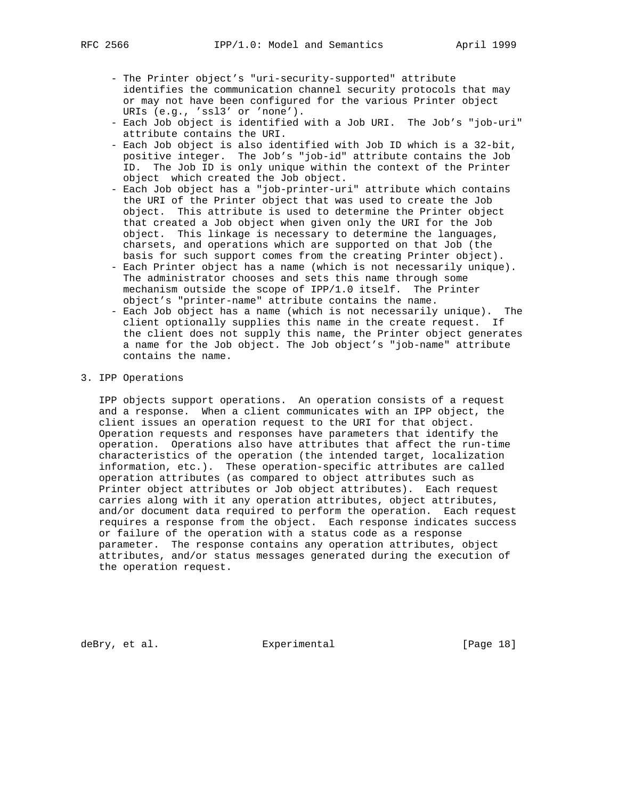- The Printer object's "uri-security-supported" attribute identifies the communication channel security protocols that may or may not have been configured for the various Printer object URIs (e.g., 'ssl3' or 'none').
- Each Job object is identified with a Job URI. The Job's "job-uri" attribute contains the URI.
- Each Job object is also identified with Job ID which is a 32-bit, positive integer. The Job's "job-id" attribute contains the Job ID. The Job ID is only unique within the context of the Printer object which created the Job object.
- Each Job object has a "job-printer-uri" attribute which contains the URI of the Printer object that was used to create the Job object. This attribute is used to determine the Printer object that created a Job object when given only the URI for the Job object. This linkage is necessary to determine the languages, charsets, and operations which are supported on that Job (the basis for such support comes from the creating Printer object).
- Each Printer object has a name (which is not necessarily unique). The administrator chooses and sets this name through some mechanism outside the scope of IPP/1.0 itself. The Printer object's "printer-name" attribute contains the name.
- Each Job object has a name (which is not necessarily unique). The client optionally supplies this name in the create request. If the client does not supply this name, the Printer object generates a name for the Job object. The Job object's "job-name" attribute contains the name.

# 3. IPP Operations

 IPP objects support operations. An operation consists of a request and a response. When a client communicates with an IPP object, the client issues an operation request to the URI for that object. Operation requests and responses have parameters that identify the operation. Operations also have attributes that affect the run-time characteristics of the operation (the intended target, localization information, etc.). These operation-specific attributes are called operation attributes (as compared to object attributes such as Printer object attributes or Job object attributes). Each request carries along with it any operation attributes, object attributes, and/or document data required to perform the operation. Each request requires a response from the object. Each response indicates success or failure of the operation with a status code as a response parameter. The response contains any operation attributes, object attributes, and/or status messages generated during the execution of the operation request.

deBry, et al. Subsection Experimental Contracts [Page 18]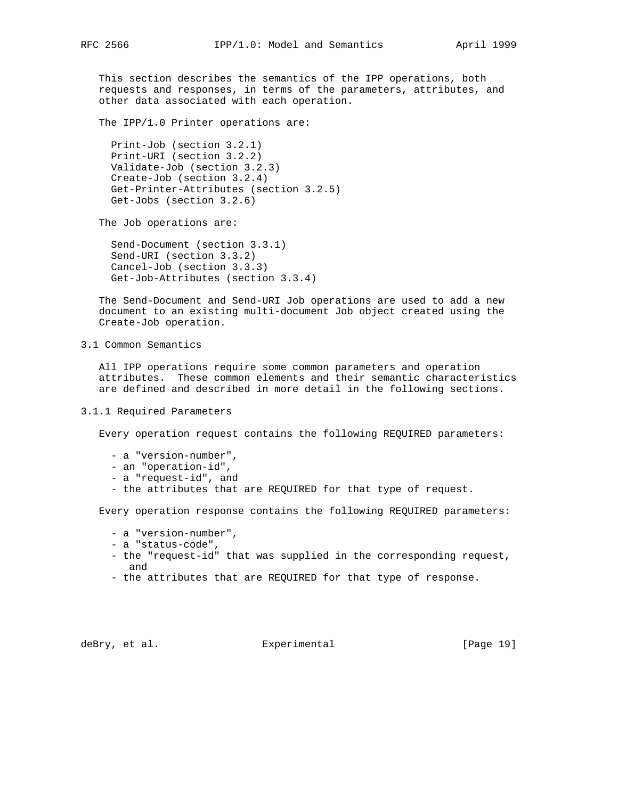This section describes the semantics of the IPP operations, both requests and responses, in terms of the parameters, attributes, and other data associated with each operation.

The IPP/1.0 Printer operations are:

 Print-Job (section 3.2.1) Print-URI (section 3.2.2) Validate-Job (section 3.2.3) Create-Job (section 3.2.4) Get-Printer-Attributes (section 3.2.5) Get-Jobs (section 3.2.6)

The Job operations are:

 Send-Document (section 3.3.1) Send-URI (section 3.3.2) Cancel-Job (section 3.3.3) Get-Job-Attributes (section 3.3.4)

 The Send-Document and Send-URI Job operations are used to add a new document to an existing multi-document Job object created using the Create-Job operation.

3.1 Common Semantics

 All IPP operations require some common parameters and operation attributes. These common elements and their semantic characteristics are defined and described in more detail in the following sections.

## 3.1.1 Required Parameters

Every operation request contains the following REQUIRED parameters:

- a "version-number",
- an "operation-id",
- a "request-id", and
- the attributes that are REQUIRED for that type of request.

Every operation response contains the following REQUIRED parameters:

- a "version-number",
- a "status-code",
- the "request-id" that was supplied in the corresponding request, and
- the attributes that are REQUIRED for that type of response.

deBry, et al. Subsection Experimental (Page 19)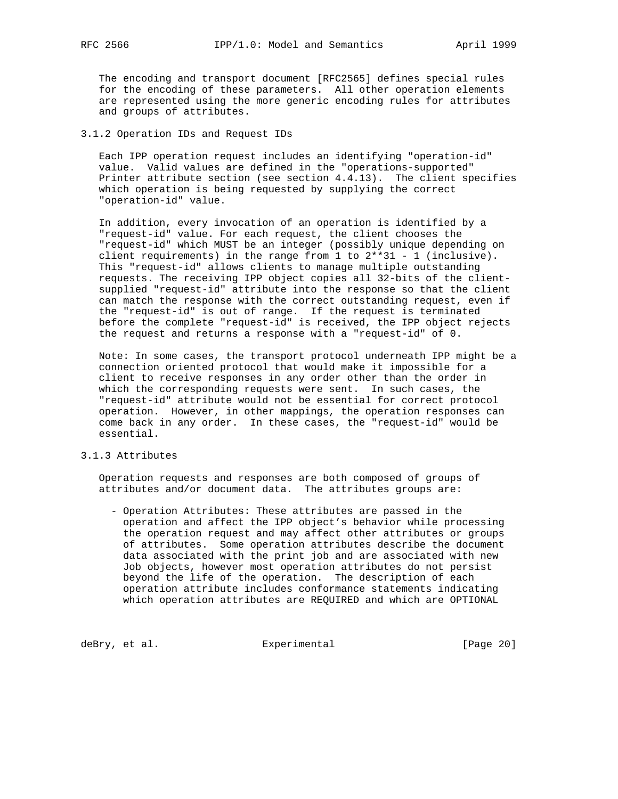The encoding and transport document [RFC2565] defines special rules for the encoding of these parameters. All other operation elements are represented using the more generic encoding rules for attributes and groups of attributes.

## 3.1.2 Operation IDs and Request IDs

 Each IPP operation request includes an identifying "operation-id" value. Valid values are defined in the "operations-supported" Printer attribute section (see section 4.4.13). The client specifies which operation is being requested by supplying the correct "operation-id" value.

 In addition, every invocation of an operation is identified by a "request-id" value. For each request, the client chooses the "request-id" which MUST be an integer (possibly unique depending on client requirements) in the range from 1 to 2\*\*31 - 1 (inclusive). This "request-id" allows clients to manage multiple outstanding requests. The receiving IPP object copies all 32-bits of the client supplied "request-id" attribute into the response so that the client can match the response with the correct outstanding request, even if the "request-id" is out of range. If the request is terminated before the complete "request-id" is received, the IPP object rejects the request and returns a response with a "request-id" of 0.

 Note: In some cases, the transport protocol underneath IPP might be a connection oriented protocol that would make it impossible for a client to receive responses in any order other than the order in which the corresponding requests were sent. In such cases, the "request-id" attribute would not be essential for correct protocol operation. However, in other mappings, the operation responses can come back in any order. In these cases, the "request-id" would be essential.

## 3.1.3 Attributes

 Operation requests and responses are both composed of groups of attributes and/or document data. The attributes groups are:

 - Operation Attributes: These attributes are passed in the operation and affect the IPP object's behavior while processing the operation request and may affect other attributes or groups of attributes. Some operation attributes describe the document data associated with the print job and are associated with new Job objects, however most operation attributes do not persist beyond the life of the operation. The description of each operation attribute includes conformance statements indicating which operation attributes are REQUIRED and which are OPTIONAL

deBry, et al. <br>Experimental [Page 20]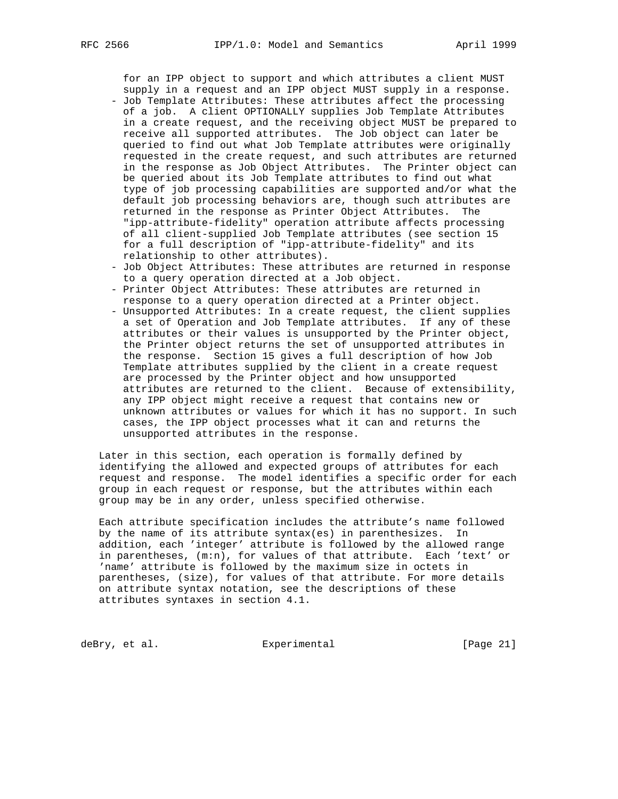for an IPP object to support and which attributes a client MUST supply in a request and an IPP object MUST supply in a response.

- Job Template Attributes: These attributes affect the processing of a job. A client OPTIONALLY supplies Job Template Attributes in a create request, and the receiving object MUST be prepared to receive all supported attributes. The Job object can later be queried to find out what Job Template attributes were originally requested in the create request, and such attributes are returned in the response as Job Object Attributes. The Printer object can be queried about its Job Template attributes to find out what type of job processing capabilities are supported and/or what the default job processing behaviors are, though such attributes are returned in the response as Printer Object Attributes. The "ipp-attribute-fidelity" operation attribute affects processing of all client-supplied Job Template attributes (see section 15 for a full description of "ipp-attribute-fidelity" and its relationship to other attributes).
- Job Object Attributes: These attributes are returned in response to a query operation directed at a Job object.
- Printer Object Attributes: These attributes are returned in response to a query operation directed at a Printer object.
- Unsupported Attributes: In a create request, the client supplies a set of Operation and Job Template attributes. If any of these attributes or their values is unsupported by the Printer object, the Printer object returns the set of unsupported attributes in the response. Section 15 gives a full description of how Job Template attributes supplied by the client in a create request are processed by the Printer object and how unsupported attributes are returned to the client. Because of extensibility, any IPP object might receive a request that contains new or unknown attributes or values for which it has no support. In such cases, the IPP object processes what it can and returns the unsupported attributes in the response.

 Later in this section, each operation is formally defined by identifying the allowed and expected groups of attributes for each request and response. The model identifies a specific order for each group in each request or response, but the attributes within each group may be in any order, unless specified otherwise.

 Each attribute specification includes the attribute's name followed by the name of its attribute syntax(es) in parenthesizes. In addition, each 'integer' attribute is followed by the allowed range in parentheses, (m:n), for values of that attribute. Each 'text' or 'name' attribute is followed by the maximum size in octets in parentheses, (size), for values of that attribute. For more details on attribute syntax notation, see the descriptions of these attributes syntaxes in section 4.1.

deBry, et al. Subsectimental Experimental [Page 21]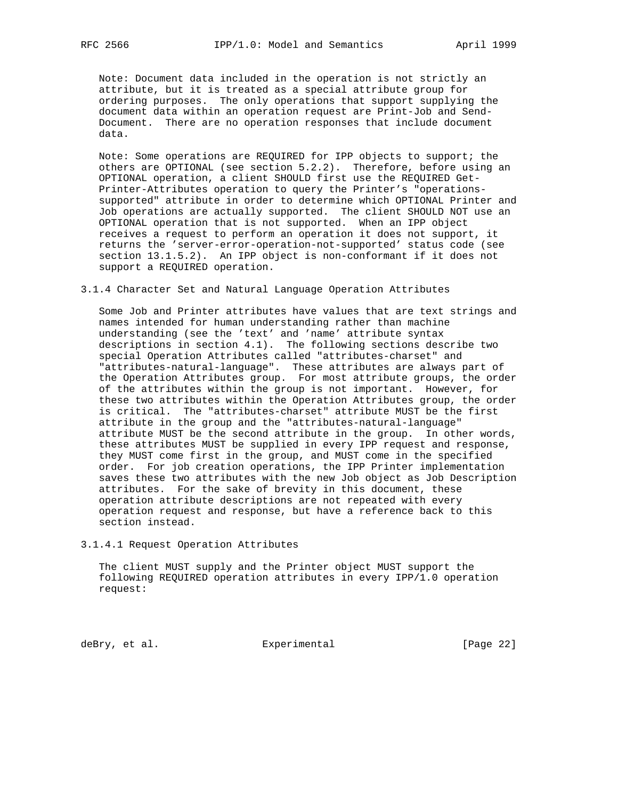Note: Document data included in the operation is not strictly an attribute, but it is treated as a special attribute group for ordering purposes. The only operations that support supplying the document data within an operation request are Print-Job and Send- Document. There are no operation responses that include document data.

 Note: Some operations are REQUIRED for IPP objects to support; the others are OPTIONAL (see section 5.2.2). Therefore, before using an OPTIONAL operation, a client SHOULD first use the REQUIRED Get- Printer-Attributes operation to query the Printer's "operations supported" attribute in order to determine which OPTIONAL Printer and Job operations are actually supported. The client SHOULD NOT use an OPTIONAL operation that is not supported. When an IPP object receives a request to perform an operation it does not support, it returns the 'server-error-operation-not-supported' status code (see section 13.1.5.2). An IPP object is non-conformant if it does not support a REQUIRED operation.

#### 3.1.4 Character Set and Natural Language Operation Attributes

 Some Job and Printer attributes have values that are text strings and names intended for human understanding rather than machine understanding (see the 'text' and 'name' attribute syntax descriptions in section 4.1). The following sections describe two special Operation Attributes called "attributes-charset" and "attributes-natural-language". These attributes are always part of the Operation Attributes group. For most attribute groups, the order of the attributes within the group is not important. However, for these two attributes within the Operation Attributes group, the order is critical. The "attributes-charset" attribute MUST be the first attribute in the group and the "attributes-natural-language" attribute MUST be the second attribute in the group. In other words, these attributes MUST be supplied in every IPP request and response, they MUST come first in the group, and MUST come in the specified order. For job creation operations, the IPP Printer implementation saves these two attributes with the new Job object as Job Description attributes. For the sake of brevity in this document, these operation attribute descriptions are not repeated with every operation request and response, but have a reference back to this section instead.

## 3.1.4.1 Request Operation Attributes

 The client MUST supply and the Printer object MUST support the following REQUIRED operation attributes in every IPP/1.0 operation request:

deBry, et al. Subsection Experimental Contracts [Page 22]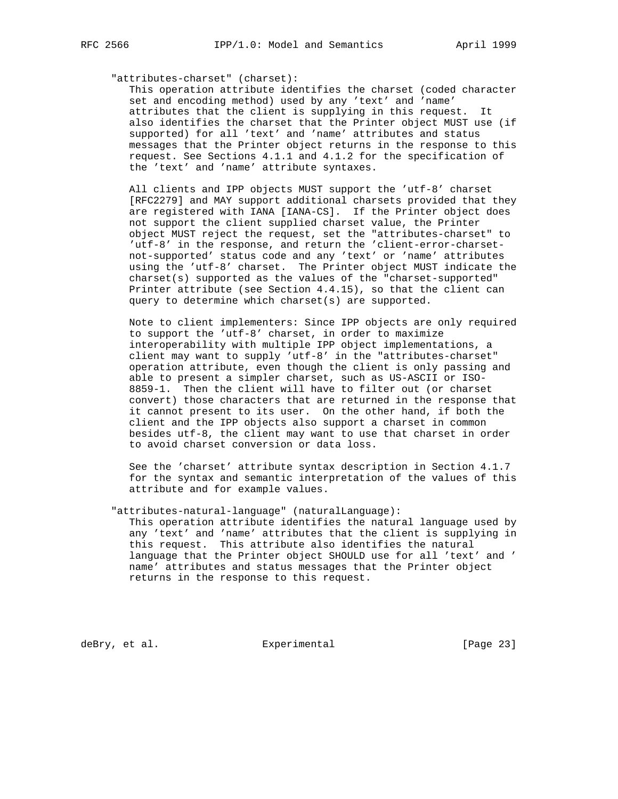### "attributes-charset" (charset):

 This operation attribute identifies the charset (coded character set and encoding method) used by any 'text' and 'name' attributes that the client is supplying in this request. It also identifies the charset that the Printer object MUST use (if supported) for all 'text' and 'name' attributes and status messages that the Printer object returns in the response to this request. See Sections 4.1.1 and 4.1.2 for the specification of the 'text' and 'name' attribute syntaxes.

 All clients and IPP objects MUST support the 'utf-8' charset [RFC2279] and MAY support additional charsets provided that they are registered with IANA [IANA-CS]. If the Printer object does not support the client supplied charset value, the Printer object MUST reject the request, set the "attributes-charset" to 'utf-8' in the response, and return the 'client-error-charset not-supported' status code and any 'text' or 'name' attributes using the 'utf-8' charset. The Printer object MUST indicate the charset(s) supported as the values of the "charset-supported" Printer attribute (see Section 4.4.15), so that the client can query to determine which charset(s) are supported.

 Note to client implementers: Since IPP objects are only required to support the 'utf-8' charset, in order to maximize interoperability with multiple IPP object implementations, a client may want to supply 'utf-8' in the "attributes-charset" operation attribute, even though the client is only passing and able to present a simpler charset, such as US-ASCII or ISO- 8859-1. Then the client will have to filter out (or charset convert) those characters that are returned in the response that it cannot present to its user. On the other hand, if both the client and the IPP objects also support a charset in common besides utf-8, the client may want to use that charset in order to avoid charset conversion or data loss.

> See the 'charset' attribute syntax description in Section 4.1.7 for the syntax and semantic interpretation of the values of this attribute and for example values.

 "attributes-natural-language" (naturalLanguage): This operation attribute identifies the natural language used by any 'text' and 'name' attributes that the client is supplying in this request. This attribute also identifies the natural language that the Printer object SHOULD use for all 'text' and ' name' attributes and status messages that the Printer object returns in the response to this request.

deBry, et al. Subsection Experimental Contracts [Page 23]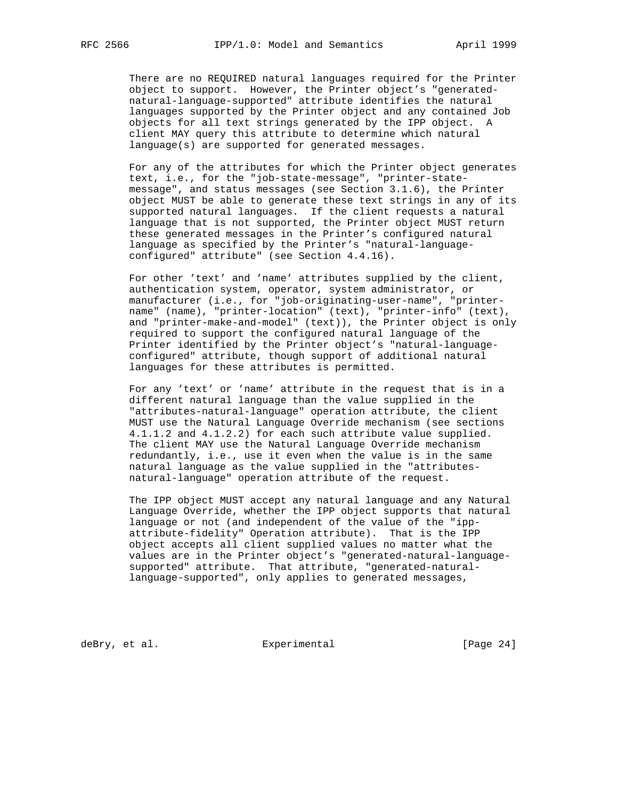There are no REQUIRED natural languages required for the Printer object to support. However, the Printer object's "generated natural-language-supported" attribute identifies the natural languages supported by the Printer object and any contained Job objects for all text strings generated by the IPP object. A client MAY query this attribute to determine which natural language(s) are supported for generated messages.

 For any of the attributes for which the Printer object generates text, i.e., for the "job-state-message", "printer-state message", and status messages (see Section 3.1.6), the Printer object MUST be able to generate these text strings in any of its supported natural languages. If the client requests a natural language that is not supported, the Printer object MUST return these generated messages in the Printer's configured natural language as specified by the Printer's "natural-language configured" attribute" (see Section 4.4.16).

 For other 'text' and 'name' attributes supplied by the client, authentication system, operator, system administrator, or manufacturer (i.e., for "job-originating-user-name", "printer name" (name), "printer-location" (text), "printer-info" (text), and "printer-make-and-model" (text)), the Printer object is only required to support the configured natural language of the Printer identified by the Printer object's "natural-language configured" attribute, though support of additional natural languages for these attributes is permitted.

 For any 'text' or 'name' attribute in the request that is in a different natural language than the value supplied in the "attributes-natural-language" operation attribute, the client MUST use the Natural Language Override mechanism (see sections 4.1.1.2 and 4.1.2.2) for each such attribute value supplied. The client MAY use the Natural Language Override mechanism redundantly, i.e., use it even when the value is in the same natural language as the value supplied in the "attributes natural-language" operation attribute of the request.

 The IPP object MUST accept any natural language and any Natural Language Override, whether the IPP object supports that natural language or not (and independent of the value of the "ipp attribute-fidelity" Operation attribute). That is the IPP object accepts all client supplied values no matter what the values are in the Printer object's "generated-natural-language supported" attribute. That attribute, "generated-natural language-supported", only applies to generated messages,

deBry, et al. Subsectimental Experimental [Page 24]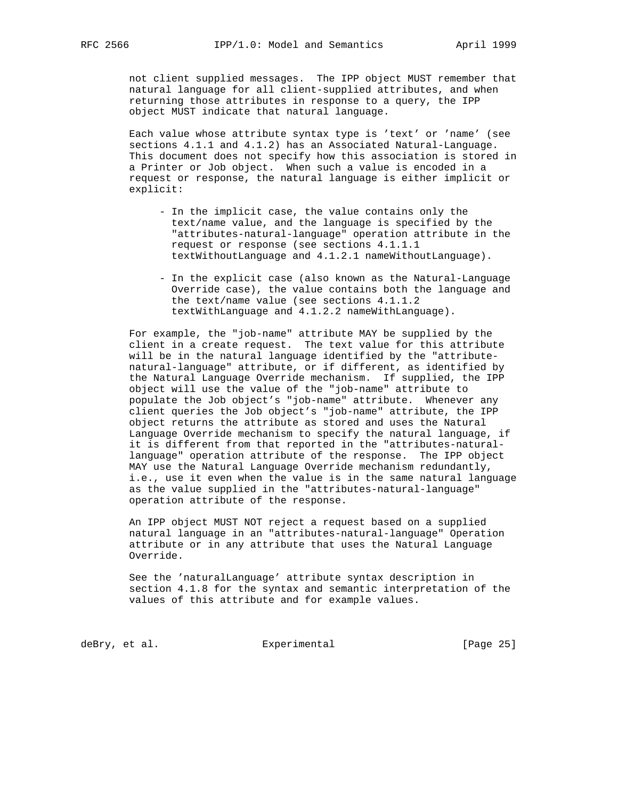not client supplied messages. The IPP object MUST remember that natural language for all client-supplied attributes, and when returning those attributes in response to a query, the IPP object MUST indicate that natural language.

 Each value whose attribute syntax type is 'text' or 'name' (see sections 4.1.1 and 4.1.2) has an Associated Natural-Language. This document does not specify how this association is stored in a Printer or Job object. When such a value is encoded in a request or response, the natural language is either implicit or explicit:

- In the implicit case, the value contains only the text/name value, and the language is specified by the "attributes-natural-language" operation attribute in the request or response (see sections 4.1.1.1 textWithoutLanguage and 4.1.2.1 nameWithoutLanguage).
- In the explicit case (also known as the Natural-Language Override case), the value contains both the language and the text/name value (see sections 4.1.1.2 textWithLanguage and 4.1.2.2 nameWithLanguage).

 For example, the "job-name" attribute MAY be supplied by the client in a create request. The text value for this attribute will be in the natural language identified by the "attribute natural-language" attribute, or if different, as identified by the Natural Language Override mechanism. If supplied, the IPP object will use the value of the "job-name" attribute to populate the Job object's "job-name" attribute. Whenever any client queries the Job object's "job-name" attribute, the IPP object returns the attribute as stored and uses the Natural Language Override mechanism to specify the natural language, if it is different from that reported in the "attributes-natural language" operation attribute of the response. The IPP object MAY use the Natural Language Override mechanism redundantly, i.e., use it even when the value is in the same natural language as the value supplied in the "attributes-natural-language" operation attribute of the response.

 An IPP object MUST NOT reject a request based on a supplied natural language in an "attributes-natural-language" Operation attribute or in any attribute that uses the Natural Language Override.

 See the 'naturalLanguage' attribute syntax description in section 4.1.8 for the syntax and semantic interpretation of the values of this attribute and for example values.

deBry, et al. Subsection Experimental Contracts [Page 25]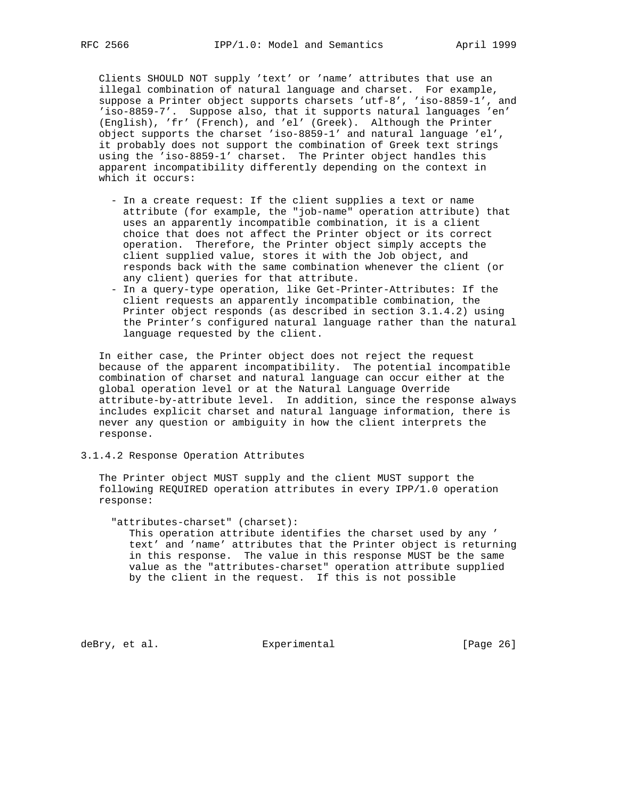Clients SHOULD NOT supply 'text' or 'name' attributes that use an illegal combination of natural language and charset. For example, suppose a Printer object supports charsets 'utf-8', 'iso-8859-1', and 'iso-8859-7'. Suppose also, that it supports natural languages 'en' (English), 'fr' (French), and 'el' (Greek). Although the Printer object supports the charset 'iso-8859-1' and natural language 'el', it probably does not support the combination of Greek text strings using the 'iso-8859-1' charset. The Printer object handles this apparent incompatibility differently depending on the context in which it occurs:

- In a create request: If the client supplies a text or name attribute (for example, the "job-name" operation attribute) that uses an apparently incompatible combination, it is a client choice that does not affect the Printer object or its correct operation. Therefore, the Printer object simply accepts the client supplied value, stores it with the Job object, and responds back with the same combination whenever the client (or any client) queries for that attribute.
- In a query-type operation, like Get-Printer-Attributes: If the client requests an apparently incompatible combination, the Printer object responds (as described in section 3.1.4.2) using the Printer's configured natural language rather than the natural language requested by the client.

 In either case, the Printer object does not reject the request because of the apparent incompatibility. The potential incompatible combination of charset and natural language can occur either at the global operation level or at the Natural Language Override attribute-by-attribute level. In addition, since the response always includes explicit charset and natural language information, there is never any question or ambiguity in how the client interprets the response.

## 3.1.4.2 Response Operation Attributes

 The Printer object MUST supply and the client MUST support the following REQUIRED operation attributes in every IPP/1.0 operation response:

 "attributes-charset" (charset): This operation attribute identifies the charset used by any ' text' and 'name' attributes that the Printer object is returning in this response. The value in this response MUST be the same value as the "attributes-charset" operation attribute supplied by the client in the request. If this is not possible

deBry, et al. Subsectimental Experimental [Page 26]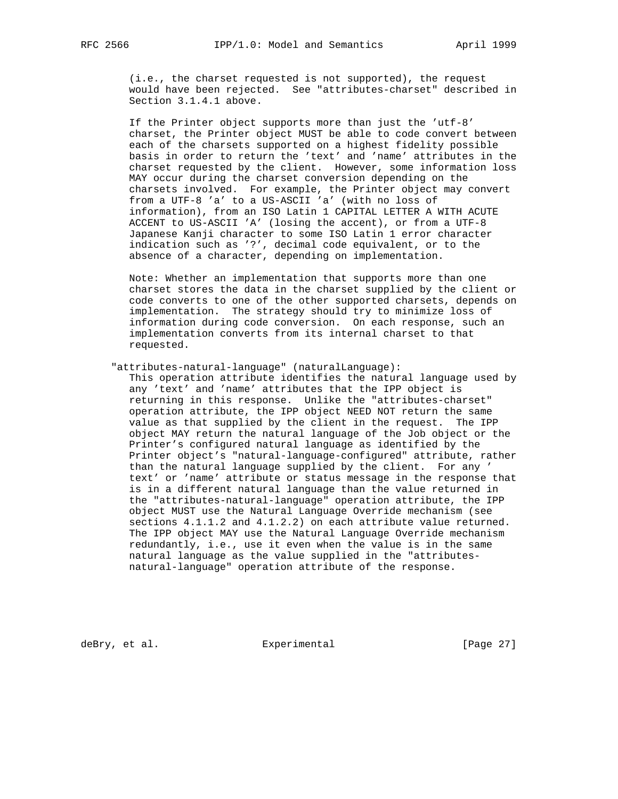(i.e., the charset requested is not supported), the request would have been rejected. See "attributes-charset" described in Section 3.1.4.1 above.

 If the Printer object supports more than just the 'utf-8' charset, the Printer object MUST be able to code convert between each of the charsets supported on a highest fidelity possible basis in order to return the 'text' and 'name' attributes in the charset requested by the client. However, some information loss MAY occur during the charset conversion depending on the charsets involved. For example, the Printer object may convert from a UTF-8 'a' to a US-ASCII 'a' (with no loss of information), from an ISO Latin 1 CAPITAL LETTER A WITH ACUTE ACCENT to US-ASCII 'A' (losing the accent), or from a UTF-8 Japanese Kanji character to some ISO Latin 1 error character indication such as '?', decimal code equivalent, or to the absence of a character, depending on implementation.

 Note: Whether an implementation that supports more than one charset stores the data in the charset supplied by the client or code converts to one of the other supported charsets, depends on implementation. The strategy should try to minimize loss of information during code conversion. On each response, such an implementation converts from its internal charset to that requested.

#### "attributes-natural-language" (naturalLanguage):

 This operation attribute identifies the natural language used by any 'text' and 'name' attributes that the IPP object is returning in this response. Unlike the "attributes-charset" operation attribute, the IPP object NEED NOT return the same value as that supplied by the client in the request. The IPP object MAY return the natural language of the Job object or the Printer's configured natural language as identified by the Printer object's "natural-language-configured" attribute, rather than the natural language supplied by the client. For any ' text' or 'name' attribute or status message in the response that is in a different natural language than the value returned in the "attributes-natural-language" operation attribute, the IPP object MUST use the Natural Language Override mechanism (see sections 4.1.1.2 and 4.1.2.2) on each attribute value returned. The IPP object MAY use the Natural Language Override mechanism redundantly, i.e., use it even when the value is in the same natural language as the value supplied in the "attributes natural-language" operation attribute of the response.

deBry, et al. Subsection Experimental Contracts (Page 27)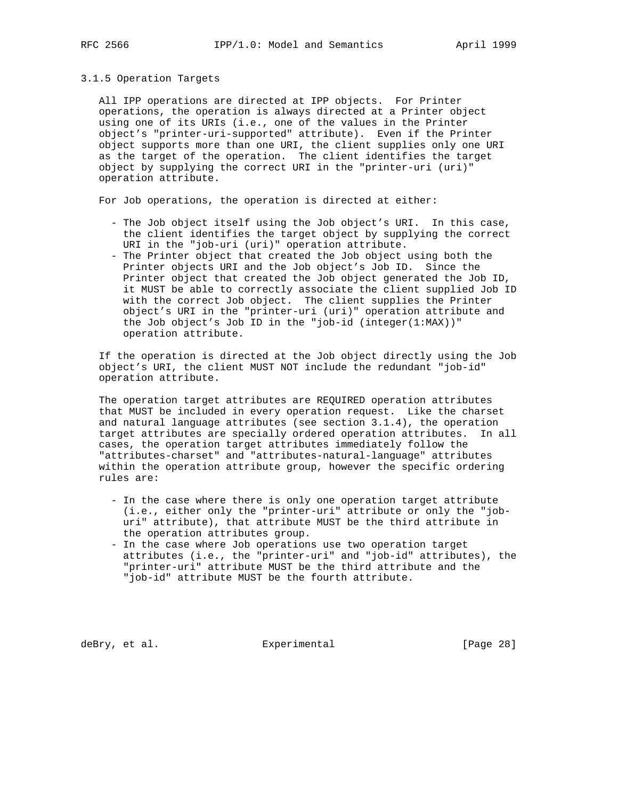#### 3.1.5 Operation Targets

 All IPP operations are directed at IPP objects. For Printer operations, the operation is always directed at a Printer object using one of its URIs (i.e., one of the values in the Printer object's "printer-uri-supported" attribute). Even if the Printer object supports more than one URI, the client supplies only one URI as the target of the operation. The client identifies the target object by supplying the correct URI in the "printer-uri (uri)" operation attribute.

For Job operations, the operation is directed at either:

- The Job object itself using the Job object's URI. In this case, the client identifies the target object by supplying the correct URI in the "job-uri (uri)" operation attribute.
- The Printer object that created the Job object using both the Printer objects URI and the Job object's Job ID. Since the Printer object that created the Job object generated the Job ID, it MUST be able to correctly associate the client supplied Job ID with the correct Job object. The client supplies the Printer object's URI in the "printer-uri (uri)" operation attribute and the Job object's Job ID in the "job-id (integer(1:MAX))" operation attribute.

 If the operation is directed at the Job object directly using the Job object's URI, the client MUST NOT include the redundant "job-id" operation attribute.

 The operation target attributes are REQUIRED operation attributes that MUST be included in every operation request. Like the charset and natural language attributes (see section 3.1.4), the operation target attributes are specially ordered operation attributes. In all cases, the operation target attributes immediately follow the "attributes-charset" and "attributes-natural-language" attributes within the operation attribute group, however the specific ordering rules are:

- In the case where there is only one operation target attribute (i.e., either only the "printer-uri" attribute or only the "job uri" attribute), that attribute MUST be the third attribute in the operation attributes group.
- In the case where Job operations use two operation target attributes (i.e., the "printer-uri" and "job-id" attributes), the "printer-uri" attribute MUST be the third attribute and the "job-id" attribute MUST be the fourth attribute.

deBry, et al. Subsectimental Experimental [Page 28]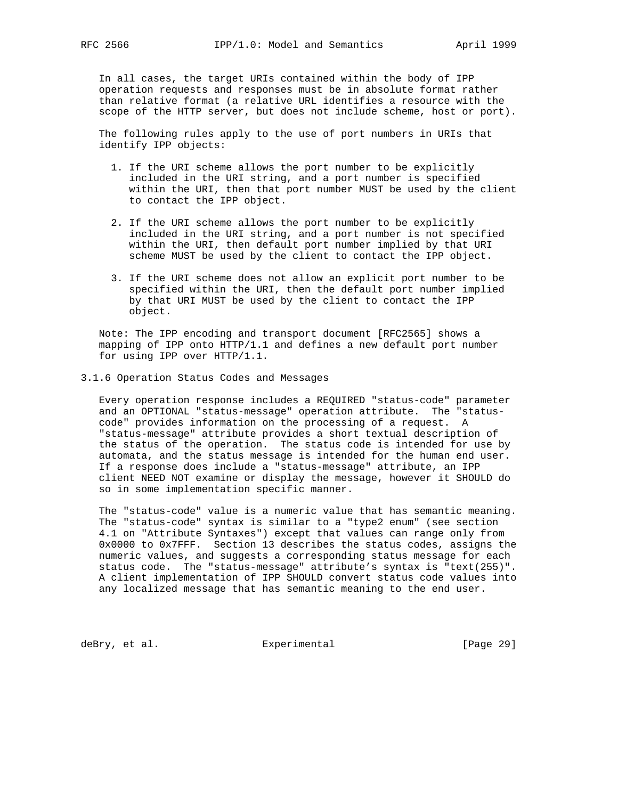In all cases, the target URIs contained within the body of IPP operation requests and responses must be in absolute format rather than relative format (a relative URL identifies a resource with the scope of the HTTP server, but does not include scheme, host or port).

 The following rules apply to the use of port numbers in URIs that identify IPP objects:

- 1. If the URI scheme allows the port number to be explicitly included in the URI string, and a port number is specified within the URI, then that port number MUST be used by the client to contact the IPP object.
- 2. If the URI scheme allows the port number to be explicitly included in the URI string, and a port number is not specified within the URI, then default port number implied by that URI scheme MUST be used by the client to contact the IPP object.
- 3. If the URI scheme does not allow an explicit port number to be specified within the URI, then the default port number implied by that URI MUST be used by the client to contact the IPP object.

 Note: The IPP encoding and transport document [RFC2565] shows a mapping of IPP onto HTTP/1.1 and defines a new default port number for using IPP over HTTP/1.1.

3.1.6 Operation Status Codes and Messages

 Every operation response includes a REQUIRED "status-code" parameter and an OPTIONAL "status-message" operation attribute. The "status code" provides information on the processing of a request. A "status-message" attribute provides a short textual description of the status of the operation. The status code is intended for use by automata, and the status message is intended for the human end user. If a response does include a "status-message" attribute, an IPP client NEED NOT examine or display the message, however it SHOULD do so in some implementation specific manner.

 The "status-code" value is a numeric value that has semantic meaning. The "status-code" syntax is similar to a "type2 enum" (see section 4.1 on "Attribute Syntaxes") except that values can range only from 0x0000 to 0x7FFF. Section 13 describes the status codes, assigns the numeric values, and suggests a corresponding status message for each status code. The "status-message" attribute's syntax is "text(255)". A client implementation of IPP SHOULD convert status code values into any localized message that has semantic meaning to the end user.

deBry, et al. Subsectimental Experimental [Page 29]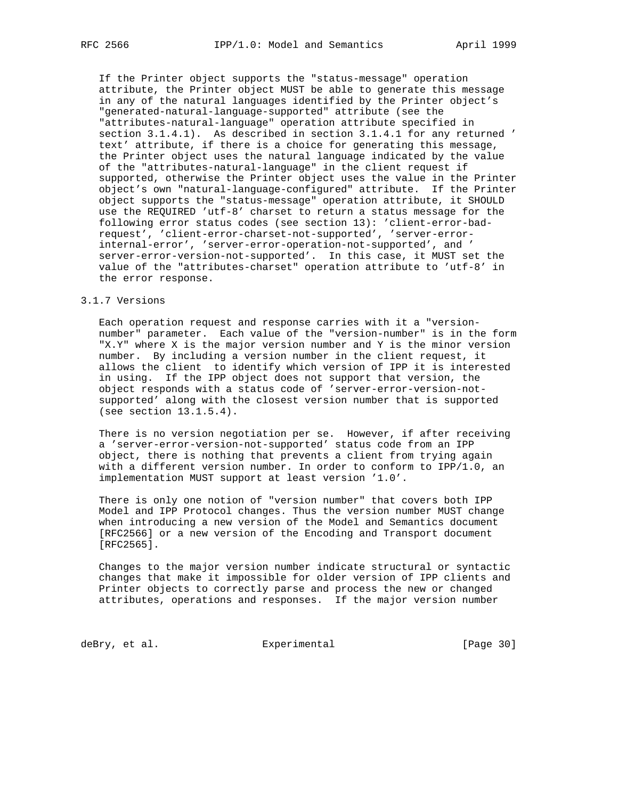If the Printer object supports the "status-message" operation attribute, the Printer object MUST be able to generate this message in any of the natural languages identified by the Printer object's "generated-natural-language-supported" attribute (see the "attributes-natural-language" operation attribute specified in section 3.1.4.1). As described in section 3.1.4.1 for any returned ' text' attribute, if there is a choice for generating this message, the Printer object uses the natural language indicated by the value of the "attributes-natural-language" in the client request if supported, otherwise the Printer object uses the value in the Printer object's own "natural-language-configured" attribute. If the Printer object supports the "status-message" operation attribute, it SHOULD use the REQUIRED 'utf-8' charset to return a status message for the following error status codes (see section 13): 'client-error-bad request', 'client-error-charset-not-supported', 'server-error internal-error', 'server-error-operation-not-supported', and ' server-error-version-not-supported'. In this case, it MUST set the value of the "attributes-charset" operation attribute to 'utf-8' in the error response.

## 3.1.7 Versions

 Each operation request and response carries with it a "version number" parameter. Each value of the "version-number" is in the form "X.Y" where X is the major version number and Y is the minor version number. By including a version number in the client request, it allows the client to identify which version of IPP it is interested in using. If the IPP object does not support that version, the object responds with a status code of 'server-error-version-not supported' along with the closest version number that is supported (see section 13.1.5.4).

There is no version negotiation per se. However, if after receiving a 'server-error-version-not-supported' status code from an IPP object, there is nothing that prevents a client from trying again with a different version number. In order to conform to IPP/1.0, an implementation MUST support at least version '1.0'.

 There is only one notion of "version number" that covers both IPP Model and IPP Protocol changes. Thus the version number MUST change when introducing a new version of the Model and Semantics document [RFC2566] or a new version of the Encoding and Transport document [RFC2565].

 Changes to the major version number indicate structural or syntactic changes that make it impossible for older version of IPP clients and Printer objects to correctly parse and process the new or changed attributes, operations and responses. If the major version number

deBry, et al. Subsection Experimental Contract (Page 30)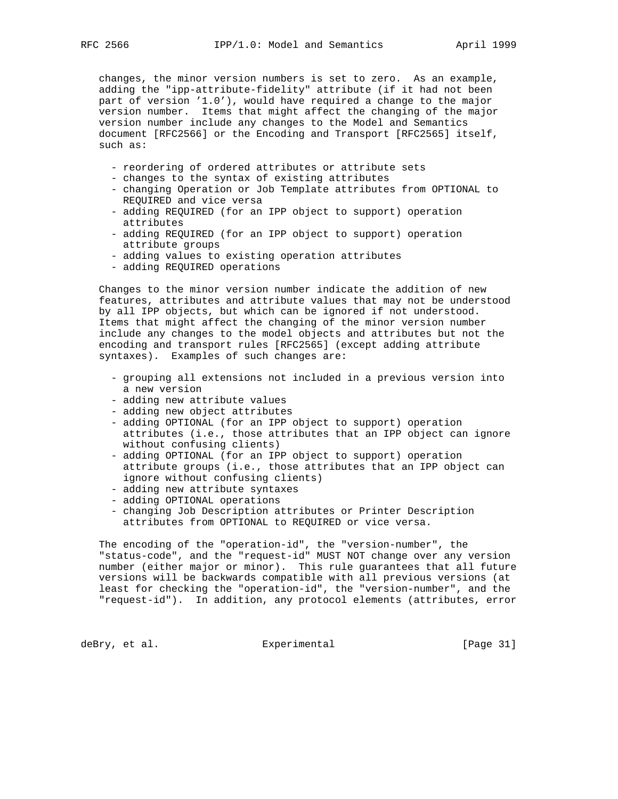changes, the minor version numbers is set to zero. As an example, adding the "ipp-attribute-fidelity" attribute (if it had not been part of version '1.0'), would have required a change to the major version number. Items that might affect the changing of the major version number include any changes to the Model and Semantics document [RFC2566] or the Encoding and Transport [RFC2565] itself, such as:

- reordering of ordered attributes or attribute sets
- changes to the syntax of existing attributes
- changing Operation or Job Template attributes from OPTIONAL to REQUIRED and vice versa
- adding REQUIRED (for an IPP object to support) operation attributes
- adding REQUIRED (for an IPP object to support) operation attribute groups
- adding values to existing operation attributes
- adding REQUIRED operations

 Changes to the minor version number indicate the addition of new features, attributes and attribute values that may not be understood by all IPP objects, but which can be ignored if not understood. Items that might affect the changing of the minor version number include any changes to the model objects and attributes but not the encoding and transport rules [RFC2565] (except adding attribute syntaxes). Examples of such changes are:

- grouping all extensions not included in a previous version into a new version
- adding new attribute values
- adding new object attributes
- adding OPTIONAL (for an IPP object to support) operation attributes (i.e., those attributes that an IPP object can ignore without confusing clients)
- adding OPTIONAL (for an IPP object to support) operation attribute groups (i.e., those attributes that an IPP object can ignore without confusing clients)
- adding new attribute syntaxes
- adding OPTIONAL operations
- changing Job Description attributes or Printer Description attributes from OPTIONAL to REQUIRED or vice versa.

 The encoding of the "operation-id", the "version-number", the "status-code", and the "request-id" MUST NOT change over any version number (either major or minor). This rule guarantees that all future versions will be backwards compatible with all previous versions (at least for checking the "operation-id", the "version-number", and the "request-id"). In addition, any protocol elements (attributes, error

deBry, et al. Subsection Experimental CPage 31]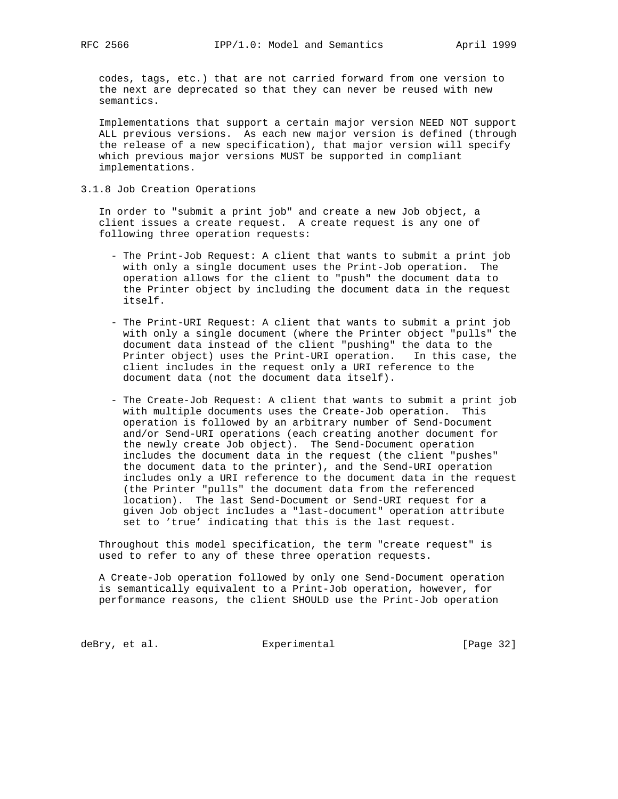codes, tags, etc.) that are not carried forward from one version to the next are deprecated so that they can never be reused with new semantics.

 Implementations that support a certain major version NEED NOT support ALL previous versions. As each new major version is defined (through the release of a new specification), that major version will specify which previous major versions MUST be supported in compliant implementations.

3.1.8 Job Creation Operations

 In order to "submit a print job" and create a new Job object, a client issues a create request. A create request is any one of following three operation requests:

- The Print-Job Request: A client that wants to submit a print job with only a single document uses the Print-Job operation. The operation allows for the client to "push" the document data to the Printer object by including the document data in the request itself.
- The Print-URI Request: A client that wants to submit a print job with only a single document (where the Printer object "pulls" the document data instead of the client "pushing" the data to the Printer object) uses the Print-URI operation. In this case, the client includes in the request only a URI reference to the document data (not the document data itself).
- The Create-Job Request: A client that wants to submit a print job with multiple documents uses the Create-Job operation. This operation is followed by an arbitrary number of Send-Document and/or Send-URI operations (each creating another document for the newly create Job object). The Send-Document operation includes the document data in the request (the client "pushes" the document data to the printer), and the Send-URI operation includes only a URI reference to the document data in the request (the Printer "pulls" the document data from the referenced location). The last Send-Document or Send-URI request for a given Job object includes a "last-document" operation attribute set to 'true' indicating that this is the last request.

 Throughout this model specification, the term "create request" is used to refer to any of these three operation requests.

 A Create-Job operation followed by only one Send-Document operation is semantically equivalent to a Print-Job operation, however, for performance reasons, the client SHOULD use the Print-Job operation

deBry, et al. Subsection Experimental Contracts [Page 32]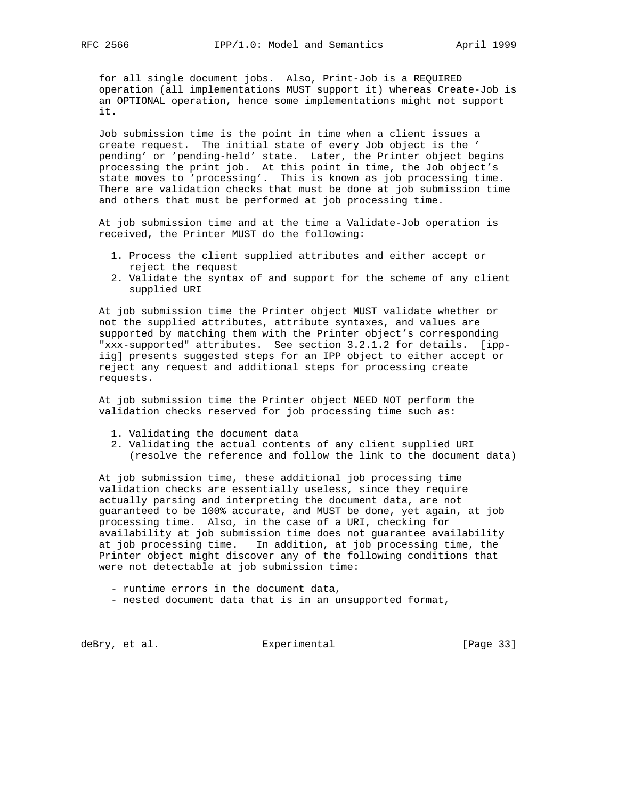for all single document jobs. Also, Print-Job is a REQUIRED operation (all implementations MUST support it) whereas Create-Job is an OPTIONAL operation, hence some implementations might not support it.

 Job submission time is the point in time when a client issues a create request. The initial state of every Job object is the ' pending' or 'pending-held' state. Later, the Printer object begins processing the print job. At this point in time, the Job object's state moves to 'processing'. This is known as job processing time. There are validation checks that must be done at job submission time and others that must be performed at job processing time.

 At job submission time and at the time a Validate-Job operation is received, the Printer MUST do the following:

- 1. Process the client supplied attributes and either accept or reject the request
- 2. Validate the syntax of and support for the scheme of any client supplied URI

 At job submission time the Printer object MUST validate whether or not the supplied attributes, attribute syntaxes, and values are supported by matching them with the Printer object's corresponding "xxx-supported" attributes. See section 3.2.1.2 for details. [ipp iig] presents suggested steps for an IPP object to either accept or reject any request and additional steps for processing create requests.

 At job submission time the Printer object NEED NOT perform the validation checks reserved for job processing time such as:

- 1. Validating the document data
- 2. Validating the actual contents of any client supplied URI (resolve the reference and follow the link to the document data)

 At job submission time, these additional job processing time validation checks are essentially useless, since they require actually parsing and interpreting the document data, are not guaranteed to be 100% accurate, and MUST be done, yet again, at job processing time. Also, in the case of a URI, checking for availability at job submission time does not guarantee availability at job processing time. In addition, at job processing time, the Printer object might discover any of the following conditions that were not detectable at job submission time:

- runtime errors in the document data,
- nested document data that is in an unsupported format,

deBry, et al. Subsectimental Experimental [Page 33]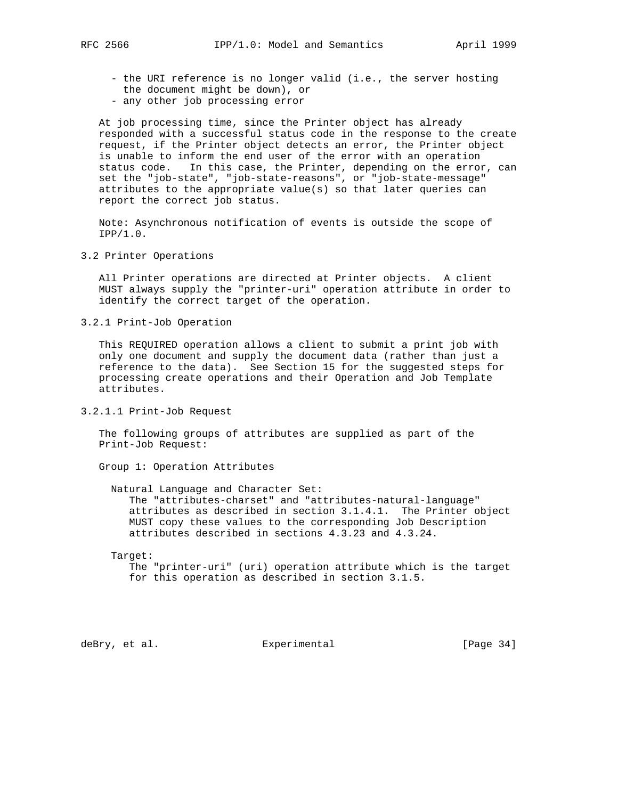- the URI reference is no longer valid (i.e., the server hosting the document might be down), or
- any other job processing error

 At job processing time, since the Printer object has already responded with a successful status code in the response to the create request, if the Printer object detects an error, the Printer object is unable to inform the end user of the error with an operation status code. In this case, the Printer, depending on the error, can set the "job-state", "job-state-reasons", or "job-state-message" attributes to the appropriate value(s) so that later queries can report the correct job status.

 Note: Asynchronous notification of events is outside the scope of IPP/1.0.

3.2 Printer Operations

 All Printer operations are directed at Printer objects. A client MUST always supply the "printer-uri" operation attribute in order to identify the correct target of the operation.

3.2.1 Print-Job Operation

 This REQUIRED operation allows a client to submit a print job with only one document and supply the document data (rather than just a reference to the data). See Section 15 for the suggested steps for processing create operations and their Operation and Job Template attributes.

3.2.1.1 Print-Job Request

 The following groups of attributes are supplied as part of the Print-Job Request:

Group 1: Operation Attributes

 Natural Language and Character Set: The "attributes-charset" and "attributes-natural-language" attributes as described in section 3.1.4.1. The Printer object MUST copy these values to the corresponding Job Description attributes described in sections 4.3.23 and 4.3.24.

#### Target:

 The "printer-uri" (uri) operation attribute which is the target for this operation as described in section 3.1.5.

deBry, et al. Subsectimental Experimental [Page 34]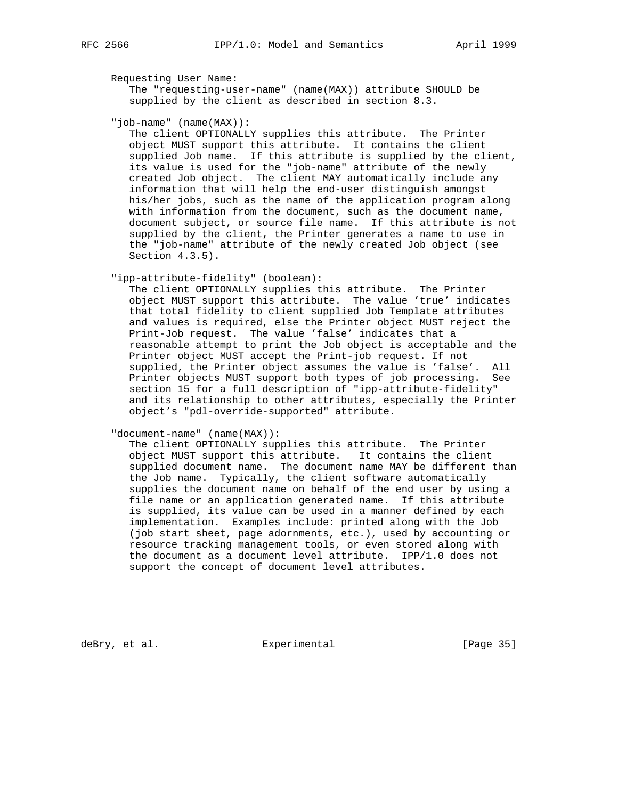## Requesting User Name:

 The "requesting-user-name" (name(MAX)) attribute SHOULD be supplied by the client as described in section 8.3.

"job-name" (name(MAX)):

 The client OPTIONALLY supplies this attribute. The Printer object MUST support this attribute. It contains the client supplied Job name. If this attribute is supplied by the client, its value is used for the "job-name" attribute of the newly created Job object. The client MAY automatically include any information that will help the end-user distinguish amongst his/her jobs, such as the name of the application program along with information from the document, such as the document name, document subject, or source file name. If this attribute is not supplied by the client, the Printer generates a name to use in the "job-name" attribute of the newly created Job object (see Section 4.3.5).

"ipp-attribute-fidelity" (boolean):

 The client OPTIONALLY supplies this attribute. The Printer object MUST support this attribute. The value 'true' indicates that total fidelity to client supplied Job Template attributes and values is required, else the Printer object MUST reject the Print-Job request. The value 'false' indicates that a reasonable attempt to print the Job object is acceptable and the Printer object MUST accept the Print-job request. If not supplied, the Printer object assumes the value is 'false'. All Printer objects MUST support both types of job processing. See section 15 for a full description of "ipp-attribute-fidelity" and its relationship to other attributes, especially the Printer object's "pdl-override-supported" attribute.

"document-name" (name(MAX)):

 The client OPTIONALLY supplies this attribute. The Printer object MUST support this attribute. It contains the client supplied document name. The document name MAY be different than the Job name. Typically, the client software automatically supplies the document name on behalf of the end user by using a file name or an application generated name. If this attribute is supplied, its value can be used in a manner defined by each implementation. Examples include: printed along with the Job (job start sheet, page adornments, etc.), used by accounting or resource tracking management tools, or even stored along with the document as a document level attribute. IPP/1.0 does not support the concept of document level attributes.

deBry, et al. Subsectimental Experimental [Page 35]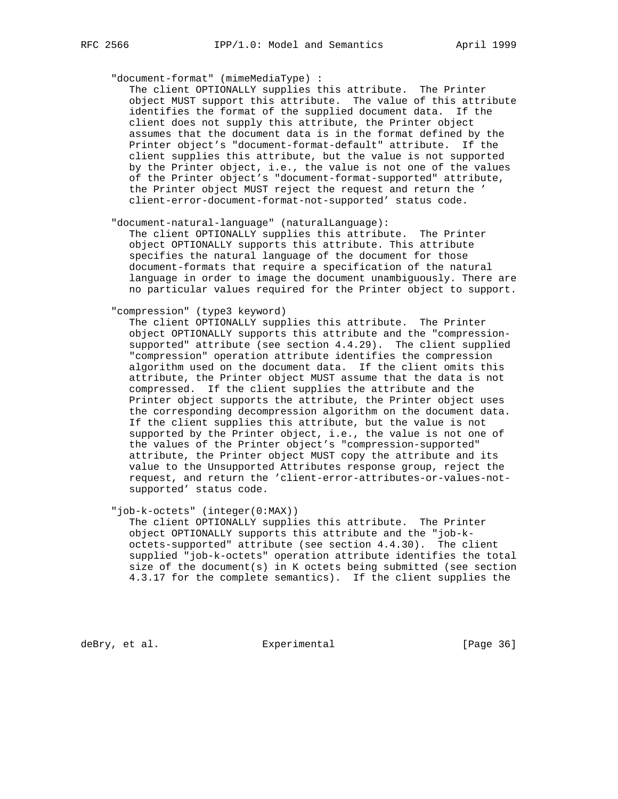"document-format" (mimeMediaType) :

 The client OPTIONALLY supplies this attribute. The Printer object MUST support this attribute. The value of this attribute identifies the format of the supplied document data. If the client does not supply this attribute, the Printer object assumes that the document data is in the format defined by the Printer object's "document-format-default" attribute. If the client supplies this attribute, but the value is not supported by the Printer object, i.e., the value is not one of the values of the Printer object's "document-format-supported" attribute, the Printer object MUST reject the request and return the ' client-error-document-format-not-supported' status code.

"document-natural-language" (naturalLanguage):

 The client OPTIONALLY supplies this attribute. The Printer object OPTIONALLY supports this attribute. This attribute specifies the natural language of the document for those document-formats that require a specification of the natural language in order to image the document unambiguously. There are no particular values required for the Printer object to support.

## "compression" (type3 keyword)

 The client OPTIONALLY supplies this attribute. The Printer object OPTIONALLY supports this attribute and the "compression supported" attribute (see section 4.4.29). The client supplied "compression" operation attribute identifies the compression algorithm used on the document data. If the client omits this attribute, the Printer object MUST assume that the data is not compressed. If the client supplies the attribute and the Printer object supports the attribute, the Printer object uses the corresponding decompression algorithm on the document data. If the client supplies this attribute, but the value is not supported by the Printer object, i.e., the value is not one of the values of the Printer object's "compression-supported" attribute, the Printer object MUST copy the attribute and its value to the Unsupported Attributes response group, reject the request, and return the 'client-error-attributes-or-values-not supported' status code.

"job-k-octets" (integer(0:MAX))

 The client OPTIONALLY supplies this attribute. The Printer object OPTIONALLY supports this attribute and the "job-k octets-supported" attribute (see section 4.4.30). The client supplied "job-k-octets" operation attribute identifies the total size of the document(s) in K octets being submitted (see section 4.3.17 for the complete semantics). If the client supplies the

deBry, et al. Subsection Experimental Contracts [Page 36]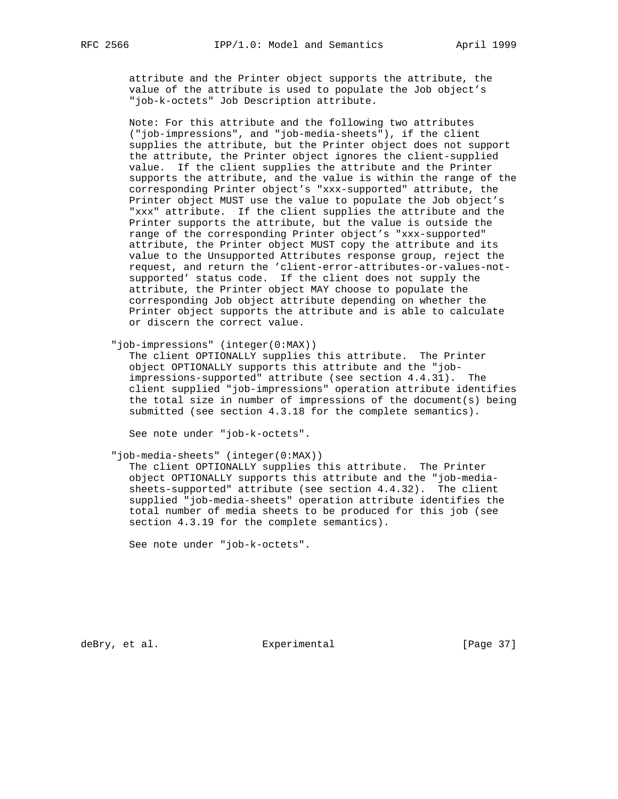attribute and the Printer object supports the attribute, the value of the attribute is used to populate the Job object's "job-k-octets" Job Description attribute.

 Note: For this attribute and the following two attributes ("job-impressions", and "job-media-sheets"), if the client supplies the attribute, but the Printer object does not support the attribute, the Printer object ignores the client-supplied value. If the client supplies the attribute and the Printer supports the attribute, and the value is within the range of the corresponding Printer object's "xxx-supported" attribute, the Printer object MUST use the value to populate the Job object's "xxx" attribute. If the client supplies the attribute and the Printer supports the attribute, but the value is outside the range of the corresponding Printer object's "xxx-supported" attribute, the Printer object MUST copy the attribute and its value to the Unsupported Attributes response group, reject the request, and return the 'client-error-attributes-or-values-not supported' status code. If the client does not supply the attribute, the Printer object MAY choose to populate the corresponding Job object attribute depending on whether the Printer object supports the attribute and is able to calculate or discern the correct value.

"job-impressions" (integer(0:MAX))

 The client OPTIONALLY supplies this attribute. The Printer object OPTIONALLY supports this attribute and the "job impressions-supported" attribute (see section 4.4.31). The client supplied "job-impressions" operation attribute identifies the total size in number of impressions of the document(s) being submitted (see section 4.3.18 for the complete semantics).

See note under "job-k-octets".

"job-media-sheets" (integer(0:MAX))

 The client OPTIONALLY supplies this attribute. The Printer object OPTIONALLY supports this attribute and the "job-media sheets-supported" attribute (see section 4.4.32). The client supplied "job-media-sheets" operation attribute identifies the total number of media sheets to be produced for this job (see section 4.3.19 for the complete semantics).

See note under "job-k-octets".

deBry, et al. Subsectimental Experimental [Page 37]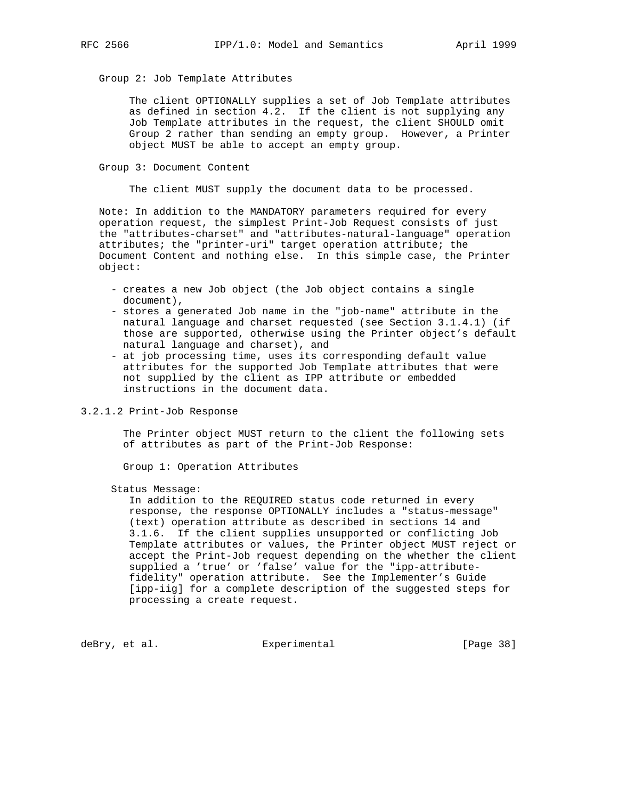Group 2: Job Template Attributes

 The client OPTIONALLY supplies a set of Job Template attributes as defined in section 4.2. If the client is not supplying any Job Template attributes in the request, the client SHOULD omit Group 2 rather than sending an empty group. However, a Printer object MUST be able to accept an empty group.

Group 3: Document Content

The client MUST supply the document data to be processed.

 Note: In addition to the MANDATORY parameters required for every operation request, the simplest Print-Job Request consists of just the "attributes-charset" and "attributes-natural-language" operation attributes; the "printer-uri" target operation attribute; the Document Content and nothing else. In this simple case, the Printer object:

- creates a new Job object (the Job object contains a single document),
- stores a generated Job name in the "job-name" attribute in the natural language and charset requested (see Section 3.1.4.1) (if those are supported, otherwise using the Printer object's default natural language and charset), and
- at job processing time, uses its corresponding default value attributes for the supported Job Template attributes that were not supplied by the client as IPP attribute or embedded instructions in the document data.
- 3.2.1.2 Print-Job Response

 The Printer object MUST return to the client the following sets of attributes as part of the Print-Job Response:

Group 1: Operation Attributes

Status Message:

 In addition to the REQUIRED status code returned in every response, the response OPTIONALLY includes a "status-message" (text) operation attribute as described in sections 14 and 3.1.6. If the client supplies unsupported or conflicting Job Template attributes or values, the Printer object MUST reject or accept the Print-Job request depending on the whether the client supplied a 'true' or 'false' value for the "ipp-attribute fidelity" operation attribute. See the Implementer's Guide [ipp-iig] for a complete description of the suggested steps for processing a create request.

deBry, et al. Subsection Experimental Contracts [Page 38]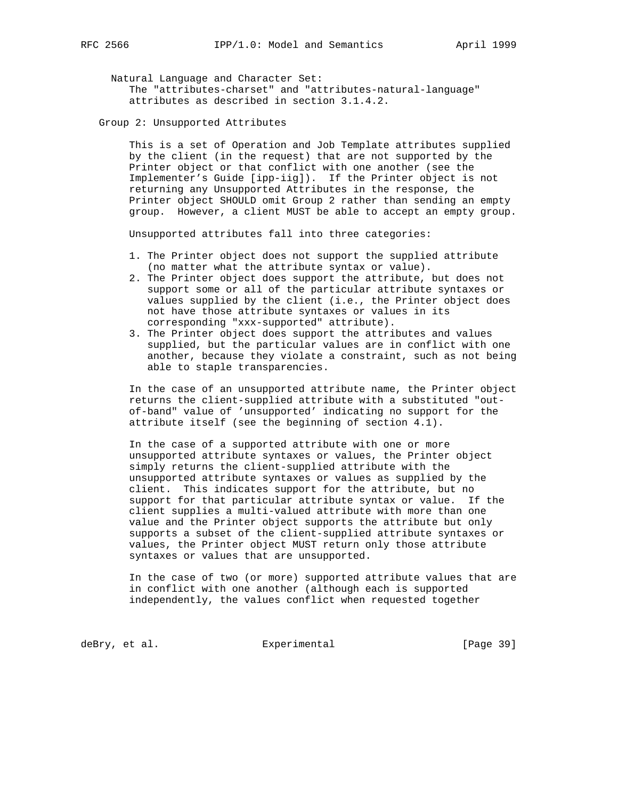Natural Language and Character Set: The "attributes-charset" and "attributes-natural-language" attributes as described in section 3.1.4.2.

Group 2: Unsupported Attributes

 This is a set of Operation and Job Template attributes supplied by the client (in the request) that are not supported by the Printer object or that conflict with one another (see the Implementer's Guide [ipp-iig]). If the Printer object is not returning any Unsupported Attributes in the response, the Printer object SHOULD omit Group 2 rather than sending an empty group. However, a client MUST be able to accept an empty group.

Unsupported attributes fall into three categories:

- 1. The Printer object does not support the supplied attribute (no matter what the attribute syntax or value).
- 2. The Printer object does support the attribute, but does not support some or all of the particular attribute syntaxes or values supplied by the client (i.e., the Printer object does not have those attribute syntaxes or values in its corresponding "xxx-supported" attribute).
- 3. The Printer object does support the attributes and values supplied, but the particular values are in conflict with one another, because they violate a constraint, such as not being able to staple transparencies.

 In the case of an unsupported attribute name, the Printer object returns the client-supplied attribute with a substituted "out of-band" value of 'unsupported' indicating no support for the attribute itself (see the beginning of section 4.1).

 In the case of a supported attribute with one or more unsupported attribute syntaxes or values, the Printer object simply returns the client-supplied attribute with the unsupported attribute syntaxes or values as supplied by the client. This indicates support for the attribute, but no support for that particular attribute syntax or value. If the client supplies a multi-valued attribute with more than one value and the Printer object supports the attribute but only supports a subset of the client-supplied attribute syntaxes or values, the Printer object MUST return only those attribute syntaxes or values that are unsupported.

 In the case of two (or more) supported attribute values that are in conflict with one another (although each is supported independently, the values conflict when requested together

deBry, et al. Subsection Experimental Contracts [Page 39]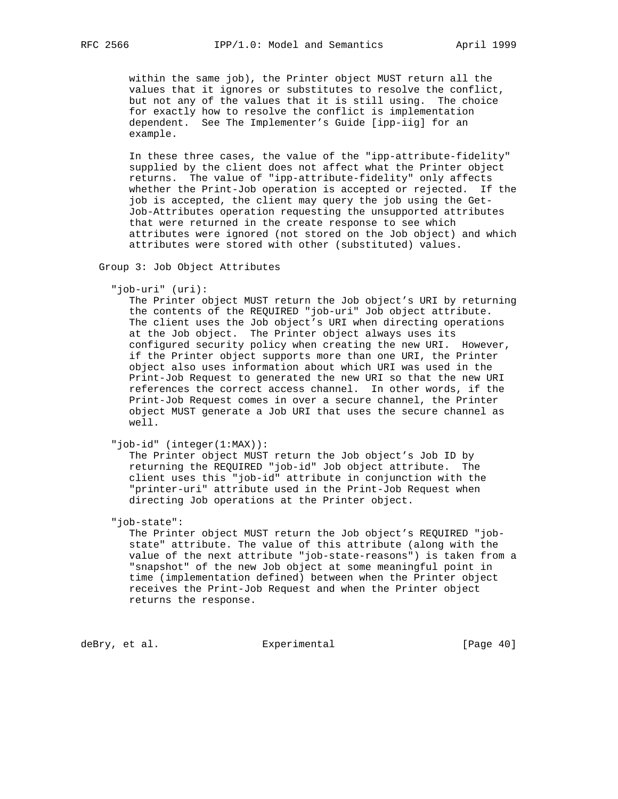within the same job), the Printer object MUST return all the values that it ignores or substitutes to resolve the conflict, but not any of the values that it is still using. The choice for exactly how to resolve the conflict is implementation dependent. See The Implementer's Guide [ipp-iig] for an example.

 In these three cases, the value of the "ipp-attribute-fidelity" supplied by the client does not affect what the Printer object returns. The value of "ipp-attribute-fidelity" only affects whether the Print-Job operation is accepted or rejected. If the job is accepted, the client may query the job using the Get- Job-Attributes operation requesting the unsupported attributes that were returned in the create response to see which attributes were ignored (not stored on the Job object) and which attributes were stored with other (substituted) values.

Group 3: Job Object Attributes

"job-uri" (uri):

 The Printer object MUST return the Job object's URI by returning the contents of the REQUIRED "job-uri" Job object attribute. The client uses the Job object's URI when directing operations at the Job object. The Printer object always uses its configured security policy when creating the new URI. However, if the Printer object supports more than one URI, the Printer object also uses information about which URI was used in the Print-Job Request to generated the new URI so that the new URI references the correct access channel. In other words, if the Print-Job Request comes in over a secure channel, the Printer object MUST generate a Job URI that uses the secure channel as well.

"job-id" (integer(1:MAX)):

 The Printer object MUST return the Job object's Job ID by returning the REQUIRED "job-id" Job object attribute. The client uses this "job-id" attribute in conjunction with the "printer-uri" attribute used in the Print-Job Request when directing Job operations at the Printer object.

"job-state":

 The Printer object MUST return the Job object's REQUIRED "job state" attribute. The value of this attribute (along with the value of the next attribute "job-state-reasons") is taken from a "snapshot" of the new Job object at some meaningful point in time (implementation defined) between when the Printer object receives the Print-Job Request and when the Printer object returns the response.

deBry, et al. Subsection Experimental CPage 40]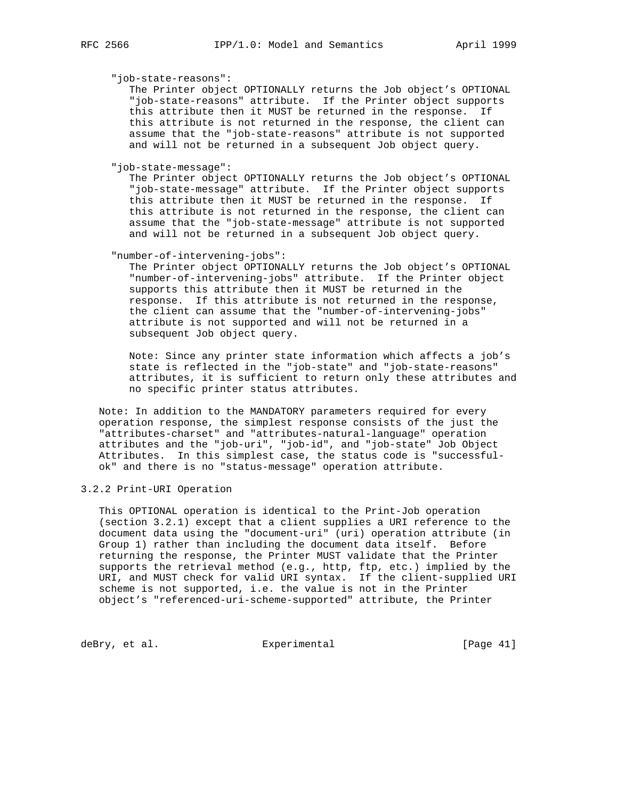"job-state-reasons":

 The Printer object OPTIONALLY returns the Job object's OPTIONAL "job-state-reasons" attribute. If the Printer object supports this attribute then it MUST be returned in the response. If this attribute is not returned in the response, the client can assume that the "job-state-reasons" attribute is not supported and will not be returned in a subsequent Job object query.

"job-state-message":

 The Printer object OPTIONALLY returns the Job object's OPTIONAL "job-state-message" attribute. If the Printer object supports this attribute then it MUST be returned in the response. If this attribute is not returned in the response, the client can assume that the "job-state-message" attribute is not supported and will not be returned in a subsequent Job object query.

"number-of-intervening-jobs":

 The Printer object OPTIONALLY returns the Job object's OPTIONAL "number-of-intervening-jobs" attribute. If the Printer object supports this attribute then it MUST be returned in the response. If this attribute is not returned in the response, the client can assume that the "number-of-intervening-jobs" attribute is not supported and will not be returned in a subsequent Job object query.

 Note: Since any printer state information which affects a job's state is reflected in the "job-state" and "job-state-reasons" attributes, it is sufficient to return only these attributes and no specific printer status attributes.

 Note: In addition to the MANDATORY parameters required for every operation response, the simplest response consists of the just the "attributes-charset" and "attributes-natural-language" operation attributes and the "job-uri", "job-id", and "job-state" Job Object Attributes. In this simplest case, the status code is "successful ok" and there is no "status-message" operation attribute.

3.2.2 Print-URI Operation

 This OPTIONAL operation is identical to the Print-Job operation (section 3.2.1) except that a client supplies a URI reference to the document data using the "document-uri" (uri) operation attribute (in Group 1) rather than including the document data itself. Before returning the response, the Printer MUST validate that the Printer supports the retrieval method (e.g., http, ftp, etc.) implied by the URI, and MUST check for valid URI syntax. If the client-supplied URI scheme is not supported, i.e. the value is not in the Printer object's "referenced-uri-scheme-supported" attribute, the Printer

deBry, et al. <br>Experimental [Page 41]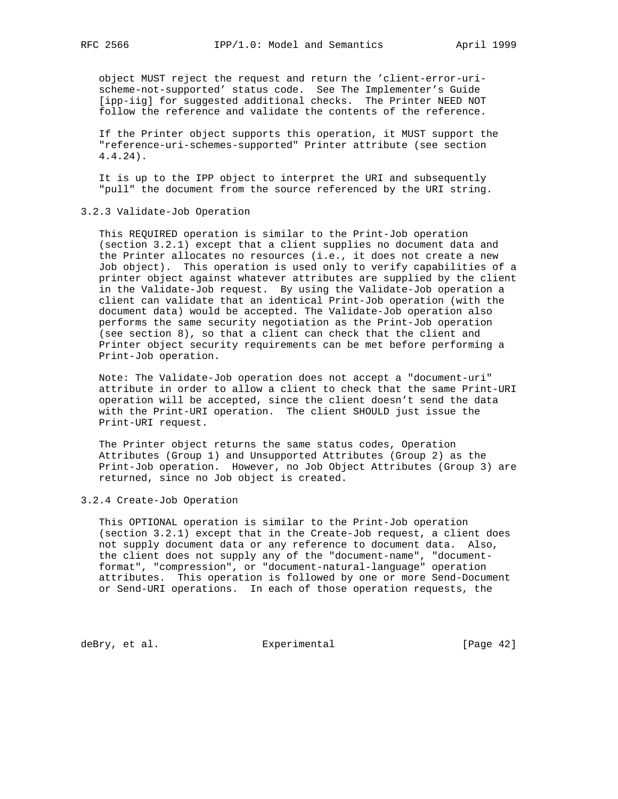object MUST reject the request and return the 'client-error-uri scheme-not-supported' status code. See The Implementer's Guide [ipp-iig] for suggested additional checks. The Printer NEED NOT follow the reference and validate the contents of the reference.

 If the Printer object supports this operation, it MUST support the "reference-uri-schemes-supported" Printer attribute (see section 4.4.24).

 It is up to the IPP object to interpret the URI and subsequently "pull" the document from the source referenced by the URI string.

3.2.3 Validate-Job Operation

 This REQUIRED operation is similar to the Print-Job operation (section 3.2.1) except that a client supplies no document data and the Printer allocates no resources (i.e., it does not create a new Job object). This operation is used only to verify capabilities of a printer object against whatever attributes are supplied by the client in the Validate-Job request. By using the Validate-Job operation a client can validate that an identical Print-Job operation (with the document data) would be accepted. The Validate-Job operation also performs the same security negotiation as the Print-Job operation (see section 8), so that a client can check that the client and Printer object security requirements can be met before performing a Print-Job operation.

 Note: The Validate-Job operation does not accept a "document-uri" attribute in order to allow a client to check that the same Print-URI operation will be accepted, since the client doesn't send the data with the Print-URI operation. The client SHOULD just issue the Print-URI request.

 The Printer object returns the same status codes, Operation Attributes (Group 1) and Unsupported Attributes (Group 2) as the Print-Job operation. However, no Job Object Attributes (Group 3) are returned, since no Job object is created.

#### 3.2.4 Create-Job Operation

 This OPTIONAL operation is similar to the Print-Job operation (section 3.2.1) except that in the Create-Job request, a client does not supply document data or any reference to document data. Also, the client does not supply any of the "document-name", "document format", "compression", or "document-natural-language" operation attributes. This operation is followed by one or more Send-Document or Send-URI operations. In each of those operation requests, the

deBry, et al. Subsection Experimental Contracts [Page 42]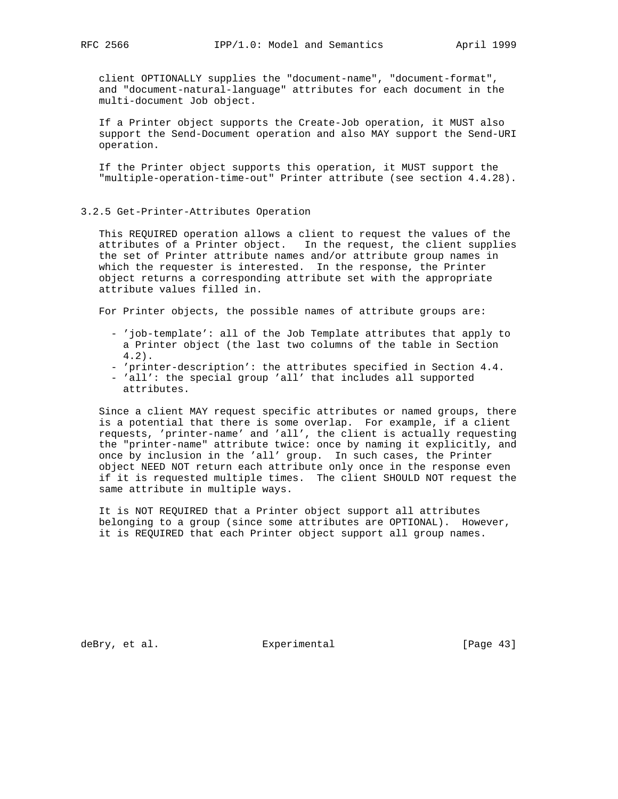client OPTIONALLY supplies the "document-name", "document-format", and "document-natural-language" attributes for each document in the multi-document Job object.

 If a Printer object supports the Create-Job operation, it MUST also support the Send-Document operation and also MAY support the Send-URI operation.

 If the Printer object supports this operation, it MUST support the "multiple-operation-time-out" Printer attribute (see section 4.4.28).

# 3.2.5 Get-Printer-Attributes Operation

 This REQUIRED operation allows a client to request the values of the attributes of a Printer object. In the request, the client supplies the set of Printer attribute names and/or attribute group names in which the requester is interested. In the response, the Printer object returns a corresponding attribute set with the appropriate attribute values filled in.

For Printer objects, the possible names of attribute groups are:

- 'job-template': all of the Job Template attributes that apply to a Printer object (the last two columns of the table in Section 4.2).
- 'printer-description': the attributes specified in Section 4.4.
- 'all': the special group 'all' that includes all supported attributes.

 Since a client MAY request specific attributes or named groups, there is a potential that there is some overlap. For example, if a client requests, 'printer-name' and 'all', the client is actually requesting the "printer-name" attribute twice: once by naming it explicitly, and once by inclusion in the 'all' group. In such cases, the Printer object NEED NOT return each attribute only once in the response even if it is requested multiple times. The client SHOULD NOT request the same attribute in multiple ways.

 It is NOT REQUIRED that a Printer object support all attributes belonging to a group (since some attributes are OPTIONAL). However, it is REQUIRED that each Printer object support all group names.

deBry, et al. Subsectimental Experimental [Page 43]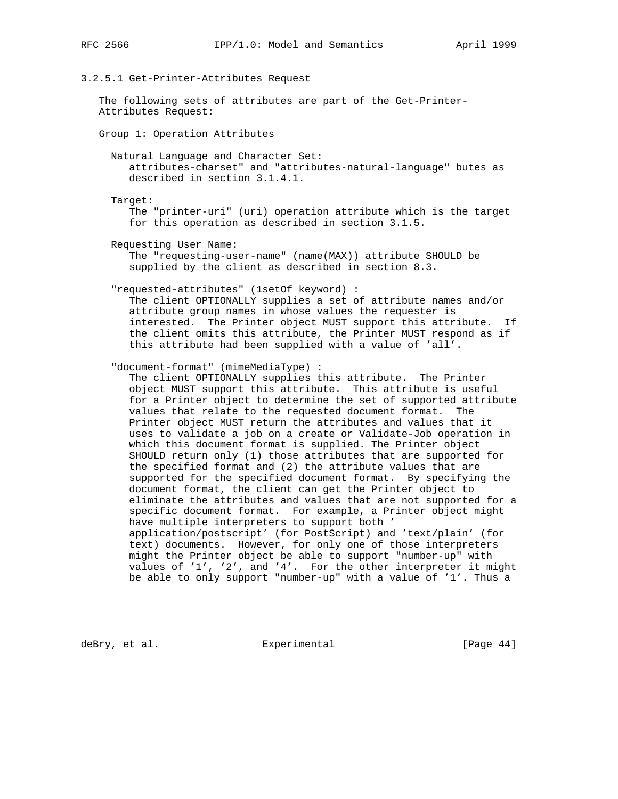# 3.2.5.1 Get-Printer-Attributes Request

 The following sets of attributes are part of the Get-Printer- Attributes Request:

Group 1: Operation Attributes

 Natural Language and Character Set: attributes-charset" and "attributes-natural-language" butes as described in section 3.1.4.1.

Target:

 The "printer-uri" (uri) operation attribute which is the target for this operation as described in section 3.1.5.

Requesting User Name:

 The "requesting-user-name" (name(MAX)) attribute SHOULD be supplied by the client as described in section 8.3.

"requested-attributes" (1setOf keyword) :

 The client OPTIONALLY supplies a set of attribute names and/or attribute group names in whose values the requester is interested. The Printer object MUST support this attribute. If the client omits this attribute, the Printer MUST respond as if this attribute had been supplied with a value of 'all'.

"document-format" (mimeMediaType) :

 The client OPTIONALLY supplies this attribute. The Printer object MUST support this attribute. This attribute is useful for a Printer object to determine the set of supported attribute values that relate to the requested document format. The Printer object MUST return the attributes and values that it uses to validate a job on a create or Validate-Job operation in which this document format is supplied. The Printer object SHOULD return only (1) those attributes that are supported for the specified format and (2) the attribute values that are supported for the specified document format. By specifying the document format, the client can get the Printer object to eliminate the attributes and values that are not supported for a specific document format. For example, a Printer object might have multiple interpreters to support both ' application/postscript' (for PostScript) and 'text/plain' (for text) documents. However, for only one of those interpreters might the Printer object be able to support "number-up" with values of '1', '2', and '4'. For the other interpreter it might be able to only support "number-up" with a value of '1'. Thus a

deBry, et al. Subsectimental Experimental [Page 44]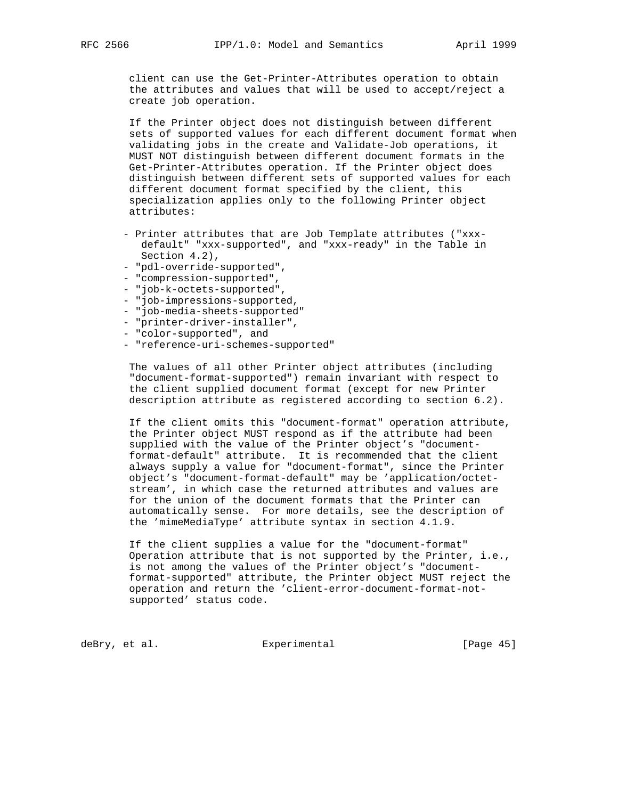client can use the Get-Printer-Attributes operation to obtain the attributes and values that will be used to accept/reject a create job operation.

 If the Printer object does not distinguish between different sets of supported values for each different document format when validating jobs in the create and Validate-Job operations, it MUST NOT distinguish between different document formats in the Get-Printer-Attributes operation. If the Printer object does distinguish between different sets of supported values for each different document format specified by the client, this specialization applies only to the following Printer object attributes:

- Printer attributes that are Job Template attributes ("xxx default" "xxx-supported", and "xxx-ready" in the Table in Section 4.2),
- "pdl-override-supported",
- "compression-supported",
- "job-k-octets-supported",
- "job-impressions-supported,
- "job-media-sheets-supported"
- "printer-driver-installer",
- "color-supported", and
- "reference-uri-schemes-supported"

 The values of all other Printer object attributes (including "document-format-supported") remain invariant with respect to the client supplied document format (except for new Printer description attribute as registered according to section 6.2).

 If the client omits this "document-format" operation attribute, the Printer object MUST respond as if the attribute had been supplied with the value of the Printer object's "document format-default" attribute. It is recommended that the client always supply a value for "document-format", since the Printer object's "document-format-default" may be 'application/octet stream', in which case the returned attributes and values are for the union of the document formats that the Printer can automatically sense. For more details, see the description of the 'mimeMediaType' attribute syntax in section 4.1.9.

 If the client supplies a value for the "document-format" Operation attribute that is not supported by the Printer, i.e., is not among the values of the Printer object's "document format-supported" attribute, the Printer object MUST reject the operation and return the 'client-error-document-format-not supported' status code.

deBry, et al. Subsectimental Experimental [Page 45]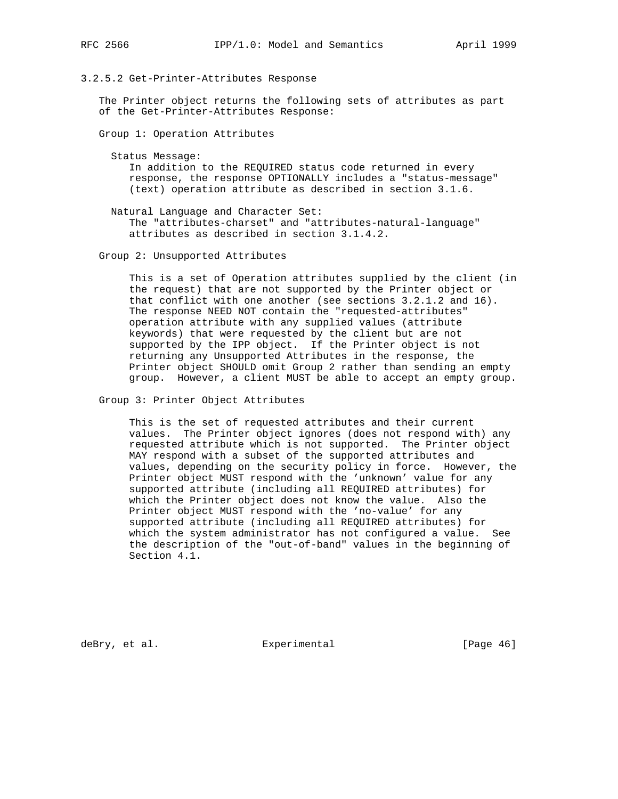# 3.2.5.2 Get-Printer-Attributes Response

 The Printer object returns the following sets of attributes as part of the Get-Printer-Attributes Response:

Group 1: Operation Attributes

Status Message:

 In addition to the REQUIRED status code returned in every response, the response OPTIONALLY includes a "status-message" (text) operation attribute as described in section 3.1.6.

 Natural Language and Character Set: The "attributes-charset" and "attributes-natural-language" attributes as described in section 3.1.4.2.

Group 2: Unsupported Attributes

 This is a set of Operation attributes supplied by the client (in the request) that are not supported by the Printer object or that conflict with one another (see sections 3.2.1.2 and 16). The response NEED NOT contain the "requested-attributes" operation attribute with any supplied values (attribute keywords) that were requested by the client but are not supported by the IPP object. If the Printer object is not returning any Unsupported Attributes in the response, the Printer object SHOULD omit Group 2 rather than sending an empty group. However, a client MUST be able to accept an empty group.

Group 3: Printer Object Attributes

 This is the set of requested attributes and their current values. The Printer object ignores (does not respond with) any requested attribute which is not supported. The Printer object MAY respond with a subset of the supported attributes and values, depending on the security policy in force. However, the Printer object MUST respond with the 'unknown' value for any supported attribute (including all REQUIRED attributes) for which the Printer object does not know the value. Also the Printer object MUST respond with the 'no-value' for any supported attribute (including all REQUIRED attributes) for which the system administrator has not configured a value. See the description of the "out-of-band" values in the beginning of Section 4.1.

deBry, et al. Subsectimental Experimental [Page 46]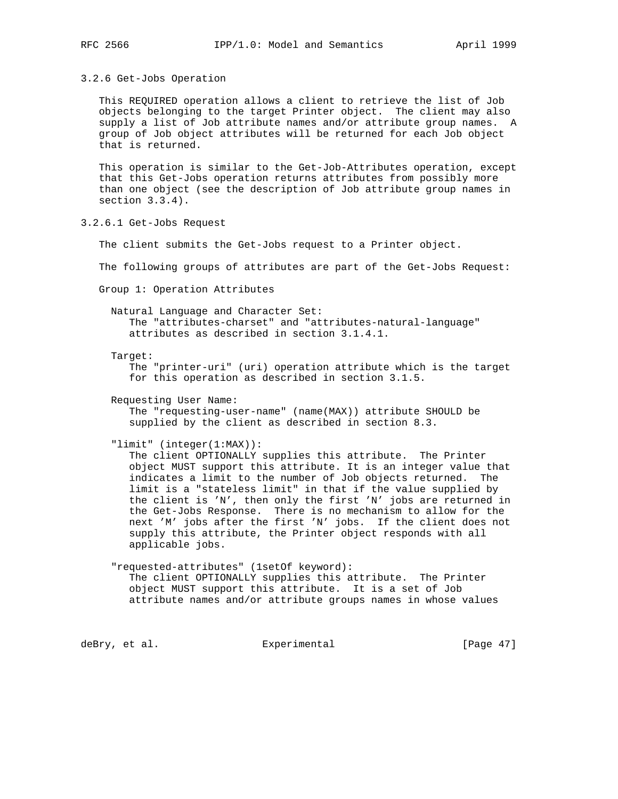# 3.2.6 Get-Jobs Operation

 This REQUIRED operation allows a client to retrieve the list of Job objects belonging to the target Printer object. The client may also supply a list of Job attribute names and/or attribute group names. A group of Job object attributes will be returned for each Job object that is returned.

 This operation is similar to the Get-Job-Attributes operation, except that this Get-Jobs operation returns attributes from possibly more than one object (see the description of Job attribute group names in section 3.3.4).

3.2.6.1 Get-Jobs Request

The client submits the Get-Jobs request to a Printer object.

The following groups of attributes are part of the Get-Jobs Request:

Group 1: Operation Attributes

 Natural Language and Character Set: The "attributes-charset" and "attributes-natural-language" attributes as described in section 3.1.4.1.

Target:

 The "printer-uri" (uri) operation attribute which is the target for this operation as described in section 3.1.5.

Requesting User Name:

 The "requesting-user-name" (name(MAX)) attribute SHOULD be supplied by the client as described in section 8.3.

"limit" (integer(1:MAX)):

 The client OPTIONALLY supplies this attribute. The Printer object MUST support this attribute. It is an integer value that indicates a limit to the number of Job objects returned. The limit is a "stateless limit" in that if the value supplied by the client is 'N', then only the first 'N' jobs are returned in the Get-Jobs Response. There is no mechanism to allow for the next 'M' jobs after the first 'N' jobs. If the client does not supply this attribute, the Printer object responds with all applicable jobs.

 "requested-attributes" (1setOf keyword): The client OPTIONALLY supplies this attribute. The Printer object MUST support this attribute. It is a set of Job attribute names and/or attribute groups names in whose values

deBry, et al. Subsectimental Experimental [Page 47]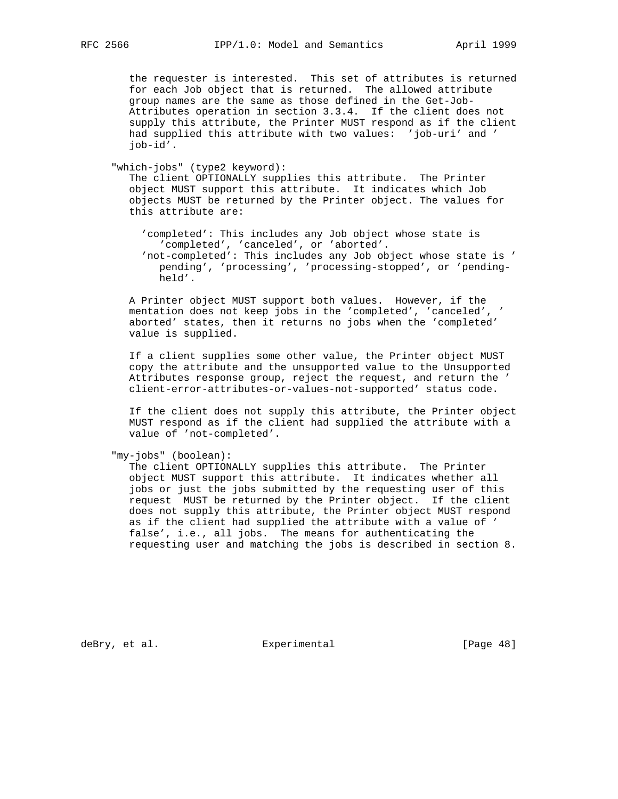the requester is interested. This set of attributes is returned for each Job object that is returned. The allowed attribute group names are the same as those defined in the Get-Job- Attributes operation in section 3.3.4. If the client does not supply this attribute, the Printer MUST respond as if the client had supplied this attribute with two values: 'job-uri' and ' job-id'.

"which-jobs" (type2 keyword):

 The client OPTIONALLY supplies this attribute. The Printer object MUST support this attribute. It indicates which Job objects MUST be returned by the Printer object. The values for this attribute are:

 'completed': This includes any Job object whose state is 'completed', 'canceled', or 'aborted'.

 'not-completed': This includes any Job object whose state is ' pending', 'processing', 'processing-stopped', or 'pending held'.

 A Printer object MUST support both values. However, if the mentation does not keep jobs in the 'completed', 'canceled', ' aborted' states, then it returns no jobs when the 'completed' value is supplied.

 If a client supplies some other value, the Printer object MUST copy the attribute and the unsupported value to the Unsupported Attributes response group, reject the request, and return the ' client-error-attributes-or-values-not-supported' status code.

 If the client does not supply this attribute, the Printer object MUST respond as if the client had supplied the attribute with a value of 'not-completed'.

"my-jobs" (boolean):

 The client OPTIONALLY supplies this attribute. The Printer object MUST support this attribute. It indicates whether all jobs or just the jobs submitted by the requesting user of this request MUST be returned by the Printer object. If the client does not supply this attribute, the Printer object MUST respond as if the client had supplied the attribute with a value of ' false', i.e., all jobs. The means for authenticating the requesting user and matching the jobs is described in section 8.

deBry, et al. Subsectimental Experimental [Page 48]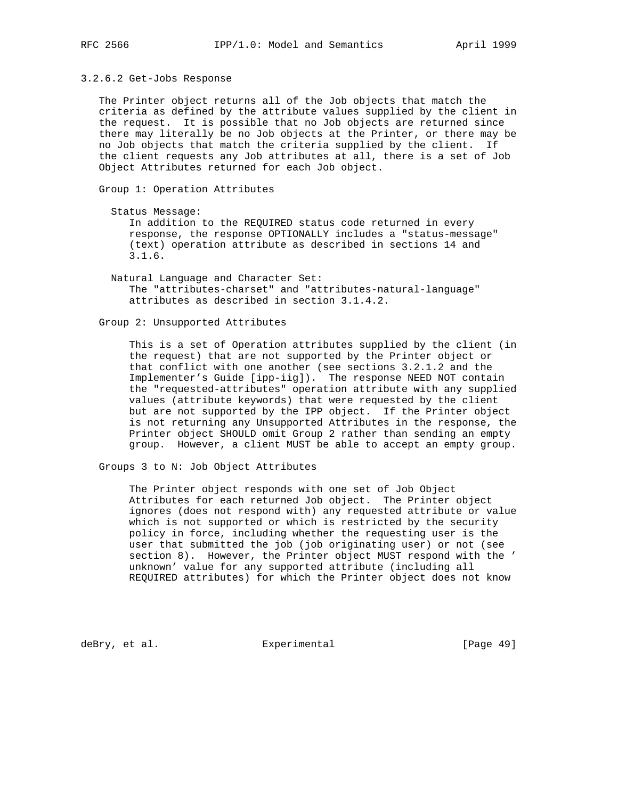#### 3.2.6.2 Get-Jobs Response

 The Printer object returns all of the Job objects that match the criteria as defined by the attribute values supplied by the client in the request. It is possible that no Job objects are returned since there may literally be no Job objects at the Printer, or there may be no Job objects that match the criteria supplied by the client. If the client requests any Job attributes at all, there is a set of Job Object Attributes returned for each Job object.

Group 1: Operation Attributes

Status Message:

 In addition to the REQUIRED status code returned in every response, the response OPTIONALLY includes a "status-message" (text) operation attribute as described in sections 14 and 3.1.6.

 Natural Language and Character Set: The "attributes-charset" and "attributes-natural-language" attributes as described in section 3.1.4.2.

Group 2: Unsupported Attributes

 This is a set of Operation attributes supplied by the client (in the request) that are not supported by the Printer object or that conflict with one another (see sections 3.2.1.2 and the Implementer's Guide [ipp-iig]). The response NEED NOT contain the "requested-attributes" operation attribute with any supplied values (attribute keywords) that were requested by the client but are not supported by the IPP object. If the Printer object is not returning any Unsupported Attributes in the response, the Printer object SHOULD omit Group 2 rather than sending an empty group. However, a client MUST be able to accept an empty group.

Groups 3 to N: Job Object Attributes

 The Printer object responds with one set of Job Object Attributes for each returned Job object. The Printer object ignores (does not respond with) any requested attribute or value which is not supported or which is restricted by the security policy in force, including whether the requesting user is the user that submitted the job (job originating user) or not (see section 8). However, the Printer object MUST respond with the ' unknown' value for any supported attribute (including all REQUIRED attributes) for which the Printer object does not know

deBry, et al. Subsectimental Experimental [Page 49]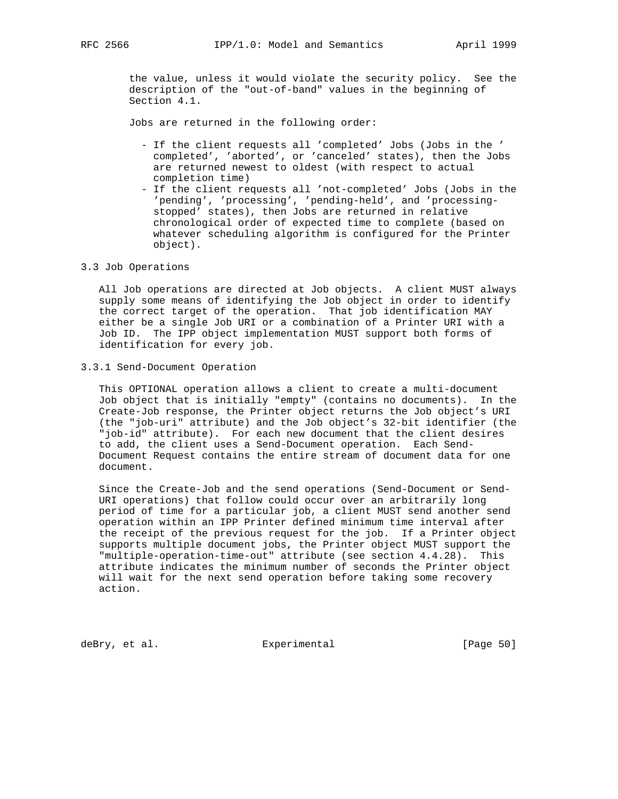the value, unless it would violate the security policy. See the description of the "out-of-band" values in the beginning of Section 4.1.

Jobs are returned in the following order:

- If the client requests all 'completed' Jobs (Jobs in the ' completed', 'aborted', or 'canceled' states), then the Jobs are returned newest to oldest (with respect to actual completion time)
- If the client requests all 'not-completed' Jobs (Jobs in the 'pending', 'processing', 'pending-held', and 'processing stopped' states), then Jobs are returned in relative chronological order of expected time to complete (based on whatever scheduling algorithm is configured for the Printer object).

# 3.3 Job Operations

 All Job operations are directed at Job objects. A client MUST always supply some means of identifying the Job object in order to identify the correct target of the operation. That job identification MAY either be a single Job URI or a combination of a Printer URI with a Job ID. The IPP object implementation MUST support both forms of identification for every job.

#### 3.3.1 Send-Document Operation

 This OPTIONAL operation allows a client to create a multi-document Job object that is initially "empty" (contains no documents). In the Create-Job response, the Printer object returns the Job object's URI (the "job-uri" attribute) and the Job object's 32-bit identifier (the "job-id" attribute). For each new document that the client desires to add, the client uses a Send-Document operation. Each Send- Document Request contains the entire stream of document data for one document.

 Since the Create-Job and the send operations (Send-Document or Send- URI operations) that follow could occur over an arbitrarily long period of time for a particular job, a client MUST send another send operation within an IPP Printer defined minimum time interval after the receipt of the previous request for the job. If a Printer object supports multiple document jobs, the Printer object MUST support the "multiple-operation-time-out" attribute (see section 4.4.28). This attribute indicates the minimum number of seconds the Printer object will wait for the next send operation before taking some recovery action.

deBry, et al. Subsection Experimental Contracts [Page 50]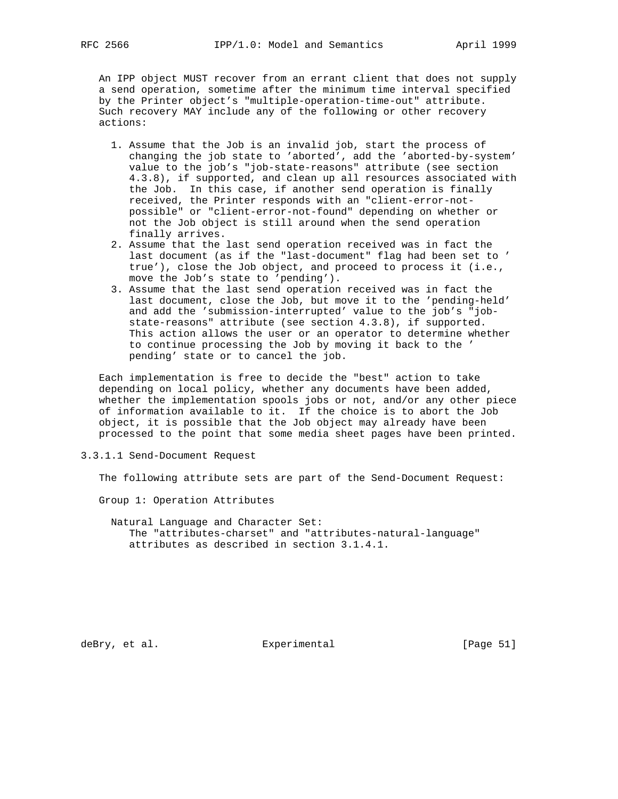An IPP object MUST recover from an errant client that does not supply a send operation, sometime after the minimum time interval specified by the Printer object's "multiple-operation-time-out" attribute. Such recovery MAY include any of the following or other recovery actions:

- 1. Assume that the Job is an invalid job, start the process of changing the job state to 'aborted', add the 'aborted-by-system' value to the job's "job-state-reasons" attribute (see section 4.3.8), if supported, and clean up all resources associated with the Job. In this case, if another send operation is finally received, the Printer responds with an "client-error-not possible" or "client-error-not-found" depending on whether or not the Job object is still around when the send operation finally arrives.
- 2. Assume that the last send operation received was in fact the last document (as if the "last-document" flag had been set to ' true'), close the Job object, and proceed to process it (i.e., move the Job's state to 'pending').
- 3. Assume that the last send operation received was in fact the last document, close the Job, but move it to the 'pending-held' and add the 'submission-interrupted' value to the job's "job state-reasons" attribute (see section 4.3.8), if supported. This action allows the user or an operator to determine whether to continue processing the Job by moving it back to the ' pending' state or to cancel the job.

 Each implementation is free to decide the "best" action to take depending on local policy, whether any documents have been added, whether the implementation spools jobs or not, and/or any other piece of information available to it. If the choice is to abort the Job object, it is possible that the Job object may already have been processed to the point that some media sheet pages have been printed.

3.3.1.1 Send-Document Request

The following attribute sets are part of the Send-Document Request:

Group 1: Operation Attributes

 Natural Language and Character Set: The "attributes-charset" and "attributes-natural-language" attributes as described in section 3.1.4.1.

deBry, et al. Subsectimental Experimental [Page 51]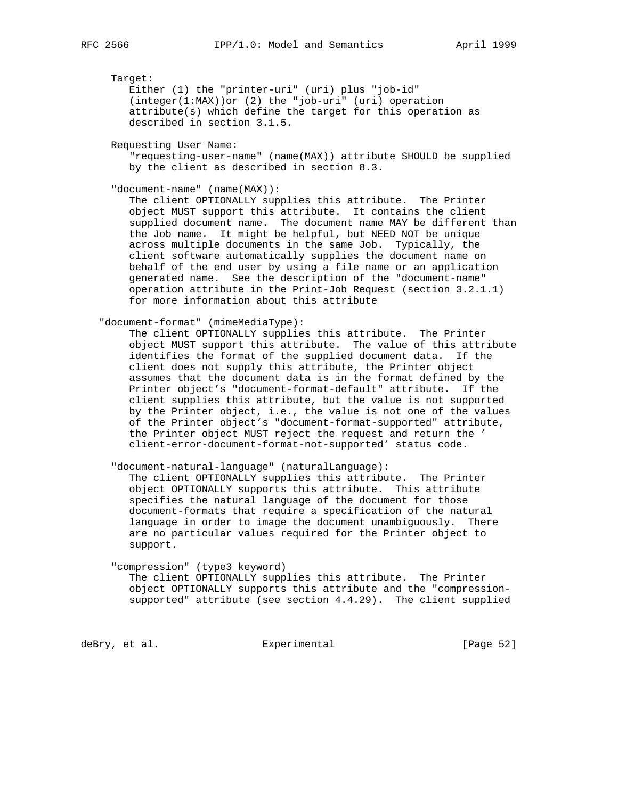Target:

 Either (1) the "printer-uri" (uri) plus "job-id" (integer(1:MAX))or (2) the "job-uri" (uri) operation attribute(s) which define the target for this operation as described in section 3.1.5.

Requesting User Name:

 "requesting-user-name" (name(MAX)) attribute SHOULD be supplied by the client as described in section 8.3.

"document-name" (name(MAX)):

 The client OPTIONALLY supplies this attribute. The Printer object MUST support this attribute. It contains the client supplied document name. The document name MAY be different than the Job name. It might be helpful, but NEED NOT be unique across multiple documents in the same Job. Typically, the client software automatically supplies the document name on behalf of the end user by using a file name or an application generated name. See the description of the "document-name" operation attribute in the Print-Job Request (section 3.2.1.1) for more information about this attribute

"document-format" (mimeMediaType):

 The client OPTIONALLY supplies this attribute. The Printer object MUST support this attribute. The value of this attribute identifies the format of the supplied document data. If the client does not supply this attribute, the Printer object assumes that the document data is in the format defined by the Printer object's "document-format-default" attribute. If the client supplies this attribute, but the value is not supported by the Printer object, i.e., the value is not one of the values of the Printer object's "document-format-supported" attribute, the Printer object MUST reject the request and return the ' client-error-document-format-not-supported' status code.

"document-natural-language" (naturalLanguage):

 The client OPTIONALLY supplies this attribute. The Printer object OPTIONALLY supports this attribute. This attribute specifies the natural language of the document for those document-formats that require a specification of the natural language in order to image the document unambiguously. There are no particular values required for the Printer object to support.

 "compression" (type3 keyword) The client OPTIONALLY supplies this attribute. The Printer object OPTIONALLY supports this attribute and the "compression supported" attribute (see section 4.4.29). The client supplied

deBry, et al. Subsectimental Experimental [Page 52]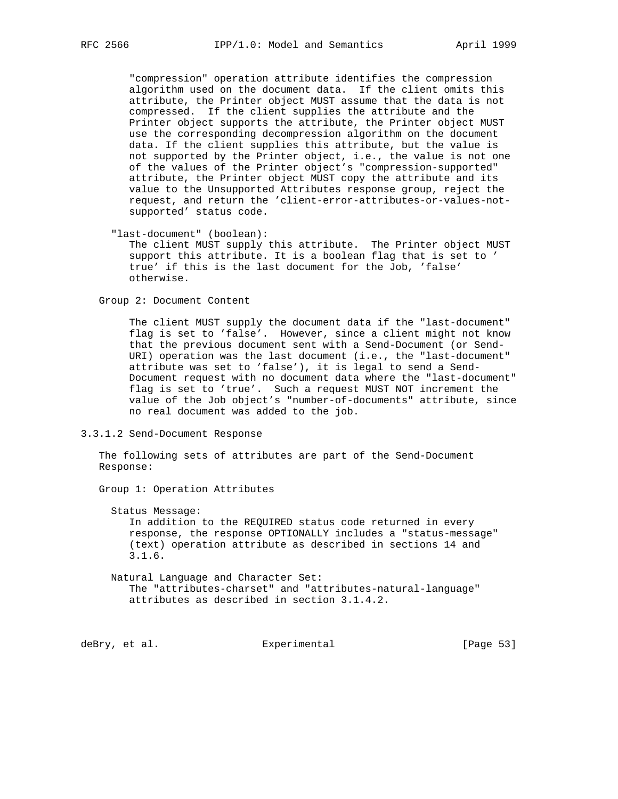"compression" operation attribute identifies the compression algorithm used on the document data. If the client omits this attribute, the Printer object MUST assume that the data is not compressed. If the client supplies the attribute and the Printer object supports the attribute, the Printer object MUST use the corresponding decompression algorithm on the document data. If the client supplies this attribute, but the value is not supported by the Printer object, i.e., the value is not one of the values of the Printer object's "compression-supported" attribute, the Printer object MUST copy the attribute and its value to the Unsupported Attributes response group, reject the request, and return the 'client-error-attributes-or-values-not supported' status code.

"last-document" (boolean):

 The client MUST supply this attribute. The Printer object MUST support this attribute. It is a boolean flag that is set to ' true' if this is the last document for the Job, 'false' otherwise.

Group 2: Document Content

 The client MUST supply the document data if the "last-document" flag is set to 'false'. However, since a client might not know that the previous document sent with a Send-Document (or Send- URI) operation was the last document (i.e., the "last-document" attribute was set to 'false'), it is legal to send a Send- Document request with no document data where the "last-document" flag is set to 'true'. Such a request MUST NOT increment the value of the Job object's "number-of-documents" attribute, since no real document was added to the job.

3.3.1.2 Send-Document Response

 The following sets of attributes are part of the Send-Document Response:

Group 1: Operation Attributes

Status Message:

 In addition to the REQUIRED status code returned in every response, the response OPTIONALLY includes a "status-message" (text) operation attribute as described in sections 14 and 3.1.6.

 Natural Language and Character Set: The "attributes-charset" and "attributes-natural-language" attributes as described in section 3.1.4.2.

deBry, et al. Subsectimental Experimental [Page 53]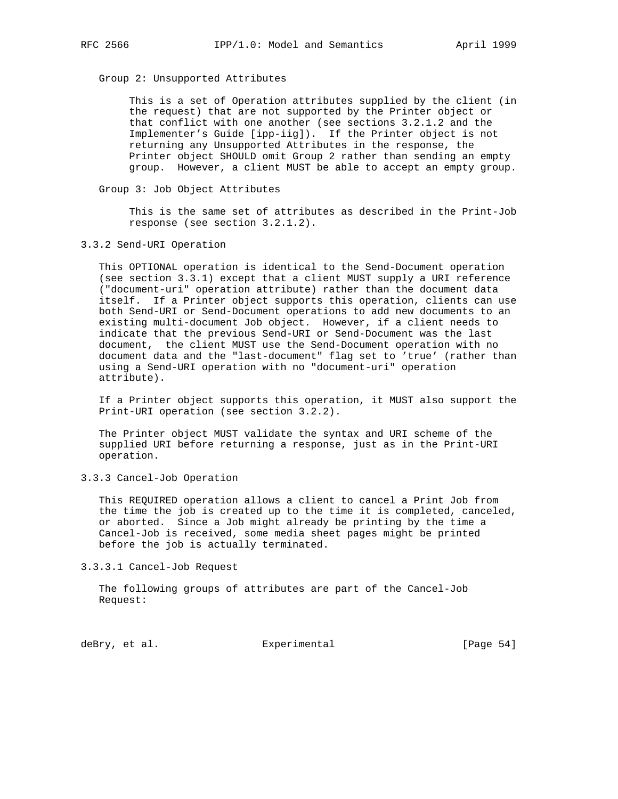Group 2: Unsupported Attributes

 This is a set of Operation attributes supplied by the client (in the request) that are not supported by the Printer object or that conflict with one another (see sections 3.2.1.2 and the Implementer's Guide [ipp-iig]). If the Printer object is not returning any Unsupported Attributes in the response, the Printer object SHOULD omit Group 2 rather than sending an empty group. However, a client MUST be able to accept an empty group.

Group 3: Job Object Attributes

 This is the same set of attributes as described in the Print-Job response (see section 3.2.1.2).

3.3.2 Send-URI Operation

 This OPTIONAL operation is identical to the Send-Document operation (see section 3.3.1) except that a client MUST supply a URI reference ("document-uri" operation attribute) rather than the document data itself. If a Printer object supports this operation, clients can use both Send-URI or Send-Document operations to add new documents to an existing multi-document Job object. However, if a client needs to indicate that the previous Send-URI or Send-Document was the last document, the client MUST use the Send-Document operation with no document data and the "last-document" flag set to 'true' (rather than using a Send-URI operation with no "document-uri" operation attribute).

 If a Printer object supports this operation, it MUST also support the Print-URI operation (see section 3.2.2).

 The Printer object MUST validate the syntax and URI scheme of the supplied URI before returning a response, just as in the Print-URI operation.

3.3.3 Cancel-Job Operation

 This REQUIRED operation allows a client to cancel a Print Job from the time the job is created up to the time it is completed, canceled, or aborted. Since a Job might already be printing by the time a Cancel-Job is received, some media sheet pages might be printed before the job is actually terminated.

3.3.3.1 Cancel-Job Request

 The following groups of attributes are part of the Cancel-Job Request:

deBry, et al. Subsectimental Experimental [Page 54]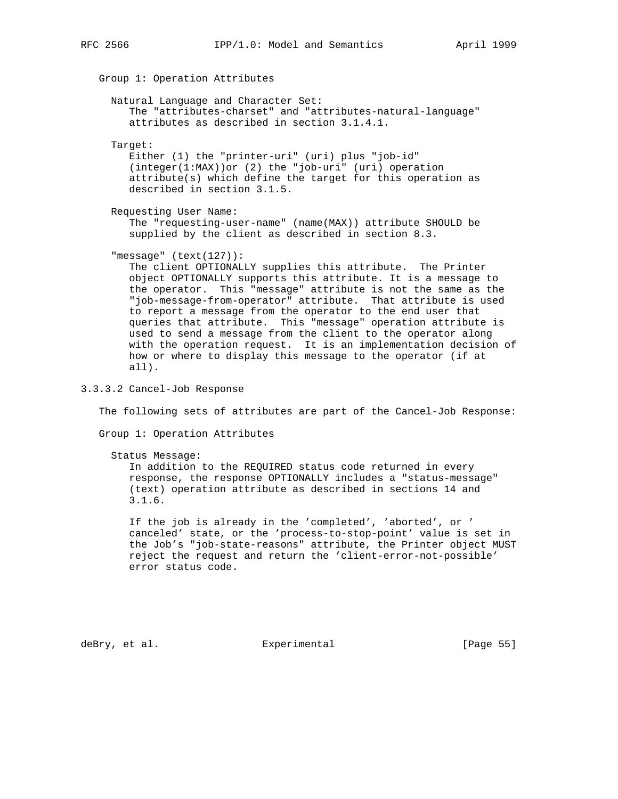Group 1: Operation Attributes Natural Language and Character Set: The "attributes-charset" and "attributes-natural-language" attributes as described in section 3.1.4.1. Target: Either (1) the "printer-uri" (uri) plus "job-id" (integer(1:MAX))or (2) the "job-uri" (uri) operation attribute(s) which define the target for this operation as described in section 3.1.5. Requesting User Name: The "requesting-user-name" (name(MAX)) attribute SHOULD be supplied by the client as described in section 8.3. "message" (text(127)): The client OPTIONALLY supplies this attribute. The Printer object OPTIONALLY supports this attribute. It is a message to the operator. This "message" attribute is not the same as the "job-message-from-operator" attribute. That attribute is used to report a message from the operator to the end user that queries that attribute. This "message" operation attribute is used to send a message from the client to the operator along with the operation request. It is an implementation decision of how or where to display this message to the operator (if at

3.3.3.2 Cancel-Job Response

all).

The following sets of attributes are part of the Cancel-Job Response:

Group 1: Operation Attributes

Status Message:

 In addition to the REQUIRED status code returned in every response, the response OPTIONALLY includes a "status-message" (text) operation attribute as described in sections 14 and 3.1.6.

 If the job is already in the 'completed', 'aborted', or ' canceled' state, or the 'process-to-stop-point' value is set in the Job's "job-state-reasons" attribute, the Printer object MUST reject the request and return the 'client-error-not-possible' error status code.

deBry, et al. Subsectimental Experimental [Page 55]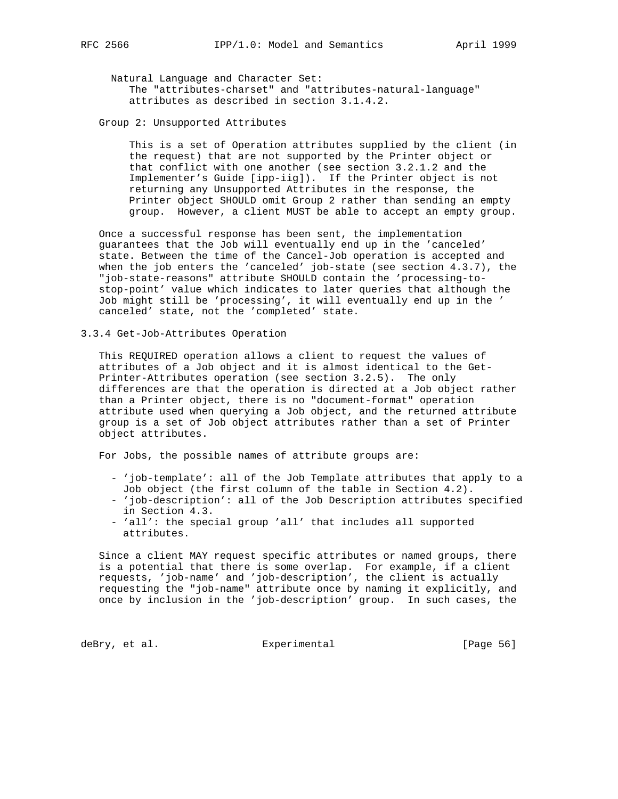Natural Language and Character Set: The "attributes-charset" and "attributes-natural-language" attributes as described in section 3.1.4.2.

Group 2: Unsupported Attributes

 This is a set of Operation attributes supplied by the client (in the request) that are not supported by the Printer object or that conflict with one another (see section 3.2.1.2 and the Implementer's Guide [ipp-iig]). If the Printer object is not returning any Unsupported Attributes in the response, the Printer object SHOULD omit Group 2 rather than sending an empty group. However, a client MUST be able to accept an empty group.

 Once a successful response has been sent, the implementation guarantees that the Job will eventually end up in the 'canceled' state. Between the time of the Cancel-Job operation is accepted and when the job enters the 'canceled' job-state (see section 4.3.7), the "job-state-reasons" attribute SHOULD contain the 'processing-to stop-point' value which indicates to later queries that although the Job might still be 'processing', it will eventually end up in the ' canceled' state, not the 'completed' state.

3.3.4 Get-Job-Attributes Operation

 This REQUIRED operation allows a client to request the values of attributes of a Job object and it is almost identical to the Get- Printer-Attributes operation (see section 3.2.5). The only differences are that the operation is directed at a Job object rather than a Printer object, there is no "document-format" operation attribute used when querying a Job object, and the returned attribute group is a set of Job object attributes rather than a set of Printer object attributes.

For Jobs, the possible names of attribute groups are:

- 'job-template': all of the Job Template attributes that apply to a Job object (the first column of the table in Section 4.2).
- 'job-description': all of the Job Description attributes specified in Section 4.3.
- 'all': the special group 'all' that includes all supported attributes.

 Since a client MAY request specific attributes or named groups, there is a potential that there is some overlap. For example, if a client requests, 'job-name' and 'job-description', the client is actually requesting the "job-name" attribute once by naming it explicitly, and once by inclusion in the 'job-description' group. In such cases, the

deBry, et al. Subsection Experimental Contracts [Page 56]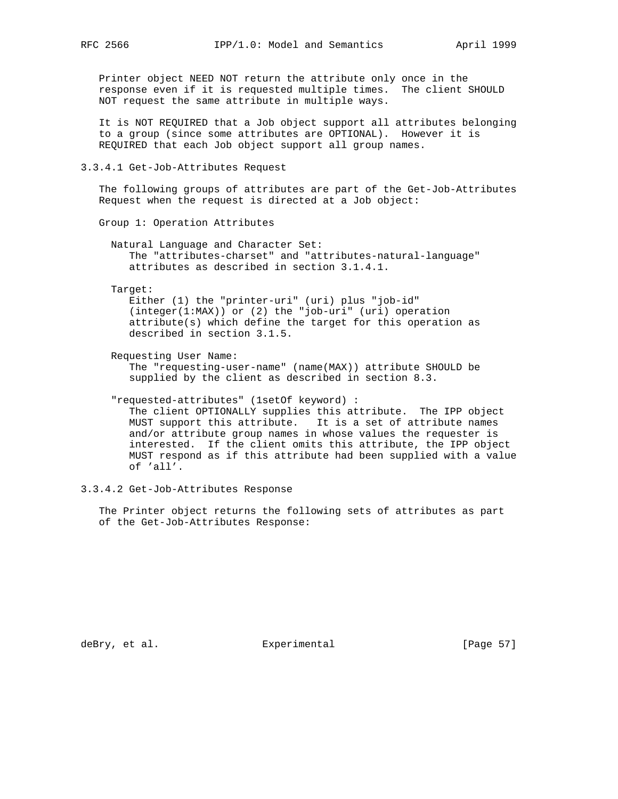Printer object NEED NOT return the attribute only once in the response even if it is requested multiple times. The client SHOULD NOT request the same attribute in multiple ways.

 It is NOT REQUIRED that a Job object support all attributes belonging to a group (since some attributes are OPTIONAL). However it is REQUIRED that each Job object support all group names.

3.3.4.1 Get-Job-Attributes Request

 The following groups of attributes are part of the Get-Job-Attributes Request when the request is directed at a Job object:

Group 1: Operation Attributes

 Natural Language and Character Set: The "attributes-charset" and "attributes-natural-language" attributes as described in section 3.1.4.1.

Target:

 Either (1) the "printer-uri" (uri) plus "job-id" (integer(1:MAX)) or (2) the "job-uri" (uri) operation attribute(s) which define the target for this operation as described in section 3.1.5.

Requesting User Name:

 The "requesting-user-name" (name(MAX)) attribute SHOULD be supplied by the client as described in section 8.3.

"requested-attributes" (1setOf keyword) :

 The client OPTIONALLY supplies this attribute. The IPP object MUST support this attribute. It is a set of attribute names and/or attribute group names in whose values the requester is interested. If the client omits this attribute, the IPP object MUST respond as if this attribute had been supplied with a value of 'all'.

3.3.4.2 Get-Job-Attributes Response

 The Printer object returns the following sets of attributes as part of the Get-Job-Attributes Response:

deBry, et al. Subsectimental Experimental [Page 57]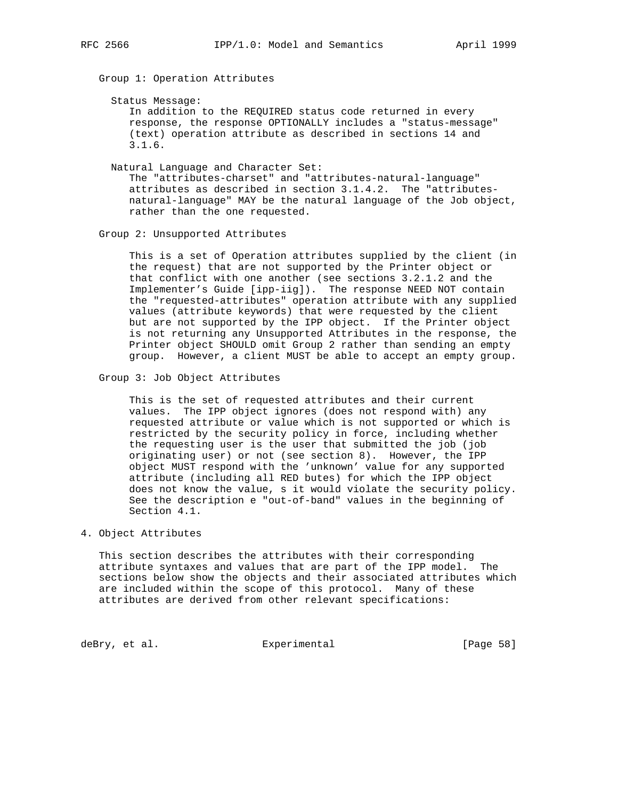Group 1: Operation Attributes

Status Message:

 In addition to the REQUIRED status code returned in every response, the response OPTIONALLY includes a "status-message" (text) operation attribute as described in sections 14 and 3.1.6.

Natural Language and Character Set:

 The "attributes-charset" and "attributes-natural-language" attributes as described in section 3.1.4.2. The "attributes natural-language" MAY be the natural language of the Job object, rather than the one requested.

Group 2: Unsupported Attributes

 This is a set of Operation attributes supplied by the client (in the request) that are not supported by the Printer object or that conflict with one another (see sections 3.2.1.2 and the Implementer's Guide [ipp-iig]). The response NEED NOT contain the "requested-attributes" operation attribute with any supplied values (attribute keywords) that were requested by the client but are not supported by the IPP object. If the Printer object is not returning any Unsupported Attributes in the response, the Printer object SHOULD omit Group 2 rather than sending an empty group. However, a client MUST be able to accept an empty group.

Group 3: Job Object Attributes

 This is the set of requested attributes and their current values. The IPP object ignores (does not respond with) any requested attribute or value which is not supported or which is restricted by the security policy in force, including whether the requesting user is the user that submitted the job (job originating user) or not (see section 8). However, the IPP object MUST respond with the 'unknown' value for any supported attribute (including all RED butes) for which the IPP object does not know the value, s it would violate the security policy. See the description e "out-of-band" values in the beginning of Section 4.1.

# 4. Object Attributes

 This section describes the attributes with their corresponding attribute syntaxes and values that are part of the IPP model. The sections below show the objects and their associated attributes which are included within the scope of this protocol. Many of these attributes are derived from other relevant specifications:

deBry, et al. Subsection Experimental CPage 58]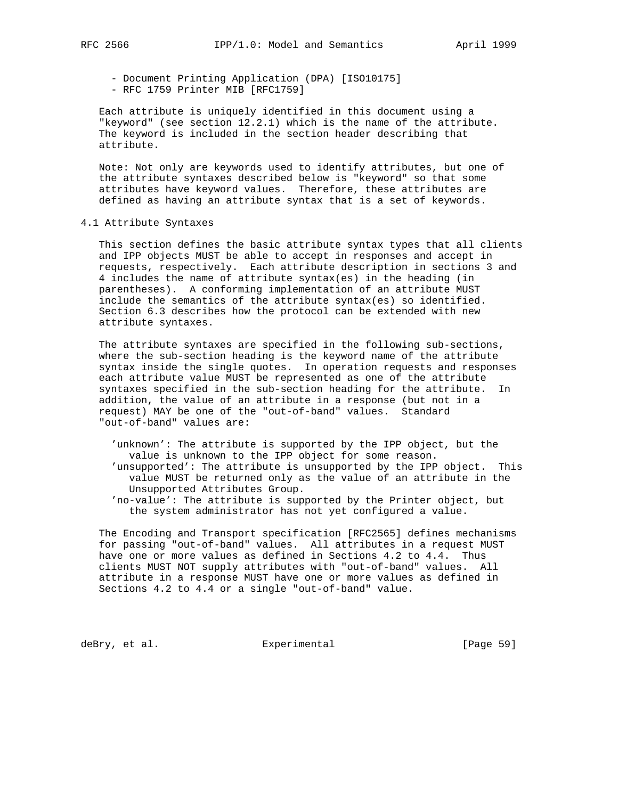- Document Printing Application (DPA) [ISO10175] - RFC 1759 Printer MIB [RFC1759]

 Each attribute is uniquely identified in this document using a "keyword" (see section 12.2.1) which is the name of the attribute. The keyword is included in the section header describing that attribute.

 Note: Not only are keywords used to identify attributes, but one of the attribute syntaxes described below is "keyword" so that some attributes have keyword values. Therefore, these attributes are defined as having an attribute syntax that is a set of keywords.

#### 4.1 Attribute Syntaxes

 This section defines the basic attribute syntax types that all clients and IPP objects MUST be able to accept in responses and accept in requests, respectively. Each attribute description in sections 3 and 4 includes the name of attribute syntax(es) in the heading (in parentheses). A conforming implementation of an attribute MUST include the semantics of the attribute syntax(es) so identified. Section 6.3 describes how the protocol can be extended with new attribute syntaxes.

 The attribute syntaxes are specified in the following sub-sections, where the sub-section heading is the keyword name of the attribute syntax inside the single quotes. In operation requests and responses each attribute value MUST be represented as one of the attribute syntaxes specified in the sub-section heading for the attribute. In addition, the value of an attribute in a response (but not in a request) MAY be one of the "out-of-band" values. Standard "out-of-band" values are:

 'unknown': The attribute is supported by the IPP object, but the value is unknown to the IPP object for some reason. 'unsupported': The attribute is unsupported by the IPP object. This value MUST be returned only as the value of an attribute in the Unsupported Attributes Group.

 'no-value': The attribute is supported by the Printer object, but the system administrator has not yet configured a value.

 The Encoding and Transport specification [RFC2565] defines mechanisms for passing "out-of-band" values. All attributes in a request MUST have one or more values as defined in Sections 4.2 to 4.4. Thus clients MUST NOT supply attributes with "out-of-band" values. All attribute in a response MUST have one or more values as defined in Sections 4.2 to 4.4 or a single "out-of-band" value.

deBry, et al. Subsectimental Experimental [Page 59]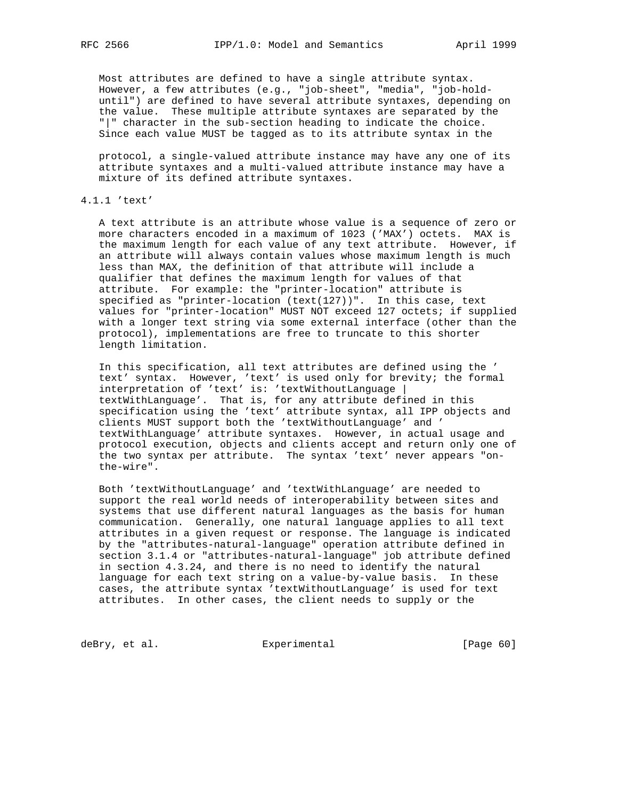Most attributes are defined to have a single attribute syntax. However, a few attributes (e.g., "job-sheet", "media", "job-hold until") are defined to have several attribute syntaxes, depending on the value. These multiple attribute syntaxes are separated by the "|" character in the sub-section heading to indicate the choice. Since each value MUST be tagged as to its attribute syntax in the

 protocol, a single-valued attribute instance may have any one of its attribute syntaxes and a multi-valued attribute instance may have a mixture of its defined attribute syntaxes.

# 4.1.1 'text'

 A text attribute is an attribute whose value is a sequence of zero or more characters encoded in a maximum of 1023 ('MAX') octets. MAX is the maximum length for each value of any text attribute. However, if an attribute will always contain values whose maximum length is much less than MAX, the definition of that attribute will include a qualifier that defines the maximum length for values of that attribute. For example: the "printer-location" attribute is specified as "printer-location (text(127))". In this case, text values for "printer-location" MUST NOT exceed 127 octets; if supplied with a longer text string via some external interface (other than the protocol), implementations are free to truncate to this shorter length limitation.

 In this specification, all text attributes are defined using the ' text' syntax. However, 'text' is used only for brevity; the formal interpretation of 'text' is: 'textWithoutLanguage | textWithLanguage'. That is, for any attribute defined in this specification using the 'text' attribute syntax, all IPP objects and clients MUST support both the 'textWithoutLanguage' and ' textWithLanguage' attribute syntaxes. However, in actual usage and protocol execution, objects and clients accept and return only one of the two syntax per attribute. The syntax 'text' never appears "on the-wire".

 Both 'textWithoutLanguage' and 'textWithLanguage' are needed to support the real world needs of interoperability between sites and systems that use different natural languages as the basis for human communication. Generally, one natural language applies to all text attributes in a given request or response. The language is indicated by the "attributes-natural-language" operation attribute defined in section 3.1.4 or "attributes-natural-language" job attribute defined in section 4.3.24, and there is no need to identify the natural language for each text string on a value-by-value basis. In these cases, the attribute syntax 'textWithoutLanguage' is used for text attributes. In other cases, the client needs to supply or the

deBry, et al. Subsection Experimental Contract (Page 60)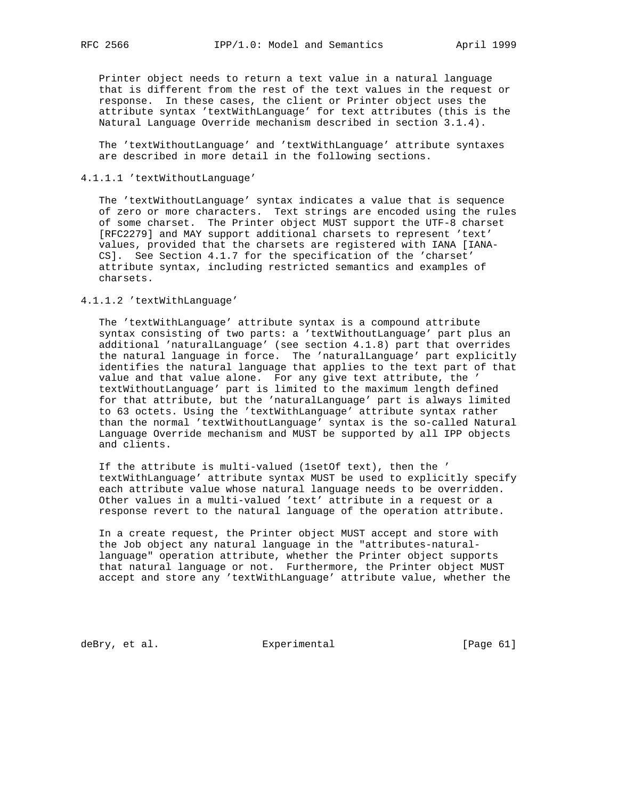Printer object needs to return a text value in a natural language that is different from the rest of the text values in the request or response. In these cases, the client or Printer object uses the attribute syntax 'textWithLanguage' for text attributes (this is the Natural Language Override mechanism described in section 3.1.4).

 The 'textWithoutLanguage' and 'textWithLanguage' attribute syntaxes are described in more detail in the following sections.

# 4.1.1.1 'textWithoutLanguage'

 The 'textWithoutLanguage' syntax indicates a value that is sequence of zero or more characters. Text strings are encoded using the rules of some charset. The Printer object MUST support the UTF-8 charset [RFC2279] and MAY support additional charsets to represent 'text' values, provided that the charsets are registered with IANA [IANA- CS]. See Section 4.1.7 for the specification of the 'charset' attribute syntax, including restricted semantics and examples of charsets.

# 4.1.1.2 'textWithLanguage'

 The 'textWithLanguage' attribute syntax is a compound attribute syntax consisting of two parts: a 'textWithoutLanguage' part plus an additional 'naturalLanguage' (see section 4.1.8) part that overrides the natural language in force. The 'naturalLanguage' part explicitly identifies the natural language that applies to the text part of that value and that value alone. For any give text attribute, the ' textWithoutLanguage' part is limited to the maximum length defined for that attribute, but the 'naturalLanguage' part is always limited to 63 octets. Using the 'textWithLanguage' attribute syntax rather than the normal 'textWithoutLanguage' syntax is the so-called Natural Language Override mechanism and MUST be supported by all IPP objects and clients.

 If the attribute is multi-valued (1setOf text), then the ' textWithLanguage' attribute syntax MUST be used to explicitly specify each attribute value whose natural language needs to be overridden. Other values in a multi-valued 'text' attribute in a request or a response revert to the natural language of the operation attribute.

 In a create request, the Printer object MUST accept and store with the Job object any natural language in the "attributes-natural language" operation attribute, whether the Printer object supports that natural language or not. Furthermore, the Printer object MUST accept and store any 'textWithLanguage' attribute value, whether the

deBry, et al. Subsection Experimental Contracts [Page 61]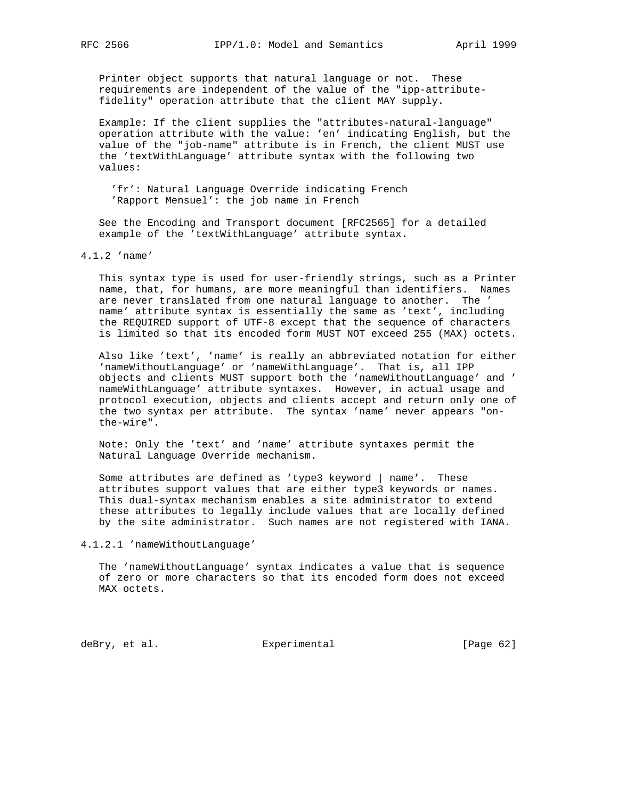Printer object supports that natural language or not. These requirements are independent of the value of the "ipp-attribute fidelity" operation attribute that the client MAY supply.

 Example: If the client supplies the "attributes-natural-language" operation attribute with the value: 'en' indicating English, but the value of the "job-name" attribute is in French, the client MUST use the 'textWithLanguage' attribute syntax with the following two values:

 'fr': Natural Language Override indicating French 'Rapport Mensuel': the job name in French

 See the Encoding and Transport document [RFC2565] for a detailed example of the 'textWithLanguage' attribute syntax.

4.1.2 'name'

 This syntax type is used for user-friendly strings, such as a Printer name, that, for humans, are more meaningful than identifiers. Names are never translated from one natural language to another. The ' name' attribute syntax is essentially the same as 'text', including the REQUIRED support of UTF-8 except that the sequence of characters is limited so that its encoded form MUST NOT exceed 255 (MAX) octets.

 Also like 'text', 'name' is really an abbreviated notation for either 'nameWithoutLanguage' or 'nameWithLanguage'. That is, all IPP objects and clients MUST support both the 'nameWithoutLanguage' and ' nameWithLanguage' attribute syntaxes. However, in actual usage and protocol execution, objects and clients accept and return only one of the two syntax per attribute. The syntax 'name' never appears "on the-wire".

 Note: Only the 'text' and 'name' attribute syntaxes permit the Natural Language Override mechanism.

 Some attributes are defined as 'type3 keyword | name'. These attributes support values that are either type3 keywords or names. This dual-syntax mechanism enables a site administrator to extend these attributes to legally include values that are locally defined by the site administrator. Such names are not registered with IANA.

4.1.2.1 'nameWithoutLanguage'

 The 'nameWithoutLanguage' syntax indicates a value that is sequence of zero or more characters so that its encoded form does not exceed MAX octets.

deBry, et al. Subsectimental Experimental [Page 62]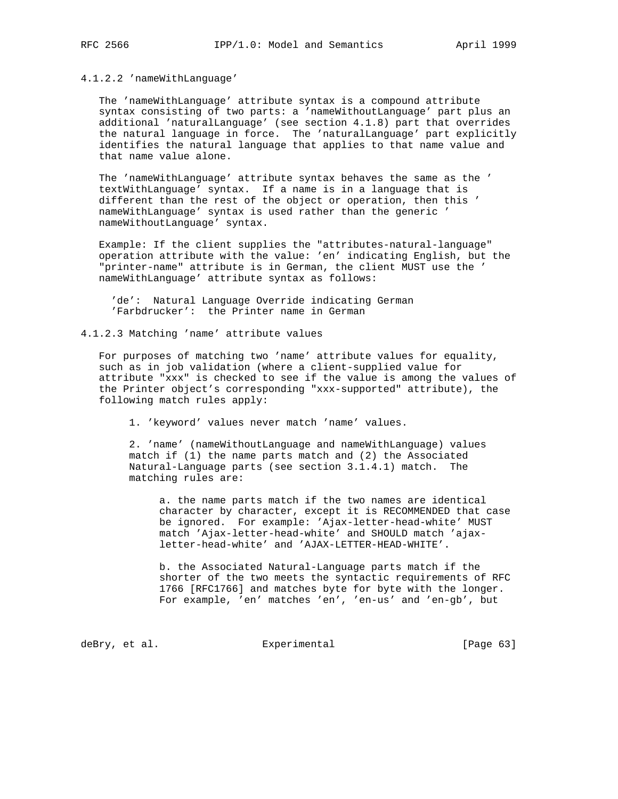4.1.2.2 'nameWithLanguage'

 The 'nameWithLanguage' attribute syntax is a compound attribute syntax consisting of two parts: a 'nameWithoutLanguage' part plus an additional 'naturalLanguage' (see section 4.1.8) part that overrides the natural language in force. The 'naturalLanguage' part explicitly identifies the natural language that applies to that name value and that name value alone.

 The 'nameWithLanguage' attribute syntax behaves the same as the ' textWithLanguage' syntax. If a name is in a language that is different than the rest of the object or operation, then this ' nameWithLanguage' syntax is used rather than the generic ' nameWithoutLanguage' syntax.

 Example: If the client supplies the "attributes-natural-language" operation attribute with the value: 'en' indicating English, but the "printer-name" attribute is in German, the client MUST use the ' nameWithLanguage' attribute syntax as follows:

 'de': Natural Language Override indicating German 'Farbdrucker': the Printer name in German

4.1.2.3 Matching 'name' attribute values

 For purposes of matching two 'name' attribute values for equality, such as in job validation (where a client-supplied value for attribute "xxx" is checked to see if the value is among the values of the Printer object's corresponding "xxx-supported" attribute), the following match rules apply:

1. 'keyword' values never match 'name' values.

 2. 'name' (nameWithoutLanguage and nameWithLanguage) values match if (1) the name parts match and (2) the Associated Natural-Language parts (see section 3.1.4.1) match. The matching rules are:

 a. the name parts match if the two names are identical character by character, except it is RECOMMENDED that case be ignored. For example: 'Ajax-letter-head-white' MUST match 'Ajax-letter-head-white' and SHOULD match 'ajax letter-head-white' and 'AJAX-LETTER-HEAD-WHITE'.

 b. the Associated Natural-Language parts match if the shorter of the two meets the syntactic requirements of RFC 1766 [RFC1766] and matches byte for byte with the longer. For example, 'en' matches 'en', 'en-us' and 'en-gb', but

deBry, et al. Subsection Experimental Contracts [Page 63]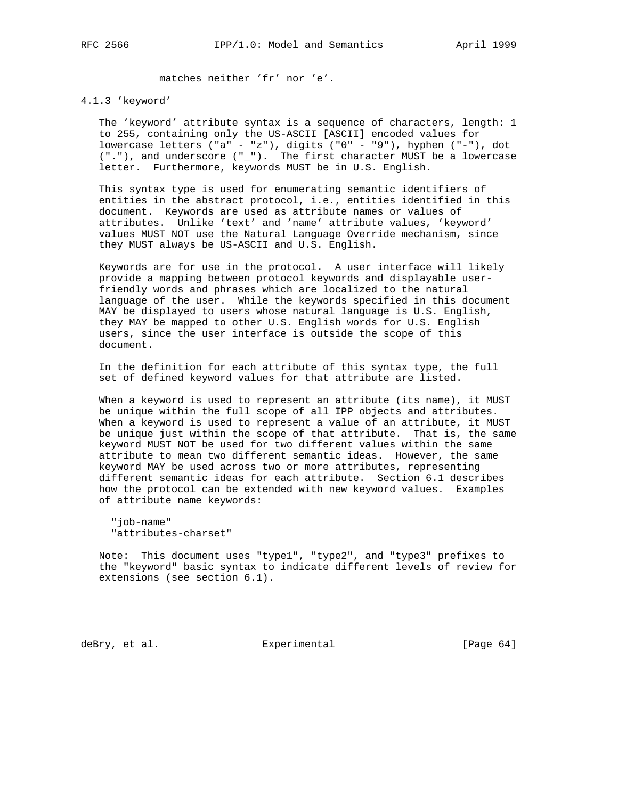matches neither 'fr' nor 'e'.

# 4.1.3 'keyword'

 The 'keyword' attribute syntax is a sequence of characters, length: 1 to 255, containing only the US-ASCII [ASCII] encoded values for lowercase letters ("a" - "z"), digits ("0" - "9"), hyphen ("-"), dot ("."), and underscore ("\_"). The first character MUST be a lowercase letter. Furthermore, keywords MUST be in U.S. English.

 This syntax type is used for enumerating semantic identifiers of entities in the abstract protocol, i.e., entities identified in this document. Keywords are used as attribute names or values of attributes. Unlike 'text' and 'name' attribute values, 'keyword' values MUST NOT use the Natural Language Override mechanism, since they MUST always be US-ASCII and U.S. English.

 Keywords are for use in the protocol. A user interface will likely provide a mapping between protocol keywords and displayable user friendly words and phrases which are localized to the natural language of the user. While the keywords specified in this document MAY be displayed to users whose natural language is U.S. English, they MAY be mapped to other U.S. English words for U.S. English users, since the user interface is outside the scope of this document.

 In the definition for each attribute of this syntax type, the full set of defined keyword values for that attribute are listed.

 When a keyword is used to represent an attribute (its name), it MUST be unique within the full scope of all IPP objects and attributes. When a keyword is used to represent a value of an attribute, it MUST be unique just within the scope of that attribute. That is, the same keyword MUST NOT be used for two different values within the same attribute to mean two different semantic ideas. However, the same keyword MAY be used across two or more attributes, representing different semantic ideas for each attribute. Section 6.1 describes how the protocol can be extended with new keyword values. Examples of attribute name keywords:

 "job-name" "attributes-charset"

 Note: This document uses "type1", "type2", and "type3" prefixes to the "keyword" basic syntax to indicate different levels of review for extensions (see section 6.1).

deBry, et al. Subsectimental Experimental [Page 64]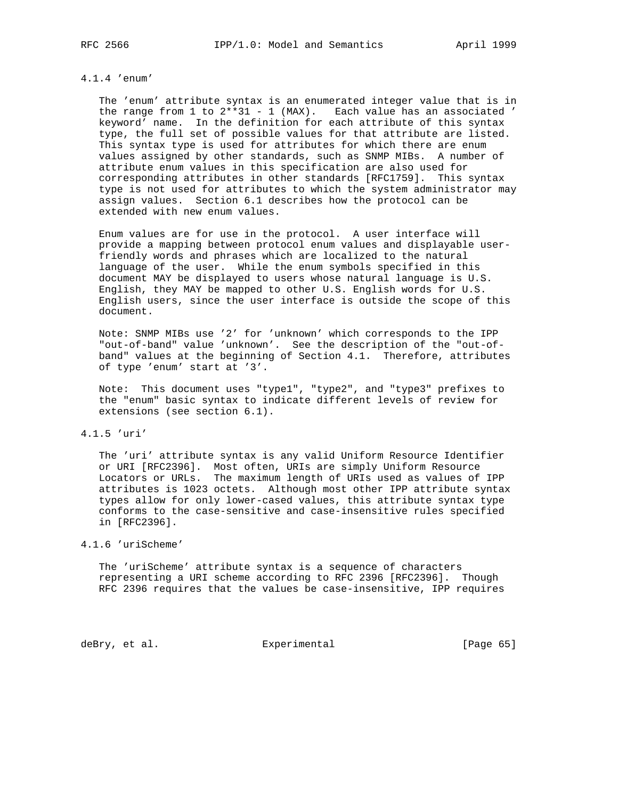# 4.1.4 'enum'

 The 'enum' attribute syntax is an enumerated integer value that is in the range from 1 to 2\*\*31 - 1 (MAX). Each value has an associated ' keyword' name. In the definition for each attribute of this syntax type, the full set of possible values for that attribute are listed. This syntax type is used for attributes for which there are enum values assigned by other standards, such as SNMP MIBs. A number of attribute enum values in this specification are also used for corresponding attributes in other standards [RFC1759]. This syntax type is not used for attributes to which the system administrator may assign values. Section 6.1 describes how the protocol can be extended with new enum values.

 Enum values are for use in the protocol. A user interface will provide a mapping between protocol enum values and displayable user friendly words and phrases which are localized to the natural language of the user. While the enum symbols specified in this document MAY be displayed to users whose natural language is U.S. English, they MAY be mapped to other U.S. English words for U.S. English users, since the user interface is outside the scope of this document.

 Note: SNMP MIBs use '2' for 'unknown' which corresponds to the IPP "out-of-band" value 'unknown'. See the description of the "out-of band" values at the beginning of Section 4.1. Therefore, attributes of type 'enum' start at '3'.

 Note: This document uses "type1", "type2", and "type3" prefixes to the "enum" basic syntax to indicate different levels of review for extensions (see section 6.1).

# 4.1.5 'uri'

 The 'uri' attribute syntax is any valid Uniform Resource Identifier or URI [RFC2396]. Most often, URIs are simply Uniform Resource Locators or URLs. The maximum length of URIs used as values of IPP attributes is 1023 octets. Although most other IPP attribute syntax types allow for only lower-cased values, this attribute syntax type conforms to the case-sensitive and case-insensitive rules specified in [RFC2396].

# 4.1.6 'uriScheme'

 The 'uriScheme' attribute syntax is a sequence of characters representing a URI scheme according to RFC 2396 [RFC2396]. Though RFC 2396 requires that the values be case-insensitive, IPP requires

deBry, et al. Subsectimental Experimental [Page 65]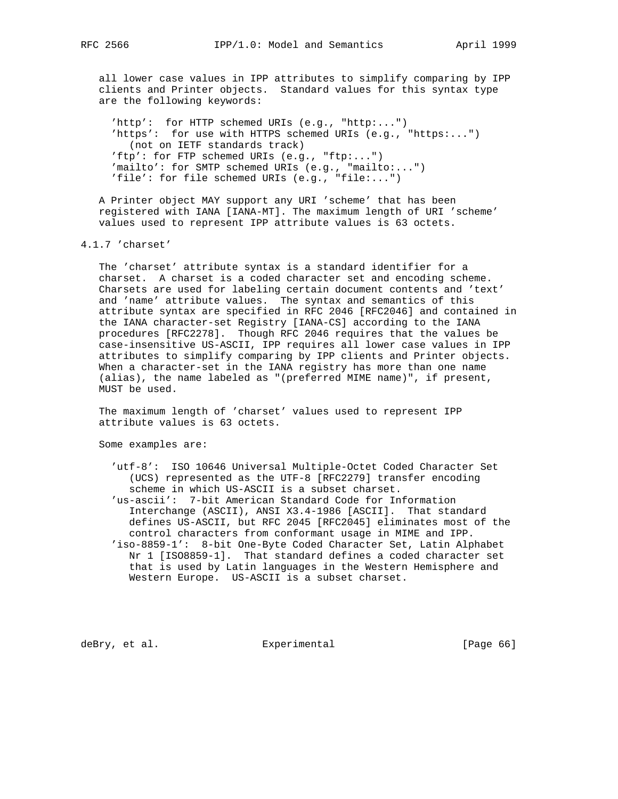all lower case values in IPP attributes to simplify comparing by IPP clients and Printer objects. Standard values for this syntax type are the following keywords:

 'http': for HTTP schemed URIs (e.g., "http:...") 'https': for use with HTTPS schemed URIs (e.g., "https:...") (not on IETF standards track) 'ftp': for FTP schemed URIs (e.g., "ftp:...") 'mailto': for SMTP schemed URIs (e.g., "mailto:...") 'file': for file schemed URIs (e.g., "file:...")

 A Printer object MAY support any URI 'scheme' that has been registered with IANA [IANA-MT]. The maximum length of URI 'scheme' values used to represent IPP attribute values is 63 octets.

4.1.7 'charset'

 The 'charset' attribute syntax is a standard identifier for a charset. A charset is a coded character set and encoding scheme. Charsets are used for labeling certain document contents and 'text' and 'name' attribute values. The syntax and semantics of this attribute syntax are specified in RFC 2046 [RFC2046] and contained in the IANA character-set Registry [IANA-CS] according to the IANA procedures [RFC2278]. Though RFC 2046 requires that the values be case-insensitive US-ASCII, IPP requires all lower case values in IPP attributes to simplify comparing by IPP clients and Printer objects. When a character-set in the IANA registry has more than one name (alias), the name labeled as "(preferred MIME name)", if present, MUST be used.

 The maximum length of 'charset' values used to represent IPP attribute values is 63 octets.

Some examples are:

 'utf-8': ISO 10646 Universal Multiple-Octet Coded Character Set (UCS) represented as the UTF-8 [RFC2279] transfer encoding scheme in which US-ASCII is a subset charset.

 'us-ascii': 7-bit American Standard Code for Information Interchange (ASCII), ANSI X3.4-1986 [ASCII]. That standard defines US-ASCII, but RFC 2045 [RFC2045] eliminates most of the control characters from conformant usage in MIME and IPP. 'iso-8859-1': 8-bit One-Byte Coded Character Set, Latin Alphabet Nr 1 [ISO8859-1]. That standard defines a coded character set that is used by Latin languages in the Western Hemisphere and Western Europe. US-ASCII is a subset charset.

deBry, et al. Subsectimental Experimental [Page 66]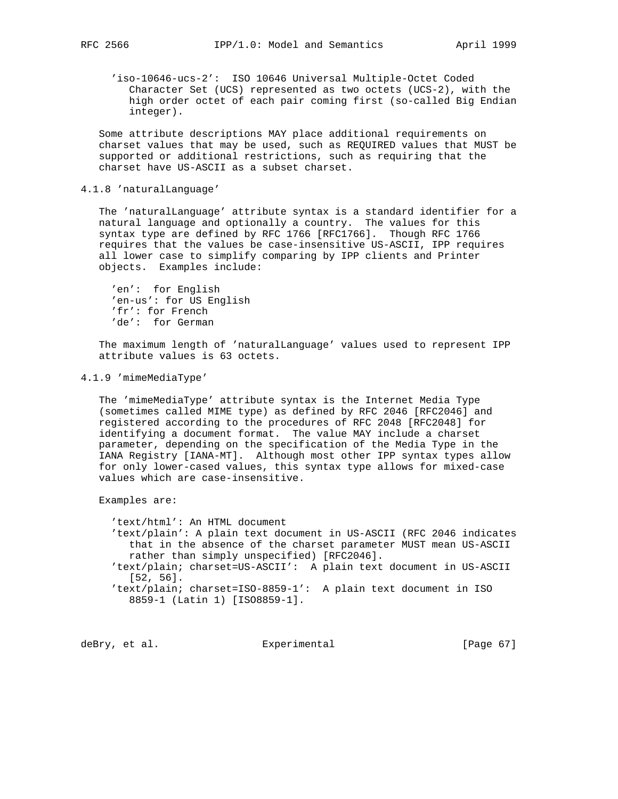'iso-10646-ucs-2': ISO 10646 Universal Multiple-Octet Coded Character Set (UCS) represented as two octets (UCS-2), with the high order octet of each pair coming first (so-called Big Endian integer).

 Some attribute descriptions MAY place additional requirements on charset values that may be used, such as REQUIRED values that MUST be supported or additional restrictions, such as requiring that the charset have US-ASCII as a subset charset.

# 4.1.8 'naturalLanguage'

 The 'naturalLanguage' attribute syntax is a standard identifier for a natural language and optionally a country. The values for this syntax type are defined by RFC 1766 [RFC1766]. Though RFC 1766 requires that the values be case-insensitive US-ASCII, IPP requires all lower case to simplify comparing by IPP clients and Printer objects. Examples include:

 'en': for English 'en-us': for US English 'fr': for French 'de': for German

 The maximum length of 'naturalLanguage' values used to represent IPP attribute values is 63 octets.

# 4.1.9 'mimeMediaType'

 The 'mimeMediaType' attribute syntax is the Internet Media Type (sometimes called MIME type) as defined by RFC 2046 [RFC2046] and registered according to the procedures of RFC 2048 [RFC2048] for identifying a document format. The value MAY include a charset parameter, depending on the specification of the Media Type in the IANA Registry [IANA-MT]. Although most other IPP syntax types allow for only lower-cased values, this syntax type allows for mixed-case values which are case-insensitive.

Examples are:

 'text/html': An HTML document 'text/plain': A plain text document in US-ASCII (RFC 2046 indicates that in the absence of the charset parameter MUST mean US-ASCII rather than simply unspecified) [RFC2046]. 'text/plain; charset=US-ASCII': A plain text document in US-ASCII [52, 56]. 'text/plain; charset=ISO-8859-1': A plain text document in ISO 8859-1 (Latin 1) [ISO8859-1].

deBry, et al. Subsectimental Experimental [Page 67]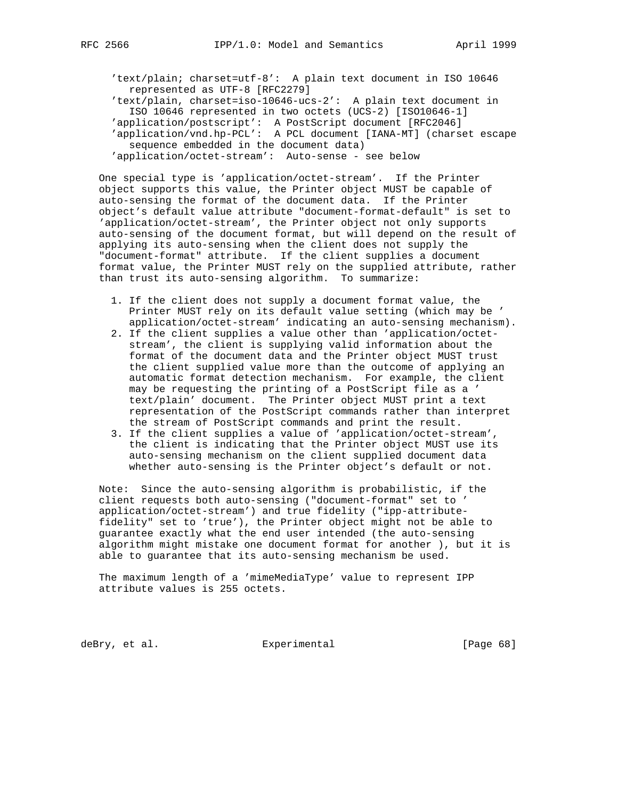'text/plain; charset=utf-8': A plain text document in ISO 10646 represented as UTF-8 [RFC2279] 'text/plain, charset=iso-10646-ucs-2': A plain text document in ISO 10646 represented in two octets (UCS-2) [ISO10646-1] 'application/postscript': A PostScript document [RFC2046] 'application/vnd.hp-PCL': A PCL document [IANA-MT] (charset escape sequence embedded in the document data) 'application/octet-stream': Auto-sense - see below

 One special type is 'application/octet-stream'. If the Printer object supports this value, the Printer object MUST be capable of auto-sensing the format of the document data. If the Printer object's default value attribute "document-format-default" is set to 'application/octet-stream', the Printer object not only supports auto-sensing of the document format, but will depend on the result of applying its auto-sensing when the client does not supply the "document-format" attribute. If the client supplies a document format value, the Printer MUST rely on the supplied attribute, rather than trust its auto-sensing algorithm. To summarize:

- 1. If the client does not supply a document format value, the Printer MUST rely on its default value setting (which may be ' application/octet-stream' indicating an auto-sensing mechanism).
- 2. If the client supplies a value other than 'application/octet stream', the client is supplying valid information about the format of the document data and the Printer object MUST trust the client supplied value more than the outcome of applying an automatic format detection mechanism. For example, the client may be requesting the printing of a PostScript file as a ' text/plain' document. The Printer object MUST print a text representation of the PostScript commands rather than interpret the stream of PostScript commands and print the result.
- 3. If the client supplies a value of 'application/octet-stream', the client is indicating that the Printer object MUST use its auto-sensing mechanism on the client supplied document data whether auto-sensing is the Printer object's default or not.

 Note: Since the auto-sensing algorithm is probabilistic, if the client requests both auto-sensing ("document-format" set to ' application/octet-stream') and true fidelity ("ipp-attribute fidelity" set to 'true'), the Printer object might not be able to guarantee exactly what the end user intended (the auto-sensing algorithm might mistake one document format for another ), but it is able to guarantee that its auto-sensing mechanism be used.

 The maximum length of a 'mimeMediaType' value to represent IPP attribute values is 255 octets.

deBry, et al. Subsectimental Experimental [Page 68]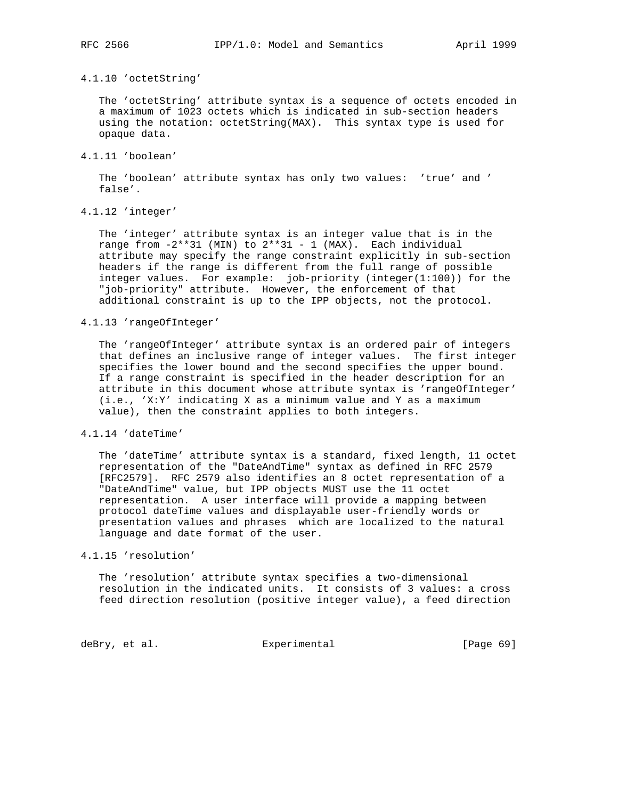#### 4.1.10 'octetString'

 The 'octetString' attribute syntax is a sequence of octets encoded in a maximum of 1023 octets which is indicated in sub-section headers using the notation: octetString(MAX). This syntax type is used for opaque data.

# 4.1.11 'boolean'

 The 'boolean' attribute syntax has only two values: 'true' and ' false'.

# 4.1.12 'integer'

 The 'integer' attribute syntax is an integer value that is in the range from  $-2***31$  (MIN) to  $2***31 - 1$  (MAX). Each individual attribute may specify the range constraint explicitly in sub-section headers if the range is different from the full range of possible integer values. For example: job-priority (integer(1:100)) for the "job-priority" attribute. However, the enforcement of that additional constraint is up to the IPP objects, not the protocol.

# 4.1.13 'rangeOfInteger'

 The 'rangeOfInteger' attribute syntax is an ordered pair of integers that defines an inclusive range of integer values. The first integer specifies the lower bound and the second specifies the upper bound. If a range constraint is specified in the header description for an attribute in this document whose attribute syntax is 'rangeOfInteger' (i.e., 'X:Y' indicating X as a minimum value and Y as a maximum value), then the constraint applies to both integers.

# 4.1.14 'dateTime'

 The 'dateTime' attribute syntax is a standard, fixed length, 11 octet representation of the "DateAndTime" syntax as defined in RFC 2579 [RFC2579]. RFC 2579 also identifies an 8 octet representation of a "DateAndTime" value, but IPP objects MUST use the 11 octet representation. A user interface will provide a mapping between protocol dateTime values and displayable user-friendly words or presentation values and phrases which are localized to the natural language and date format of the user.

# 4.1.15 'resolution'

 The 'resolution' attribute syntax specifies a two-dimensional resolution in the indicated units. It consists of 3 values: a cross feed direction resolution (positive integer value), a feed direction

deBry, et al. Subsection Experimental Contract (Page 69)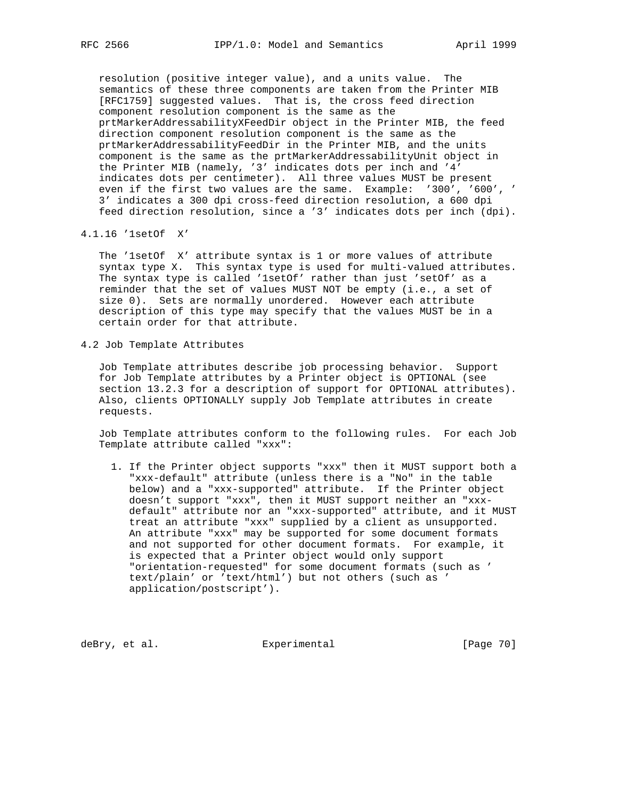resolution (positive integer value), and a units value. The semantics of these three components are taken from the Printer MIB [RFC1759] suggested values. That is, the cross feed direction component resolution component is the same as the prtMarkerAddressabilityXFeedDir object in the Printer MIB, the feed direction component resolution component is the same as the prtMarkerAddressabilityFeedDir in the Printer MIB, and the units component is the same as the prtMarkerAddressabilityUnit object in the Printer MIB (namely, '3' indicates dots per inch and '4' indicates dots per centimeter). All three values MUST be present even if the first two values are the same. Example: '300', '600', ' 3' indicates a 300 dpi cross-feed direction resolution, a 600 dpi feed direction resolution, since a '3' indicates dots per inch (dpi).

4.1.16 '1setOf X'

 The '1setOf X' attribute syntax is 1 or more values of attribute syntax type X. This syntax type is used for multi-valued attributes. The syntax type is called '1setOf' rather than just 'setOf' as a reminder that the set of values MUST NOT be empty (i.e., a set of size 0). Sets are normally unordered. However each attribute description of this type may specify that the values MUST be in a certain order for that attribute.

4.2 Job Template Attributes

 Job Template attributes describe job processing behavior. Support for Job Template attributes by a Printer object is OPTIONAL (see section 13.2.3 for a description of support for OPTIONAL attributes). Also, clients OPTIONALLY supply Job Template attributes in create requests.

 Job Template attributes conform to the following rules. For each Job Template attribute called "xxx":

 1. If the Printer object supports "xxx" then it MUST support both a "xxx-default" attribute (unless there is a "No" in the table below) and a "xxx-supported" attribute. If the Printer object doesn't support "xxx", then it MUST support neither an "xxx default" attribute nor an "xxx-supported" attribute, and it MUST treat an attribute "xxx" supplied by a client as unsupported. An attribute "xxx" may be supported for some document formats and not supported for other document formats. For example, it is expected that a Printer object would only support "orientation-requested" for some document formats (such as ' text/plain' or 'text/html') but not others (such as ' application/postscript').

deBry, et al. Subsectimental Experimental [Page 70]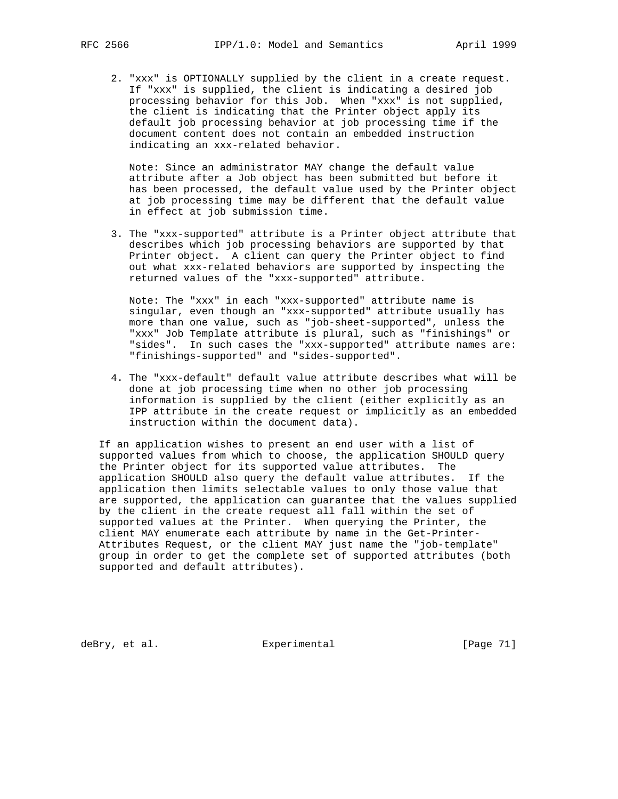2. "xxx" is OPTIONALLY supplied by the client in a create request. If "xxx" is supplied, the client is indicating a desired job processing behavior for this Job. When "xxx" is not supplied, the client is indicating that the Printer object apply its default job processing behavior at job processing time if the document content does not contain an embedded instruction indicating an xxx-related behavior.

 Note: Since an administrator MAY change the default value attribute after a Job object has been submitted but before it has been processed, the default value used by the Printer object at job processing time may be different that the default value in effect at job submission time.

 3. The "xxx-supported" attribute is a Printer object attribute that describes which job processing behaviors are supported by that Printer object. A client can query the Printer object to find out what xxx-related behaviors are supported by inspecting the returned values of the "xxx-supported" attribute.

 Note: The "xxx" in each "xxx-supported" attribute name is singular, even though an "xxx-supported" attribute usually has more than one value, such as "job-sheet-supported", unless the "xxx" Job Template attribute is plural, such as "finishings" or "sides". In such cases the "xxx-supported" attribute names are: "finishings-supported" and "sides-supported".

 4. The "xxx-default" default value attribute describes what will be done at job processing time when no other job processing information is supplied by the client (either explicitly as an IPP attribute in the create request or implicitly as an embedded instruction within the document data).

 If an application wishes to present an end user with a list of supported values from which to choose, the application SHOULD query the Printer object for its supported value attributes. The application SHOULD also query the default value attributes. If the application then limits selectable values to only those value that are supported, the application can guarantee that the values supplied by the client in the create request all fall within the set of supported values at the Printer. When querying the Printer, the client MAY enumerate each attribute by name in the Get-Printer- Attributes Request, or the client MAY just name the "job-template" group in order to get the complete set of supported attributes (both supported and default attributes).

deBry, et al. <br>Experimental [Page 71]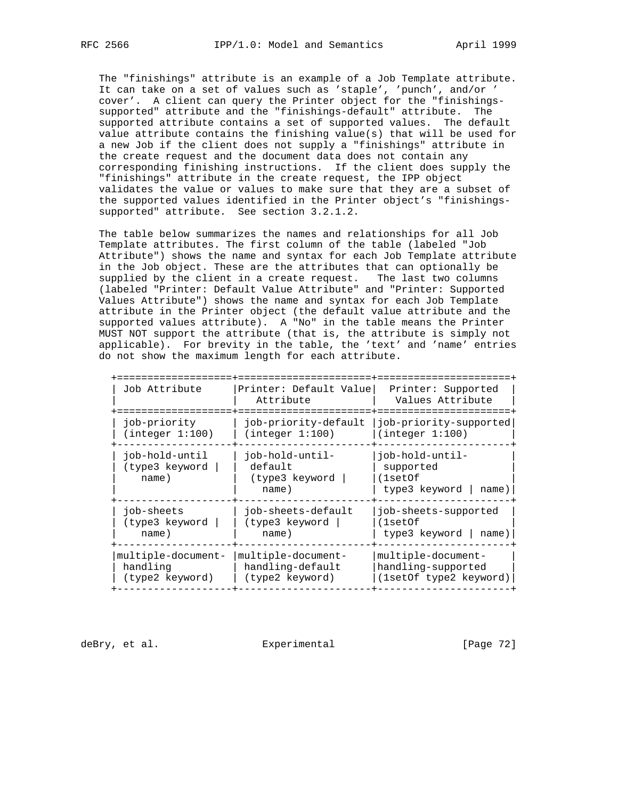The "finishings" attribute is an example of a Job Template attribute. It can take on a set of values such as 'staple', 'punch', and/or ' cover'. A client can query the Printer object for the "finishings supported" attribute and the "finishings-default" attribute. The supported attribute contains a set of supported values. The default value attribute contains the finishing value(s) that will be used for a new Job if the client does not supply a "finishings" attribute in the create request and the document data does not contain any corresponding finishing instructions. If the client does supply the "finishings" attribute in the create request, the IPP object validates the value or values to make sure that they are a subset of the supported values identified in the Printer object's "finishings supported" attribute. See section 3.2.1.2.

 The table below summarizes the names and relationships for all Job Template attributes. The first column of the table (labeled "Job Attribute") shows the name and syntax for each Job Template attribute in the Job object. These are the attributes that can optionally be supplied by the client in a create request. The last two columns (labeled "Printer: Default Value Attribute" and "Printer: Supported Values Attribute") shows the name and syntax for each Job Template attribute in the Printer object (the default value attribute and the supported values attribute). A "No" in the table means the Printer MUST NOT support the attribute (that is, the attribute is simply not applicable). For brevity in the table, the 'text' and 'name' entries do not show the maximum length for each attribute.

| Job Attribute                                     | Printer: Default Value<br>Attribute                       | Printer: Supported<br>Values Attribute                                  |
|---------------------------------------------------|-----------------------------------------------------------|-------------------------------------------------------------------------|
| job-priority<br>(integer 1:100)                   | job-priority-default<br>(integer 1:100)                   | job-priority-supported<br>(integer 1:100)                               |
| iob-hold-until<br>(type3 keyword<br>name)         | -iob-hold-until-<br>default<br>(type3 keyword<br>name)    | -iob-hold-until<br>supported<br>$(1$ set $Of$<br>type3 keyword<br>name) |
| job-sheets<br>(type3 keyword<br>name)             | job-sheets-default<br>(type3 keyword<br>name)             | job-sheets-supported<br>(1setOf<br>type3 keyword<br>name)               |
| multiple-document-<br>handling<br>(type2 keyword) | multiple-document-<br>handling-default<br>(type2 keyword) | multiple-document-<br>handling-supported<br>(1setOf type2 keyword)      |

deBry, et al. Subsectimental Experimental [Page 72]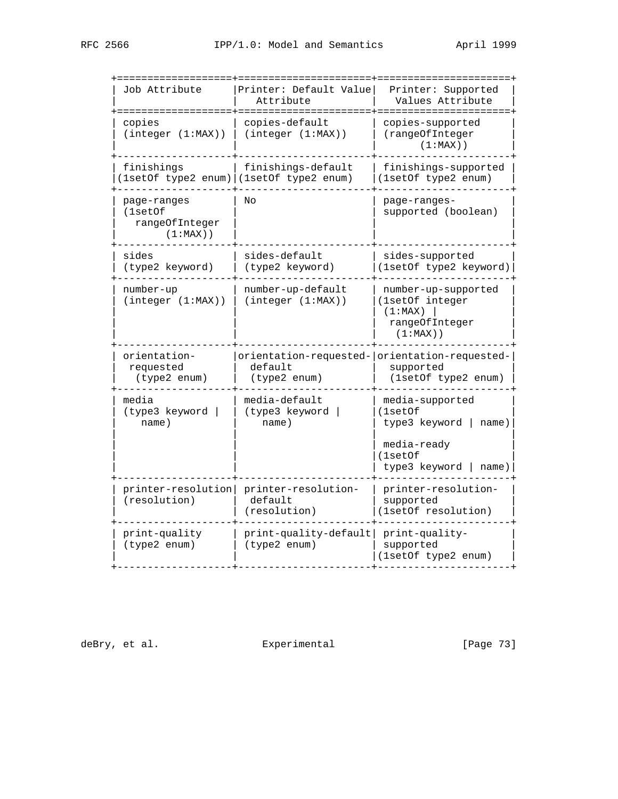| Job Attribute                                           | Printer: Default Value<br>Attribute                             | Printer: Supported<br>Values Attribute<br>===========                                                    |
|---------------------------------------------------------|-----------------------------------------------------------------|----------------------------------------------------------------------------------------------------------|
| copies<br>(integer (1:MAX))                             | copies-default<br>(integer (1:MAX))                             | copies-supported<br>(rangeOfInteger<br>$(1:MAX)$ )                                                       |
| finishings                                              | finishings-default<br>(1setOf type2 enum)   (1setOf type2 enum) | finishings-supported<br>(1setOf type2 enum)                                                              |
| page-ranges<br>(1setOf<br>rangeOfInteger<br>$(1:MAX)$ ) | Nο                                                              | page-ranges-<br>supported (boolean)                                                                      |
| sides<br>(type2 keyword)                                | sides-default<br>(type2 keyword)                                | sides-supported<br>(1setOf type2 keyword)                                                                |
| number-up<br>(integer (1:MAX))                          | number-up-default<br>(integer (1:MAX))                          | number-up-supported<br>(1setOf integer<br>(1:MAX)<br>rangeOfInteger<br>$(1:MAX)$ )                       |
| orientation-<br>requested<br>(type2 enum)               | default<br>(type2 enum)                                         | orientation-requested- orientation-requested-<br>supported<br>(1setOf type2 enum)                        |
| media<br>(type3 keyword<br>name)                        | media-default<br>(type3 keyword<br>name)                        | media-supported<br>(1setOf<br>type3 keyword<br>name)<br>media-ready<br>(1setOf<br>type3 keyword<br>name) |
| printer-resolution<br>(resolution)                      | printer-resolution-<br>default<br>(resolution)                  | printer-resolution-<br>supported<br>(1setOf resolution)                                                  |
| print-quality<br>(type2 enum)                           | print-quality-default<br>(type2 enum)                           | print-quality-<br>supported<br>(1setOf type2 enum)                                                       |
|                                                         |                                                                 |                                                                                                          |

deBry, et al.  $\qquad \qquad$  Experimental  $\qquad \qquad$  [Page 73]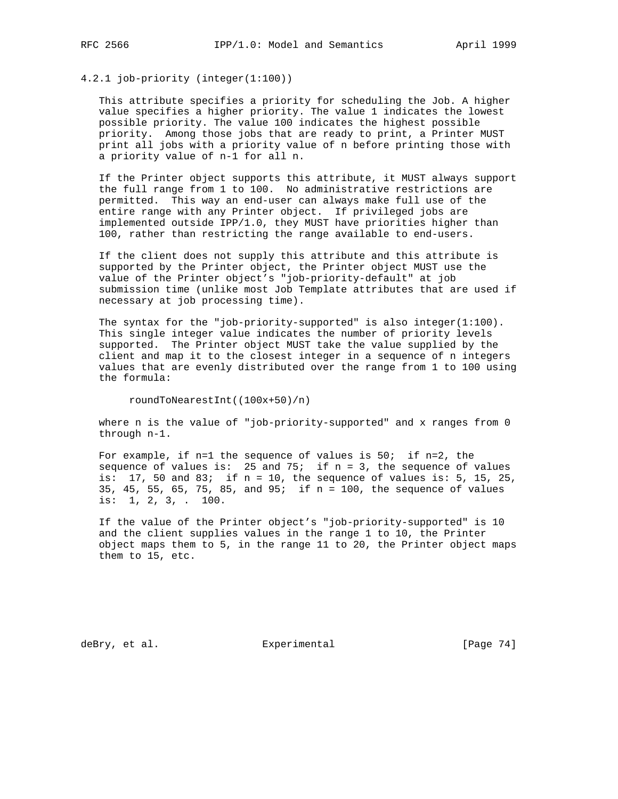4.2.1 job-priority (integer(1:100))

 This attribute specifies a priority for scheduling the Job. A higher value specifies a higher priority. The value 1 indicates the lowest possible priority. The value 100 indicates the highest possible priority. Among those jobs that are ready to print, a Printer MUST print all jobs with a priority value of n before printing those with a priority value of n-1 for all n.

 If the Printer object supports this attribute, it MUST always support the full range from 1 to 100. No administrative restrictions are permitted. This way an end-user can always make full use of the entire range with any Printer object. If privileged jobs are implemented outside IPP/1.0, they MUST have priorities higher than 100, rather than restricting the range available to end-users.

 If the client does not supply this attribute and this attribute is supported by the Printer object, the Printer object MUST use the value of the Printer object's "job-priority-default" at job submission time (unlike most Job Template attributes that are used if necessary at job processing time).

The syntax for the "job-priority-supported" is also integer(1:100). This single integer value indicates the number of priority levels supported. The Printer object MUST take the value supplied by the client and map it to the closest integer in a sequence of n integers values that are evenly distributed over the range from 1 to 100 using the formula:

roundToNearestInt((100x+50)/n)

 where n is the value of "job-priority-supported" and x ranges from 0 through n-1.

 For example, if n=1 the sequence of values is 50; if n=2, the sequence of values is: 25 and 75; if  $n = 3$ , the sequence of values is:  $17$ , 50 and  $83$ ; if n = 10, the sequence of values is: 5, 15, 25, 35, 45, 55, 65, 75, 85, and 95; if n = 100, the sequence of values is: 1, 2, 3, . 100.

 If the value of the Printer object's "job-priority-supported" is 10 and the client supplies values in the range 1 to 10, the Printer object maps them to 5, in the range 11 to 20, the Printer object maps them to 15, etc.

deBry, et al. Subsectimental Experimental [Page 74]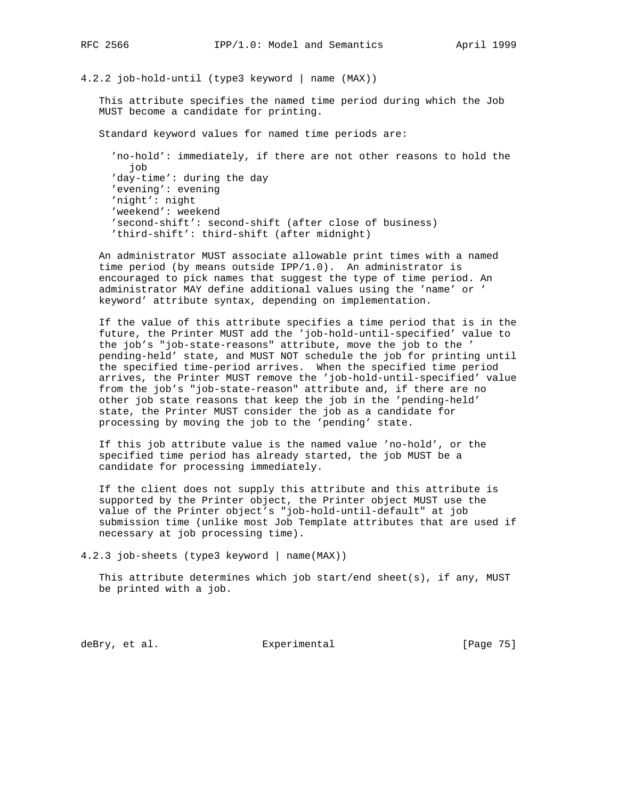# 4.2.2 job-hold-until (type3 keyword | name (MAX))

 This attribute specifies the named time period during which the Job MUST become a candidate for printing.

Standard keyword values for named time periods are:

 'no-hold': immediately, if there are not other reasons to hold the job 'day-time': during the day 'evening': evening 'night': night 'weekend': weekend 'second-shift': second-shift (after close of business) 'third-shift': third-shift (after midnight)

 An administrator MUST associate allowable print times with a named time period (by means outside IPP/1.0). An administrator is encouraged to pick names that suggest the type of time period. An administrator MAY define additional values using the 'name' or ' keyword' attribute syntax, depending on implementation.

 If the value of this attribute specifies a time period that is in the future, the Printer MUST add the 'job-hold-until-specified' value to the job's "job-state-reasons" attribute, move the job to the ' pending-held' state, and MUST NOT schedule the job for printing until the specified time-period arrives. When the specified time period arrives, the Printer MUST remove the 'job-hold-until-specified' value from the job's "job-state-reason" attribute and, if there are no other job state reasons that keep the job in the 'pending-held' state, the Printer MUST consider the job as a candidate for processing by moving the job to the 'pending' state.

 If this job attribute value is the named value 'no-hold', or the specified time period has already started, the job MUST be a candidate for processing immediately.

 If the client does not supply this attribute and this attribute is supported by the Printer object, the Printer object MUST use the value of the Printer object's "job-hold-until-default" at job submission time (unlike most Job Template attributes that are used if necessary at job processing time).

4.2.3 job-sheets (type3 keyword | name(MAX))

 This attribute determines which job start/end sheet(s), if any, MUST be printed with a job.

deBry, et al. Subsectimental Experimental [Page 75]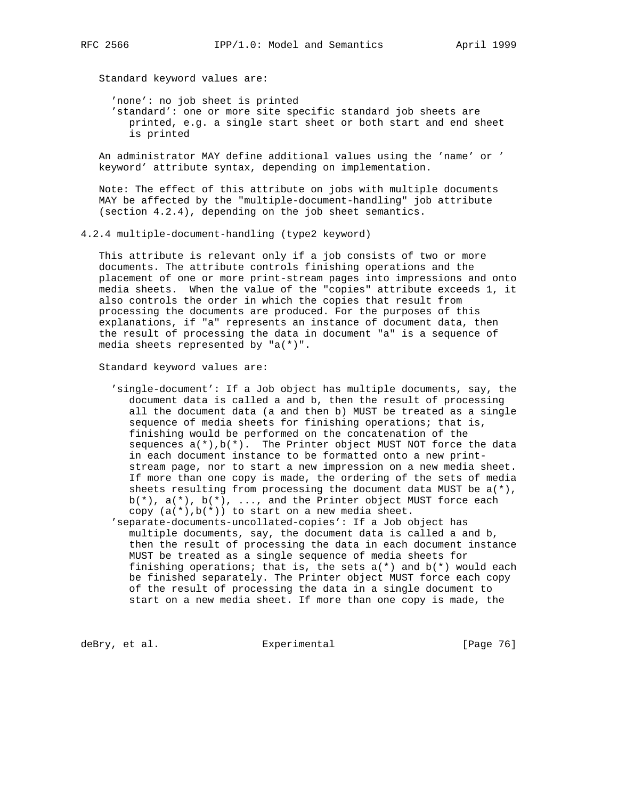Standard keyword values are:

 'none': no job sheet is printed 'standard': one or more site specific standard job sheets are printed, e.g. a single start sheet or both start and end sheet is printed

 An administrator MAY define additional values using the 'name' or ' keyword' attribute syntax, depending on implementation.

 Note: The effect of this attribute on jobs with multiple documents MAY be affected by the "multiple-document-handling" job attribute (section 4.2.4), depending on the job sheet semantics.

4.2.4 multiple-document-handling (type2 keyword)

 This attribute is relevant only if a job consists of two or more documents. The attribute controls finishing operations and the placement of one or more print-stream pages into impressions and onto media sheets. When the value of the "copies" attribute exceeds 1, it also controls the order in which the copies that result from processing the documents are produced. For the purposes of this explanations, if "a" represents an instance of document data, then the result of processing the data in document "a" is a sequence of media sheets represented by "a(\*)".

Standard keyword values are:

 'single-document': If a Job object has multiple documents, say, the document data is called a and b, then the result of processing all the document data (a and then b) MUST be treated as a single sequence of media sheets for finishing operations; that is, finishing would be performed on the concatenation of the sequences  $a(*)$ ,  $b(*)$ . The Printer object MUST NOT force the data in each document instance to be formatted onto a new print stream page, nor to start a new impression on a new media sheet. If more than one copy is made, the ordering of the sets of media sheets resulting from processing the document data MUST be  $a(*)$ ,  $b(*)$ ,  $a(*)$ ,  $b(*)$ , ..., and the Printer object MUST force each copy  $(a(*)$ ,  $b(*)$ ) to start on a new media sheet.

 'separate-documents-uncollated-copies': If a Job object has multiple documents, say, the document data is called a and b, then the result of processing the data in each document instance MUST be treated as a single sequence of media sheets for finishing operations; that is, the sets  $a(*)$  and  $b(*)$  would each be finished separately. The Printer object MUST force each copy of the result of processing the data in a single document to start on a new media sheet. If more than one copy is made, the

deBry, et al. Subsectimental Experimental [Page 76]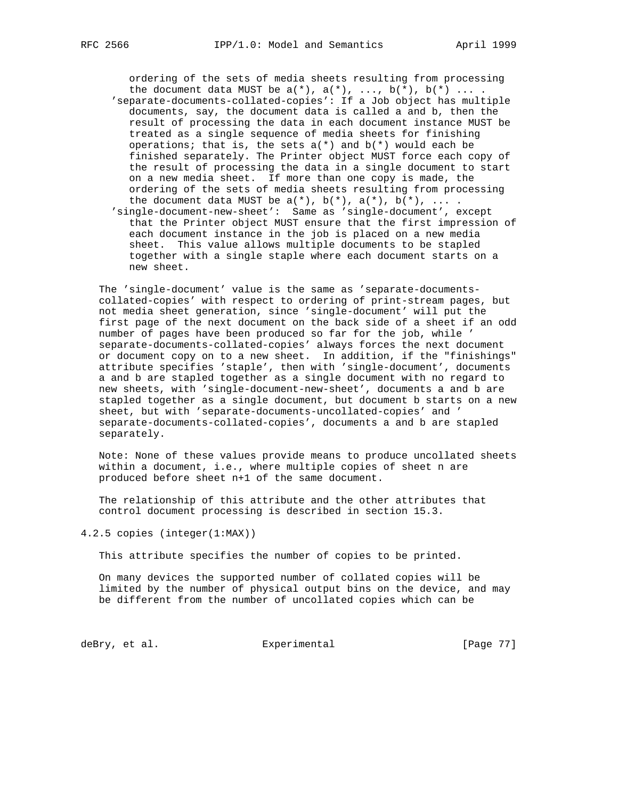ordering of the sets of media sheets resulting from processing the document data MUST be  $a(*)$ ,  $a(*)$ ,  $\dots$ ,  $b(*)$ ,  $b(*)$   $\dots$ . 'separate-documents-collated-copies': If a Job object has multiple documents, say, the document data is called a and b, then the result of processing the data in each document instance MUST be treated as a single sequence of media sheets for finishing operations; that is, the sets  $a(*)$  and  $b(*)$  would each be finished separately. The Printer object MUST force each copy of the result of processing the data in a single document to start on a new media sheet. If more than one copy is made, the ordering of the sets of media sheets resulting from processing the document data MUST be  $a(*)$ ,  $b(*)$ ,  $a(*)$ ,  $b(*)$ , ... . 'single-document-new-sheet': Same as 'single-document', except

 that the Printer object MUST ensure that the first impression of each document instance in the job is placed on a new media sheet. This value allows multiple documents to be stapled together with a single staple where each document starts on a new sheet.

 The 'single-document' value is the same as 'separate-documents collated-copies' with respect to ordering of print-stream pages, but not media sheet generation, since 'single-document' will put the first page of the next document on the back side of a sheet if an odd number of pages have been produced so far for the job, while ' separate-documents-collated-copies' always forces the next document or document copy on to a new sheet. In addition, if the "finishings" attribute specifies 'staple', then with 'single-document', documents a and b are stapled together as a single document with no regard to new sheets, with 'single-document-new-sheet', documents a and b are stapled together as a single document, but document b starts on a new sheet, but with 'separate-documents-uncollated-copies' and ' separate-documents-collated-copies', documents a and b are stapled separately.

 Note: None of these values provide means to produce uncollated sheets within a document, i.e., where multiple copies of sheet n are produced before sheet n+1 of the same document.

 The relationship of this attribute and the other attributes that control document processing is described in section 15.3.

4.2.5 copies (integer(1:MAX))

This attribute specifies the number of copies to be printed.

 On many devices the supported number of collated copies will be limited by the number of physical output bins on the device, and may be different from the number of uncollated copies which can be

deBry, et al. Subsection Experimental Contracts [Page 77]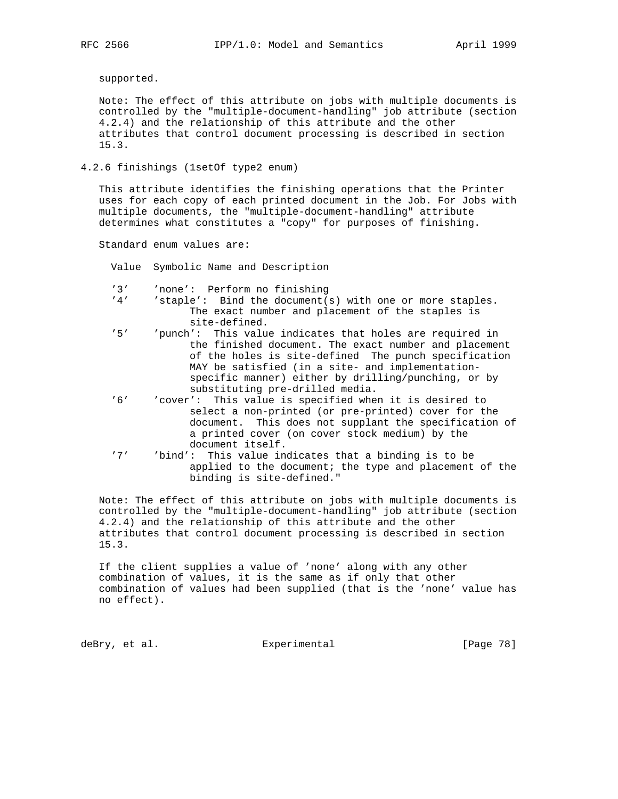supported.

 Note: The effect of this attribute on jobs with multiple documents is controlled by the "multiple-document-handling" job attribute (section 4.2.4) and the relationship of this attribute and the other attributes that control document processing is described in section 15.3.

4.2.6 finishings (1setOf type2 enum)

 This attribute identifies the finishing operations that the Printer uses for each copy of each printed document in the Job. For Jobs with multiple documents, the "multiple-document-handling" attribute determines what constitutes a "copy" for purposes of finishing.

Standard enum values are:

Value Symbolic Name and Description

'3' 'none': Perform no finishing<br>'4' 'staple': Bind the document(

- $'$ staple': Bind the document(s) with one or more staples. The exact number and placement of the staples is site-defined.<br>5' vunch': This value''
- 'punch': This value indicates that holes are required in the finished document. The exact number and placement of the holes is site-defined The punch specification MAY be satisfied (in a site- and implementation specific manner) either by drilling/punching, or by substituting pre-drilled media.
- '6' 'cover': This value is specified when it is desired to select a non-printed (or pre-printed) cover for the document. This does not supplant the specification of a printed cover (on cover stock medium) by the document itself.
- '7' 'bind': This value indicates that a binding is to be applied to the document; the type and placement of the binding is site-defined."

 Note: The effect of this attribute on jobs with multiple documents is controlled by the "multiple-document-handling" job attribute (section 4.2.4) and the relationship of this attribute and the other attributes that control document processing is described in section 15.3.

 If the client supplies a value of 'none' along with any other combination of values, it is the same as if only that other combination of values had been supplied (that is the 'none' value has no effect).

deBry, et al. Subsectimental Experimental [Page 78]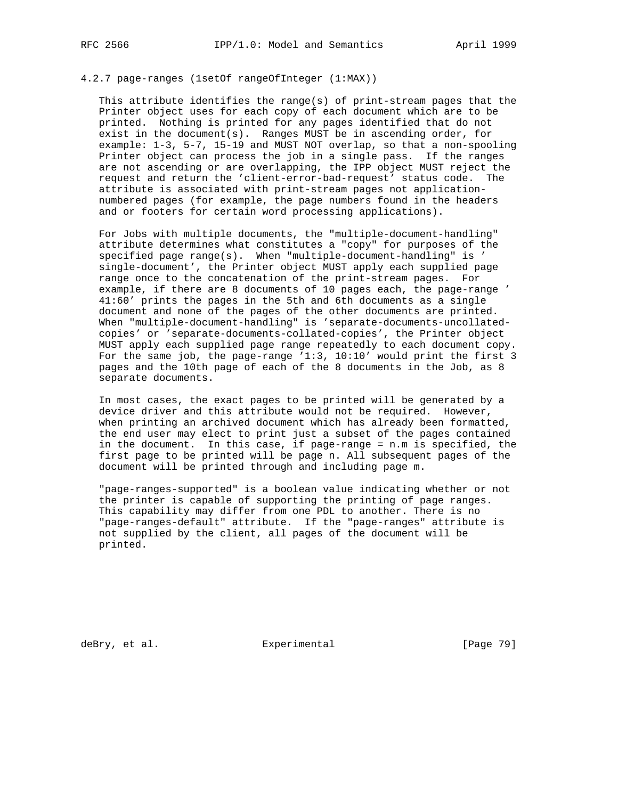## 4.2.7 page-ranges (1setOf rangeOfInteger (1:MAX))

 This attribute identifies the range(s) of print-stream pages that the Printer object uses for each copy of each document which are to be printed. Nothing is printed for any pages identified that do not exist in the document(s). Ranges MUST be in ascending order, for example: 1-3, 5-7, 15-19 and MUST NOT overlap, so that a non-spooling Printer object can process the job in a single pass. If the ranges are not ascending or are overlapping, the IPP object MUST reject the request and return the 'client-error-bad-request' status code. The attribute is associated with print-stream pages not application numbered pages (for example, the page numbers found in the headers and or footers for certain word processing applications).

 For Jobs with multiple documents, the "multiple-document-handling" attribute determines what constitutes a "copy" for purposes of the specified page range(s). When "multiple-document-handling" is ' single-document', the Printer object MUST apply each supplied page range once to the concatenation of the print-stream pages. For example, if there are 8 documents of 10 pages each, the page-range ' 41:60' prints the pages in the 5th and 6th documents as a single document and none of the pages of the other documents are printed. When "multiple-document-handling" is 'separate-documents-uncollated copies' or 'separate-documents-collated-copies', the Printer object MUST apply each supplied page range repeatedly to each document copy. For the same job, the page-range '1:3, 10:10' would print the first 3 pages and the 10th page of each of the 8 documents in the Job, as 8 separate documents.

 In most cases, the exact pages to be printed will be generated by a device driver and this attribute would not be required. However, when printing an archived document which has already been formatted, the end user may elect to print just a subset of the pages contained in the document. In this case, if page-range = n.m is specified, the first page to be printed will be page n. All subsequent pages of the document will be printed through and including page m.

 "page-ranges-supported" is a boolean value indicating whether or not the printer is capable of supporting the printing of page ranges. This capability may differ from one PDL to another. There is no "page-ranges-default" attribute. If the "page-ranges" attribute is not supplied by the client, all pages of the document will be printed.

deBry, et al. Subsectimental Experimental [Page 79]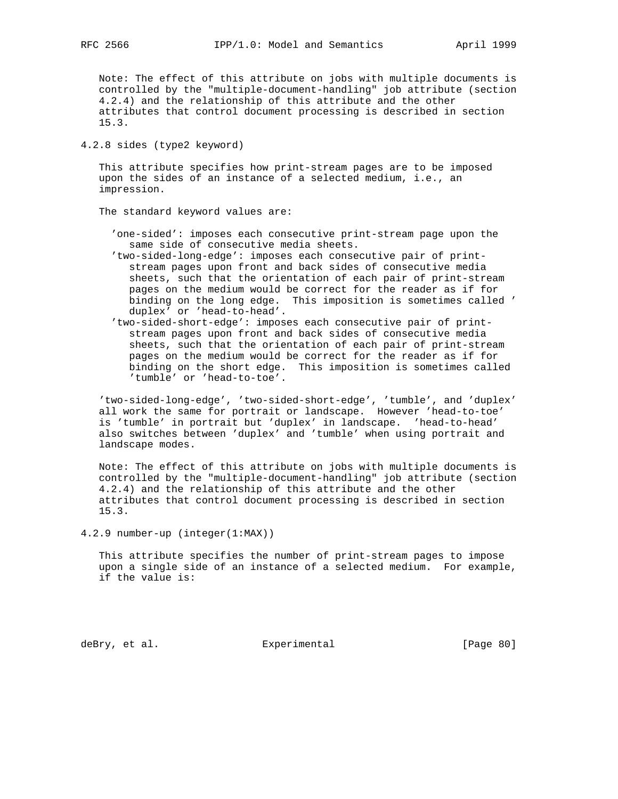Note: The effect of this attribute on jobs with multiple documents is controlled by the "multiple-document-handling" job attribute (section 4.2.4) and the relationship of this attribute and the other attributes that control document processing is described in section 15.3.

4.2.8 sides (type2 keyword)

 This attribute specifies how print-stream pages are to be imposed upon the sides of an instance of a selected medium, i.e., an impression.

The standard keyword values are:

- 'one-sided': imposes each consecutive print-stream page upon the same side of consecutive media sheets.
- 'two-sided-long-edge': imposes each consecutive pair of print stream pages upon front and back sides of consecutive media sheets, such that the orientation of each pair of print-stream pages on the medium would be correct for the reader as if for binding on the long edge. This imposition is sometimes called ' duplex' or 'head-to-head'.
- 'two-sided-short-edge': imposes each consecutive pair of print stream pages upon front and back sides of consecutive media sheets, such that the orientation of each pair of print-stream pages on the medium would be correct for the reader as if for binding on the short edge. This imposition is sometimes called 'tumble' or 'head-to-toe'.

 'two-sided-long-edge', 'two-sided-short-edge', 'tumble', and 'duplex' all work the same for portrait or landscape. However 'head-to-toe' is 'tumble' in portrait but 'duplex' in landscape. 'head-to-head' also switches between 'duplex' and 'tumble' when using portrait and landscape modes.

 Note: The effect of this attribute on jobs with multiple documents is controlled by the "multiple-document-handling" job attribute (section 4.2.4) and the relationship of this attribute and the other attributes that control document processing is described in section 15.3.

4.2.9 number-up (integer(1:MAX))

 This attribute specifies the number of print-stream pages to impose upon a single side of an instance of a selected medium. For example, if the value is:

deBry, et al. Subsectimental Experimental [Page 80]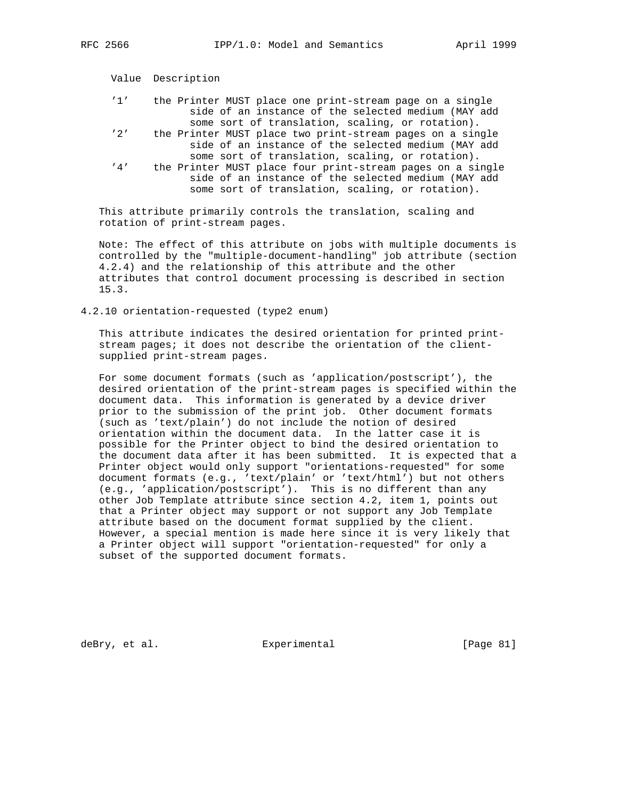|                 | Value Description                                                                                                                                                     |
|-----------------|-----------------------------------------------------------------------------------------------------------------------------------------------------------------------|
| 11 <sup>1</sup> | the Printer MUST place one print-stream page on a single<br>side of an instance of the selected medium (MAY add<br>some sort of translation, scaling, or rotation).   |
| '2'             | the Printer MUST place two print-stream pages on a single<br>side of an instance of the selected medium (MAY add<br>some sort of translation, scaling, or rotation).  |
| '4'             | the Printer MUST place four print-stream pages on a single<br>side of an instance of the selected medium (MAY add<br>some sort of translation, scaling, or rotation). |

 This attribute primarily controls the translation, scaling and rotation of print-stream pages.

 Note: The effect of this attribute on jobs with multiple documents is controlled by the "multiple-document-handling" job attribute (section 4.2.4) and the relationship of this attribute and the other attributes that control document processing is described in section 15.3.

4.2.10 orientation-requested (type2 enum)

 This attribute indicates the desired orientation for printed print stream pages; it does not describe the orientation of the client supplied print-stream pages.

 For some document formats (such as 'application/postscript'), the desired orientation of the print-stream pages is specified within the document data. This information is generated by a device driver prior to the submission of the print job. Other document formats (such as 'text/plain') do not include the notion of desired orientation within the document data. In the latter case it is possible for the Printer object to bind the desired orientation to the document data after it has been submitted. It is expected that a Printer object would only support "orientations-requested" for some document formats (e.g., 'text/plain' or 'text/html') but not others (e.g., 'application/postscript'). This is no different than any other Job Template attribute since section 4.2, item 1, points out that a Printer object may support or not support any Job Template attribute based on the document format supplied by the client. However, a special mention is made here since it is very likely that a Printer object will support "orientation-requested" for only a subset of the supported document formats.

deBry, et al. Subsection Experimental Contracts [Page 81]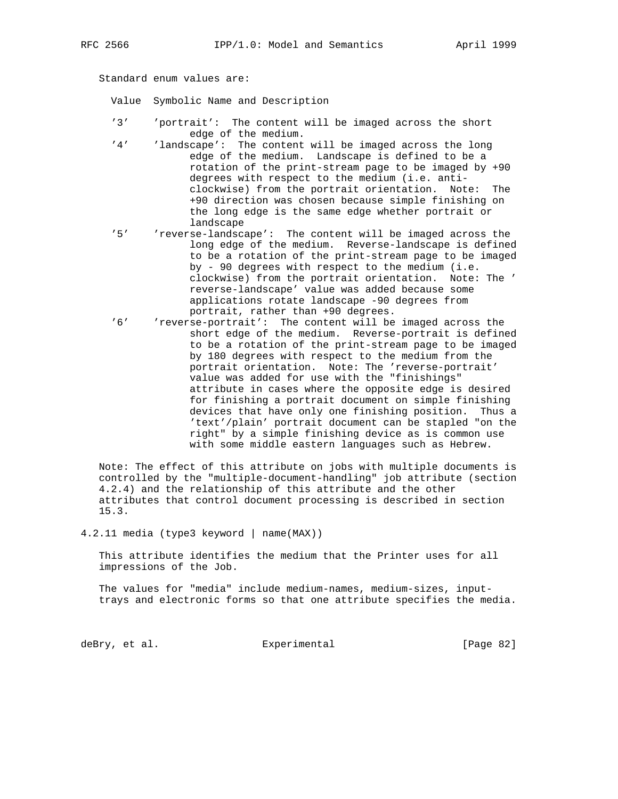Standard enum values are:

Value Symbolic Name and Description

- '3' 'portrait': The content will be imaged across the short edge of the medium.<br>'4' 'landscape': The content
- 'landscape': The content will be imaged across the long edge of the medium. Landscape is defined to be a rotation of the print-stream page to be imaged by +90 degrees with respect to the medium (i.e. anti clockwise) from the portrait orientation. Note: The +90 direction was chosen because simple finishing on the long edge is the same edge whether portrait or landscape
- '5' 'reverse-landscape': The content will be imaged across the long edge of the medium. Reverse-landscape is defined to be a rotation of the print-stream page to be imaged by - 90 degrees with respect to the medium (i.e. clockwise) from the portrait orientation. Note: The ' reverse-landscape' value was added because some applications rotate landscape -90 degrees from portrait, rather than +90 degrees.
- '6' 'reverse-portrait': The content will be imaged across the short edge of the medium. Reverse-portrait is defined to be a rotation of the print-stream page to be imaged by 180 degrees with respect to the medium from the portrait orientation. Note: The 'reverse-portrait' value was added for use with the "finishings" attribute in cases where the opposite edge is desired for finishing a portrait document on simple finishing devices that have only one finishing position. Thus a 'text'/plain' portrait document can be stapled "on the right" by a simple finishing device as is common use with some middle eastern languages such as Hebrew.

 Note: The effect of this attribute on jobs with multiple documents is controlled by the "multiple-document-handling" job attribute (section 4.2.4) and the relationship of this attribute and the other attributes that control document processing is described in section 15.3.

4.2.11 media (type3 keyword | name(MAX))

 This attribute identifies the medium that the Printer uses for all impressions of the Job.

 The values for "media" include medium-names, medium-sizes, input trays and electronic forms so that one attribute specifies the media.

deBry, et al. Experimental [Page 82]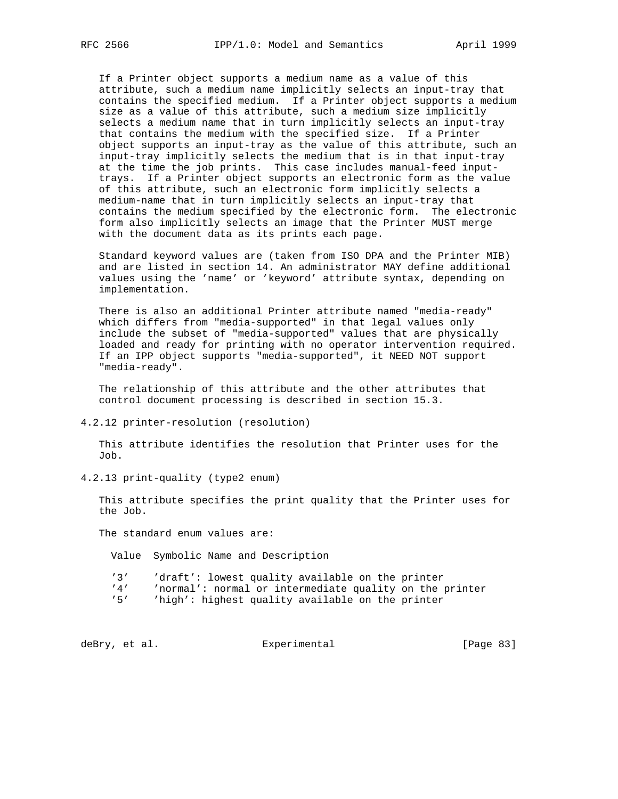If a Printer object supports a medium name as a value of this attribute, such a medium name implicitly selects an input-tray that contains the specified medium. If a Printer object supports a medium size as a value of this attribute, such a medium size implicitly selects a medium name that in turn implicitly selects an input-tray that contains the medium with the specified size. If a Printer object supports an input-tray as the value of this attribute, such an input-tray implicitly selects the medium that is in that input-tray at the time the job prints. This case includes manual-feed input trays. If a Printer object supports an electronic form as the value of this attribute, such an electronic form implicitly selects a medium-name that in turn implicitly selects an input-tray that contains the medium specified by the electronic form. The electronic form also implicitly selects an image that the Printer MUST merge with the document data as its prints each page.

 Standard keyword values are (taken from ISO DPA and the Printer MIB) and are listed in section 14. An administrator MAY define additional values using the 'name' or 'keyword' attribute syntax, depending on implementation.

 There is also an additional Printer attribute named "media-ready" which differs from "media-supported" in that legal values only include the subset of "media-supported" values that are physically loaded and ready for printing with no operator intervention required. If an IPP object supports "media-supported", it NEED NOT support "media-ready".

 The relationship of this attribute and the other attributes that control document processing is described in section 15.3.

4.2.12 printer-resolution (resolution)

 This attribute identifies the resolution that Printer uses for the Job.

4.2.13 print-quality (type2 enum)

 This attribute specifies the print quality that the Printer uses for the Job.

The standard enum values are:

Value Symbolic Name and Description

'3' 'draft': lowest quality available on the printer

'4' 'normal': normal or intermediate quality on the printer

'5' 'high': highest quality available on the printer

deBry, et al. Subsectimental Experimental [Page 83]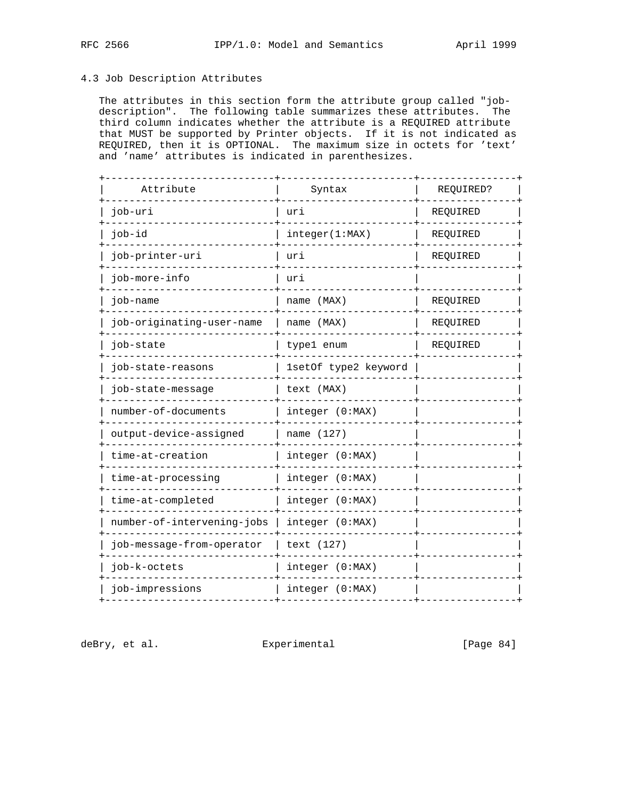# 4.3 Job Description Attributes

 The attributes in this section form the attribute group called "job description". The following table summarizes these attributes. The third column indicates whether the attribute is a REQUIRED attribute that MUST be supported by Printer objects. If it is not indicated as REQUIRED, then it is OPTIONAL. The maximum size in octets for 'text' and 'name' attributes is indicated in parenthesizes.

| Attribute                  | Syntax               | REQUIRED? |
|----------------------------|----------------------|-----------|
| job-uri                    | uri                  | REQUIRED  |
| job-id                     | integer(1:MAX)       | REQUIRED  |
| job-printer-uri            | uri                  | REQUIRED  |
| job-more-info              | uri                  |           |
| job-name                   | name (MAX)           | REQUIRED  |
| job-originating-user-name  | name (MAX)           | REQUIRED  |
| job-state                  | type1 enum           | REQUIRED  |
| job-state-reasons          | 1setOf type2 keyword |           |
| job-state-message          | text (MAX)           |           |
| number-of-documents        | integer (0:MAX)      |           |
| output-device-assigned     | name (127)           |           |
| time-at-creation           | integer (0:MAX)      |           |
| time-at-processing         | integer (0:MAX)      |           |
| time-at-completed          | integer (0:MAX)      |           |
| number-of-intervening-jobs | integer (0:MAX)      |           |
| job-message-from-operator  | text (127)           |           |
| job-k-octets               | integer (0:MAX)      |           |
| job-impressions            | integer (0:MAX)      |           |
|                            |                      |           |

deBry, et al. <br>Experimental [Page 84]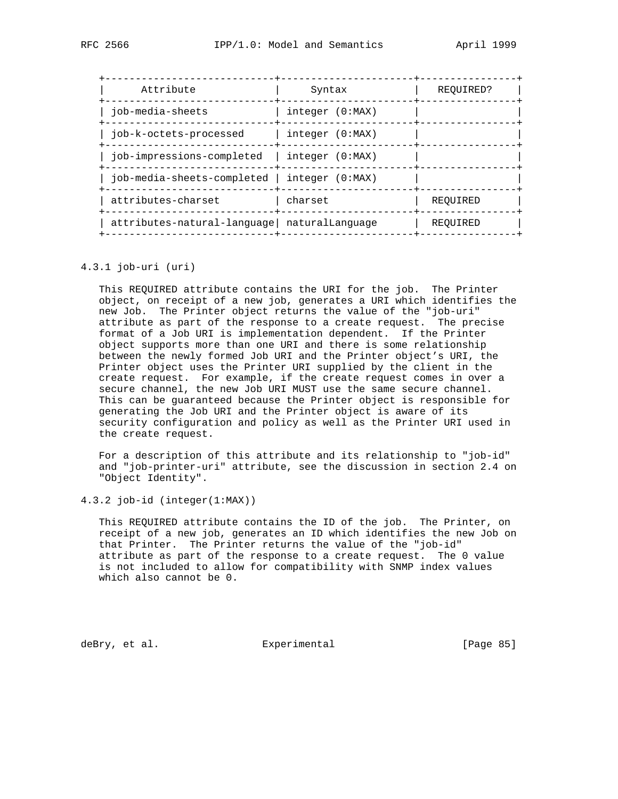| Attribute                                         | Syntax          | REOUIRED? |  |
|---------------------------------------------------|-----------------|-----------|--|
| iob-media-sheets                                  | integer (0:MAX) |           |  |
| iob-k-octets-processed                            | integer (0:MAX) |           |  |
| iob-impressions-completed                         | integer (0:MAX) |           |  |
| $job$ -media-sheets-completed   integer $(0:MAX)$ |                 |           |  |
| attributes-charset                                | charset         | REOUIRED  |  |
| attributes-natural-language naturalLanguage       |                 | REOUIRED  |  |
|                                                   |                 |           |  |

## 4.3.1 job-uri (uri)

 This REQUIRED attribute contains the URI for the job. The Printer object, on receipt of a new job, generates a URI which identifies the new Job. The Printer object returns the value of the "job-uri" attribute as part of the response to a create request. The precise format of a Job URI is implementation dependent. If the Printer object supports more than one URI and there is some relationship between the newly formed Job URI and the Printer object's URI, the Printer object uses the Printer URI supplied by the client in the create request. For example, if the create request comes in over a secure channel, the new Job URI MUST use the same secure channel. This can be guaranteed because the Printer object is responsible for generating the Job URI and the Printer object is aware of its security configuration and policy as well as the Printer URI used in the create request.

 For a description of this attribute and its relationship to "job-id" and "job-printer-uri" attribute, see the discussion in section 2.4 on "Object Identity".

4.3.2 job-id (integer(1:MAX))

 This REQUIRED attribute contains the ID of the job. The Printer, on receipt of a new job, generates an ID which identifies the new Job on that Printer. The Printer returns the value of the "job-id" attribute as part of the response to a create request. The 0 value is not included to allow for compatibility with SNMP index values which also cannot be 0.

deBry, et al. Subsection Experimental Contracts [Page 85]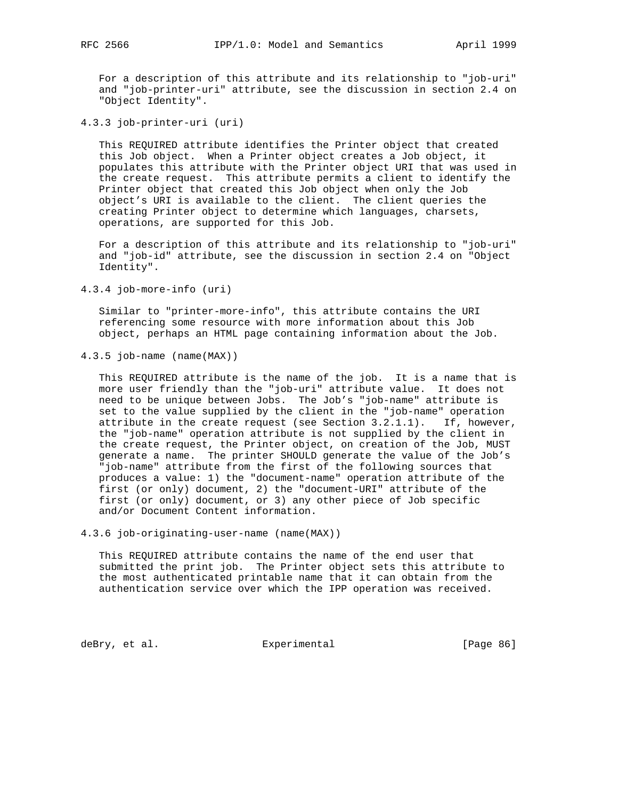For a description of this attribute and its relationship to "job-uri" and "job-printer-uri" attribute, see the discussion in section 2.4 on "Object Identity".

4.3.3 job-printer-uri (uri)

 This REQUIRED attribute identifies the Printer object that created this Job object. When a Printer object creates a Job object, it populates this attribute with the Printer object URI that was used in the create request. This attribute permits a client to identify the Printer object that created this Job object when only the Job object's URI is available to the client. The client queries the creating Printer object to determine which languages, charsets, operations, are supported for this Job.

 For a description of this attribute and its relationship to "job-uri" and "job-id" attribute, see the discussion in section 2.4 on "Object Identity".

4.3.4 job-more-info (uri)

 Similar to "printer-more-info", this attribute contains the URI referencing some resource with more information about this Job object, perhaps an HTML page containing information about the Job.

4.3.5 job-name (name(MAX))

 This REQUIRED attribute is the name of the job. It is a name that is more user friendly than the "job-uri" attribute value. It does not need to be unique between Jobs. The Job's "job-name" attribute is set to the value supplied by the client in the "job-name" operation attribute in the create request (see Section  $3.2.1.1$ ). If, however, the "job-name" operation attribute is not supplied by the client in the create request, the Printer object, on creation of the Job, MUST generate a name. The printer SHOULD generate the value of the Job's "job-name" attribute from the first of the following sources that produces a value: 1) the "document-name" operation attribute of the first (or only) document, 2) the "document-URI" attribute of the first (or only) document, or 3) any other piece of Job specific and/or Document Content information.

4.3.6 job-originating-user-name (name(MAX))

 This REQUIRED attribute contains the name of the end user that submitted the print job. The Printer object sets this attribute to the most authenticated printable name that it can obtain from the authentication service over which the IPP operation was received.

deBry, et al. Subsectimental Experimental [Page 86]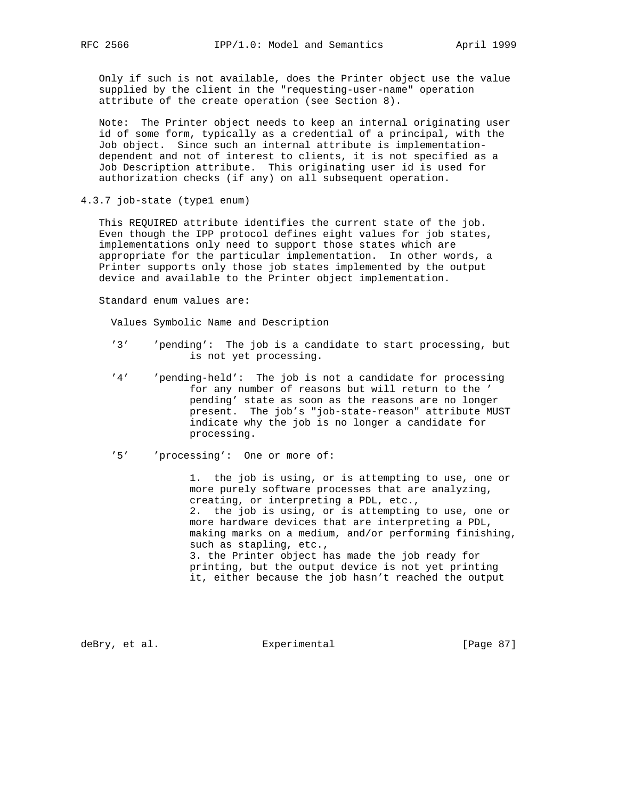Only if such is not available, does the Printer object use the value supplied by the client in the "requesting-user-name" operation attribute of the create operation (see Section 8).

 Note: The Printer object needs to keep an internal originating user id of some form, typically as a credential of a principal, with the Job object. Since such an internal attribute is implementation dependent and not of interest to clients, it is not specified as a Job Description attribute. This originating user id is used for authorization checks (if any) on all subsequent operation.

4.3.7 job-state (type1 enum)

 This REQUIRED attribute identifies the current state of the job. Even though the IPP protocol defines eight values for job states, implementations only need to support those states which are appropriate for the particular implementation. In other words, a Printer supports only those job states implemented by the output device and available to the Printer object implementation.

Standard enum values are:

Values Symbolic Name and Description

- '3' 'pending': The job is a candidate to start processing, but is not yet processing.
- '4' 'pending-held': The job is not a candidate for processing for any number of reasons but will return to the ' pending' state as soon as the reasons are no longer present. The job's "job-state-reason" attribute MUST indicate why the job is no longer a candidate for processing.
- '5' 'processing': One or more of:

 1. the job is using, or is attempting to use, one or more purely software processes that are analyzing, creating, or interpreting a PDL, etc., 2. the job is using, or is attempting to use, one or more hardware devices that are interpreting a PDL, making marks on a medium, and/or performing finishing, such as stapling, etc., 3. the Printer object has made the job ready for printing, but the output device is not yet printing it, either because the job hasn't reached the output

deBry, et al. Subsectimental Experimental [Page 87]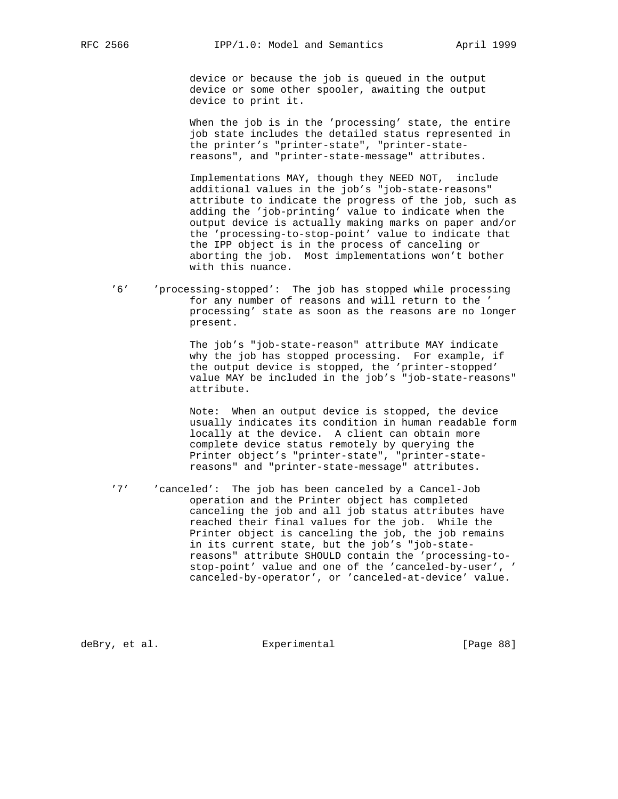device or because the job is queued in the output device or some other spooler, awaiting the output device to print it.

 When the job is in the 'processing' state, the entire job state includes the detailed status represented in the printer's "printer-state", "printer-state reasons", and "printer-state-message" attributes.

 Implementations MAY, though they NEED NOT, include additional values in the job's "job-state-reasons" attribute to indicate the progress of the job, such as adding the 'job-printing' value to indicate when the output device is actually making marks on paper and/or the 'processing-to-stop-point' value to indicate that the IPP object is in the process of canceling or aborting the job. Most implementations won't bother with this nuance.

 '6' 'processing-stopped': The job has stopped while processing for any number of reasons and will return to the ' processing' state as soon as the reasons are no longer present.

> The job's "job-state-reason" attribute MAY indicate why the job has stopped processing. For example, if the output device is stopped, the 'printer-stopped' value MAY be included in the job's "job-state-reasons" attribute.

> Note: When an output device is stopped, the device usually indicates its condition in human readable form locally at the device. A client can obtain more complete device status remotely by querying the Printer object's "printer-state", "printer-state reasons" and "printer-state-message" attributes.

 '7' 'canceled': The job has been canceled by a Cancel-Job operation and the Printer object has completed canceling the job and all job status attributes have reached their final values for the job. While the Printer object is canceling the job, the job remains in its current state, but the job's "job-state reasons" attribute SHOULD contain the 'processing-to stop-point' value and one of the 'canceled-by-user', ' canceled-by-operator', or 'canceled-at-device' value.

deBry, et al.  $\Box$  Experimental [Page 88]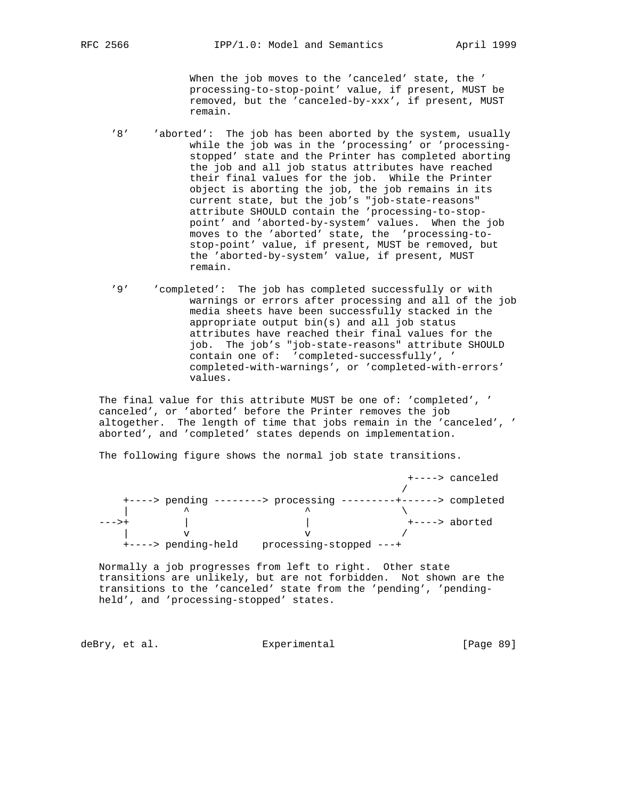When the job moves to the 'canceled' state, the ' processing-to-stop-point' value, if present, MUST be removed, but the 'canceled-by-xxx', if present, MUST remain.

- '8' 'aborted': The job has been aborted by the system, usually while the job was in the 'processing' or 'processing stopped' state and the Printer has completed aborting the job and all job status attributes have reached their final values for the job. While the Printer object is aborting the job, the job remains in its current state, but the job's "job-state-reasons" attribute SHOULD contain the 'processing-to-stop point' and 'aborted-by-system' values. When the job moves to the 'aborted' state, the 'processing-to stop-point' value, if present, MUST be removed, but the 'aborted-by-system' value, if present, MUST remain.
	- '9' 'completed': The job has completed successfully or with warnings or errors after processing and all of the job media sheets have been successfully stacked in the appropriate output bin(s) and all job status attributes have reached their final values for the job. The job's "job-state-reasons" attribute SHOULD contain one of: 'completed-successfully', ' completed-with-warnings', or 'completed-with-errors' values.

 The final value for this attribute MUST be one of: 'completed', ' canceled', or 'aborted' before the Printer removes the job altogether. The length of time that jobs remain in the 'canceled', ' aborted', and 'completed' states depends on implementation.

The following figure shows the normal job state transitions.

|       |                     |                                         |  | +----> canceled             |
|-------|---------------------|-----------------------------------------|--|-----------------------------|
|       |                     |                                         |  |                             |
|       |                     | $+\$ ----> pending --------> processing |  | ---------+------> completed |
|       | ᄉ                   |                                         |  |                             |
| --->+ |                     |                                         |  | +----> aborted              |
|       |                     |                                         |  |                             |
|       | +----> pending-held | processing-stopped ---+                 |  |                             |

 Normally a job progresses from left to right. Other state transitions are unlikely, but are not forbidden. Not shown are the transitions to the 'canceled' state from the 'pending', 'pending held', and 'processing-stopped' states.

deBry, et al. Subsectimental Experimental [Page 89]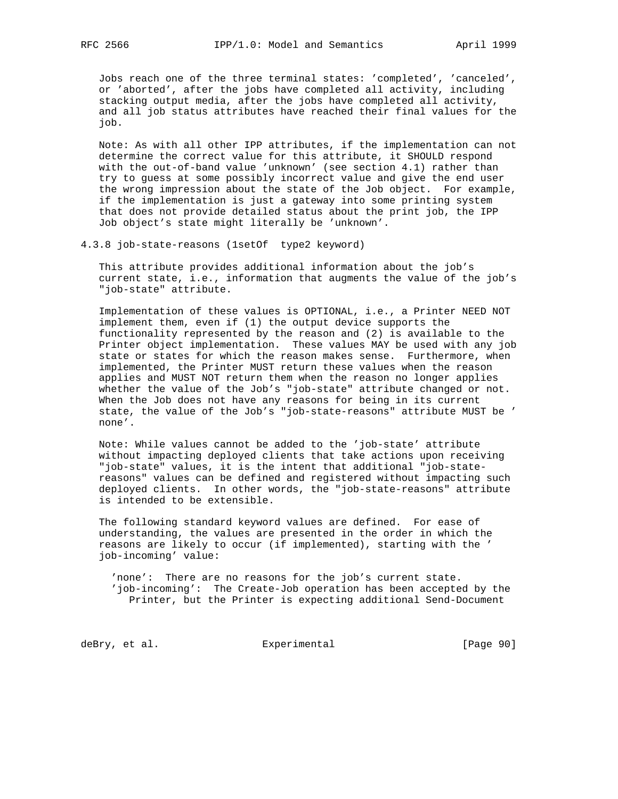Jobs reach one of the three terminal states: 'completed', 'canceled', or 'aborted', after the jobs have completed all activity, including stacking output media, after the jobs have completed all activity, and all job status attributes have reached their final values for the job.

 Note: As with all other IPP attributes, if the implementation can not determine the correct value for this attribute, it SHOULD respond with the out-of-band value 'unknown' (see section 4.1) rather than try to guess at some possibly incorrect value and give the end user the wrong impression about the state of the Job object. For example, if the implementation is just a gateway into some printing system that does not provide detailed status about the print job, the IPP Job object's state might literally be 'unknown'.

4.3.8 job-state-reasons (1setOf type2 keyword)

 This attribute provides additional information about the job's current state, i.e., information that augments the value of the job's "job-state" attribute.

 Implementation of these values is OPTIONAL, i.e., a Printer NEED NOT implement them, even if (1) the output device supports the functionality represented by the reason and (2) is available to the Printer object implementation. These values MAY be used with any job state or states for which the reason makes sense. Furthermore, when implemented, the Printer MUST return these values when the reason applies and MUST NOT return them when the reason no longer applies whether the value of the Job's "job-state" attribute changed or not. When the Job does not have any reasons for being in its current state, the value of the Job's "job-state-reasons" attribute MUST be ' none'.

 Note: While values cannot be added to the 'job-state' attribute without impacting deployed clients that take actions upon receiving "job-state" values, it is the intent that additional "job-state reasons" values can be defined and registered without impacting such deployed clients. In other words, the "job-state-reasons" attribute is intended to be extensible.

 The following standard keyword values are defined. For ease of understanding, the values are presented in the order in which the reasons are likely to occur (if implemented), starting with the ' job-incoming' value:

 'none': There are no reasons for the job's current state. 'job-incoming': The Create-Job operation has been accepted by the Printer, but the Printer is expecting additional Send-Document

deBry, et al. Subsection Experimental Contract (Page 90)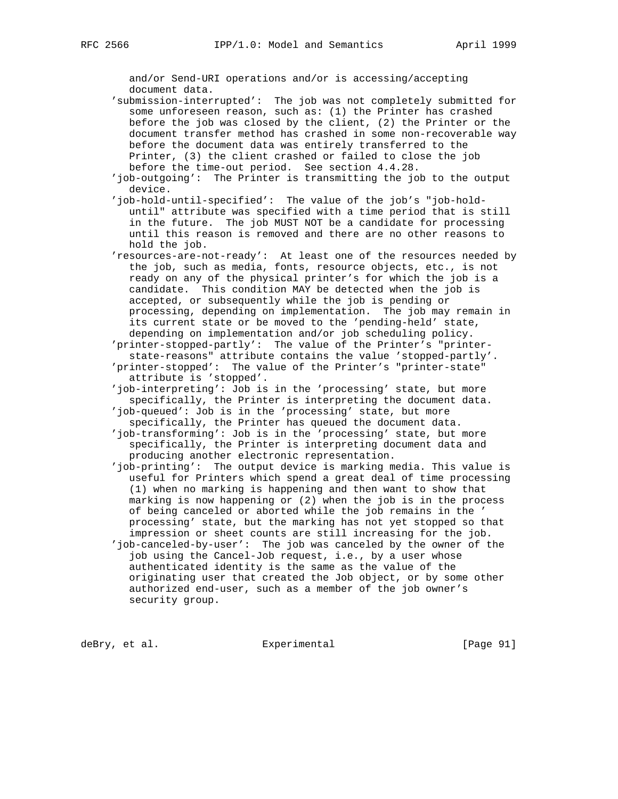and/or Send-URI operations and/or is accessing/accepting document data.

 'submission-interrupted': The job was not completely submitted for some unforeseen reason, such as: (1) the Printer has crashed before the job was closed by the client, (2) the Printer or the document transfer method has crashed in some non-recoverable way before the document data was entirely transferred to the Printer, (3) the client crashed or failed to close the job before the time-out period. See section 4.4.28.

 'job-outgoing': The Printer is transmitting the job to the output device.

 'job-hold-until-specified': The value of the job's "job-hold until" attribute was specified with a time period that is still in the future. The job MUST NOT be a candidate for processing until this reason is removed and there are no other reasons to hold the job.

 'resources-are-not-ready': At least one of the resources needed by the job, such as media, fonts, resource objects, etc., is not ready on any of the physical printer's for which the job is a candidate. This condition MAY be detected when the job is accepted, or subsequently while the job is pending or processing, depending on implementation. The job may remain in its current state or be moved to the 'pending-held' state, depending on implementation and/or job scheduling policy.

 'printer-stopped-partly': The value of the Printer's "printer state-reasons" attribute contains the value 'stopped-partly'. 'printer-stopped': The value of the Printer's "printer-state" attribute is 'stopped'.

 'job-interpreting': Job is in the 'processing' state, but more specifically, the Printer is interpreting the document data. 'job-queued': Job is in the 'processing' state, but more

specifically, the Printer has queued the document data.

 'job-transforming': Job is in the 'processing' state, but more specifically, the Printer is interpreting document data and producing another electronic representation.

 'job-printing': The output device is marking media. This value is useful for Printers which spend a great deal of time processing (1) when no marking is happening and then want to show that marking is now happening or (2) when the job is in the process of being canceled or aborted while the job remains in the ' processing' state, but the marking has not yet stopped so that impression or sheet counts are still increasing for the job.

 'job-canceled-by-user': The job was canceled by the owner of the job using the Cancel-Job request, i.e., by a user whose authenticated identity is the same as the value of the originating user that created the Job object, or by some other authorized end-user, such as a member of the job owner's security group.

deBry, et al. Subsection Experimental CPage 91]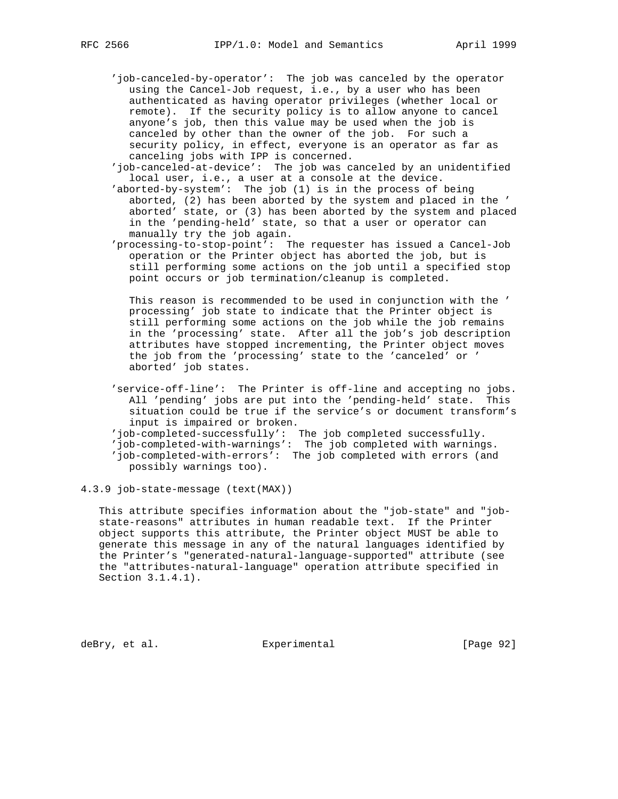- 'job-canceled-by-operator': The job was canceled by the operator using the Cancel-Job request, i.e., by a user who has been authenticated as having operator privileges (whether local or remote). If the security policy is to allow anyone to cancel anyone's job, then this value may be used when the job is canceled by other than the owner of the job. For such a security policy, in effect, everyone is an operator as far as canceling jobs with IPP is concerned.
- 'job-canceled-at-device': The job was canceled by an unidentified local user, i.e., a user at a console at the device.
- 'aborted-by-system': The job (1) is in the process of being aborted, (2) has been aborted by the system and placed in the ' aborted' state, or (3) has been aborted by the system and placed in the 'pending-held' state, so that a user or operator can manually try the job again.
- 'processing-to-stop-point': The requester has issued a Cancel-Job operation or the Printer object has aborted the job, but is still performing some actions on the job until a specified stop point occurs or job termination/cleanup is completed.

 This reason is recommended to be used in conjunction with the ' processing' job state to indicate that the Printer object is still performing some actions on the job while the job remains in the 'processing' state. After all the job's job description attributes have stopped incrementing, the Printer object moves the job from the 'processing' state to the 'canceled' or ' aborted' job states.

- 'service-off-line': The Printer is off-line and accepting no jobs. All 'pending' jobs are put into the 'pending-held' state. This situation could be true if the service's or document transform's input is impaired or broken.
- 'job-completed-successfully': The job completed successfully.
- 'job-completed-with-warnings': The job completed with warnings. 'job-completed-with-errors': The job completed with errors (and possibly warnings too).

#### 4.3.9 job-state-message (text(MAX))

 This attribute specifies information about the "job-state" and "job state-reasons" attributes in human readable text. If the Printer object supports this attribute, the Printer object MUST be able to generate this message in any of the natural languages identified by the Printer's "generated-natural-language-supported" attribute (see the "attributes-natural-language" operation attribute specified in Section 3.1.4.1).

deBry, et al. Subsectimental Experimental [Page 92]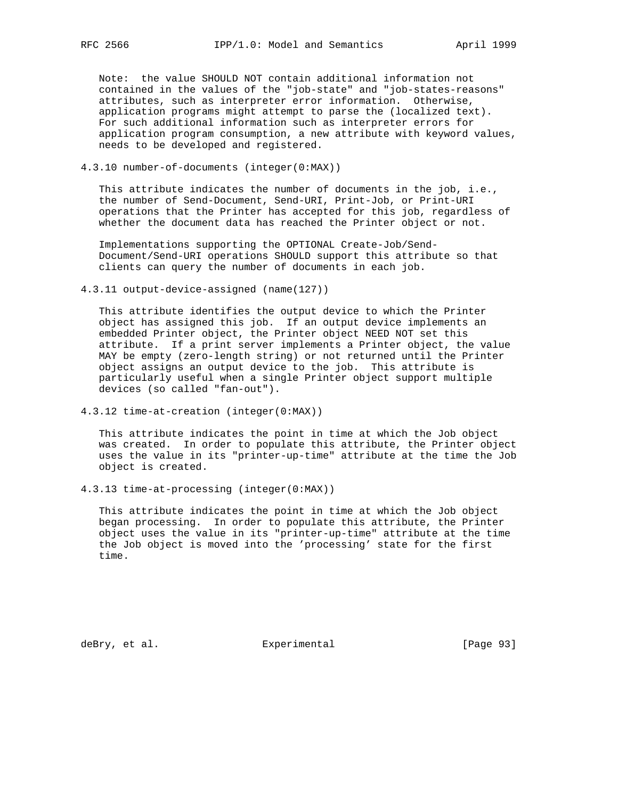Note: the value SHOULD NOT contain additional information not contained in the values of the "job-state" and "job-states-reasons" attributes, such as interpreter error information. Otherwise, application programs might attempt to parse the (localized text). For such additional information such as interpreter errors for application program consumption, a new attribute with keyword values, needs to be developed and registered.

4.3.10 number-of-documents (integer(0:MAX))

 This attribute indicates the number of documents in the job, i.e., the number of Send-Document, Send-URI, Print-Job, or Print-URI operations that the Printer has accepted for this job, regardless of whether the document data has reached the Printer object or not.

 Implementations supporting the OPTIONAL Create-Job/Send- Document/Send-URI operations SHOULD support this attribute so that clients can query the number of documents in each job.

4.3.11 output-device-assigned (name(127))

 This attribute identifies the output device to which the Printer object has assigned this job. If an output device implements an embedded Printer object, the Printer object NEED NOT set this attribute. If a print server implements a Printer object, the value MAY be empty (zero-length string) or not returned until the Printer object assigns an output device to the job. This attribute is particularly useful when a single Printer object support multiple devices (so called "fan-out").

4.3.12 time-at-creation (integer(0:MAX))

 This attribute indicates the point in time at which the Job object was created. In order to populate this attribute, the Printer object uses the value in its "printer-up-time" attribute at the time the Job object is created.

4.3.13 time-at-processing (integer(0:MAX))

 This attribute indicates the point in time at which the Job object began processing. In order to populate this attribute, the Printer object uses the value in its "printer-up-time" attribute at the time the Job object is moved into the 'processing' state for the first time.

deBry, et al. Subsection Experimental Contracts [Page 93]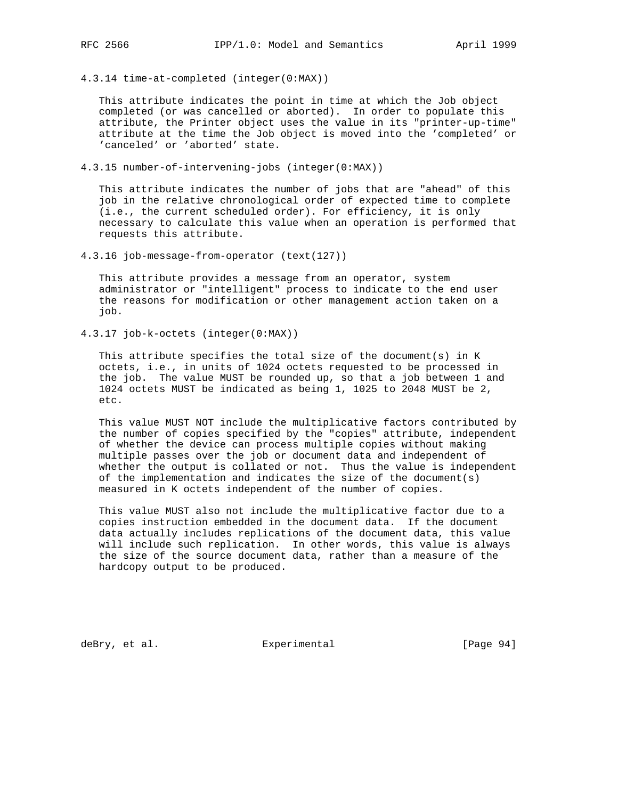4.3.14 time-at-completed (integer(0:MAX))

 This attribute indicates the point in time at which the Job object completed (or was cancelled or aborted). In order to populate this attribute, the Printer object uses the value in its "printer-up-time" attribute at the time the Job object is moved into the 'completed' or 'canceled' or 'aborted' state.

4.3.15 number-of-intervening-jobs (integer(0:MAX))

 This attribute indicates the number of jobs that are "ahead" of this job in the relative chronological order of expected time to complete (i.e., the current scheduled order). For efficiency, it is only necessary to calculate this value when an operation is performed that requests this attribute.

4.3.16 job-message-from-operator (text(127))

 This attribute provides a message from an operator, system administrator or "intelligent" process to indicate to the end user the reasons for modification or other management action taken on a job.

4.3.17 job-k-octets (integer(0:MAX))

This attribute specifies the total size of the document(s) in K octets, i.e., in units of 1024 octets requested to be processed in the job. The value MUST be rounded up, so that a job between 1 and 1024 octets MUST be indicated as being 1, 1025 to 2048 MUST be 2, etc.

 This value MUST NOT include the multiplicative factors contributed by the number of copies specified by the "copies" attribute, independent of whether the device can process multiple copies without making multiple passes over the job or document data and independent of whether the output is collated or not. Thus the value is independent of the implementation and indicates the size of the document(s) measured in K octets independent of the number of copies.

 This value MUST also not include the multiplicative factor due to a copies instruction embedded in the document data. If the document data actually includes replications of the document data, this value will include such replication. In other words, this value is always the size of the source document data, rather than a measure of the hardcopy output to be produced.

deBry, et al. Subsectimental Experimental [Page 94]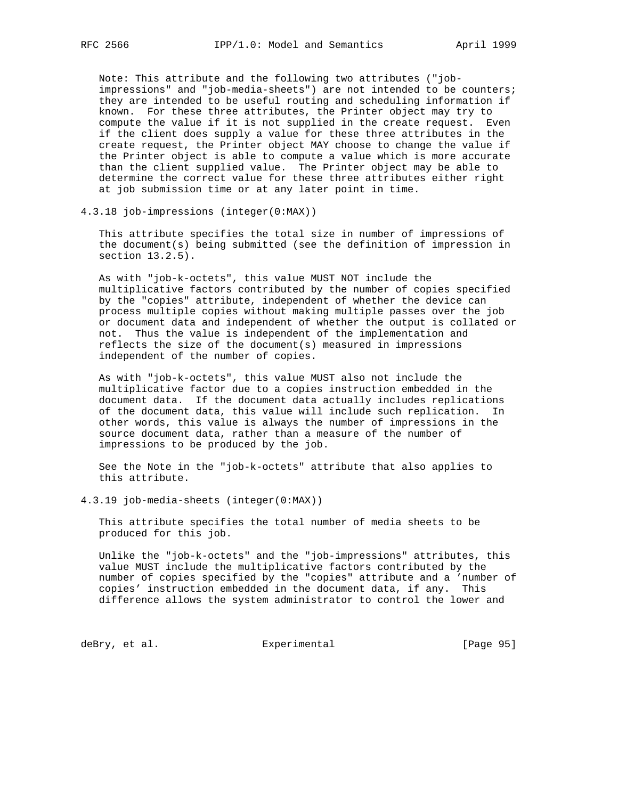Note: This attribute and the following two attributes ("job impressions" and "job-media-sheets") are not intended to be counters; they are intended to be useful routing and scheduling information if known. For these three attributes, the Printer object may try to compute the value if it is not supplied in the create request. Even if the client does supply a value for these three attributes in the create request, the Printer object MAY choose to change the value if the Printer object is able to compute a value which is more accurate than the client supplied value. The Printer object may be able to determine the correct value for these three attributes either right at job submission time or at any later point in time.

4.3.18 job-impressions (integer(0:MAX))

 This attribute specifies the total size in number of impressions of the document(s) being submitted (see the definition of impression in section 13.2.5).

 As with "job-k-octets", this value MUST NOT include the multiplicative factors contributed by the number of copies specified by the "copies" attribute, independent of whether the device can process multiple copies without making multiple passes over the job or document data and independent of whether the output is collated or not. Thus the value is independent of the implementation and reflects the size of the document(s) measured in impressions independent of the number of copies.

 As with "job-k-octets", this value MUST also not include the multiplicative factor due to a copies instruction embedded in the document data. If the document data actually includes replications of the document data, this value will include such replication. In other words, this value is always the number of impressions in the source document data, rather than a measure of the number of impressions to be produced by the job.

 See the Note in the "job-k-octets" attribute that also applies to this attribute.

4.3.19 job-media-sheets (integer(0:MAX))

 This attribute specifies the total number of media sheets to be produced for this job.

 Unlike the "job-k-octets" and the "job-impressions" attributes, this value MUST include the multiplicative factors contributed by the number of copies specified by the "copies" attribute and a 'number of copies' instruction embedded in the document data, if any. This difference allows the system administrator to control the lower and

deBry, et al. Subsection Experimental Contracts [Page 95]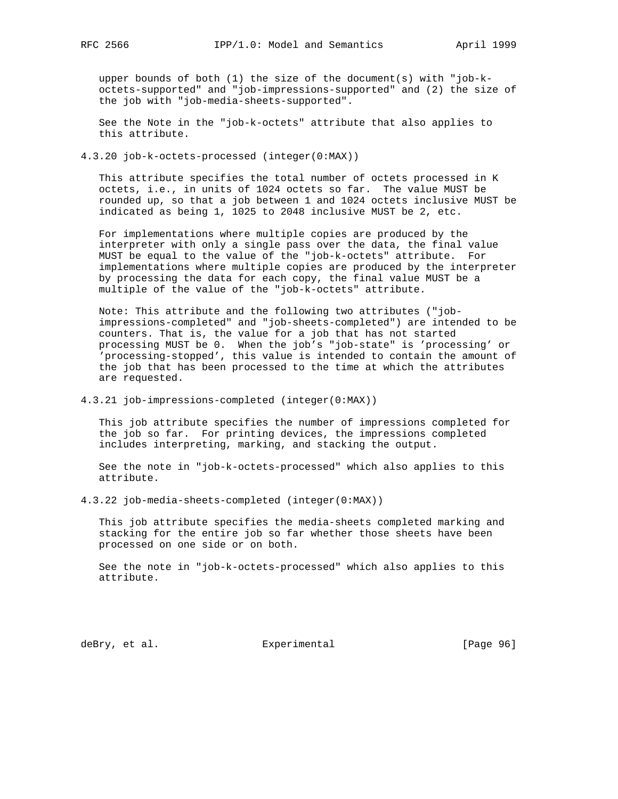upper bounds of both (1) the size of the document(s) with "job-k octets-supported" and "job-impressions-supported" and (2) the size of the job with "job-media-sheets-supported".

 See the Note in the "job-k-octets" attribute that also applies to this attribute.

4.3.20 job-k-octets-processed (integer(0:MAX))

 This attribute specifies the total number of octets processed in K octets, i.e., in units of 1024 octets so far. The value MUST be rounded up, so that a job between 1 and 1024 octets inclusive MUST be indicated as being 1, 1025 to 2048 inclusive MUST be 2, etc.

 For implementations where multiple copies are produced by the interpreter with only a single pass over the data, the final value MUST be equal to the value of the "job-k-octets" attribute. For implementations where multiple copies are produced by the interpreter by processing the data for each copy, the final value MUST be a multiple of the value of the "job-k-octets" attribute.

 Note: This attribute and the following two attributes ("job impressions-completed" and "job-sheets-completed") are intended to be counters. That is, the value for a job that has not started processing MUST be 0. When the job's "job-state" is 'processing' or 'processing-stopped', this value is intended to contain the amount of the job that has been processed to the time at which the attributes are requested.

4.3.21 job-impressions-completed (integer(0:MAX))

 This job attribute specifies the number of impressions completed for the job so far. For printing devices, the impressions completed includes interpreting, marking, and stacking the output.

 See the note in "job-k-octets-processed" which also applies to this attribute.

4.3.22 job-media-sheets-completed (integer(0:MAX))

 This job attribute specifies the media-sheets completed marking and stacking for the entire job so far whether those sheets have been processed on one side or on both.

 See the note in "job-k-octets-processed" which also applies to this attribute.

deBry, et al. Subsectimental Experimental [Page 96]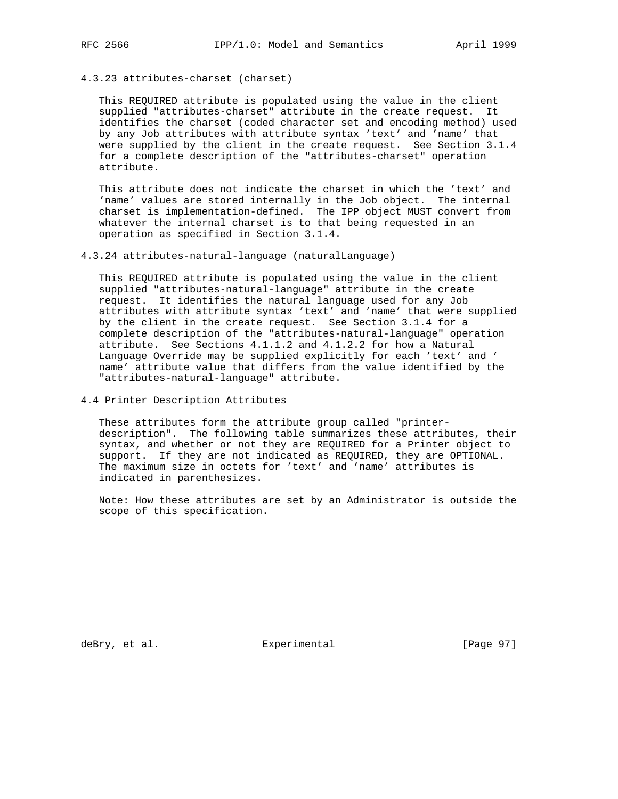4.3.23 attributes-charset (charset)

 This REQUIRED attribute is populated using the value in the client supplied "attributes-charset" attribute in the create request. It identifies the charset (coded character set and encoding method) used by any Job attributes with attribute syntax 'text' and 'name' that were supplied by the client in the create request. See Section 3.1.4 for a complete description of the "attributes-charset" operation attribute.

 This attribute does not indicate the charset in which the 'text' and 'name' values are stored internally in the Job object. The internal charset is implementation-defined. The IPP object MUST convert from whatever the internal charset is to that being requested in an operation as specified in Section 3.1.4.

4.3.24 attributes-natural-language (naturalLanguage)

 This REQUIRED attribute is populated using the value in the client supplied "attributes-natural-language" attribute in the create request. It identifies the natural language used for any Job attributes with attribute syntax 'text' and 'name' that were supplied by the client in the create request. See Section 3.1.4 for a complete description of the "attributes-natural-language" operation attribute. See Sections 4.1.1.2 and 4.1.2.2 for how a Natural Language Override may be supplied explicitly for each 'text' and ' name' attribute value that differs from the value identified by the "attributes-natural-language" attribute.

4.4 Printer Description Attributes

 These attributes form the attribute group called "printer description". The following table summarizes these attributes, their syntax, and whether or not they are REQUIRED for a Printer object to support. If they are not indicated as REQUIRED, they are OPTIONAL. The maximum size in octets for 'text' and 'name' attributes is indicated in parenthesizes.

 Note: How these attributes are set by an Administrator is outside the scope of this specification.

deBry, et al. Subsectimental Experimental [Page 97]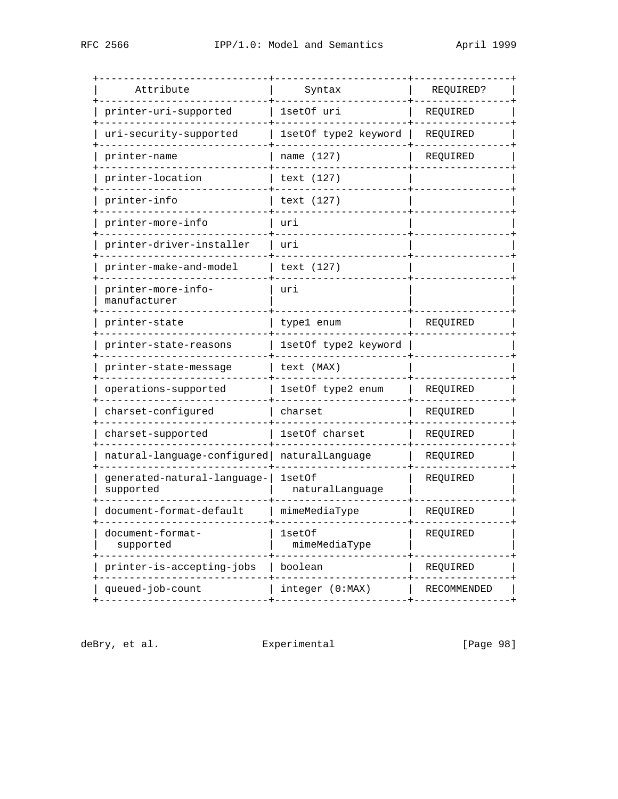| Attribute                                | Syntax                    | REQUIRED?   |
|------------------------------------------|---------------------------|-------------|
| printer-uri-supported                    | lsetOf uri                | REQUIRED    |
| uri-security-supported                   | 1setOf type2 keyword      | REQUIRED    |
| printer-name                             | name (127)                | REQUIRED    |
| printer-location                         | text (127)                |             |
| printer-info                             | text (127)                |             |
| printer-more-info                        | uri                       |             |
| printer-driver-installer                 | uri                       |             |
| printer-make-and-model                   | text (127)                |             |
| printer-more-info-<br>manufacturer       | uri                       |             |
| printer-state                            | type1 enum                | REQUIRED    |
| printer-state-reasons                    | 1setOf type2 keyword      |             |
| printer-state-message                    | text (MAX)                |             |
| operations-supported                     | 1setOf type2 enum         | REQUIRED    |
| charset-configured                       | charset                   | REQUIRED    |
| charset-supported                        | 1setOf charset            | REQUIRED    |
| natural-language-configured              | naturalLanquaqe           | REOUIRED    |
| generated-natural-language-<br>supported | lsetOf<br>naturalLanguage | REQUIRED    |
| document-format-default                  | mimeMediaType             | REQUIRED    |
| document-format-<br>supported            | 1setOf<br>mimeMediaType   | REQUIRED    |
| printer-is-accepting-jobs                | boolean                   | REQUIRED    |
| queued-job-count                         | integer (0:MAX)           | RECOMMENDED |
|                                          |                           |             |

deBry, et al. <br>Experimental [Page 98]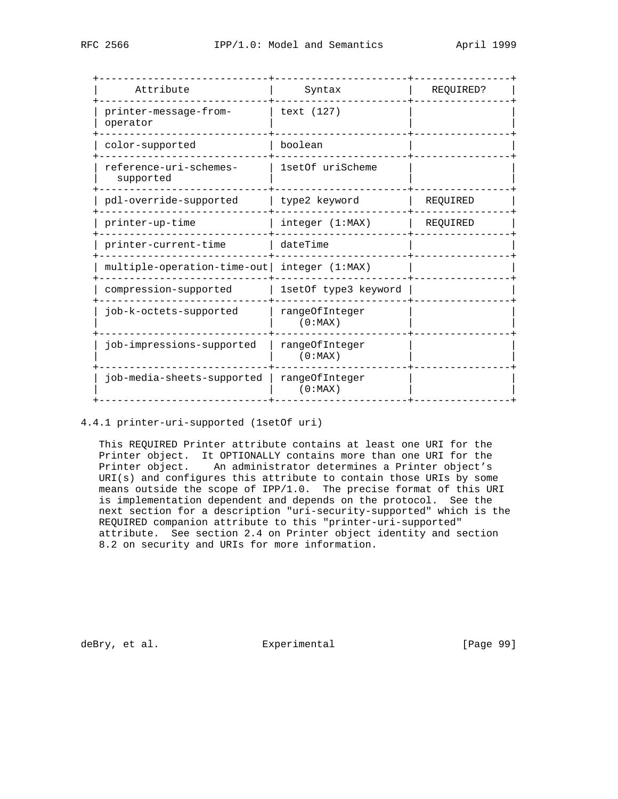| Attribute                                   | Syntax                    | REQUIRED? |  |
|---------------------------------------------|---------------------------|-----------|--|
| printer-message-from-<br>operator           | text (127)                |           |  |
| color-supported                             | boolean                   |           |  |
| reference-uri-schemes-<br>supported         | 1setOf uriScheme          |           |  |
| pdl-override-supported                      | type2 keyword             | REQUIRED  |  |
| printer-up-time                             | integer (1:MAX)           | REQUIRED  |  |
| printer-current-time                        | dateTime                  |           |  |
| multiple-operation-time-out integer (1:MAX) |                           |           |  |
| compression-supported                       | 1setOf type3 keyword      |           |  |
| job-k-octets-supported                      | rangeOfInteger<br>(0:MAX) |           |  |
| job-impressions-supported                   | rangeOfInteger<br>(0:MAX) |           |  |
| job-media-sheets-supported                  | rangeOfInteger<br>(0:MAX) |           |  |
|                                             |                           |           |  |

4.4.1 printer-uri-supported (1setOf uri)

 This REQUIRED Printer attribute contains at least one URI for the Printer object. It OPTIONALLY contains more than one URI for the Printer object. An administrator determines a Printer object's URI(s) and configures this attribute to contain those URIs by some means outside the scope of IPP/1.0. The precise format of this URI is implementation dependent and depends on the protocol. See the next section for a description "uri-security-supported" which is the REQUIRED companion attribute to this "printer-uri-supported" attribute. See section 2.4 on Printer object identity and section 8.2 on security and URIs for more information.

deBry, et al. Subsectimental Experimental (Page 99)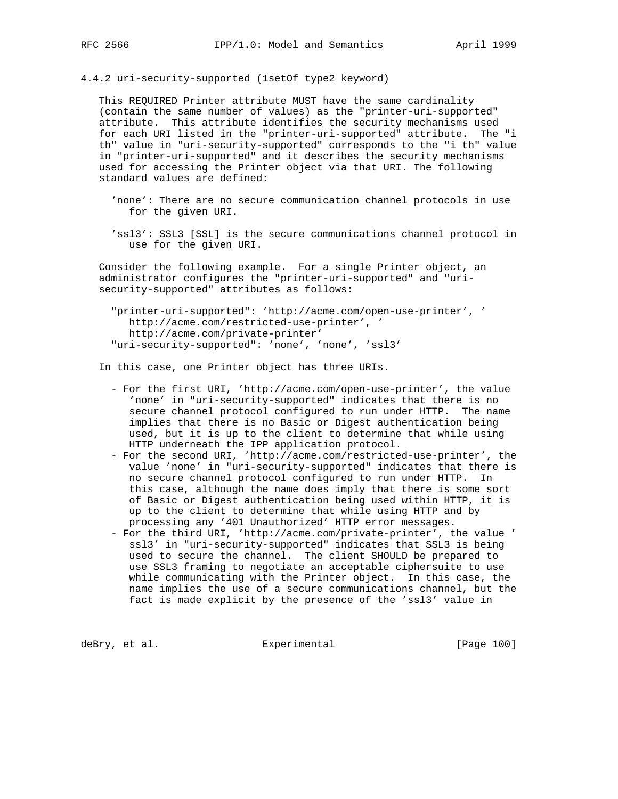4.4.2 uri-security-supported (1setOf type2 keyword)

 This REQUIRED Printer attribute MUST have the same cardinality (contain the same number of values) as the "printer-uri-supported" attribute. This attribute identifies the security mechanisms used for each URI listed in the "printer-uri-supported" attribute. The "i th" value in "uri-security-supported" corresponds to the "i th" value in "printer-uri-supported" and it describes the security mechanisms used for accessing the Printer object via that URI. The following standard values are defined:

 'none': There are no secure communication channel protocols in use for the given URI.

 'ssl3': SSL3 [SSL] is the secure communications channel protocol in use for the given URI.

 Consider the following example. For a single Printer object, an administrator configures the "printer-uri-supported" and "uri security-supported" attributes as follows:

 "printer-uri-supported": 'http://acme.com/open-use-printer', ' http://acme.com/restricted-use-printer', ' http://acme.com/private-printer' "uri-security-supported": 'none', 'none', 'ssl3'

In this case, one Printer object has three URIs.

- For the first URI, 'http://acme.com/open-use-printer', the value 'none' in "uri-security-supported" indicates that there is no secure channel protocol configured to run under HTTP. The name implies that there is no Basic or Digest authentication being used, but it is up to the client to determine that while using HTTP underneath the IPP application protocol.
- For the second URI, 'http://acme.com/restricted-use-printer', the value 'none' in "uri-security-supported" indicates that there is no secure channel protocol configured to run under HTTP. In this case, although the name does imply that there is some sort of Basic or Digest authentication being used within HTTP, it is up to the client to determine that while using HTTP and by processing any '401 Unauthorized' HTTP error messages.
- For the third URI, 'http://acme.com/private-printer', the value ' ssl3' in "uri-security-supported" indicates that SSL3 is being used to secure the channel. The client SHOULD be prepared to use SSL3 framing to negotiate an acceptable ciphersuite to use while communicating with the Printer object. In this case, the name implies the use of a secure communications channel, but the fact is made explicit by the presence of the 'ssl3' value in

deBry, et al.  $\qquad \qquad$  Experimental  $\qquad \qquad$  [Page 100]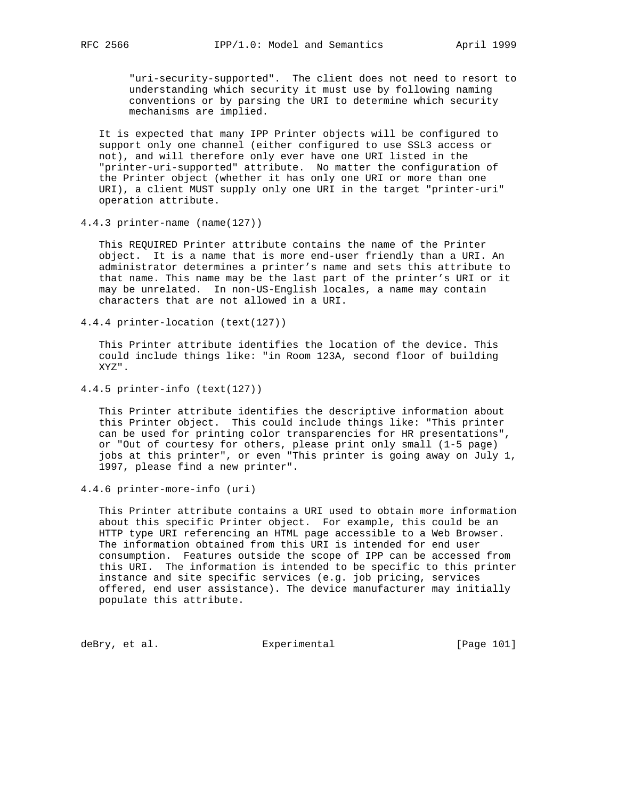"uri-security-supported". The client does not need to resort to understanding which security it must use by following naming conventions or by parsing the URI to determine which security mechanisms are implied.

 It is expected that many IPP Printer objects will be configured to support only one channel (either configured to use SSL3 access or not), and will therefore only ever have one URI listed in the "printer-uri-supported" attribute. No matter the configuration of the Printer object (whether it has only one URI or more than one URI), a client MUST supply only one URI in the target "printer-uri" operation attribute.

4.4.3 printer-name (name(127))

 This REQUIRED Printer attribute contains the name of the Printer object. It is a name that is more end-user friendly than a URI. An administrator determines a printer's name and sets this attribute to that name. This name may be the last part of the printer's URI or it may be unrelated. In non-US-English locales, a name may contain characters that are not allowed in a URI.

4.4.4 printer-location (text(127))

 This Printer attribute identifies the location of the device. This could include things like: "in Room 123A, second floor of building XYZ".

4.4.5 printer-info (text(127))

 This Printer attribute identifies the descriptive information about this Printer object. This could include things like: "This printer can be used for printing color transparencies for HR presentations", or "Out of courtesy for others, please print only small (1-5 page) jobs at this printer", or even "This printer is going away on July 1, 1997, please find a new printer".

4.4.6 printer-more-info (uri)

 This Printer attribute contains a URI used to obtain more information about this specific Printer object. For example, this could be an HTTP type URI referencing an HTML page accessible to a Web Browser. The information obtained from this URI is intended for end user consumption. Features outside the scope of IPP can be accessed from this URI. The information is intended to be specific to this printer instance and site specific services (e.g. job pricing, services offered, end user assistance). The device manufacturer may initially populate this attribute.

deBry, et al. Subsection Experimental Contract (Page 101)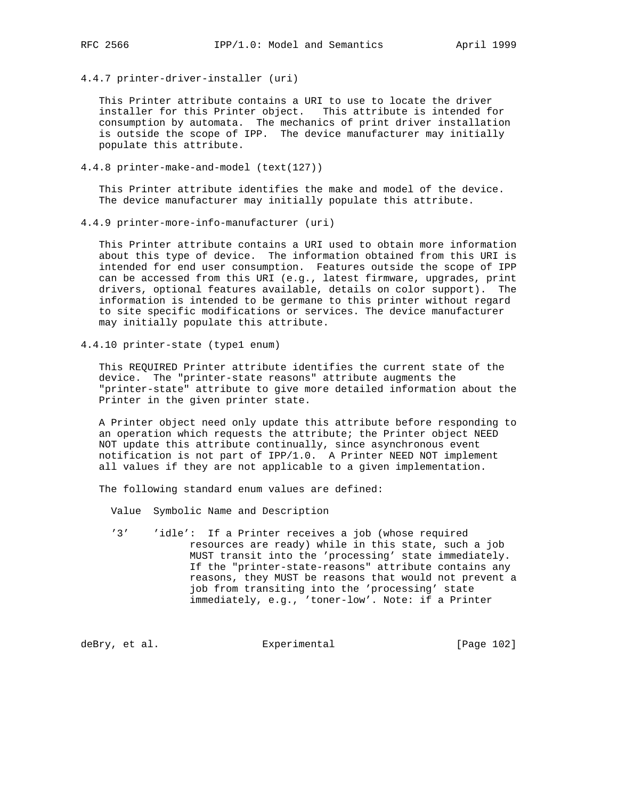4.4.7 printer-driver-installer (uri)

 This Printer attribute contains a URI to use to locate the driver installer for this Printer object. This attribute is intended for consumption by automata. The mechanics of print driver installation is outside the scope of IPP. The device manufacturer may initially populate this attribute.

4.4.8 printer-make-and-model (text(127))

 This Printer attribute identifies the make and model of the device. The device manufacturer may initially populate this attribute.

4.4.9 printer-more-info-manufacturer (uri)

 This Printer attribute contains a URI used to obtain more information about this type of device. The information obtained from this URI is intended for end user consumption. Features outside the scope of IPP can be accessed from this URI (e.g., latest firmware, upgrades, print drivers, optional features available, details on color support). The information is intended to be germane to this printer without regard to site specific modifications or services. The device manufacturer may initially populate this attribute.

4.4.10 printer-state (type1 enum)

 This REQUIRED Printer attribute identifies the current state of the device. The "printer-state reasons" attribute augments the "printer-state" attribute to give more detailed information about the Printer in the given printer state.

 A Printer object need only update this attribute before responding to an operation which requests the attribute; the Printer object NEED NOT update this attribute continually, since asynchronous event notification is not part of IPP/1.0. A Printer NEED NOT implement all values if they are not applicable to a given implementation.

The following standard enum values are defined:

Value Symbolic Name and Description

 '3' 'idle': If a Printer receives a job (whose required resources are ready) while in this state, such a job MUST transit into the 'processing' state immediately. If the "printer-state-reasons" attribute contains any reasons, they MUST be reasons that would not prevent a job from transiting into the 'processing' state immediately, e.g., 'toner-low'. Note: if a Printer

deBry, et al. Subsectimental Experimental (Page 102)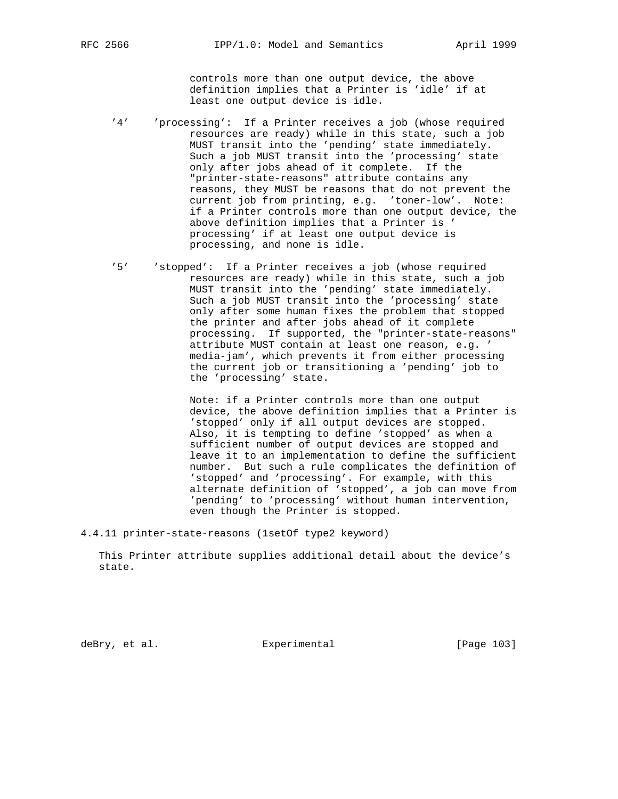controls more than one output device, the above definition implies that a Printer is 'idle' if at least one output device is idle.

- '4' 'processing': If a Printer receives a job (whose required resources are ready) while in this state, such a job MUST transit into the 'pending' state immediately. Such a job MUST transit into the 'processing' state only after jobs ahead of it complete. If the "printer-state-reasons" attribute contains any reasons, they MUST be reasons that do not prevent the current job from printing, e.g. 'toner-low'. Note: if a Printer controls more than one output device, the above definition implies that a Printer is ' processing' if at least one output device is processing, and none is idle.
	- '5' 'stopped': If a Printer receives a job (whose required resources are ready) while in this state, such a job MUST transit into the 'pending' state immediately. Such a job MUST transit into the 'processing' state only after some human fixes the problem that stopped the printer and after jobs ahead of it complete processing. If supported, the "printer-state-reasons" attribute MUST contain at least one reason, e.g. ' media-jam', which prevents it from either processing the current job or transitioning a 'pending' job to the 'processing' state.

 Note: if a Printer controls more than one output device, the above definition implies that a Printer is 'stopped' only if all output devices are stopped. Also, it is tempting to define 'stopped' as when a sufficient number of output devices are stopped and leave it to an implementation to define the sufficient number. But such a rule complicates the definition of 'stopped' and 'processing'. For example, with this alternate definition of 'stopped', a job can move from 'pending' to 'processing' without human intervention, even though the Printer is stopped.

4.4.11 printer-state-reasons (1setOf type2 keyword)

 This Printer attribute supplies additional detail about the device's state.

deBry, et al. Subsectimental Experimental [Page 103]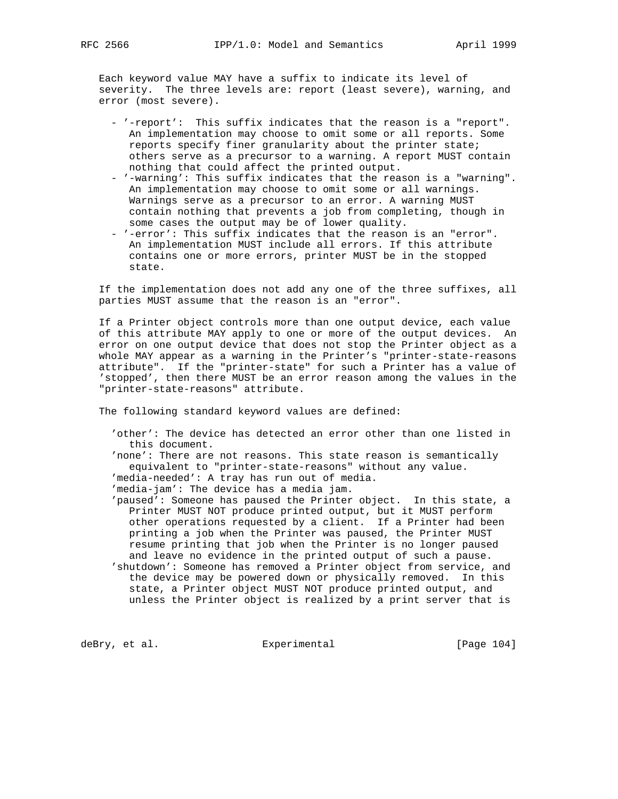Each keyword value MAY have a suffix to indicate its level of severity. The three levels are: report (least severe), warning, and error (most severe).

- '-report': This suffix indicates that the reason is a "report". An implementation may choose to omit some or all reports. Some reports specify finer granularity about the printer state; others serve as a precursor to a warning. A report MUST contain nothing that could affect the printed output.
- '-warning': This suffix indicates that the reason is a "warning". An implementation may choose to omit some or all warnings. Warnings serve as a precursor to an error. A warning MUST contain nothing that prevents a job from completing, though in some cases the output may be of lower quality.
- '-error': This suffix indicates that the reason is an "error". An implementation MUST include all errors. If this attribute contains one or more errors, printer MUST be in the stopped state.

 If the implementation does not add any one of the three suffixes, all parties MUST assume that the reason is an "error".

 If a Printer object controls more than one output device, each value of this attribute MAY apply to one or more of the output devices. An error on one output device that does not stop the Printer object as a whole MAY appear as a warning in the Printer's "printer-state-reasons attribute". If the "printer-state" for such a Printer has a value of 'stopped', then there MUST be an error reason among the values in the "printer-state-reasons" attribute.

The following standard keyword values are defined:

- 'other': The device has detected an error other than one listed in this document.
- 'none': There are not reasons. This state reason is semantically equivalent to "printer-state-reasons" without any value.
- 'media-needed': A tray has run out of media.
- 'media-jam': The device has a media jam.
- 'paused': Someone has paused the Printer object. In this state, a Printer MUST NOT produce printed output, but it MUST perform other operations requested by a client. If a Printer had been printing a job when the Printer was paused, the Printer MUST resume printing that job when the Printer is no longer paused and leave no evidence in the printed output of such a pause. 'shutdown': Someone has removed a Printer object from service, and the device may be powered down or physically removed. In this
	- state, a Printer object MUST NOT produce printed output, and unless the Printer object is realized by a print server that is

deBry, et al.  $\qquad \qquad$  Experimental  $\qquad \qquad$  [Page 104]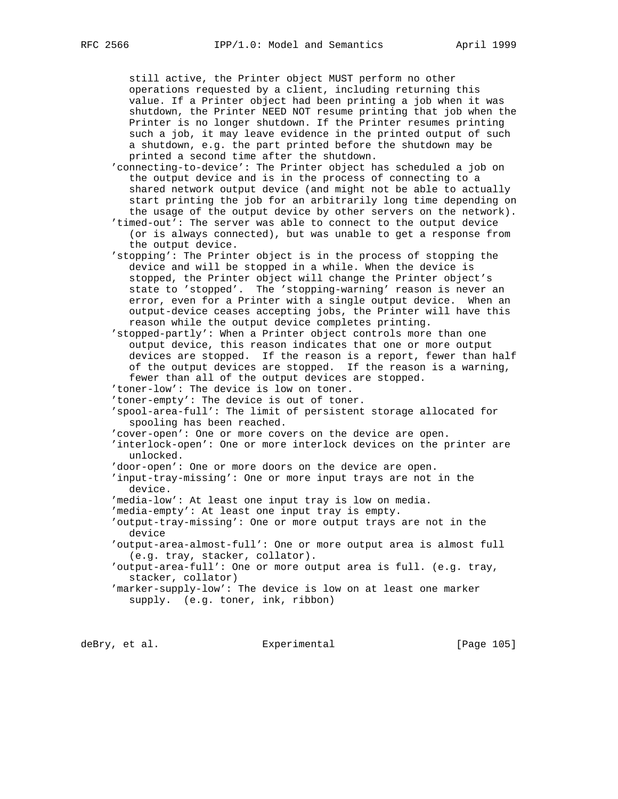still active, the Printer object MUST perform no other operations requested by a client, including returning this value. If a Printer object had been printing a job when it was shutdown, the Printer NEED NOT resume printing that job when the Printer is no longer shutdown. If the Printer resumes printing such a job, it may leave evidence in the printed output of such a shutdown, e.g. the part printed before the shutdown may be printed a second time after the shutdown.

 'connecting-to-device': The Printer object has scheduled a job on the output device and is in the process of connecting to a shared network output device (and might not be able to actually start printing the job for an arbitrarily long time depending on the usage of the output device by other servers on the network).

 'timed-out': The server was able to connect to the output device (or is always connected), but was unable to get a response from the output device.

 'stopping': The Printer object is in the process of stopping the device and will be stopped in a while. When the device is stopped, the Printer object will change the Printer object's state to 'stopped'. The 'stopping-warning' reason is never an error, even for a Printer with a single output device. When an output-device ceases accepting jobs, the Printer will have this reason while the output device completes printing.

 'stopped-partly': When a Printer object controls more than one output device, this reason indicates that one or more output devices are stopped. If the reason is a report, fewer than half of the output devices are stopped. If the reason is a warning, fewer than all of the output devices are stopped.

'toner-low': The device is low on toner.

'toner-empty': The device is out of toner.

 'spool-area-full': The limit of persistent storage allocated for spooling has been reached.

'cover-open': One or more covers on the device are open.

 'interlock-open': One or more interlock devices on the printer are unlocked.

'door-open': One or more doors on the device are open.

 'input-tray-missing': One or more input trays are not in the device.

'media-low': At least one input tray is low on media.

'media-empty': At least one input tray is empty.

 'output-tray-missing': One or more output trays are not in the device

 'output-area-almost-full': One or more output area is almost full (e.g. tray, stacker, collator).

 'output-area-full': One or more output area is full. (e.g. tray, stacker, collator)

 'marker-supply-low': The device is low on at least one marker supply. (e.g. toner, ink, ribbon)

deBry, et al. Subsectimental Experimental (Page 105)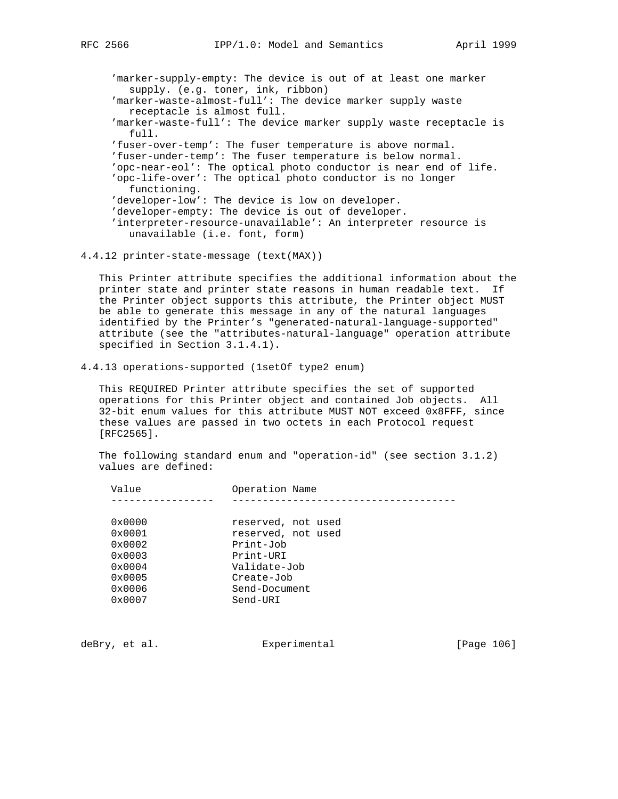'marker-supply-empty: The device is out of at least one marker supply. (e.g. toner, ink, ribbon) 'marker-waste-almost-full': The device marker supply waste receptacle is almost full. 'marker-waste-full': The device marker supply waste receptacle is full. 'fuser-over-temp': The fuser temperature is above normal. 'fuser-under-temp': The fuser temperature is below normal. 'opc-near-eol': The optical photo conductor is near end of life. 'opc-life-over': The optical photo conductor is no longer functioning. 'developer-low': The device is low on developer. 'developer-empty: The device is out of developer. 'interpreter-resource-unavailable': An interpreter resource is

unavailable (i.e. font, form)

### 4.4.12 printer-state-message (text(MAX))

 This Printer attribute specifies the additional information about the printer state and printer state reasons in human readable text. If the Printer object supports this attribute, the Printer object MUST be able to generate this message in any of the natural languages identified by the Printer's "generated-natural-language-supported" attribute (see the "attributes-natural-language" operation attribute specified in Section 3.1.4.1).

4.4.13 operations-supported (1setOf type2 enum)

 This REQUIRED Printer attribute specifies the set of supported operations for this Printer object and contained Job objects. All 32-bit enum values for this attribute MUST NOT exceed 0x8FFF, since these values are passed in two octets in each Protocol request [RFC2565].

 The following standard enum and "operation-id" (see section 3.1.2) values are defined:

| Value           | Operation Name     |
|-----------------|--------------------|
|                 |                    |
| $0 \times 0000$ | reserved, not used |
| 0x0001          | reserved, not used |
| $0 \times 0002$ | Print-Job          |
| $0 \times 0003$ | Print-URI          |
| $0 \times 0004$ | Validate-Job       |
| $0 \times 0005$ | Create-Job         |
| $0 \times 0006$ | Send-Document      |
| $0 \times 0007$ | Send-URI           |
|                 |                    |

deBry, et al. Subsectimental Experimental [Page 106]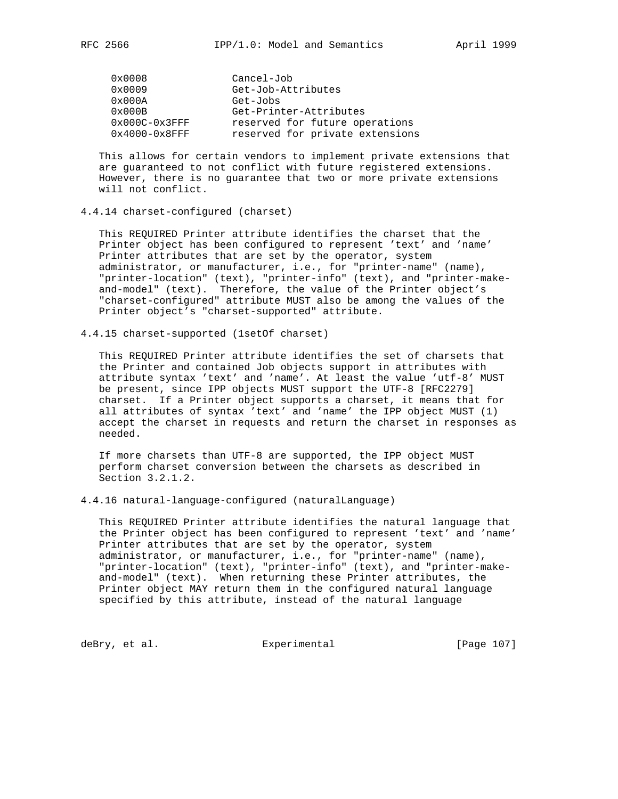| 0x0008           | Cancel-Job                      |
|------------------|---------------------------------|
| 0x0009           | Get-Job-Attributes              |
| 0x000A           | Get-Jobs                        |
| $0 \times 000B$  | Get-Printer-Attributes          |
| $0x000C-0x3FFF$  | reserved for future operations  |
| $0x4000-0x8$ FFF | reserved for private extensions |

 This allows for certain vendors to implement private extensions that are guaranteed to not conflict with future registered extensions. However, there is no guarantee that two or more private extensions will not conflict.

#### 4.4.14 charset-configured (charset)

 This REQUIRED Printer attribute identifies the charset that the Printer object has been configured to represent 'text' and 'name' Printer attributes that are set by the operator, system administrator, or manufacturer, i.e., for "printer-name" (name), "printer-location" (text), "printer-info" (text), and "printer-make and-model" (text). Therefore, the value of the Printer object's "charset-configured" attribute MUST also be among the values of the Printer object's "charset-supported" attribute.

4.4.15 charset-supported (1setOf charset)

 This REQUIRED Printer attribute identifies the set of charsets that the Printer and contained Job objects support in attributes with attribute syntax 'text' and 'name'. At least the value 'utf-8' MUST be present, since IPP objects MUST support the UTF-8 [RFC2279] charset. If a Printer object supports a charset, it means that for all attributes of syntax 'text' and 'name' the IPP object MUST (1) accept the charset in requests and return the charset in responses as needed.

 If more charsets than UTF-8 are supported, the IPP object MUST perform charset conversion between the charsets as described in Section 3.2.1.2.

4.4.16 natural-language-configured (naturalLanguage)

 This REQUIRED Printer attribute identifies the natural language that the Printer object has been configured to represent 'text' and 'name' Printer attributes that are set by the operator, system administrator, or manufacturer, i.e., for "printer-name" (name), "printer-location" (text), "printer-info" (text), and "printer-make and-model" (text). When returning these Printer attributes, the Printer object MAY return them in the configured natural language specified by this attribute, instead of the natural language

deBry, et al. Subsectimental Experimental (Page 107)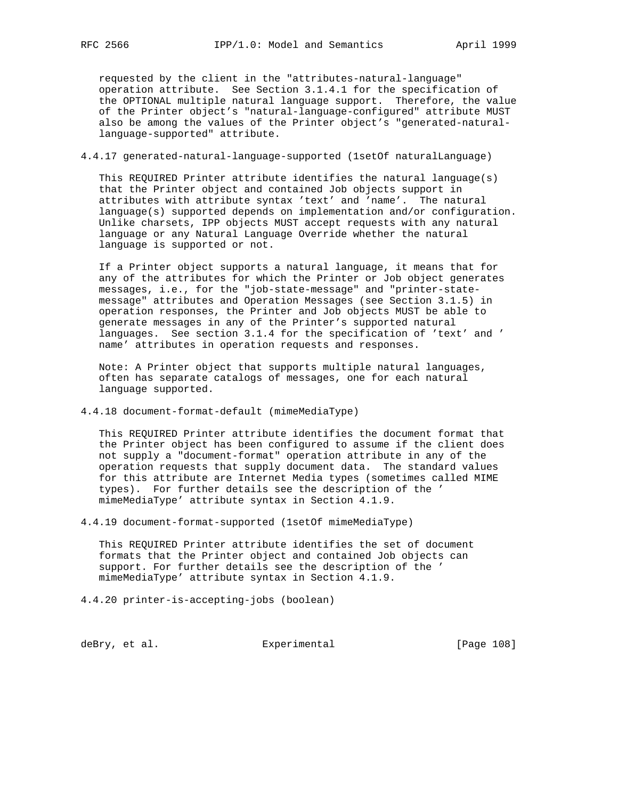requested by the client in the "attributes-natural-language" operation attribute. See Section 3.1.4.1 for the specification of the OPTIONAL multiple natural language support. Therefore, the value of the Printer object's "natural-language-configured" attribute MUST also be among the values of the Printer object's "generated-natural language-supported" attribute.

## 4.4.17 generated-natural-language-supported (1setOf naturalLanguage)

 This REQUIRED Printer attribute identifies the natural language(s) that the Printer object and contained Job objects support in attributes with attribute syntax 'text' and 'name'. The natural language(s) supported depends on implementation and/or configuration. Unlike charsets, IPP objects MUST accept requests with any natural language or any Natural Language Override whether the natural language is supported or not.

 If a Printer object supports a natural language, it means that for any of the attributes for which the Printer or Job object generates messages, i.e., for the "job-state-message" and "printer-state message" attributes and Operation Messages (see Section 3.1.5) in operation responses, the Printer and Job objects MUST be able to generate messages in any of the Printer's supported natural languages. See section 3.1.4 for the specification of 'text' and ' name' attributes in operation requests and responses.

 Note: A Printer object that supports multiple natural languages, often has separate catalogs of messages, one for each natural language supported.

4.4.18 document-format-default (mimeMediaType)

 This REQUIRED Printer attribute identifies the document format that the Printer object has been configured to assume if the client does not supply a "document-format" operation attribute in any of the operation requests that supply document data. The standard values for this attribute are Internet Media types (sometimes called MIME types). For further details see the description of the ' mimeMediaType' attribute syntax in Section 4.1.9.

4.4.19 document-format-supported (1setOf mimeMediaType)

 This REQUIRED Printer attribute identifies the set of document formats that the Printer object and contained Job objects can support. For further details see the description of the ' mimeMediaType' attribute syntax in Section 4.1.9.

4.4.20 printer-is-accepting-jobs (boolean)

deBry, et al. Subsection Experimental Contract (Page 108)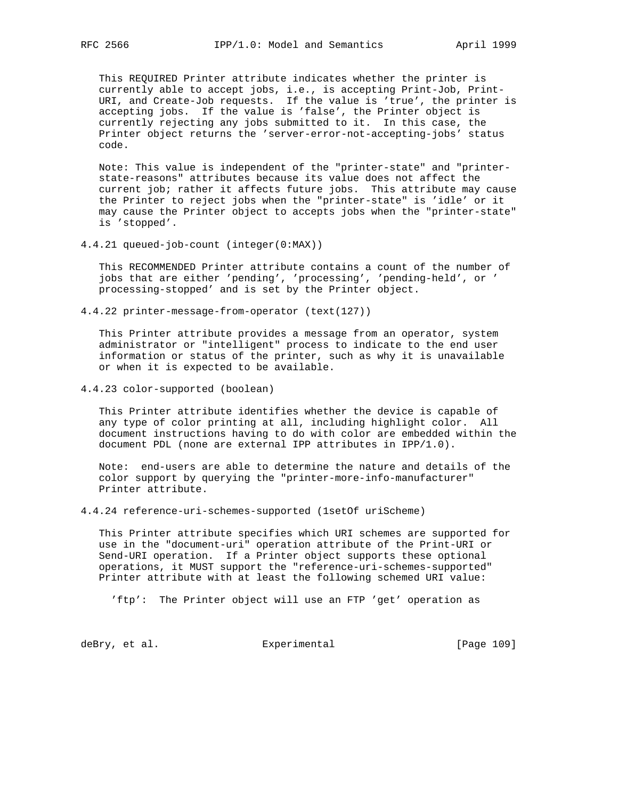This REQUIRED Printer attribute indicates whether the printer is currently able to accept jobs, i.e., is accepting Print-Job, Print-

 URI, and Create-Job requests. If the value is 'true', the printer is accepting jobs. If the value is 'false', the Printer object is currently rejecting any jobs submitted to it. In this case, the Printer object returns the 'server-error-not-accepting-jobs' status code.

 Note: This value is independent of the "printer-state" and "printer state-reasons" attributes because its value does not affect the current job; rather it affects future jobs. This attribute may cause the Printer to reject jobs when the "printer-state" is 'idle' or it may cause the Printer object to accepts jobs when the "printer-state" is 'stopped'.

4.4.21 queued-job-count (integer(0:MAX))

 This RECOMMENDED Printer attribute contains a count of the number of jobs that are either 'pending', 'processing', 'pending-held', or ' processing-stopped' and is set by the Printer object.

4.4.22 printer-message-from-operator (text(127))

 This Printer attribute provides a message from an operator, system administrator or "intelligent" process to indicate to the end user information or status of the printer, such as why it is unavailable or when it is expected to be available.

4.4.23 color-supported (boolean)

 This Printer attribute identifies whether the device is capable of any type of color printing at all, including highlight color. All document instructions having to do with color are embedded within the document PDL (none are external IPP attributes in IPP/1.0).

 Note: end-users are able to determine the nature and details of the color support by querying the "printer-more-info-manufacturer" Printer attribute.

4.4.24 reference-uri-schemes-supported (1setOf uriScheme)

 This Printer attribute specifies which URI schemes are supported for use in the "document-uri" operation attribute of the Print-URI or Send-URI operation. If a Printer object supports these optional operations, it MUST support the "reference-uri-schemes-supported" Printer attribute with at least the following schemed URI value:

'ftp': The Printer object will use an FTP 'get' operation as

deBry, et al. Subsection Experimental Figure 2009 [Page 109]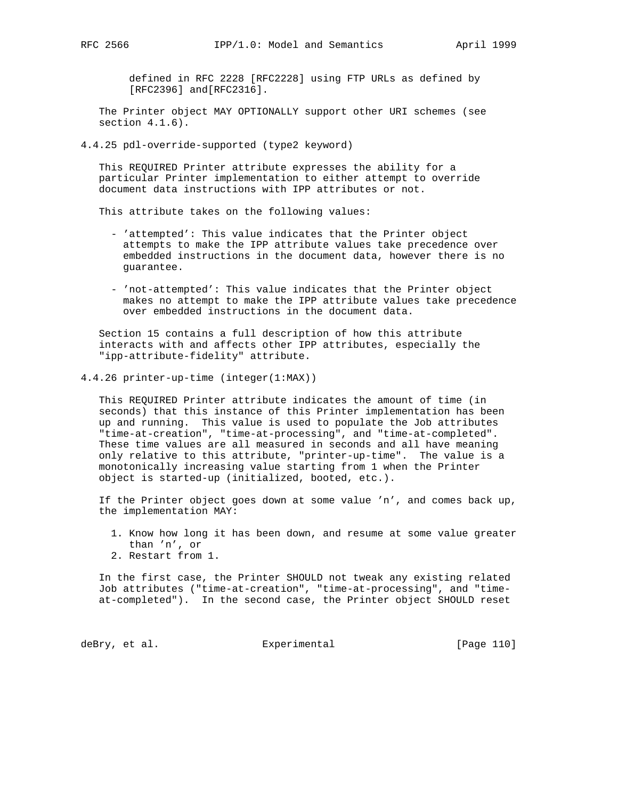defined in RFC 2228 [RFC2228] using FTP URLs as defined by [RFC2396] and[RFC2316].

 The Printer object MAY OPTIONALLY support other URI schemes (see section  $4.1.6$ ).

4.4.25 pdl-override-supported (type2 keyword)

 This REQUIRED Printer attribute expresses the ability for a particular Printer implementation to either attempt to override document data instructions with IPP attributes or not.

This attribute takes on the following values:

- 'attempted': This value indicates that the Printer object attempts to make the IPP attribute values take precedence over embedded instructions in the document data, however there is no guarantee.
- 'not-attempted': This value indicates that the Printer object makes no attempt to make the IPP attribute values take precedence over embedded instructions in the document data.

 Section 15 contains a full description of how this attribute interacts with and affects other IPP attributes, especially the "ipp-attribute-fidelity" attribute.

4.4.26 printer-up-time (integer(1:MAX))

 This REQUIRED Printer attribute indicates the amount of time (in seconds) that this instance of this Printer implementation has been up and running. This value is used to populate the Job attributes "time-at-creation", "time-at-processing", and "time-at-completed". These time values are all measured in seconds and all have meaning only relative to this attribute, "printer-up-time". The value is a monotonically increasing value starting from 1 when the Printer object is started-up (initialized, booted, etc.).

 If the Printer object goes down at some value 'n', and comes back up, the implementation MAY:

- 1. Know how long it has been down, and resume at some value greater than 'n', or
- 2. Restart from 1.

 In the first case, the Printer SHOULD not tweak any existing related Job attributes ("time-at-creation", "time-at-processing", and "time at-completed"). In the second case, the Printer object SHOULD reset

deBry, et al. <br>Experimental [Page 110]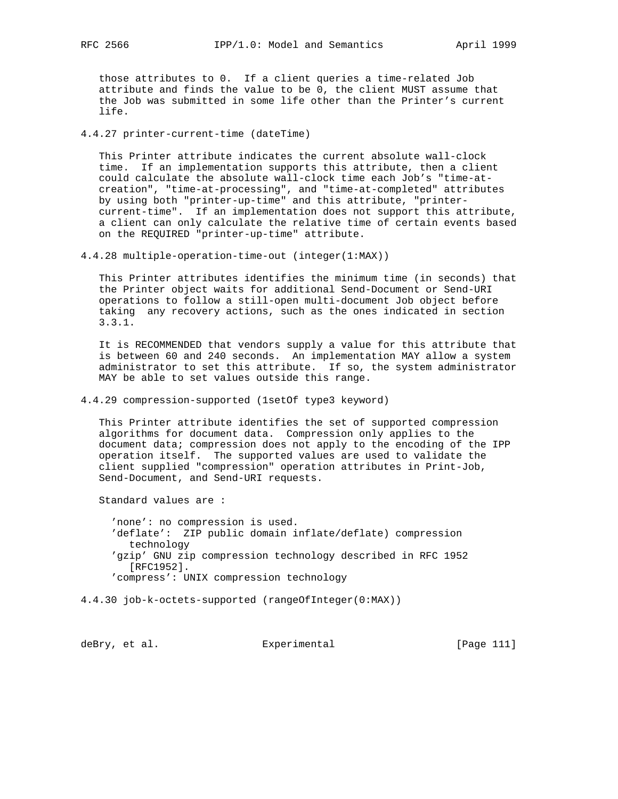those attributes to 0. If a client queries a time-related Job attribute and finds the value to be 0, the client MUST assume that the Job was submitted in some life other than the Printer's current life.

4.4.27 printer-current-time (dateTime)

 This Printer attribute indicates the current absolute wall-clock time. If an implementation supports this attribute, then a client could calculate the absolute wall-clock time each Job's "time-at creation", "time-at-processing", and "time-at-completed" attributes by using both "printer-up-time" and this attribute, "printer current-time". If an implementation does not support this attribute, a client can only calculate the relative time of certain events based on the REQUIRED "printer-up-time" attribute.

4.4.28 multiple-operation-time-out (integer(1:MAX))

 This Printer attributes identifies the minimum time (in seconds) that the Printer object waits for additional Send-Document or Send-URI operations to follow a still-open multi-document Job object before taking any recovery actions, such as the ones indicated in section 3.3.1.

 It is RECOMMENDED that vendors supply a value for this attribute that is between 60 and 240 seconds. An implementation MAY allow a system administrator to set this attribute. If so, the system administrator MAY be able to set values outside this range.

4.4.29 compression-supported (1setOf type3 keyword)

 This Printer attribute identifies the set of supported compression algorithms for document data. Compression only applies to the document data; compression does not apply to the encoding of the IPP operation itself. The supported values are used to validate the client supplied "compression" operation attributes in Print-Job, Send-Document, and Send-URI requests.

Standard values are :

 'none': no compression is used. 'deflate': ZIP public domain inflate/deflate) compression technology 'gzip' GNU zip compression technology described in RFC 1952 [RFC1952]. 'compress': UNIX compression technology

4.4.30 job-k-octets-supported (rangeOfInteger(0:MAX))

deBry, et al. Subsection Experimental Contract (Page 111)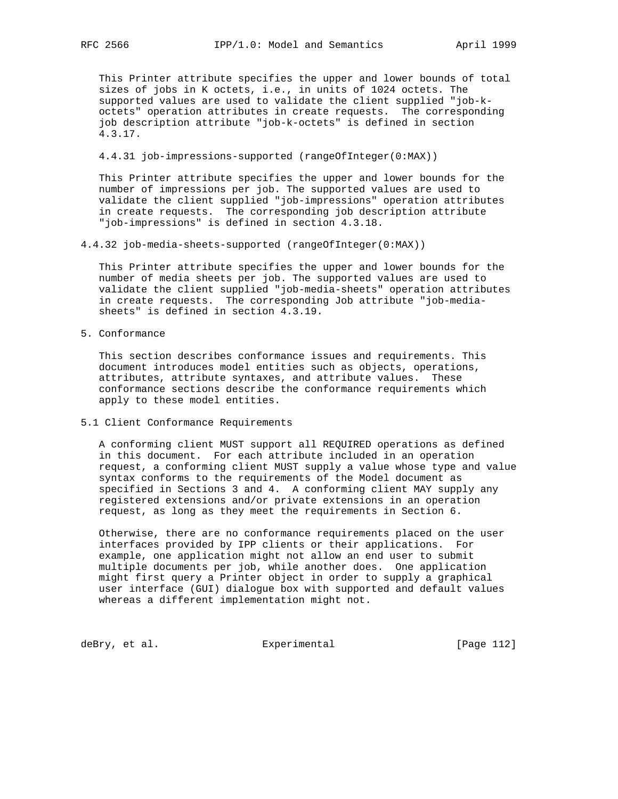This Printer attribute specifies the upper and lower bounds of total sizes of jobs in K octets, i.e., in units of 1024 octets. The supported values are used to validate the client supplied "job-k octets" operation attributes in create requests. The corresponding job description attribute "job-k-octets" is defined in section 4.3.17.

4.4.31 job-impressions-supported (rangeOfInteger(0:MAX))

 This Printer attribute specifies the upper and lower bounds for the number of impressions per job. The supported values are used to validate the client supplied "job-impressions" operation attributes in create requests. The corresponding job description attribute "job-impressions" is defined in section 4.3.18.

4.4.32 job-media-sheets-supported (rangeOfInteger(0:MAX))

 This Printer attribute specifies the upper and lower bounds for the number of media sheets per job. The supported values are used to validate the client supplied "job-media-sheets" operation attributes in create requests. The corresponding Job attribute "job-media sheets" is defined in section 4.3.19.

5. Conformance

 This section describes conformance issues and requirements. This document introduces model entities such as objects, operations, attributes, attribute syntaxes, and attribute values. These conformance sections describe the conformance requirements which apply to these model entities.

5.1 Client Conformance Requirements

 A conforming client MUST support all REQUIRED operations as defined in this document. For each attribute included in an operation request, a conforming client MUST supply a value whose type and value syntax conforms to the requirements of the Model document as specified in Sections 3 and 4. A conforming client MAY supply any registered extensions and/or private extensions in an operation request, as long as they meet the requirements in Section 6.

 Otherwise, there are no conformance requirements placed on the user interfaces provided by IPP clients or their applications. For example, one application might not allow an end user to submit multiple documents per job, while another does. One application might first query a Printer object in order to supply a graphical user interface (GUI) dialogue box with supported and default values whereas a different implementation might not.

deBry, et al. Subsection Experimental Contracts [Page 112]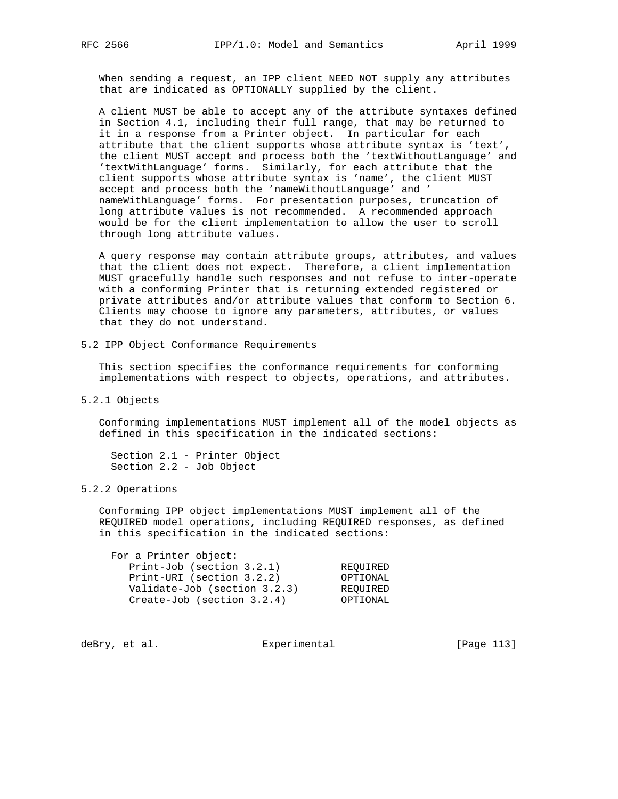When sending a request, an IPP client NEED NOT supply any attributes that are indicated as OPTIONALLY supplied by the client.

 A client MUST be able to accept any of the attribute syntaxes defined in Section 4.1, including their full range, that may be returned to it in a response from a Printer object. In particular for each attribute that the client supports whose attribute syntax is 'text', the client MUST accept and process both the 'textWithoutLanguage' and 'textWithLanguage' forms. Similarly, for each attribute that the client supports whose attribute syntax is 'name', the client MUST accept and process both the 'nameWithoutLanguage' and ' nameWithLanguage' forms. For presentation purposes, truncation of long attribute values is not recommended. A recommended approach would be for the client implementation to allow the user to scroll through long attribute values.

 A query response may contain attribute groups, attributes, and values that the client does not expect. Therefore, a client implementation MUST gracefully handle such responses and not refuse to inter-operate with a conforming Printer that is returning extended registered or private attributes and/or attribute values that conform to Section 6. Clients may choose to ignore any parameters, attributes, or values that they do not understand.

5.2 IPP Object Conformance Requirements

 This section specifies the conformance requirements for conforming implementations with respect to objects, operations, and attributes.

5.2.1 Objects

 Conforming implementations MUST implement all of the model objects as defined in this specification in the indicated sections:

 Section 2.1 - Printer Object Section 2.2 - Job Object

### 5.2.2 Operations

 Conforming IPP object implementations MUST implement all of the REQUIRED model operations, including REQUIRED responses, as defined in this specification in the indicated sections:

| For a Printer object:           |          |
|---------------------------------|----------|
| Print-Job (section $3.2.1$ )    | REOUIRED |
| Print-URI (section 3.2.2)       | OPTIONAL |
| Validate-Job (section 3.2.3)    | REOUIRED |
| $Create-Job$ (section $3.2.4$ ) | OPTIONAL |

deBry, et al. Subsectimental Experimental [Page 113]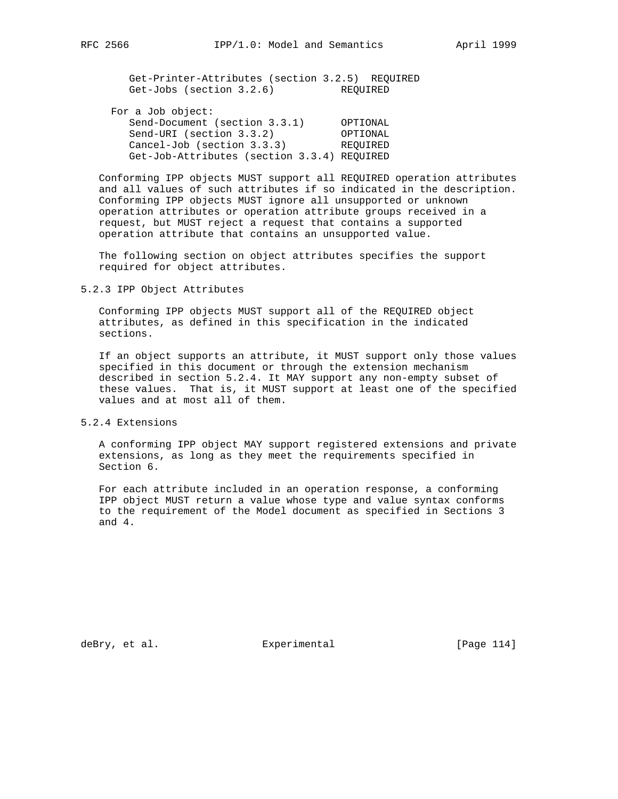Get-Printer-Attributes (section 3.2.5) REQUIRED Get-Jobs (section 3.2.6) REQUIRED

| For a Job object:                           |          |
|---------------------------------------------|----------|
| Send-Document (section 3.3.1)               | OPTIONAL |
| Send-URI (section 3.3.2)                    | OPTIONAL |
| Cancel-Job (section 3.3.3)                  | REOUIRED |
| Get-Job-Attributes (section 3.3.4) REOUIRED |          |

 Conforming IPP objects MUST support all REQUIRED operation attributes and all values of such attributes if so indicated in the description. Conforming IPP objects MUST ignore all unsupported or unknown operation attributes or operation attribute groups received in a request, but MUST reject a request that contains a supported operation attribute that contains an unsupported value.

 The following section on object attributes specifies the support required for object attributes.

5.2.3 IPP Object Attributes

 Conforming IPP objects MUST support all of the REQUIRED object attributes, as defined in this specification in the indicated sections.

 If an object supports an attribute, it MUST support only those values specified in this document or through the extension mechanism described in section 5.2.4. It MAY support any non-empty subset of these values. That is, it MUST support at least one of the specified values and at most all of them.

5.2.4 Extensions

 A conforming IPP object MAY support registered extensions and private extensions, as long as they meet the requirements specified in Section 6.

 For each attribute included in an operation response, a conforming IPP object MUST return a value whose type and value syntax conforms to the requirement of the Model document as specified in Sections 3 and 4.

deBry, et al. Subsectimental Experimental [Page 114]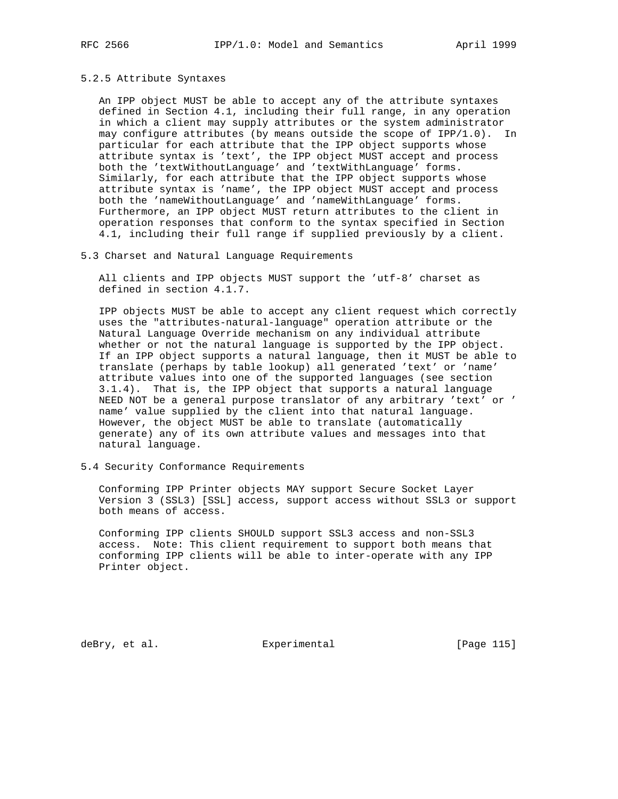## 5.2.5 Attribute Syntaxes

 An IPP object MUST be able to accept any of the attribute syntaxes defined in Section 4.1, including their full range, in any operation in which a client may supply attributes or the system administrator may configure attributes (by means outside the scope of IPP/1.0). In particular for each attribute that the IPP object supports whose attribute syntax is 'text', the IPP object MUST accept and process both the 'textWithoutLanguage' and 'textWithLanguage' forms. Similarly, for each attribute that the IPP object supports whose attribute syntax is 'name', the IPP object MUST accept and process both the 'nameWithoutLanguage' and 'nameWithLanguage' forms. Furthermore, an IPP object MUST return attributes to the client in operation responses that conform to the syntax specified in Section 4.1, including their full range if supplied previously by a client.

## 5.3 Charset and Natural Language Requirements

 All clients and IPP objects MUST support the 'utf-8' charset as defined in section 4.1.7.

 IPP objects MUST be able to accept any client request which correctly uses the "attributes-natural-language" operation attribute or the Natural Language Override mechanism on any individual attribute whether or not the natural language is supported by the IPP object. If an IPP object supports a natural language, then it MUST be able to translate (perhaps by table lookup) all generated 'text' or 'name' attribute values into one of the supported languages (see section 3.1.4). That is, the IPP object that supports a natural language NEED NOT be a general purpose translator of any arbitrary 'text' or ' name' value supplied by the client into that natural language. However, the object MUST be able to translate (automatically generate) any of its own attribute values and messages into that natural language.

## 5.4 Security Conformance Requirements

 Conforming IPP Printer objects MAY support Secure Socket Layer Version 3 (SSL3) [SSL] access, support access without SSL3 or support both means of access.

 Conforming IPP clients SHOULD support SSL3 access and non-SSL3 access. Note: This client requirement to support both means that conforming IPP clients will be able to inter-operate with any IPP Printer object.

deBry, et al. Subsection Experimental Experimental [Page 115]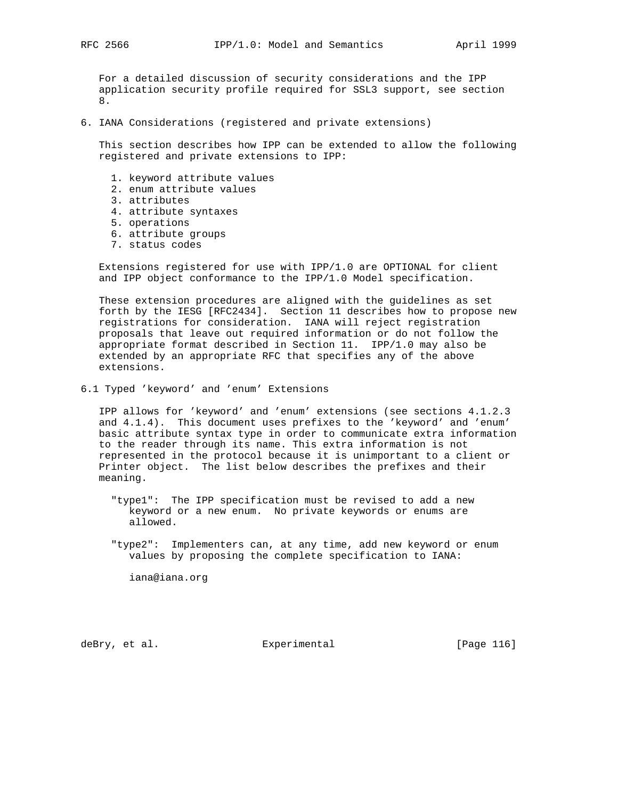For a detailed discussion of security considerations and the IPP application security profile required for SSL3 support, see section 8.

6. IANA Considerations (registered and private extensions)

 This section describes how IPP can be extended to allow the following registered and private extensions to IPP:

- 1. keyword attribute values
- 2. enum attribute values
- 3. attributes
- 4. attribute syntaxes
- 5. operations
- 6. attribute groups
- 7. status codes

 Extensions registered for use with IPP/1.0 are OPTIONAL for client and IPP object conformance to the IPP/1.0 Model specification.

 These extension procedures are aligned with the guidelines as set forth by the IESG [RFC2434]. Section 11 describes how to propose new registrations for consideration. IANA will reject registration proposals that leave out required information or do not follow the appropriate format described in Section 11. IPP/1.0 may also be extended by an appropriate RFC that specifies any of the above extensions.

6.1 Typed 'keyword' and 'enum' Extensions

 IPP allows for 'keyword' and 'enum' extensions (see sections 4.1.2.3 and 4.1.4). This document uses prefixes to the 'keyword' and 'enum' basic attribute syntax type in order to communicate extra information to the reader through its name. This extra information is not represented in the protocol because it is unimportant to a client or Printer object. The list below describes the prefixes and their meaning.

- "type1": The IPP specification must be revised to add a new keyword or a new enum. No private keywords or enums are allowed.
- "type2": Implementers can, at any time, add new keyword or enum values by proposing the complete specification to IANA:

iana@iana.org

deBry, et al. Subsectimental Experimental [Page 116]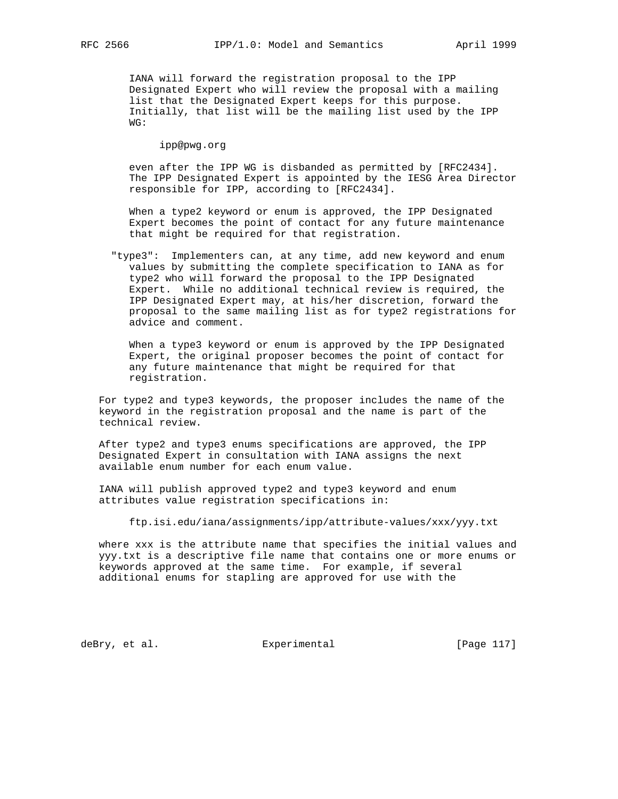IANA will forward the registration proposal to the IPP Designated Expert who will review the proposal with a mailing list that the Designated Expert keeps for this purpose. Initially, that list will be the mailing list used by the IPP WG:

ipp@pwg.org

 even after the IPP WG is disbanded as permitted by [RFC2434]. The IPP Designated Expert is appointed by the IESG Area Director responsible for IPP, according to [RFC2434].

 When a type2 keyword or enum is approved, the IPP Designated Expert becomes the point of contact for any future maintenance that might be required for that registration.

 "type3": Implementers can, at any time, add new keyword and enum values by submitting the complete specification to IANA as for type2 who will forward the proposal to the IPP Designated Expert. While no additional technical review is required, the IPP Designated Expert may, at his/her discretion, forward the proposal to the same mailing list as for type2 registrations for advice and comment.

 When a type3 keyword or enum is approved by the IPP Designated Expert, the original proposer becomes the point of contact for any future maintenance that might be required for that registration.

 For type2 and type3 keywords, the proposer includes the name of the keyword in the registration proposal and the name is part of the technical review.

 After type2 and type3 enums specifications are approved, the IPP Designated Expert in consultation with IANA assigns the next available enum number for each enum value.

 IANA will publish approved type2 and type3 keyword and enum attributes value registration specifications in:

ftp.isi.edu/iana/assignments/ipp/attribute-values/xxx/yyy.txt

 where xxx is the attribute name that specifies the initial values and yyy.txt is a descriptive file name that contains one or more enums or keywords approved at the same time. For example, if several additional enums for stapling are approved for use with the

deBry, et al. Subsectimental Experimental (Page 117)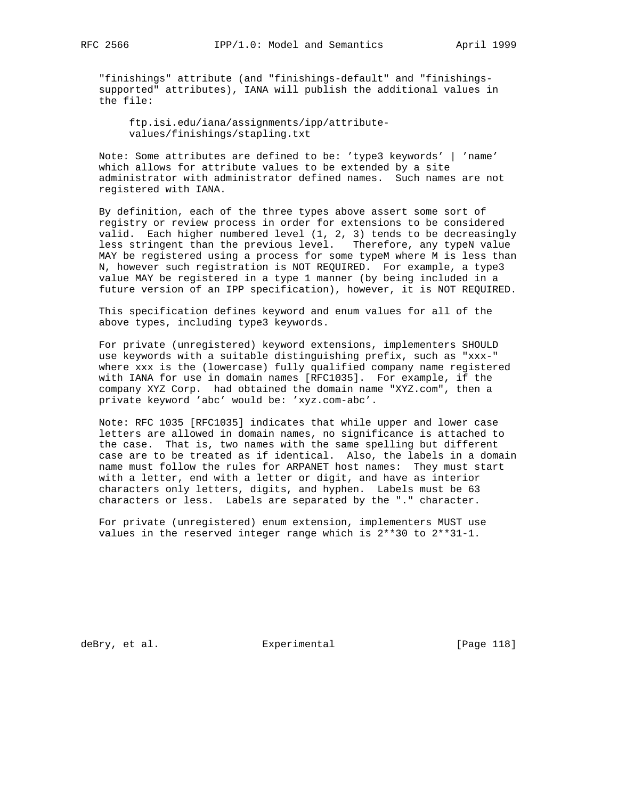"finishings" attribute (and "finishings-default" and "finishings supported" attributes), IANA will publish the additional values in the file:

 ftp.isi.edu/iana/assignments/ipp/attribute values/finishings/stapling.txt

 Note: Some attributes are defined to be: 'type3 keywords' | 'name' which allows for attribute values to be extended by a site administrator with administrator defined names. Such names are not registered with IANA.

 By definition, each of the three types above assert some sort of registry or review process in order for extensions to be considered valid. Each higher numbered level (1, 2, 3) tends to be decreasingly less stringent than the previous level. Therefore, any typeN value MAY be registered using a process for some typeM where M is less than N, however such registration is NOT REQUIRED. For example, a type3 value MAY be registered in a type 1 manner (by being included in a future version of an IPP specification), however, it is NOT REQUIRED.

 This specification defines keyword and enum values for all of the above types, including type3 keywords.

 For private (unregistered) keyword extensions, implementers SHOULD use keywords with a suitable distinguishing prefix, such as "xxx-" where xxx is the (lowercase) fully qualified company name registered with IANA for use in domain names [RFC1035]. For example, if the company XYZ Corp. had obtained the domain name "XYZ.com", then a private keyword 'abc' would be: 'xyz.com-abc'.

 Note: RFC 1035 [RFC1035] indicates that while upper and lower case letters are allowed in domain names, no significance is attached to the case. That is, two names with the same spelling but different case are to be treated as if identical. Also, the labels in a domain name must follow the rules for ARPANET host names: They must start with a letter, end with a letter or digit, and have as interior characters only letters, digits, and hyphen. Labels must be 63 characters or less. Labels are separated by the "." character.

 For private (unregistered) enum extension, implementers MUST use values in the reserved integer range which is 2\*\*30 to 2\*\*31-1.

deBry, et al. Subsection Experimental Contracts [Page 118]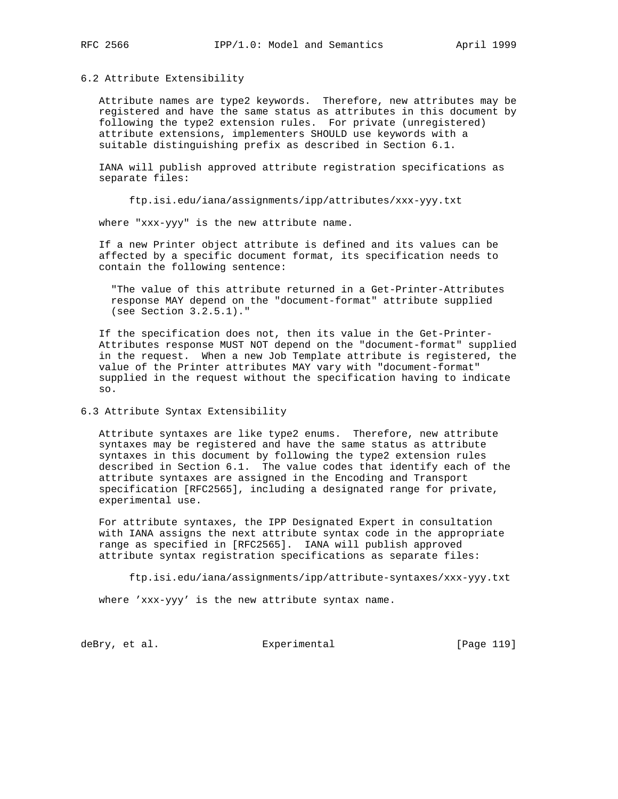# 6.2 Attribute Extensibility

 Attribute names are type2 keywords. Therefore, new attributes may be registered and have the same status as attributes in this document by following the type2 extension rules. For private (unregistered) attribute extensions, implementers SHOULD use keywords with a suitable distinguishing prefix as described in Section 6.1.

 IANA will publish approved attribute registration specifications as separate files:

ftp.isi.edu/iana/assignments/ipp/attributes/xxx-yyy.txt

where "xxx-yyy" is the new attribute name.

 If a new Printer object attribute is defined and its values can be affected by a specific document format, its specification needs to contain the following sentence:

 "The value of this attribute returned in a Get-Printer-Attributes response MAY depend on the "document-format" attribute supplied (see Section 3.2.5.1)."

 If the specification does not, then its value in the Get-Printer- Attributes response MUST NOT depend on the "document-format" supplied in the request. When a new Job Template attribute is registered, the value of the Printer attributes MAY vary with "document-format" supplied in the request without the specification having to indicate so.

## 6.3 Attribute Syntax Extensibility

 Attribute syntaxes are like type2 enums. Therefore, new attribute syntaxes may be registered and have the same status as attribute syntaxes in this document by following the type2 extension rules described in Section 6.1. The value codes that identify each of the attribute syntaxes are assigned in the Encoding and Transport specification [RFC2565], including a designated range for private, experimental use.

 For attribute syntaxes, the IPP Designated Expert in consultation with IANA assigns the next attribute syntax code in the appropriate range as specified in [RFC2565]. IANA will publish approved attribute syntax registration specifications as separate files:

ftp.isi.edu/iana/assignments/ipp/attribute-syntaxes/xxx-yyy.txt

where 'xxx-yyy' is the new attribute syntax name.

deBry, et al. Subsectimental Experimental (Page 119)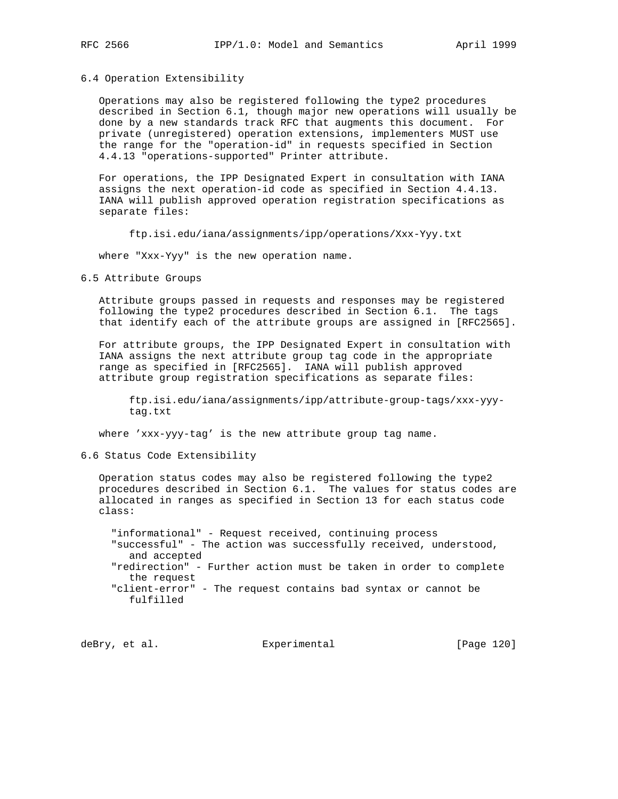### 6.4 Operation Extensibility

 Operations may also be registered following the type2 procedures described in Section 6.1, though major new operations will usually be done by a new standards track RFC that augments this document. For private (unregistered) operation extensions, implementers MUST use the range for the "operation-id" in requests specified in Section 4.4.13 "operations-supported" Printer attribute.

 For operations, the IPP Designated Expert in consultation with IANA assigns the next operation-id code as specified in Section 4.4.13. IANA will publish approved operation registration specifications as separate files:

ftp.isi.edu/iana/assignments/ipp/operations/Xxx-Yyy.txt

where "Xxx-Yyy" is the new operation name.

6.5 Attribute Groups

 Attribute groups passed in requests and responses may be registered following the type2 procedures described in Section 6.1. The tags that identify each of the attribute groups are assigned in [RFC2565].

 For attribute groups, the IPP Designated Expert in consultation with IANA assigns the next attribute group tag code in the appropriate range as specified in [RFC2565]. IANA will publish approved attribute group registration specifications as separate files:

 ftp.isi.edu/iana/assignments/ipp/attribute-group-tags/xxx-yyy tag.txt

where 'xxx-yyy-tag' is the new attribute group tag name.

## 6.6 Status Code Extensibility

 Operation status codes may also be registered following the type2 procedures described in Section 6.1. The values for status codes are allocated in ranges as specified in Section 13 for each status code class:

 "informational" - Request received, continuing process "successful" - The action was successfully received, understood, and accepted "redirection" - Further action must be taken in order to complete the request "client-error" - The request contains bad syntax or cannot be fulfilled

deBry, et al. Subsection Experimental Contract (Page 120)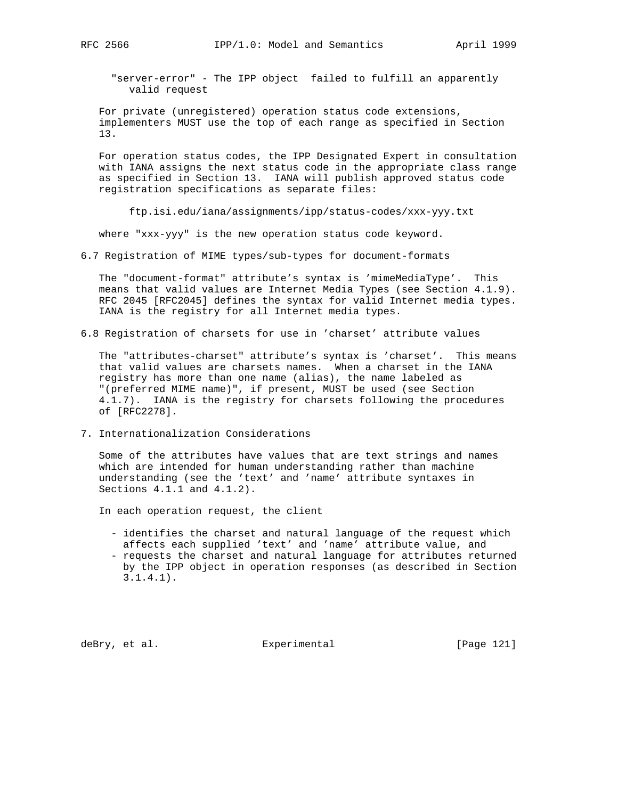"server-error" - The IPP object failed to fulfill an apparently valid request

 For private (unregistered) operation status code extensions, implementers MUST use the top of each range as specified in Section 13.

 For operation status codes, the IPP Designated Expert in consultation with IANA assigns the next status code in the appropriate class range as specified in Section 13. IANA will publish approved status code registration specifications as separate files:

ftp.isi.edu/iana/assignments/ipp/status-codes/xxx-yyy.txt

where "xxx-yyy" is the new operation status code keyword.

6.7 Registration of MIME types/sub-types for document-formats

 The "document-format" attribute's syntax is 'mimeMediaType'. This means that valid values are Internet Media Types (see Section 4.1.9). RFC 2045 [RFC2045] defines the syntax for valid Internet media types. IANA is the registry for all Internet media types.

6.8 Registration of charsets for use in 'charset' attribute values

 The "attributes-charset" attribute's syntax is 'charset'. This means that valid values are charsets names. When a charset in the IANA registry has more than one name (alias), the name labeled as "(preferred MIME name)", if present, MUST be used (see Section 4.1.7). IANA is the registry for charsets following the procedures of [RFC2278].

7. Internationalization Considerations

 Some of the attributes have values that are text strings and names which are intended for human understanding rather than machine understanding (see the 'text' and 'name' attribute syntaxes in Sections 4.1.1 and 4.1.2).

In each operation request, the client

- identifies the charset and natural language of the request which affects each supplied 'text' and 'name' attribute value, and
- requests the charset and natural language for attributes returned by the IPP object in operation responses (as described in Section 3.1.4.1).

deBry, et al. Subsectimental Experimental [Page 121]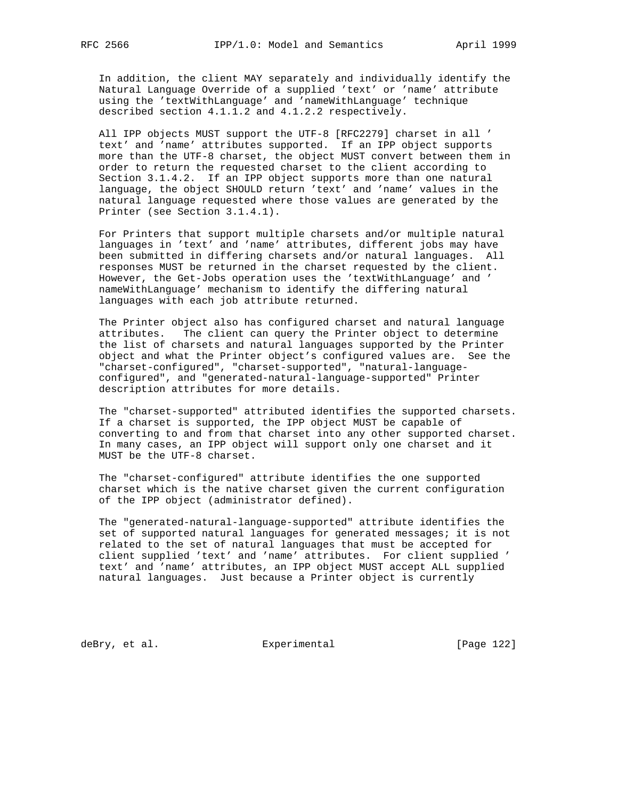In addition, the client MAY separately and individually identify the Natural Language Override of a supplied 'text' or 'name' attribute using the 'textWithLanguage' and 'nameWithLanguage' technique described section 4.1.1.2 and 4.1.2.2 respectively.

 All IPP objects MUST support the UTF-8 [RFC2279] charset in all ' text' and 'name' attributes supported. If an IPP object supports more than the UTF-8 charset, the object MUST convert between them in order to return the requested charset to the client according to Section 3.1.4.2. If an IPP object supports more than one natural language, the object SHOULD return 'text' and 'name' values in the natural language requested where those values are generated by the Printer (see Section 3.1.4.1).

 For Printers that support multiple charsets and/or multiple natural languages in 'text' and 'name' attributes, different jobs may have been submitted in differing charsets and/or natural languages. All responses MUST be returned in the charset requested by the client. However, the Get-Jobs operation uses the 'textWithLanguage' and ' nameWithLanguage' mechanism to identify the differing natural languages with each job attribute returned.

 The Printer object also has configured charset and natural language attributes. The client can query the Printer object to determine the list of charsets and natural languages supported by the Printer object and what the Printer object's configured values are. See the "charset-configured", "charset-supported", "natural-language configured", and "generated-natural-language-supported" Printer description attributes for more details.

 The "charset-supported" attributed identifies the supported charsets. If a charset is supported, the IPP object MUST be capable of converting to and from that charset into any other supported charset. In many cases, an IPP object will support only one charset and it MUST be the UTF-8 charset.

 The "charset-configured" attribute identifies the one supported charset which is the native charset given the current configuration of the IPP object (administrator defined).

 The "generated-natural-language-supported" attribute identifies the set of supported natural languages for generated messages; it is not related to the set of natural languages that must be accepted for client supplied 'text' and 'name' attributes. For client supplied ' text' and 'name' attributes, an IPP object MUST accept ALL supplied natural languages. Just because a Printer object is currently

deBry, et al. Subsection Experimental Figure 2012 [Page 122]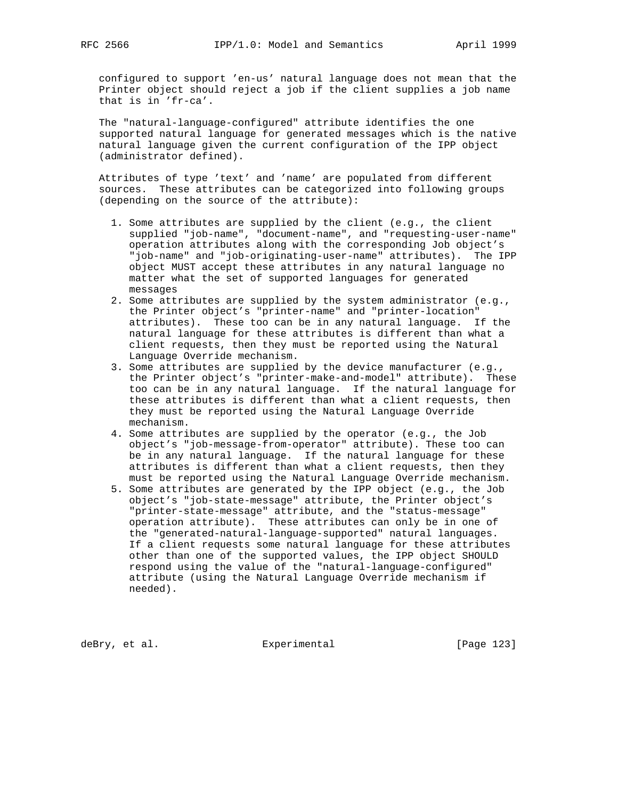configured to support 'en-us' natural language does not mean that the Printer object should reject a job if the client supplies a job name that is in 'fr-ca'.

 The "natural-language-configured" attribute identifies the one supported natural language for generated messages which is the native natural language given the current configuration of the IPP object (administrator defined).

 Attributes of type 'text' and 'name' are populated from different sources. These attributes can be categorized into following groups (depending on the source of the attribute):

- 1. Some attributes are supplied by the client (e.g., the client supplied "job-name", "document-name", and "requesting-user-name" operation attributes along with the corresponding Job object's "job-name" and "job-originating-user-name" attributes). The IPP object MUST accept these attributes in any natural language no matter what the set of supported languages for generated messages
- 2. Some attributes are supplied by the system administrator (e.g., the Printer object's "printer-name" and "printer-location" attributes). These too can be in any natural language. If the natural language for these attributes is different than what a client requests, then they must be reported using the Natural Language Override mechanism.
- 3. Some attributes are supplied by the device manufacturer (e.g., the Printer object's "printer-make-and-model" attribute). These too can be in any natural language. If the natural language for these attributes is different than what a client requests, then they must be reported using the Natural Language Override mechanism.
- 4. Some attributes are supplied by the operator (e.g., the Job object's "job-message-from-operator" attribute). These too can be in any natural language. If the natural language for these attributes is different than what a client requests, then they must be reported using the Natural Language Override mechanism.
- 5. Some attributes are generated by the IPP object (e.g., the Job object's "job-state-message" attribute, the Printer object's "printer-state-message" attribute, and the "status-message" operation attribute). These attributes can only be in one of the "generated-natural-language-supported" natural languages. If a client requests some natural language for these attributes other than one of the supported values, the IPP object SHOULD respond using the value of the "natural-language-configured" attribute (using the Natural Language Override mechanism if needed).

deBry, et al. Subsectimental Experimental [Page 123]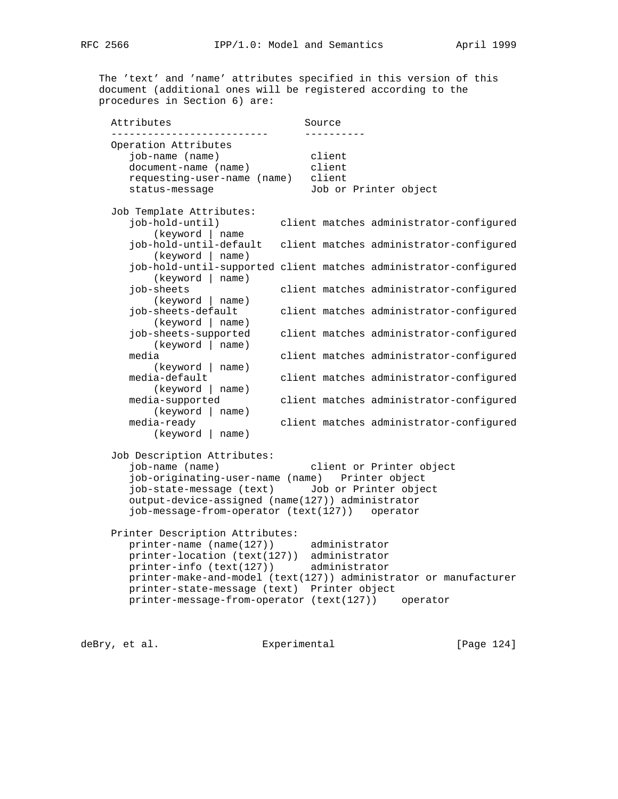The 'text' and 'name' attributes specified in this version of this document (additional ones will be registered according to the procedures in Section 6) are:

Attributes Source -------------------------- ---------- Operation Attributes job-name (name) client document-name (name) client requesting-user-name (name) client status-message Job or Printer object Job Template Attributes: job-hold-until) client matches administrator-configured (keyword | name job-hold-until-default client matches administrator-configured (keyword | name) job-hold-until-supported client matches administrator-configured (keyword | name) job-sheets client matches administrator-configured (keyword | name) job-sheets-default client matches administrator-configured (keyword | name) job-sheets-supported client matches administrator-configured (keyword | name) media client matches administrator-configured (keyword | name)<br>media-default client matches administrator-configured (keyword | name) media-supported client matches administrator-configured (keyword | name) media-ready client matches administrator-configured (keyword | name) Job Description Attributes: job-name (name) client or Printer object job-originating-user-name (name) Printer object job-state-message (text) Job or Printer object output-device-assigned (name(127)) administrator job-message-from-operator (text(127)) operator Printer Description Attributes: printer-name (name(127)) administrator printer-location (text(127)) administrator printer-info (text(127)) administrator printer-make-and-model (text(127)) administrator or manufacturer printer-state-message (text) Printer object printer-message-from-operator (text(127)) operator

deBry, et al. Subsectimental Experimental (Page 124)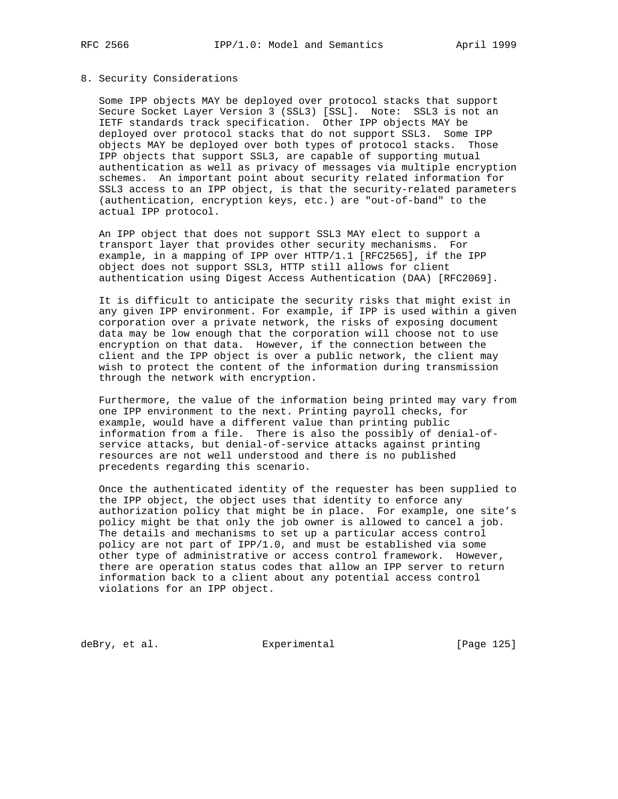#### 8. Security Considerations

 Some IPP objects MAY be deployed over protocol stacks that support Secure Socket Layer Version 3 (SSL3) [SSL]. Note: SSL3 is not an IETF standards track specification. Other IPP objects MAY be deployed over protocol stacks that do not support SSL3. Some IPP objects MAY be deployed over both types of protocol stacks. Those IPP objects that support SSL3, are capable of supporting mutual authentication as well as privacy of messages via multiple encryption schemes. An important point about security related information for SSL3 access to an IPP object, is that the security-related parameters (authentication, encryption keys, etc.) are "out-of-band" to the actual IPP protocol.

 An IPP object that does not support SSL3 MAY elect to support a transport layer that provides other security mechanisms. For example, in a mapping of IPP over HTTP/1.1 [RFC2565], if the IPP object does not support SSL3, HTTP still allows for client authentication using Digest Access Authentication (DAA) [RFC2069].

 It is difficult to anticipate the security risks that might exist in any given IPP environment. For example, if IPP is used within a given corporation over a private network, the risks of exposing document data may be low enough that the corporation will choose not to use encryption on that data. However, if the connection between the client and the IPP object is over a public network, the client may wish to protect the content of the information during transmission through the network with encryption.

 Furthermore, the value of the information being printed may vary from one IPP environment to the next. Printing payroll checks, for example, would have a different value than printing public information from a file. There is also the possibly of denial-of service attacks, but denial-of-service attacks against printing resources are not well understood and there is no published precedents regarding this scenario.

 Once the authenticated identity of the requester has been supplied to the IPP object, the object uses that identity to enforce any authorization policy that might be in place. For example, one site's policy might be that only the job owner is allowed to cancel a job. The details and mechanisms to set up a particular access control policy are not part of IPP/1.0, and must be established via some other type of administrative or access control framework. However, there are operation status codes that allow an IPP server to return information back to a client about any potential access control violations for an IPP object.

deBry, et al. Subsection Experimental Contract (Page 125)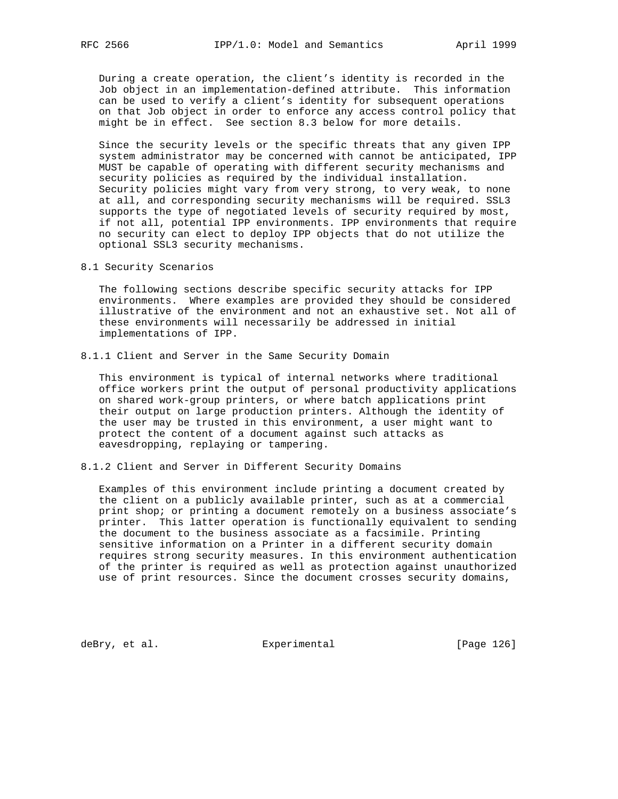During a create operation, the client's identity is recorded in the Job object in an implementation-defined attribute. This information can be used to verify a client's identity for subsequent operations on that Job object in order to enforce any access control policy that might be in effect. See section 8.3 below for more details.

 Since the security levels or the specific threats that any given IPP system administrator may be concerned with cannot be anticipated, IPP MUST be capable of operating with different security mechanisms and security policies as required by the individual installation. Security policies might vary from very strong, to very weak, to none at all, and corresponding security mechanisms will be required. SSL3 supports the type of negotiated levels of security required by most, if not all, potential IPP environments. IPP environments that require no security can elect to deploy IPP objects that do not utilize the optional SSL3 security mechanisms.

8.1 Security Scenarios

 The following sections describe specific security attacks for IPP environments. Where examples are provided they should be considered illustrative of the environment and not an exhaustive set. Not all of these environments will necessarily be addressed in initial implementations of IPP.

8.1.1 Client and Server in the Same Security Domain

 This environment is typical of internal networks where traditional office workers print the output of personal productivity applications on shared work-group printers, or where batch applications print their output on large production printers. Although the identity of the user may be trusted in this environment, a user might want to protect the content of a document against such attacks as eavesdropping, replaying or tampering.

8.1.2 Client and Server in Different Security Domains

 Examples of this environment include printing a document created by the client on a publicly available printer, such as at a commercial print shop; or printing a document remotely on a business associate's printer. This latter operation is functionally equivalent to sending the document to the business associate as a facsimile. Printing sensitive information on a Printer in a different security domain requires strong security measures. In this environment authentication of the printer is required as well as protection against unauthorized use of print resources. Since the document crosses security domains,

deBry, et al. Subsection Experimental Fage 126]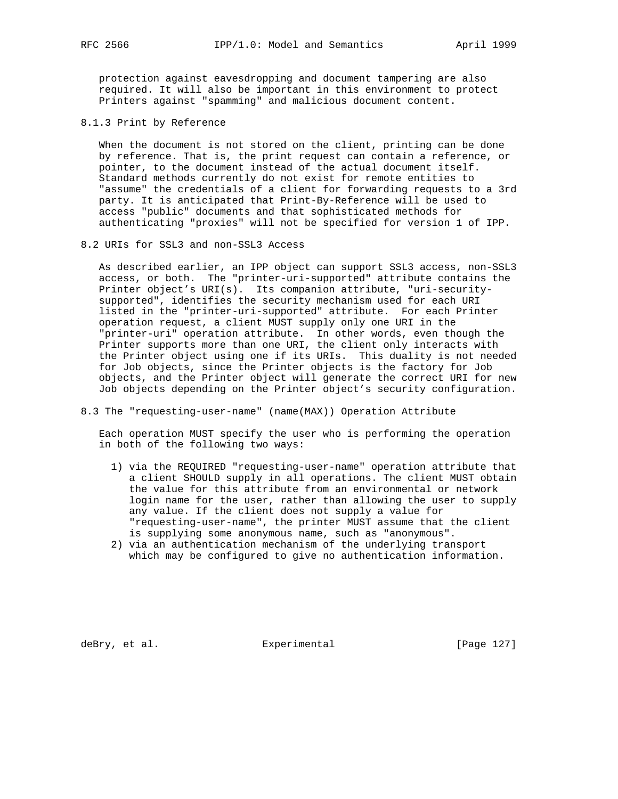protection against eavesdropping and document tampering are also required. It will also be important in this environment to protect Printers against "spamming" and malicious document content.

8.1.3 Print by Reference

 When the document is not stored on the client, printing can be done by reference. That is, the print request can contain a reference, or pointer, to the document instead of the actual document itself. Standard methods currently do not exist for remote entities to "assume" the credentials of a client for forwarding requests to a 3rd party. It is anticipated that Print-By-Reference will be used to access "public" documents and that sophisticated methods for authenticating "proxies" will not be specified for version 1 of IPP.

8.2 URIs for SSL3 and non-SSL3 Access

 As described earlier, an IPP object can support SSL3 access, non-SSL3 access, or both. The "printer-uri-supported" attribute contains the Printer object's URI(s). Its companion attribute, "uri-security supported", identifies the security mechanism used for each URI listed in the "printer-uri-supported" attribute. For each Printer operation request, a client MUST supply only one URI in the "printer-uri" operation attribute. In other words, even though the Printer supports more than one URI, the client only interacts with the Printer object using one if its URIs. This duality is not needed for Job objects, since the Printer objects is the factory for Job objects, and the Printer object will generate the correct URI for new Job objects depending on the Printer object's security configuration.

8.3 The "requesting-user-name" (name(MAX)) Operation Attribute

 Each operation MUST specify the user who is performing the operation in both of the following two ways:

- 1) via the REQUIRED "requesting-user-name" operation attribute that a client SHOULD supply in all operations. The client MUST obtain the value for this attribute from an environmental or network login name for the user, rather than allowing the user to supply any value. If the client does not supply a value for "requesting-user-name", the printer MUST assume that the client is supplying some anonymous name, such as "anonymous".
- 2) via an authentication mechanism of the underlying transport which may be configured to give no authentication information.

deBry, et al. Subsectimental Experimental (Page 127)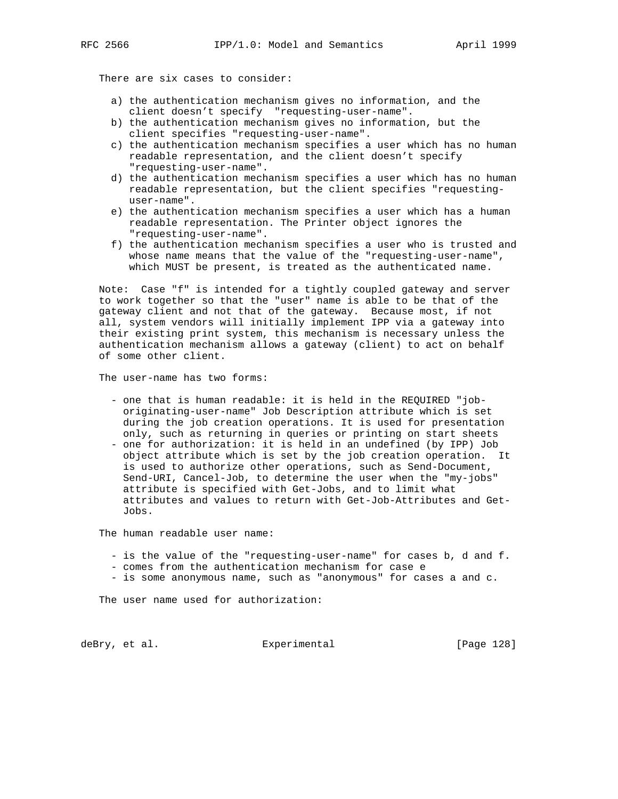There are six cases to consider:

- a) the authentication mechanism gives no information, and the client doesn't specify "requesting-user-name".
- b) the authentication mechanism gives no information, but the client specifies "requesting-user-name".
- c) the authentication mechanism specifies a user which has no human readable representation, and the client doesn't specify "requesting-user-name".
- d) the authentication mechanism specifies a user which has no human readable representation, but the client specifies "requesting user-name".
- e) the authentication mechanism specifies a user which has a human readable representation. The Printer object ignores the "requesting-user-name".
- f) the authentication mechanism specifies a user who is trusted and whose name means that the value of the "requesting-user-name", which MUST be present, is treated as the authenticated name.

 Note: Case "f" is intended for a tightly coupled gateway and server to work together so that the "user" name is able to be that of the gateway client and not that of the gateway. Because most, if not all, system vendors will initially implement IPP via a gateway into their existing print system, this mechanism is necessary unless the authentication mechanism allows a gateway (client) to act on behalf of some other client.

The user-name has two forms:

- one that is human readable: it is held in the REQUIRED "job originating-user-name" Job Description attribute which is set during the job creation operations. It is used for presentation only, such as returning in queries or printing on start sheets
- one for authorization: it is held in an undefined (by IPP) Job object attribute which is set by the job creation operation. It is used to authorize other operations, such as Send-Document, Send-URI, Cancel-Job, to determine the user when the "my-jobs" attribute is specified with Get-Jobs, and to limit what attributes and values to return with Get-Job-Attributes and Get- Jobs.

The human readable user name:

- is the value of the "requesting-user-name" for cases b, d and f.
- comes from the authentication mechanism for case e
- is some anonymous name, such as "anonymous" for cases a and c.

The user name used for authorization:

deBry, et al. Subsectimental Experimental (Page 128)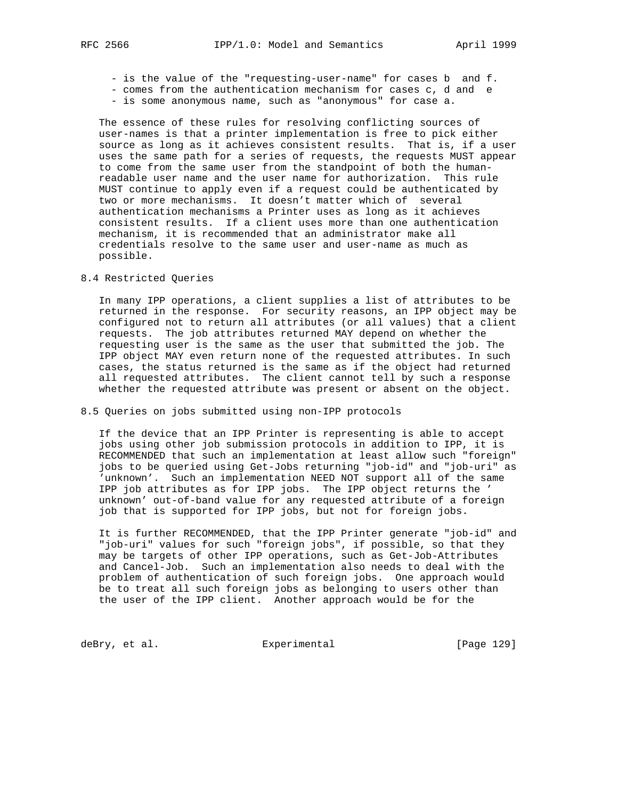- is the value of the "requesting-user-name" for cases b and f.
- comes from the authentication mechanism for cases c, d and e
- is some anonymous name, such as "anonymous" for case a.

 The essence of these rules for resolving conflicting sources of user-names is that a printer implementation is free to pick either source as long as it achieves consistent results. That is, if a user uses the same path for a series of requests, the requests MUST appear to come from the same user from the standpoint of both the human readable user name and the user name for authorization. This rule MUST continue to apply even if a request could be authenticated by two or more mechanisms. It doesn't matter which of several authentication mechanisms a Printer uses as long as it achieves consistent results. If a client uses more than one authentication mechanism, it is recommended that an administrator make all credentials resolve to the same user and user-name as much as possible.

8.4 Restricted Queries

 In many IPP operations, a client supplies a list of attributes to be returned in the response. For security reasons, an IPP object may be configured not to return all attributes (or all values) that a client requests. The job attributes returned MAY depend on whether the requesting user is the same as the user that submitted the job. The IPP object MAY even return none of the requested attributes. In such cases, the status returned is the same as if the object had returned all requested attributes. The client cannot tell by such a response whether the requested attribute was present or absent on the object.

#### 8.5 Queries on jobs submitted using non-IPP protocols

 If the device that an IPP Printer is representing is able to accept jobs using other job submission protocols in addition to IPP, it is RECOMMENDED that such an implementation at least allow such "foreign" jobs to be queried using Get-Jobs returning "job-id" and "job-uri" as 'unknown'. Such an implementation NEED NOT support all of the same IPP job attributes as for IPP jobs. The IPP object returns the ' unknown' out-of-band value for any requested attribute of a foreign job that is supported for IPP jobs, but not for foreign jobs.

 It is further RECOMMENDED, that the IPP Printer generate "job-id" and "job-uri" values for such "foreign jobs", if possible, so that they may be targets of other IPP operations, such as Get-Job-Attributes and Cancel-Job. Such an implementation also needs to deal with the problem of authentication of such foreign jobs. One approach would be to treat all such foreign jobs as belonging to users other than the user of the IPP client. Another approach would be for the

deBry, et al. Subsectimental Experimental (Page 129)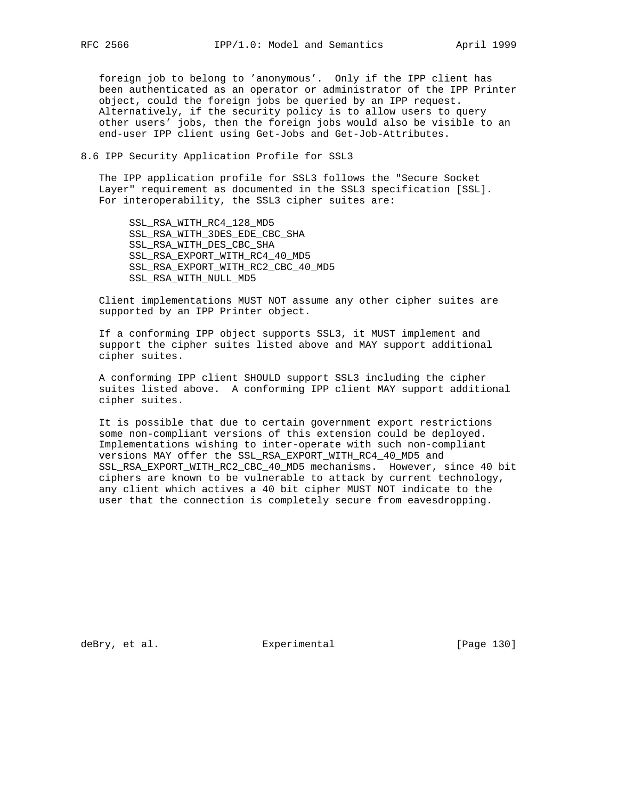foreign job to belong to 'anonymous'. Only if the IPP client has been authenticated as an operator or administrator of the IPP Printer object, could the foreign jobs be queried by an IPP request. Alternatively, if the security policy is to allow users to query other users' jobs, then the foreign jobs would also be visible to an end-user IPP client using Get-Jobs and Get-Job-Attributes.

## 8.6 IPP Security Application Profile for SSL3

 The IPP application profile for SSL3 follows the "Secure Socket Layer" requirement as documented in the SSL3 specification [SSL]. For interoperability, the SSL3 cipher suites are:

 SSL\_RSA\_WITH\_RC4\_128\_MD5 SSL\_RSA\_WITH\_3DES\_EDE\_CBC\_SHA SSL\_RSA\_WITH\_DES\_CBC\_SHA SSL\_RSA\_EXPORT\_WITH\_RC4\_40\_MD5 SSL\_RSA\_EXPORT\_WITH\_RC2\_CBC\_40\_MD5 SSL\_RSA\_WITH\_NULL\_MD5

 Client implementations MUST NOT assume any other cipher suites are supported by an IPP Printer object.

 If a conforming IPP object supports SSL3, it MUST implement and support the cipher suites listed above and MAY support additional cipher suites.

 A conforming IPP client SHOULD support SSL3 including the cipher suites listed above. A conforming IPP client MAY support additional cipher suites.

 It is possible that due to certain government export restrictions some non-compliant versions of this extension could be deployed. Implementations wishing to inter-operate with such non-compliant versions MAY offer the SSL\_RSA\_EXPORT\_WITH\_RC4\_40\_MD5 and SSL\_RSA\_EXPORT\_WITH\_RC2\_CBC\_40\_MD5 mechanisms. However, since 40 bit ciphers are known to be vulnerable to attack by current technology, any client which actives a 40 bit cipher MUST NOT indicate to the user that the connection is completely secure from eavesdropping.

deBry, et al. Subsectimental Experimental [Page 130]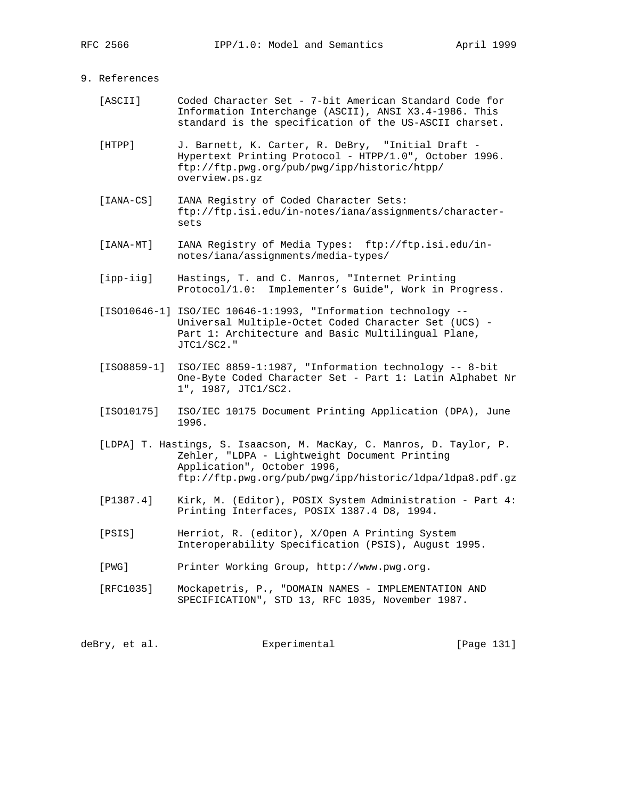# 9. References

- [ASCII] Coded Character Set 7-bit American Standard Code for Information Interchange (ASCII), ANSI X3.4-1986. This standard is the specification of the US-ASCII charset.
- [HTPP] J. Barnett, K. Carter, R. DeBry, "Initial Draft Hypertext Printing Protocol - HTPP/1.0", October 1996. ftp://ftp.pwg.org/pub/pwg/ipp/historic/htpp/ overview.ps.gz
- [IANA-CS] IANA Registry of Coded Character Sets: ftp://ftp.isi.edu/in-notes/iana/assignments/character sets
- [IANA-MT] IANA Registry of Media Types: ftp://ftp.isi.edu/in notes/iana/assignments/media-types/
- [ipp-iig] Hastings, T. and C. Manros, "Internet Printing Protocol/1.0: Implementer's Guide", Work in Progress.
- [ISO10646-1] ISO/IEC 10646-1:1993, "Information technology -- Universal Multiple-Octet Coded Character Set (UCS) - Part 1: Architecture and Basic Multilingual Plane, JTC1/SC2."
- [ISO8859-1] ISO/IEC 8859-1:1987, "Information technology -- 8-bit One-Byte Coded Character Set - Part 1: Latin Alphabet Nr 1", 1987, JTC1/SC2.
- [ISO10175] ISO/IEC 10175 Document Printing Application (DPA), June 1996.
- [LDPA] T. Hastings, S. Isaacson, M. MacKay, C. Manros, D. Taylor, P. Zehler, "LDPA - Lightweight Document Printing Application", October 1996, ftp://ftp.pwg.org/pub/pwg/ipp/historic/ldpa/ldpa8.pdf.gz
- [P1387.4] Kirk, M. (Editor), POSIX System Administration Part 4: Printing Interfaces, POSIX 1387.4 D8, 1994.
- [PSIS] Herriot, R. (editor), X/Open A Printing System Interoperability Specification (PSIS), August 1995.
- [PWG] Printer Working Group, http://www.pwg.org.
- [RFC1035] Mockapetris, P., "DOMAIN NAMES IMPLEMENTATION AND SPECIFICATION", STD 13, RFC 1035, November 1987.

deBry, et al. Experimental [Page 131]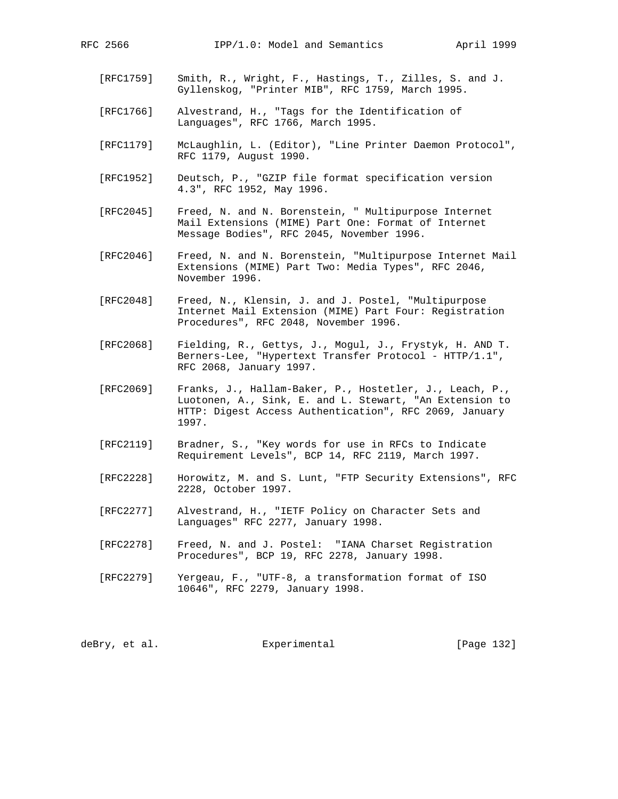- [RFC1759] Smith, R., Wright, F., Hastings, T., Zilles, S. and J. Gyllenskog, "Printer MIB", RFC 1759, March 1995.
- [RFC1766] Alvestrand, H., "Tags for the Identification of Languages", RFC 1766, March 1995.
- [RFC1179] McLaughlin, L. (Editor), "Line Printer Daemon Protocol", RFC 1179, August 1990.
- [RFC1952] Deutsch, P., "GZIP file format specification version 4.3", RFC 1952, May 1996.
- [RFC2045] Freed, N. and N. Borenstein, " Multipurpose Internet Mail Extensions (MIME) Part One: Format of Internet Message Bodies", RFC 2045, November 1996.
- [RFC2046] Freed, N. and N. Borenstein, "Multipurpose Internet Mail Extensions (MIME) Part Two: Media Types", RFC 2046, November 1996.
- [RFC2048] Freed, N., Klensin, J. and J. Postel, "Multipurpose Internet Mail Extension (MIME) Part Four: Registration Procedures", RFC 2048, November 1996.
- [RFC2068] Fielding, R., Gettys, J., Mogul, J., Frystyk, H. AND T. Berners-Lee, "Hypertext Transfer Protocol - HTTP/1.1", RFC 2068, January 1997.
- [RFC2069] Franks, J., Hallam-Baker, P., Hostetler, J., Leach, P., Luotonen, A., Sink, E. and L. Stewart, "An Extension to HTTP: Digest Access Authentication", RFC 2069, January 1997.
- [RFC2119] Bradner, S., "Key words for use in RFCs to Indicate Requirement Levels", BCP 14, RFC 2119, March 1997.
- [RFC2228] Horowitz, M. and S. Lunt, "FTP Security Extensions", RFC 2228, October 1997.
- [RFC2277] Alvestrand, H., "IETF Policy on Character Sets and Languages" RFC 2277, January 1998.
- [RFC2278] Freed, N. and J. Postel: "IANA Charset Registration Procedures", BCP 19, RFC 2278, January 1998.
- [RFC2279] Yergeau, F., "UTF-8, a transformation format of ISO 10646", RFC 2279, January 1998.

deBry, et al. Subsection Experimental Experimental [Page 132]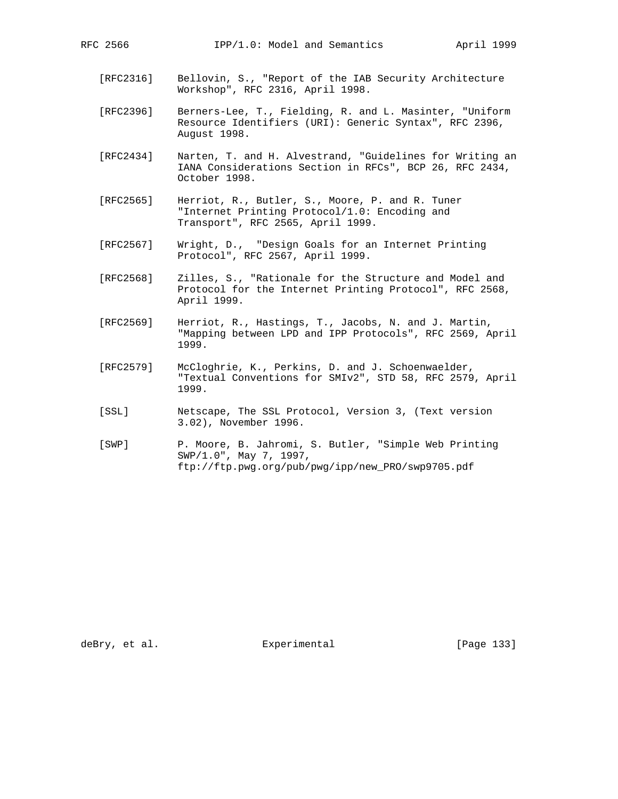- [RFC2316] Bellovin, S., "Report of the IAB Security Architecture Workshop", RFC 2316, April 1998.
- [RFC2396] Berners-Lee, T., Fielding, R. and L. Masinter, "Uniform Resource Identifiers (URI): Generic Syntax", RFC 2396, August 1998.
- [RFC2434] Narten, T. and H. Alvestrand, "Guidelines for Writing an IANA Considerations Section in RFCs", BCP 26, RFC 2434, October 1998.
- [RFC2565] Herriot, R., Butler, S., Moore, P. and R. Tuner "Internet Printing Protocol/1.0: Encoding and Transport", RFC 2565, April 1999.
- [RFC2567] Wright, D., "Design Goals for an Internet Printing Protocol", RFC 2567, April 1999.
- [RFC2568] Zilles, S., "Rationale for the Structure and Model and Protocol for the Internet Printing Protocol", RFC 2568, April 1999.
- [RFC2569] Herriot, R., Hastings, T., Jacobs, N. and J. Martin, "Mapping between LPD and IPP Protocols", RFC 2569, April 1999.
- [RFC2579] McCloghrie, K., Perkins, D. and J. Schoenwaelder, "Textual Conventions for SMIv2", STD 58, RFC 2579, April 1999.
- [SSL] Netscape, The SSL Protocol, Version 3, (Text version 3.02), November 1996.
- [SWP] P. Moore, B. Jahromi, S. Butler, "Simple Web Printing SWP/1.0", May 7, 1997, ftp://ftp.pwg.org/pub/pwg/ipp/new\_PRO/swp9705.pdf

deBry, et al. Subsectimental Experimental [Page 133]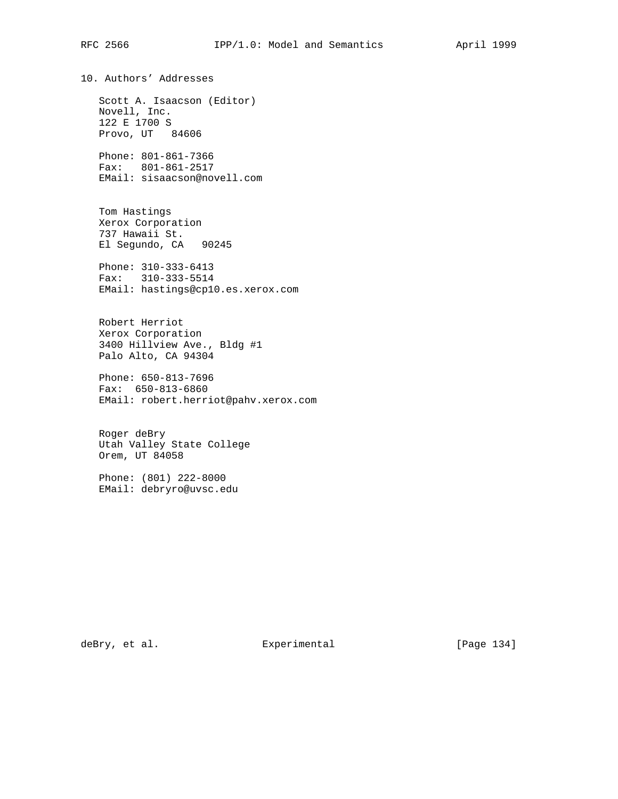10. Authors' Addresses Scott A. Isaacson (Editor) Novell, Inc. 122 E 1700 S Provo, UT 84606 Phone: 801-861-7366 Fax: 801-861-2517 EMail: sisaacson@novell.com Tom Hastings Xerox Corporation 737 Hawaii St. El Segundo, CA 90245 Phone: 310-333-6413 Fax: 310-333-5514 EMail: hastings@cp10.es.xerox.com Robert Herriot Xerox Corporation 3400 Hillview Ave., Bldg #1 Palo Alto, CA 94304 Phone: 650-813-7696 Fax: 650-813-6860 EMail: robert.herriot@pahv.xerox.com

 Roger deBry Utah Valley State College Orem, UT 84058

 Phone: (801) 222-8000 EMail: debryro@uvsc.edu

deBry, et al. Subsectimental Experimental [Page 134]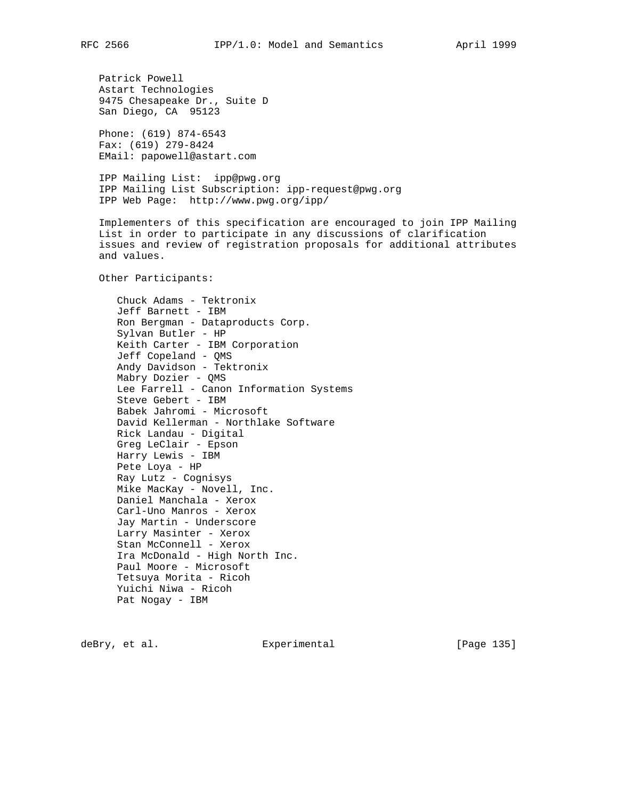Patrick Powell Astart Technologies 9475 Chesapeake Dr., Suite D San Diego, CA 95123

 Phone: (619) 874-6543 Fax: (619) 279-8424 EMail: papowell@astart.com

 IPP Mailing List: ipp@pwg.org IPP Mailing List Subscription: ipp-request@pwg.org IPP Web Page: http://www.pwg.org/ipp/

 Implementers of this specification are encouraged to join IPP Mailing List in order to participate in any discussions of clarification issues and review of registration proposals for additional attributes and values.

Other Participants:

 Chuck Adams - Tektronix Jeff Barnett - IBM Ron Bergman - Dataproducts Corp. Sylvan Butler - HP Keith Carter - IBM Corporation Jeff Copeland - QMS Andy Davidson - Tektronix Mabry Dozier - QMS Lee Farrell - Canon Information Systems Steve Gebert - IBM Babek Jahromi - Microsoft David Kellerman - Northlake Software Rick Landau - Digital Greg LeClair - Epson Harry Lewis - IBM Pete Loya - HP Ray Lutz - Cognisys Mike MacKay - Novell, Inc. Daniel Manchala - Xerox Carl-Uno Manros - Xerox Jay Martin - Underscore Larry Masinter - Xerox Stan McConnell - Xerox Ira McDonald - High North Inc. Paul Moore - Microsoft Tetsuya Morita - Ricoh Yuichi Niwa - Ricoh Pat Nogay - IBM

deBry, et al. Experimental [Page 135]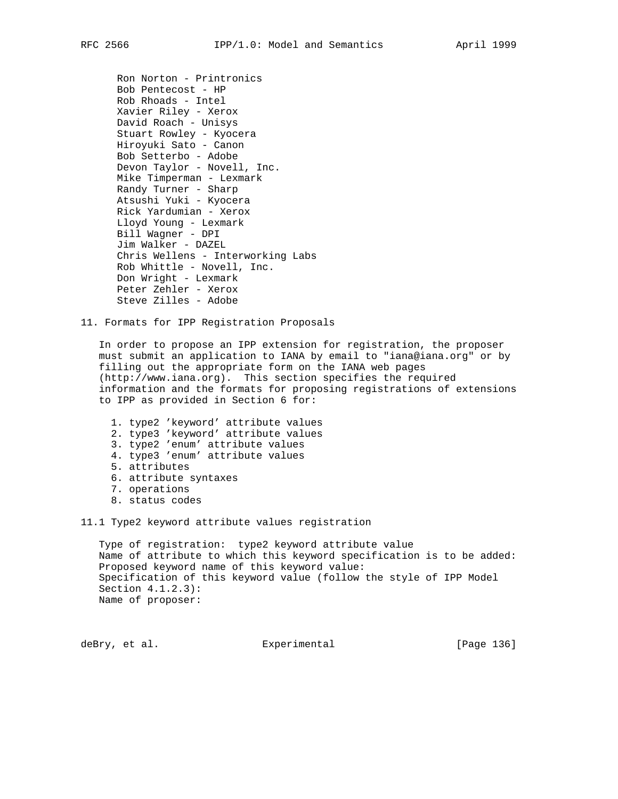Ron Norton - Printronics Bob Pentecost - HP Rob Rhoads - Intel Xavier Riley - Xerox David Roach - Unisys Stuart Rowley - Kyocera Hiroyuki Sato - Canon Bob Setterbo - Adobe Devon Taylor - Novell, Inc. Mike Timperman - Lexmark Randy Turner - Sharp Atsushi Yuki - Kyocera Rick Yardumian - Xerox Lloyd Young - Lexmark Bill Wagner - DPI Jim Walker - DAZEL Chris Wellens - Interworking Labs Rob Whittle - Novell, Inc. Don Wright - Lexmark Peter Zehler - Xerox Steve Zilles - Adobe

11. Formats for IPP Registration Proposals

 In order to propose an IPP extension for registration, the proposer must submit an application to IANA by email to "iana@iana.org" or by filling out the appropriate form on the IANA web pages (http://www.iana.org). This section specifies the required information and the formats for proposing registrations of extensions to IPP as provided in Section 6 for:

- 1. type2 'keyword' attribute values
- 2. type3 'keyword' attribute values
- 3. type2 'enum' attribute values
- 4. type3 'enum' attribute values
- 5. attributes
- 6. attribute syntaxes
- 7. operations
- 8. status codes

11.1 Type2 keyword attribute values registration

 Type of registration: type2 keyword attribute value Name of attribute to which this keyword specification is to be added: Proposed keyword name of this keyword value: Specification of this keyword value (follow the style of IPP Model Section 4.1.2.3): Name of proposer:

deBry, et al. Experimental [Page 136]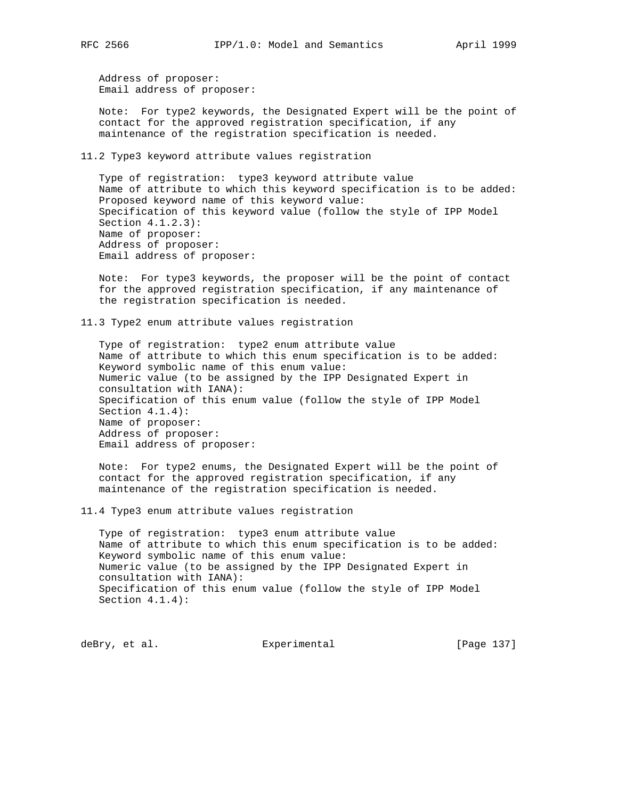Address of proposer: Email address of proposer:

 Note: For type2 keywords, the Designated Expert will be the point of contact for the approved registration specification, if any maintenance of the registration specification is needed.

11.2 Type3 keyword attribute values registration

 Type of registration: type3 keyword attribute value Name of attribute to which this keyword specification is to be added: Proposed keyword name of this keyword value: Specification of this keyword value (follow the style of IPP Model Section 4.1.2.3): Name of proposer: Address of proposer: Email address of proposer:

 Note: For type3 keywords, the proposer will be the point of contact for the approved registration specification, if any maintenance of the registration specification is needed.

11.3 Type2 enum attribute values registration

 Type of registration: type2 enum attribute value Name of attribute to which this enum specification is to be added: Keyword symbolic name of this enum value: Numeric value (to be assigned by the IPP Designated Expert in consultation with IANA): Specification of this enum value (follow the style of IPP Model Section 4.1.4): Name of proposer: Address of proposer: Email address of proposer:

 Note: For type2 enums, the Designated Expert will be the point of contact for the approved registration specification, if any maintenance of the registration specification is needed.

11.4 Type3 enum attribute values registration

 Type of registration: type3 enum attribute value Name of attribute to which this enum specification is to be added: Keyword symbolic name of this enum value: Numeric value (to be assigned by the IPP Designated Expert in consultation with IANA): Specification of this enum value (follow the style of IPP Model Section 4.1.4):

deBry, et al. Subsectimental Experimental [Page 137]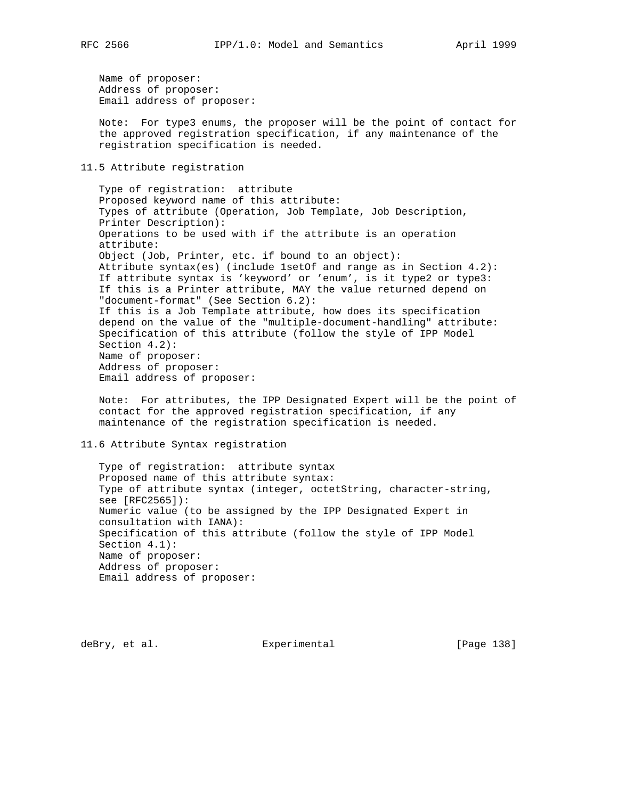Name of proposer: Address of proposer: Email address of proposer:

 Note: For type3 enums, the proposer will be the point of contact for the approved registration specification, if any maintenance of the registration specification is needed.

11.5 Attribute registration

 Type of registration: attribute Proposed keyword name of this attribute: Types of attribute (Operation, Job Template, Job Description, Printer Description): Operations to be used with if the attribute is an operation attribute: Object (Job, Printer, etc. if bound to an object): Attribute syntax(es) (include 1setOf and range as in Section 4.2): If attribute syntax is 'keyword' or 'enum', is it type2 or type3: If this is a Printer attribute, MAY the value returned depend on "document-format" (See Section 6.2): If this is a Job Template attribute, how does its specification depend on the value of the "multiple-document-handling" attribute: Specification of this attribute (follow the style of IPP Model Section 4.2): Name of proposer: Address of proposer: Email address of proposer:

 Note: For attributes, the IPP Designated Expert will be the point of contact for the approved registration specification, if any maintenance of the registration specification is needed.

# 11.6 Attribute Syntax registration

 Type of registration: attribute syntax Proposed name of this attribute syntax: Type of attribute syntax (integer, octetString, character-string, see [RFC2565]): Numeric value (to be assigned by the IPP Designated Expert in consultation with IANA): Specification of this attribute (follow the style of IPP Model Section 4.1): Name of proposer: Address of proposer: Email address of proposer:

deBry, et al. Subsection Experimental Contract (Page 138)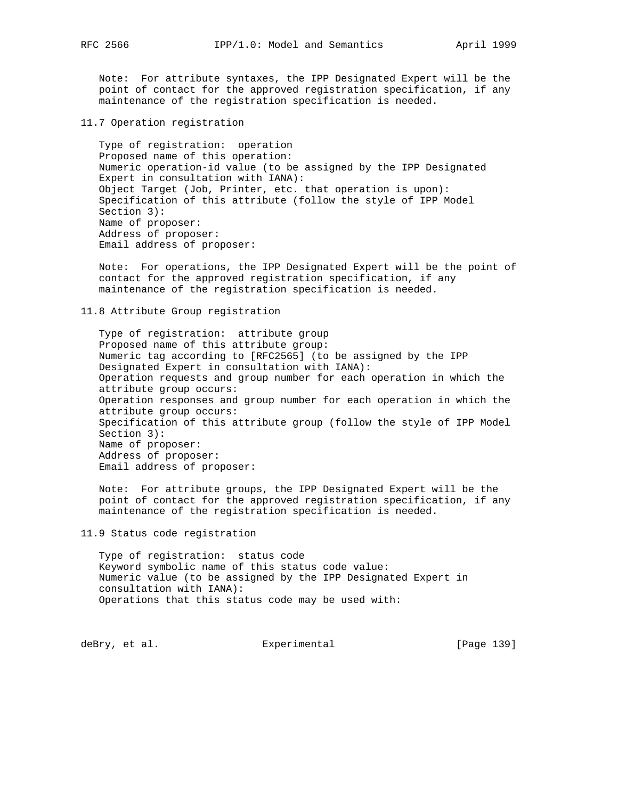Note: For attribute syntaxes, the IPP Designated Expert will be the point of contact for the approved registration specification, if any maintenance of the registration specification is needed.

11.7 Operation registration

 Type of registration: operation Proposed name of this operation: Numeric operation-id value (to be assigned by the IPP Designated Expert in consultation with IANA): Object Target (Job, Printer, etc. that operation is upon): Specification of this attribute (follow the style of IPP Model Section 3): Name of proposer: Address of proposer: Email address of proposer:

 Note: For operations, the IPP Designated Expert will be the point of contact for the approved registration specification, if any maintenance of the registration specification is needed.

11.8 Attribute Group registration

 Type of registration: attribute group Proposed name of this attribute group: Numeric tag according to [RFC2565] (to be assigned by the IPP Designated Expert in consultation with IANA): Operation requests and group number for each operation in which the attribute group occurs: Operation responses and group number for each operation in which the attribute group occurs: Specification of this attribute group (follow the style of IPP Model Section 3): Name of proposer: Address of proposer: Email address of proposer:

 Note: For attribute groups, the IPP Designated Expert will be the point of contact for the approved registration specification, if any maintenance of the registration specification is needed.

11.9 Status code registration

 Type of registration: status code Keyword symbolic name of this status code value: Numeric value (to be assigned by the IPP Designated Expert in consultation with IANA): Operations that this status code may be used with:

deBry, et al. Subsection Experimental Contract (Page 139)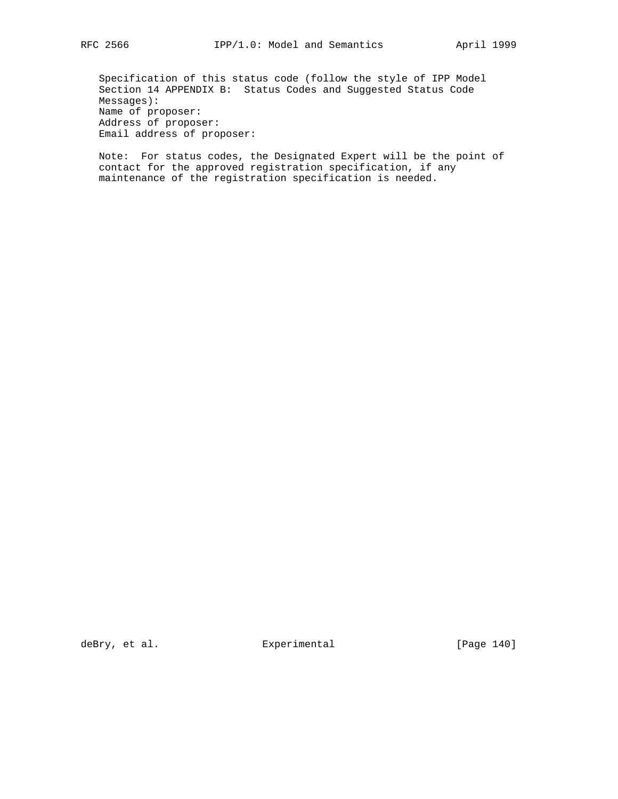Specification of this status code (follow the style of IPP Model Section 14 APPENDIX B: Status Codes and Suggested Status Code Messages): Name of proposer: Address of proposer: Email address of proposer:

 Note: For status codes, the Designated Expert will be the point of contact for the approved registration specification, if any maintenance of the registration specification is needed.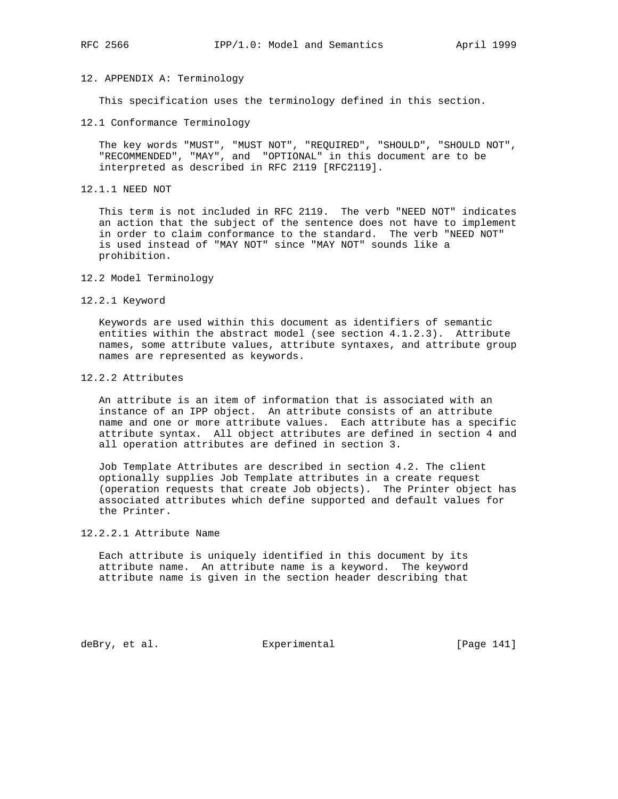# 12. APPENDIX A: Terminology

This specification uses the terminology defined in this section.

12.1 Conformance Terminology

 The key words "MUST", "MUST NOT", "REQUIRED", "SHOULD", "SHOULD NOT", "RECOMMENDED", "MAY", and "OPTIONAL" in this document are to be interpreted as described in RFC 2119 [RFC2119].

12.1.1 NEED NOT

 This term is not included in RFC 2119. The verb "NEED NOT" indicates an action that the subject of the sentence does not have to implement in order to claim conformance to the standard. The verb "NEED NOT" is used instead of "MAY NOT" since "MAY NOT" sounds like a prohibition.

- 12.2 Model Terminology
- 12.2.1 Keyword

 Keywords are used within this document as identifiers of semantic entities within the abstract model (see section 4.1.2.3). Attribute names, some attribute values, attribute syntaxes, and attribute group names are represented as keywords.

## 12.2.2 Attributes

 An attribute is an item of information that is associated with an instance of an IPP object. An attribute consists of an attribute name and one or more attribute values. Each attribute has a specific attribute syntax. All object attributes are defined in section 4 and all operation attributes are defined in section 3.

 Job Template Attributes are described in section 4.2. The client optionally supplies Job Template attributes in a create request (operation requests that create Job objects). The Printer object has associated attributes which define supported and default values for the Printer.

# 12.2.2.1 Attribute Name

 Each attribute is uniquely identified in this document by its attribute name. An attribute name is a keyword. The keyword attribute name is given in the section header describing that

deBry, et al. Subsectimental Experimental (Page 141)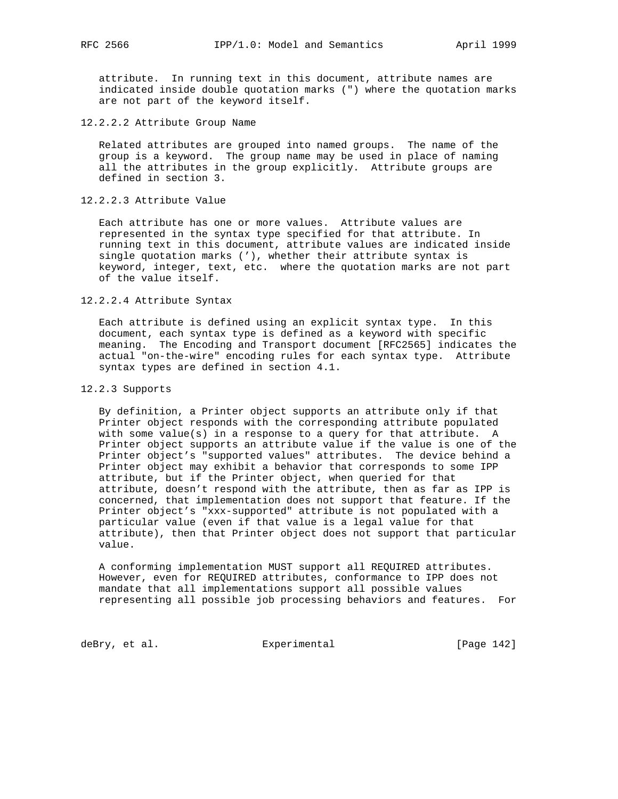attribute. In running text in this document, attribute names are indicated inside double quotation marks (") where the quotation marks are not part of the keyword itself.

12.2.2.2 Attribute Group Name

 Related attributes are grouped into named groups. The name of the group is a keyword. The group name may be used in place of naming all the attributes in the group explicitly. Attribute groups are defined in section 3.

12.2.2.3 Attribute Value

 Each attribute has one or more values. Attribute values are represented in the syntax type specified for that attribute. In running text in this document, attribute values are indicated inside single quotation marks ('), whether their attribute syntax is keyword, integer, text, etc. where the quotation marks are not part of the value itself.

#### 12.2.2.4 Attribute Syntax

 Each attribute is defined using an explicit syntax type. In this document, each syntax type is defined as a keyword with specific meaning. The Encoding and Transport document [RFC2565] indicates the actual "on-the-wire" encoding rules for each syntax type. Attribute syntax types are defined in section 4.1.

12.2.3 Supports

 By definition, a Printer object supports an attribute only if that Printer object responds with the corresponding attribute populated with some value(s) in a response to a query for that attribute. A Printer object supports an attribute value if the value is one of the Printer object's "supported values" attributes. The device behind a Printer object may exhibit a behavior that corresponds to some IPP attribute, but if the Printer object, when queried for that attribute, doesn't respond with the attribute, then as far as IPP is concerned, that implementation does not support that feature. If the Printer object's "xxx-supported" attribute is not populated with a particular value (even if that value is a legal value for that attribute), then that Printer object does not support that particular value.

 A conforming implementation MUST support all REQUIRED attributes. However, even for REQUIRED attributes, conformance to IPP does not mandate that all implementations support all possible values representing all possible job processing behaviors and features. For

deBry, et al. Subsection Experimental Contracts (Page 142)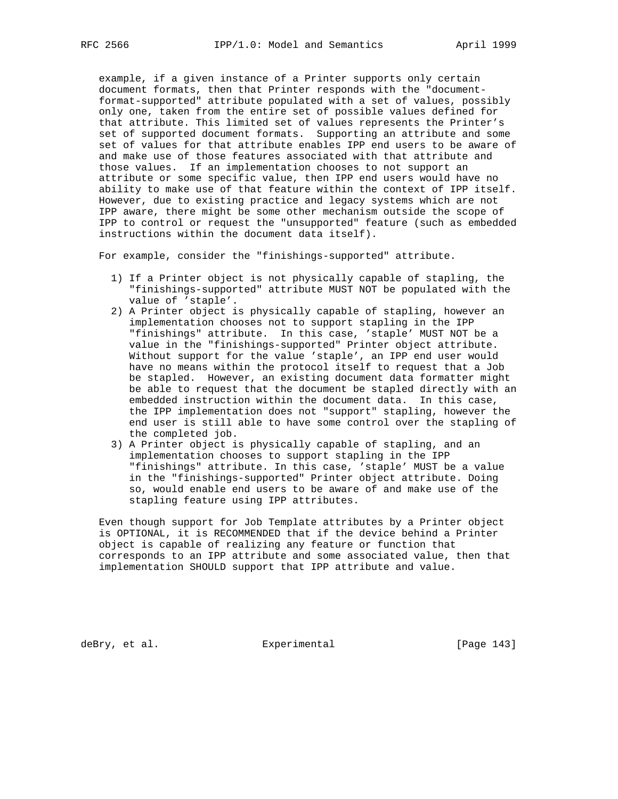example, if a given instance of a Printer supports only certain document formats, then that Printer responds with the "document format-supported" attribute populated with a set of values, possibly only one, taken from the entire set of possible values defined for that attribute. This limited set of values represents the Printer's set of supported document formats. Supporting an attribute and some set of values for that attribute enables IPP end users to be aware of and make use of those features associated with that attribute and those values. If an implementation chooses to not support an attribute or some specific value, then IPP end users would have no ability to make use of that feature within the context of IPP itself. However, due to existing practice and legacy systems which are not IPP aware, there might be some other mechanism outside the scope of IPP to control or request the "unsupported" feature (such as embedded instructions within the document data itself).

For example, consider the "finishings-supported" attribute.

- 1) If a Printer object is not physically capable of stapling, the "finishings-supported" attribute MUST NOT be populated with the value of 'staple'.
- 2) A Printer object is physically capable of stapling, however an implementation chooses not to support stapling in the IPP "finishings" attribute. In this case, 'staple' MUST NOT be a value in the "finishings-supported" Printer object attribute. Without support for the value 'staple', an IPP end user would have no means within the protocol itself to request that a Job be stapled. However, an existing document data formatter might be able to request that the document be stapled directly with an embedded instruction within the document data. In this case, the IPP implementation does not "support" stapling, however the end user is still able to have some control over the stapling of the completed job.
- 3) A Printer object is physically capable of stapling, and an implementation chooses to support stapling in the IPP "finishings" attribute. In this case, 'staple' MUST be a value in the "finishings-supported" Printer object attribute. Doing so, would enable end users to be aware of and make use of the stapling feature using IPP attributes.

 Even though support for Job Template attributes by a Printer object is OPTIONAL, it is RECOMMENDED that if the device behind a Printer object is capable of realizing any feature or function that corresponds to an IPP attribute and some associated value, then that implementation SHOULD support that IPP attribute and value.

deBry, et al. Subsection Experimental Contract (Page 143)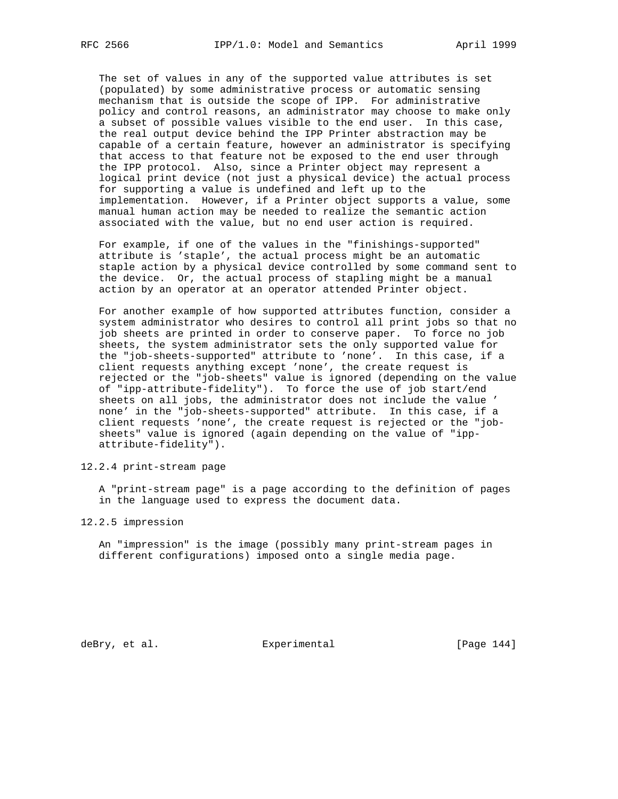The set of values in any of the supported value attributes is set (populated) by some administrative process or automatic sensing mechanism that is outside the scope of IPP. For administrative policy and control reasons, an administrator may choose to make only a subset of possible values visible to the end user. In this case, the real output device behind the IPP Printer abstraction may be capable of a certain feature, however an administrator is specifying that access to that feature not be exposed to the end user through the IPP protocol. Also, since a Printer object may represent a logical print device (not just a physical device) the actual process for supporting a value is undefined and left up to the implementation. However, if a Printer object supports a value, some manual human action may be needed to realize the semantic action associated with the value, but no end user action is required.

 For example, if one of the values in the "finishings-supported" attribute is 'staple', the actual process might be an automatic staple action by a physical device controlled by some command sent to the device. Or, the actual process of stapling might be a manual action by an operator at an operator attended Printer object.

 For another example of how supported attributes function, consider a system administrator who desires to control all print jobs so that no job sheets are printed in order to conserve paper. To force no job sheets, the system administrator sets the only supported value for the "job-sheets-supported" attribute to 'none'. In this case, if a client requests anything except 'none', the create request is rejected or the "job-sheets" value is ignored (depending on the value of "ipp-attribute-fidelity"). To force the use of job start/end sheets on all jobs, the administrator does not include the value ' none' in the "job-sheets-supported" attribute. In this case, if a client requests 'none', the create request is rejected or the "job sheets" value is ignored (again depending on the value of "ipp attribute-fidelity").

12.2.4 print-stream page

 A "print-stream page" is a page according to the definition of pages in the language used to express the document data.

12.2.5 impression

 An "impression" is the image (possibly many print-stream pages in different configurations) imposed onto a single media page.

deBry, et al. Subsectimental Experimental (Page 144)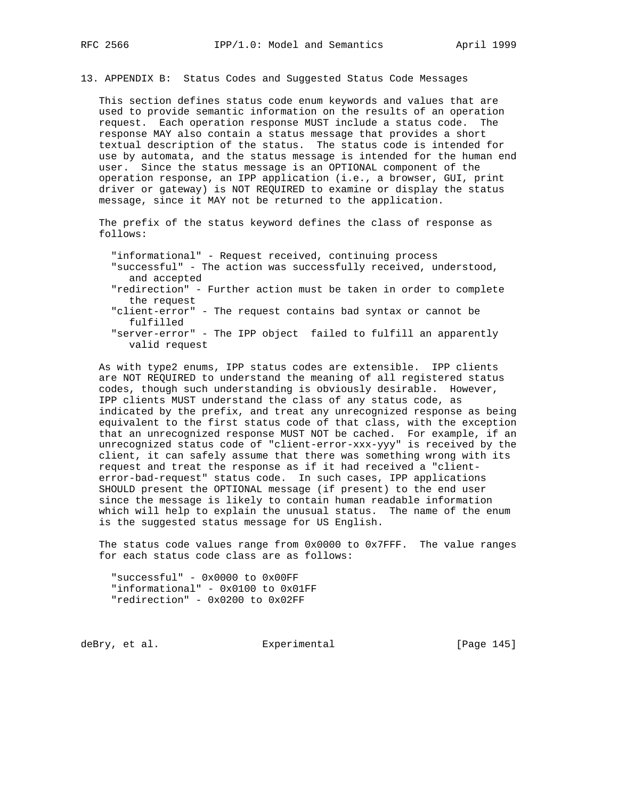13. APPENDIX B: Status Codes and Suggested Status Code Messages

 This section defines status code enum keywords and values that are used to provide semantic information on the results of an operation request. Each operation response MUST include a status code. The response MAY also contain a status message that provides a short textual description of the status. The status code is intended for use by automata, and the status message is intended for the human end user. Since the status message is an OPTIONAL component of the operation response, an IPP application (i.e., a browser, GUI, print driver or gateway) is NOT REQUIRED to examine or display the status message, since it MAY not be returned to the application.

 The prefix of the status keyword defines the class of response as follows:

"informational" - Request received, continuing process

- "successful" The action was successfully received, understood, and accepted
- "redirection" Further action must be taken in order to complete the request
- "client-error" The request contains bad syntax or cannot be fulfilled
- "server-error" The IPP object failed to fulfill an apparently valid request

 As with type2 enums, IPP status codes are extensible. IPP clients are NOT REQUIRED to understand the meaning of all registered status codes, though such understanding is obviously desirable. However, IPP clients MUST understand the class of any status code, as indicated by the prefix, and treat any unrecognized response as being equivalent to the first status code of that class, with the exception that an unrecognized response MUST NOT be cached. For example, if an unrecognized status code of "client-error-xxx-yyy" is received by the client, it can safely assume that there was something wrong with its request and treat the response as if it had received a "client error-bad-request" status code. In such cases, IPP applications SHOULD present the OPTIONAL message (if present) to the end user since the message is likely to contain human readable information which will help to explain the unusual status. The name of the enum is the suggested status message for US English.

 The status code values range from 0x0000 to 0x7FFF. The value ranges for each status code class are as follows:

 "successful" - 0x0000 to 0x00FF "informational" - 0x0100 to 0x01FF "redirection" - 0x0200 to 0x02FF

deBry, et al. Subsectimental Experimental (Page 145)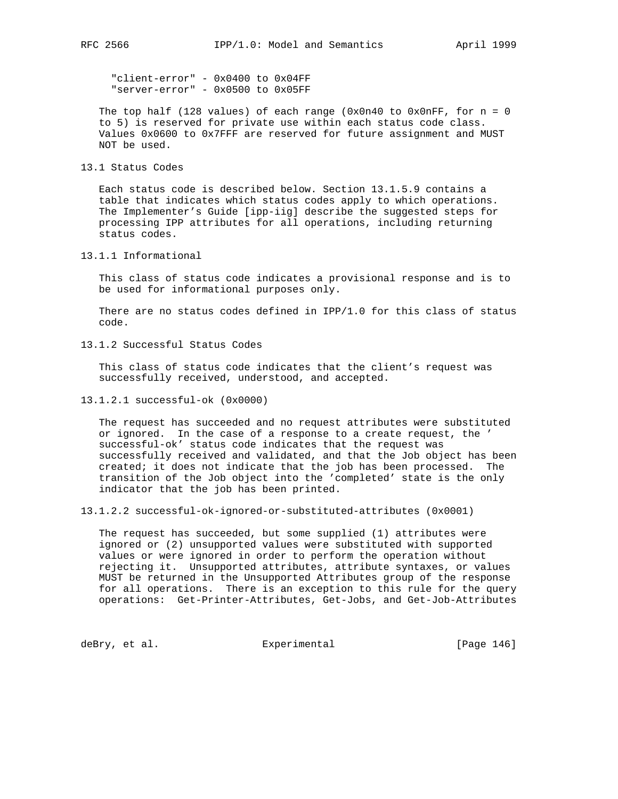"client-error" - 0x0400 to 0x04FF "server-error" - 0x0500 to 0x05FF

The top half (128 values) of each range (0x0n40 to 0x0nFF, for  $n = 0$  to 5) is reserved for private use within each status code class. Values 0x0600 to 0x7FFF are reserved for future assignment and MUST NOT be used.

13.1 Status Codes

 Each status code is described below. Section 13.1.5.9 contains a table that indicates which status codes apply to which operations. The Implementer's Guide [ipp-iig] describe the suggested steps for processing IPP attributes for all operations, including returning status codes.

13.1.1 Informational

 This class of status code indicates a provisional response and is to be used for informational purposes only.

There are no status codes defined in  $IPP/1.0$  for this class of status code.

13.1.2 Successful Status Codes

 This class of status code indicates that the client's request was successfully received, understood, and accepted.

13.1.2.1 successful-ok (0x0000)

 The request has succeeded and no request attributes were substituted or ignored. In the case of a response to a create request, the ' successful-ok' status code indicates that the request was successfully received and validated, and that the Job object has been created; it does not indicate that the job has been processed. The transition of the Job object into the 'completed' state is the only indicator that the job has been printed.

13.1.2.2 successful-ok-ignored-or-substituted-attributes (0x0001)

 The request has succeeded, but some supplied (1) attributes were ignored or (2) unsupported values were substituted with supported values or were ignored in order to perform the operation without rejecting it. Unsupported attributes, attribute syntaxes, or values MUST be returned in the Unsupported Attributes group of the response for all operations. There is an exception to this rule for the query operations: Get-Printer-Attributes, Get-Jobs, and Get-Job-Attributes

deBry, et al. Subsection Experimental Formula (Page 146)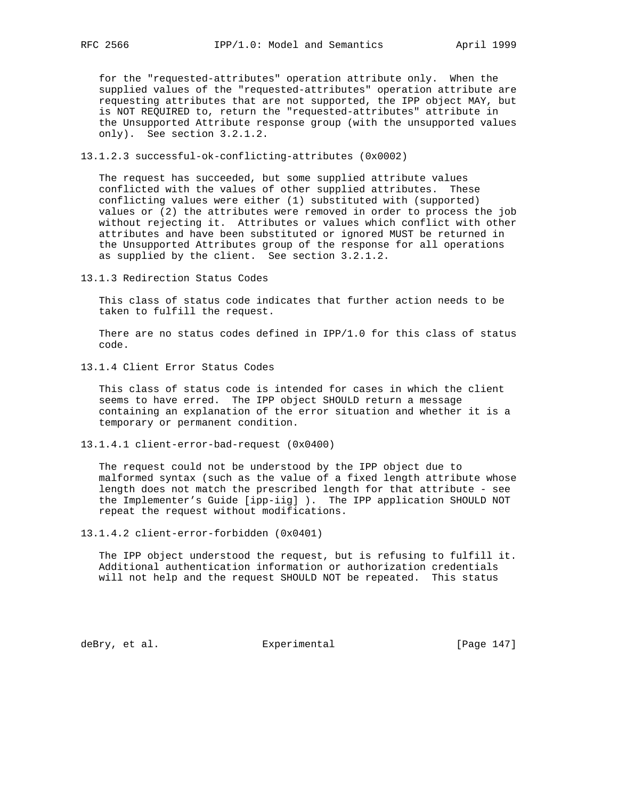for the "requested-attributes" operation attribute only. When the supplied values of the "requested-attributes" operation attribute are requesting attributes that are not supported, the IPP object MAY, but is NOT REQUIRED to, return the "requested-attributes" attribute in the Unsupported Attribute response group (with the unsupported values only). See section 3.2.1.2.

13.1.2.3 successful-ok-conflicting-attributes (0x0002)

 The request has succeeded, but some supplied attribute values conflicted with the values of other supplied attributes. These conflicting values were either (1) substituted with (supported) values or (2) the attributes were removed in order to process the job without rejecting it. Attributes or values which conflict with other attributes and have been substituted or ignored MUST be returned in the Unsupported Attributes group of the response for all operations as supplied by the client. See section 3.2.1.2.

13.1.3 Redirection Status Codes

 This class of status code indicates that further action needs to be taken to fulfill the request.

 There are no status codes defined in IPP/1.0 for this class of status code.

13.1.4 Client Error Status Codes

 This class of status code is intended for cases in which the client seems to have erred. The IPP object SHOULD return a message containing an explanation of the error situation and whether it is a temporary or permanent condition.

13.1.4.1 client-error-bad-request (0x0400)

 The request could not be understood by the IPP object due to malformed syntax (such as the value of a fixed length attribute whose length does not match the prescribed length for that attribute - see the Implementer's Guide [ipp-iig] ). The IPP application SHOULD NOT repeat the request without modifications.

13.1.4.2 client-error-forbidden (0x0401)

 The IPP object understood the request, but is refusing to fulfill it. Additional authentication information or authorization credentials will not help and the request SHOULD NOT be repeated. This status

deBry, et al.  $\qquad \qquad$  Experimental  $\qquad \qquad$  [Page 147]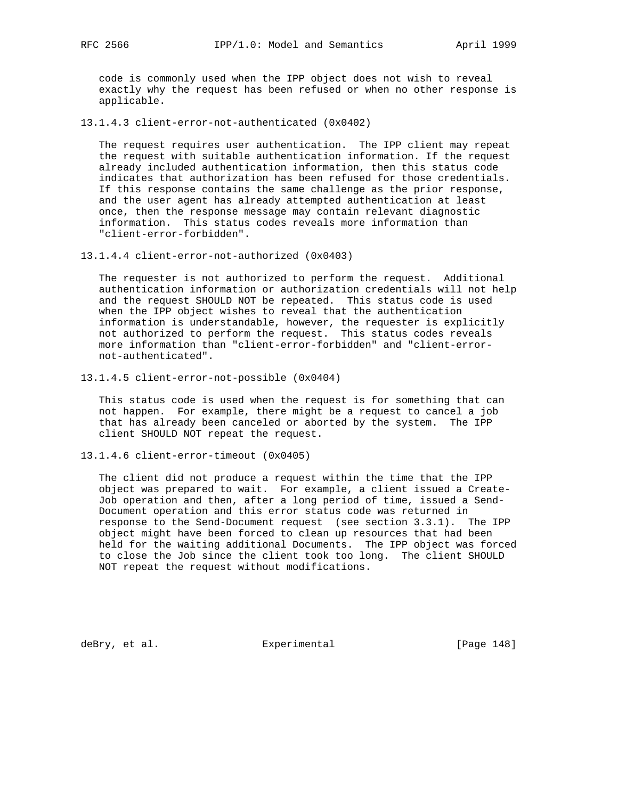code is commonly used when the IPP object does not wish to reveal exactly why the request has been refused or when no other response is applicable.

13.1.4.3 client-error-not-authenticated (0x0402)

 The request requires user authentication. The IPP client may repeat the request with suitable authentication information. If the request already included authentication information, then this status code indicates that authorization has been refused for those credentials. If this response contains the same challenge as the prior response, and the user agent has already attempted authentication at least once, then the response message may contain relevant diagnostic information. This status codes reveals more information than "client-error-forbidden".

13.1.4.4 client-error-not-authorized (0x0403)

 The requester is not authorized to perform the request. Additional authentication information or authorization credentials will not help and the request SHOULD NOT be repeated. This status code is used when the IPP object wishes to reveal that the authentication information is understandable, however, the requester is explicitly not authorized to perform the request. This status codes reveals more information than "client-error-forbidden" and "client-error not-authenticated".

13.1.4.5 client-error-not-possible (0x0404)

 This status code is used when the request is for something that can not happen. For example, there might be a request to cancel a job that has already been canceled or aborted by the system. The IPP client SHOULD NOT repeat the request.

13.1.4.6 client-error-timeout (0x0405)

 The client did not produce a request within the time that the IPP object was prepared to wait. For example, a client issued a Create- Job operation and then, after a long period of time, issued a Send- Document operation and this error status code was returned in response to the Send-Document request (see section 3.3.1). The IPP object might have been forced to clean up resources that had been held for the waiting additional Documents. The IPP object was forced to close the Job since the client took too long. The client SHOULD NOT repeat the request without modifications.

deBry, et al. Subsection Experimental Contract (Page 148)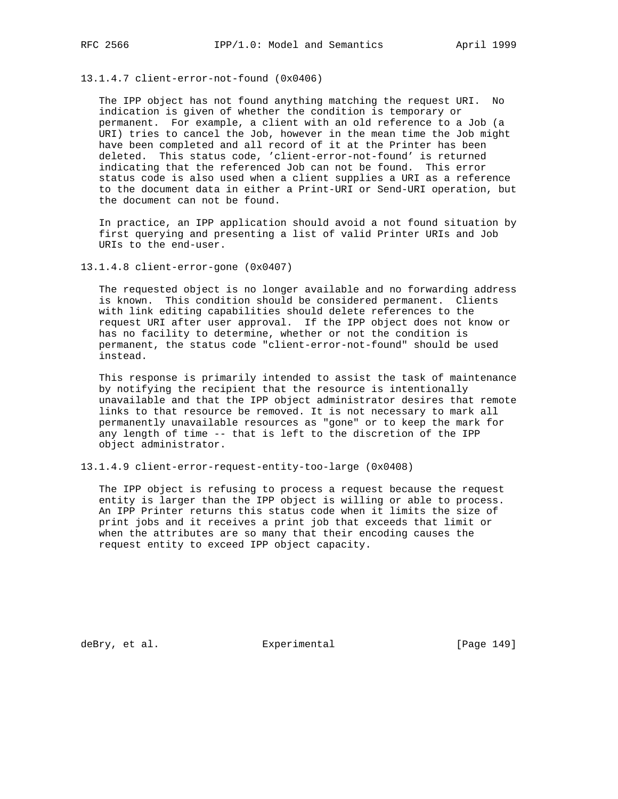13.1.4.7 client-error-not-found (0x0406)

 The IPP object has not found anything matching the request URI. No indication is given of whether the condition is temporary or permanent. For example, a client with an old reference to a Job (a URI) tries to cancel the Job, however in the mean time the Job might have been completed and all record of it at the Printer has been deleted. This status code, 'client-error-not-found' is returned indicating that the referenced Job can not be found. This error status code is also used when a client supplies a URI as a reference to the document data in either a Print-URI or Send-URI operation, but the document can not be found.

 In practice, an IPP application should avoid a not found situation by first querying and presenting a list of valid Printer URIs and Job URIs to the end-user.

13.1.4.8 client-error-gone (0x0407)

 The requested object is no longer available and no forwarding address is known. This condition should be considered permanent. Clients with link editing capabilities should delete references to the request URI after user approval. If the IPP object does not know or has no facility to determine, whether or not the condition is permanent, the status code "client-error-not-found" should be used instead.

 This response is primarily intended to assist the task of maintenance by notifying the recipient that the resource is intentionally unavailable and that the IPP object administrator desires that remote links to that resource be removed. It is not necessary to mark all permanently unavailable resources as "gone" or to keep the mark for any length of time -- that is left to the discretion of the IPP object administrator.

13.1.4.9 client-error-request-entity-too-large (0x0408)

 The IPP object is refusing to process a request because the request entity is larger than the IPP object is willing or able to process. An IPP Printer returns this status code when it limits the size of print jobs and it receives a print job that exceeds that limit or when the attributes are so many that their encoding causes the request entity to exceed IPP object capacity.

deBry, et al. Subsection Experimental Experimental [Page 149]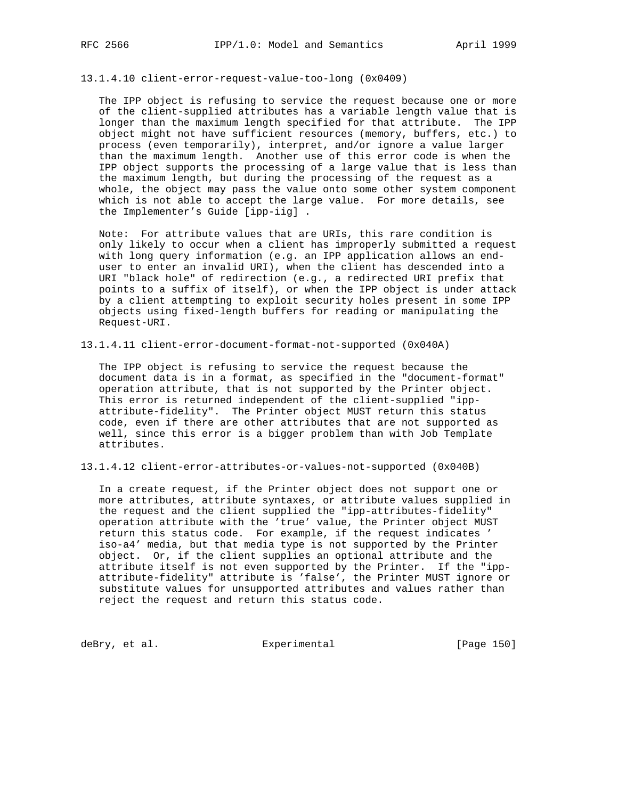13.1.4.10 client-error-request-value-too-long (0x0409)

 The IPP object is refusing to service the request because one or more of the client-supplied attributes has a variable length value that is longer than the maximum length specified for that attribute. The IPP object might not have sufficient resources (memory, buffers, etc.) to process (even temporarily), interpret, and/or ignore a value larger than the maximum length. Another use of this error code is when the IPP object supports the processing of a large value that is less than the maximum length, but during the processing of the request as a whole, the object may pass the value onto some other system component which is not able to accept the large value. For more details, see the Implementer's Guide [ipp-iig] .

 Note: For attribute values that are URIs, this rare condition is only likely to occur when a client has improperly submitted a request with long query information (e.g. an IPP application allows an end user to enter an invalid URI), when the client has descended into a URI "black hole" of redirection (e.g., a redirected URI prefix that points to a suffix of itself), or when the IPP object is under attack by a client attempting to exploit security holes present in some IPP objects using fixed-length buffers for reading or manipulating the Request-URI.

13.1.4.11 client-error-document-format-not-supported (0x040A)

 The IPP object is refusing to service the request because the document data is in a format, as specified in the "document-format" operation attribute, that is not supported by the Printer object. This error is returned independent of the client-supplied "ipp attribute-fidelity". The Printer object MUST return this status code, even if there are other attributes that are not supported as well, since this error is a bigger problem than with Job Template attributes.

13.1.4.12 client-error-attributes-or-values-not-supported (0x040B)

 In a create request, if the Printer object does not support one or more attributes, attribute syntaxes, or attribute values supplied in the request and the client supplied the "ipp-attributes-fidelity" operation attribute with the 'true' value, the Printer object MUST return this status code. For example, if the request indicates ' iso-a4' media, but that media type is not supported by the Printer object. Or, if the client supplies an optional attribute and the attribute itself is not even supported by the Printer. If the "ipp attribute-fidelity" attribute is 'false', the Printer MUST ignore or substitute values for unsupported attributes and values rather than reject the request and return this status code.

deBry, et al. Subsectimental Experimental (Page 150)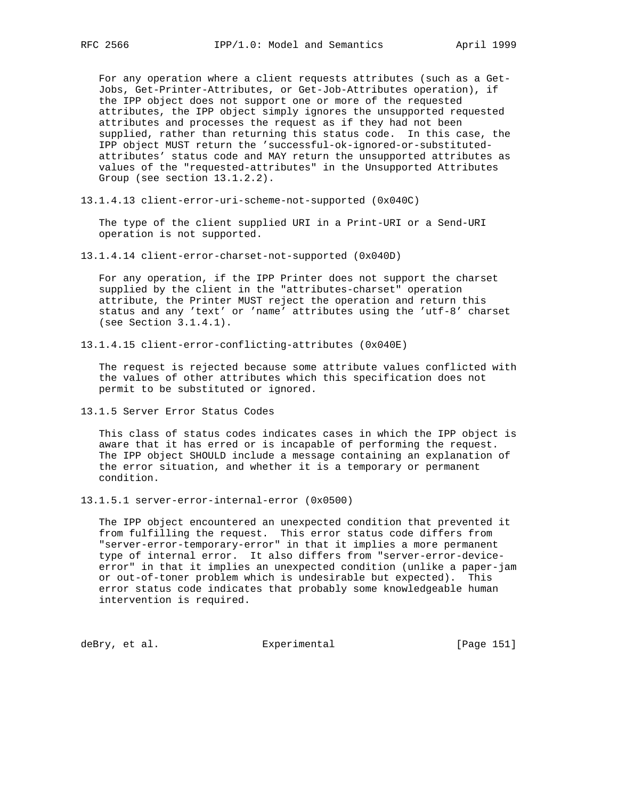For any operation where a client requests attributes (such as a Get- Jobs, Get-Printer-Attributes, or Get-Job-Attributes operation), if the IPP object does not support one or more of the requested attributes, the IPP object simply ignores the unsupported requested attributes and processes the request as if they had not been supplied, rather than returning this status code. In this case, the IPP object MUST return the 'successful-ok-ignored-or-substituted attributes' status code and MAY return the unsupported attributes as values of the "requested-attributes" in the Unsupported Attributes Group (see section 13.1.2.2).

13.1.4.13 client-error-uri-scheme-not-supported (0x040C)

 The type of the client supplied URI in a Print-URI or a Send-URI operation is not supported.

13.1.4.14 client-error-charset-not-supported (0x040D)

 For any operation, if the IPP Printer does not support the charset supplied by the client in the "attributes-charset" operation attribute, the Printer MUST reject the operation and return this status and any 'text' or 'name' attributes using the 'utf-8' charset (see Section 3.1.4.1).

13.1.4.15 client-error-conflicting-attributes (0x040E)

 The request is rejected because some attribute values conflicted with the values of other attributes which this specification does not permit to be substituted or ignored.

13.1.5 Server Error Status Codes

 This class of status codes indicates cases in which the IPP object is aware that it has erred or is incapable of performing the request. The IPP object SHOULD include a message containing an explanation of the error situation, and whether it is a temporary or permanent condition.

13.1.5.1 server-error-internal-error (0x0500)

 The IPP object encountered an unexpected condition that prevented it from fulfilling the request. This error status code differs from "server-error-temporary-error" in that it implies a more permanent type of internal error. It also differs from "server-error-device error" in that it implies an unexpected condition (unlike a paper-jam or out-of-toner problem which is undesirable but expected). This error status code indicates that probably some knowledgeable human intervention is required.

deBry, et al. Subsectimental Experimental (Page 151)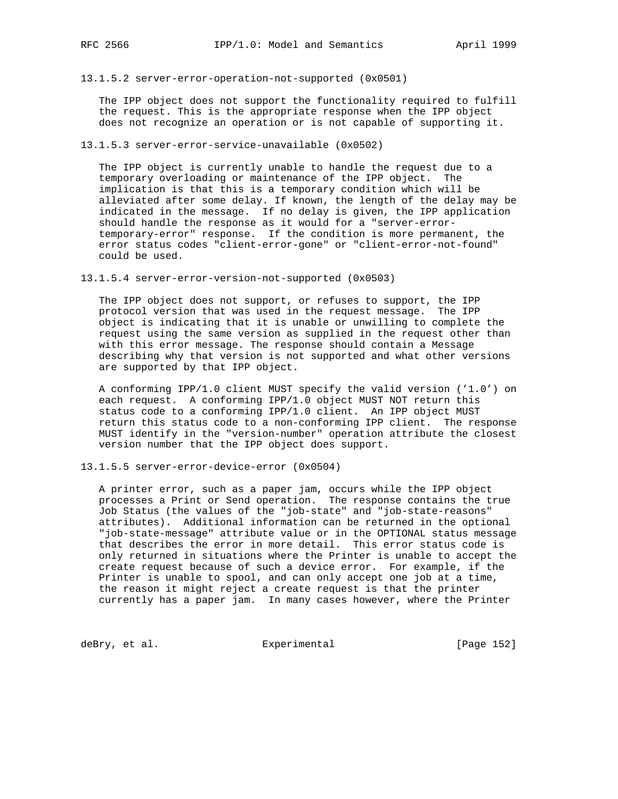13.1.5.2 server-error-operation-not-supported (0x0501)

 The IPP object does not support the functionality required to fulfill the request. This is the appropriate response when the IPP object does not recognize an operation or is not capable of supporting it.

13.1.5.3 server-error-service-unavailable (0x0502)

 The IPP object is currently unable to handle the request due to a temporary overloading or maintenance of the IPP object. The implication is that this is a temporary condition which will be alleviated after some delay. If known, the length of the delay may be indicated in the message. If no delay is given, the IPP application should handle the response as it would for a "server-error temporary-error" response. If the condition is more permanent, the error status codes "client-error-gone" or "client-error-not-found" could be used.

13.1.5.4 server-error-version-not-supported (0x0503)

 The IPP object does not support, or refuses to support, the IPP protocol version that was used in the request message. The IPP object is indicating that it is unable or unwilling to complete the request using the same version as supplied in the request other than with this error message. The response should contain a Message describing why that version is not supported and what other versions are supported by that IPP object.

 A conforming IPP/1.0 client MUST specify the valid version ('1.0') on each request. A conforming IPP/1.0 object MUST NOT return this status code to a conforming IPP/1.0 client. An IPP object MUST return this status code to a non-conforming IPP client. The response MUST identify in the "version-number" operation attribute the closest version number that the IPP object does support.

13.1.5.5 server-error-device-error (0x0504)

 A printer error, such as a paper jam, occurs while the IPP object processes a Print or Send operation. The response contains the true Job Status (the values of the "job-state" and "job-state-reasons" attributes). Additional information can be returned in the optional "job-state-message" attribute value or in the OPTIONAL status message that describes the error in more detail. This error status code is only returned in situations where the Printer is unable to accept the create request because of such a device error. For example, if the Printer is unable to spool, and can only accept one job at a time, the reason it might reject a create request is that the printer currently has a paper jam. In many cases however, where the Printer

deBry, et al. Subsection Experimental Contract (Page 152)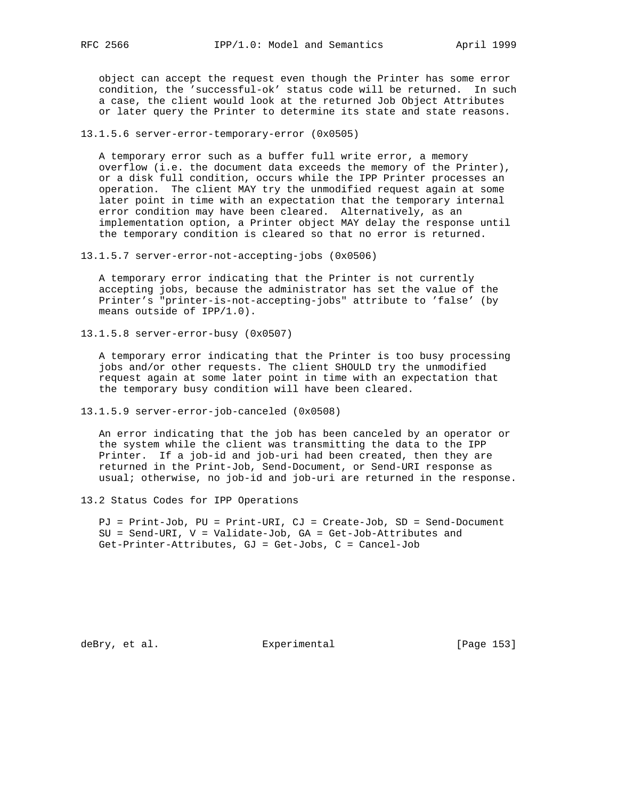object can accept the request even though the Printer has some error condition, the 'successful-ok' status code will be returned. In such a case, the client would look at the returned Job Object Attributes or later query the Printer to determine its state and state reasons.

13.1.5.6 server-error-temporary-error (0x0505)

 A temporary error such as a buffer full write error, a memory overflow (i.e. the document data exceeds the memory of the Printer), or a disk full condition, occurs while the IPP Printer processes an operation. The client MAY try the unmodified request again at some later point in time with an expectation that the temporary internal error condition may have been cleared. Alternatively, as an implementation option, a Printer object MAY delay the response until the temporary condition is cleared so that no error is returned.

13.1.5.7 server-error-not-accepting-jobs (0x0506)

 A temporary error indicating that the Printer is not currently accepting jobs, because the administrator has set the value of the Printer's "printer-is-not-accepting-jobs" attribute to 'false' (by means outside of IPP/1.0).

13.1.5.8 server-error-busy (0x0507)

 A temporary error indicating that the Printer is too busy processing jobs and/or other requests. The client SHOULD try the unmodified request again at some later point in time with an expectation that the temporary busy condition will have been cleared.

13.1.5.9 server-error-job-canceled (0x0508)

 An error indicating that the job has been canceled by an operator or the system while the client was transmitting the data to the IPP Printer. If a job-id and job-uri had been created, then they are returned in the Print-Job, Send-Document, or Send-URI response as usual; otherwise, no job-id and job-uri are returned in the response.

13.2 Status Codes for IPP Operations

 PJ = Print-Job, PU = Print-URI, CJ = Create-Job, SD = Send-Document SU = Send-URI, V = Validate-Job, GA = Get-Job-Attributes and Get-Printer-Attributes, GJ = Get-Jobs, C = Cancel-Job

deBry, et al. Subsection Experimental Experimental [Page 153]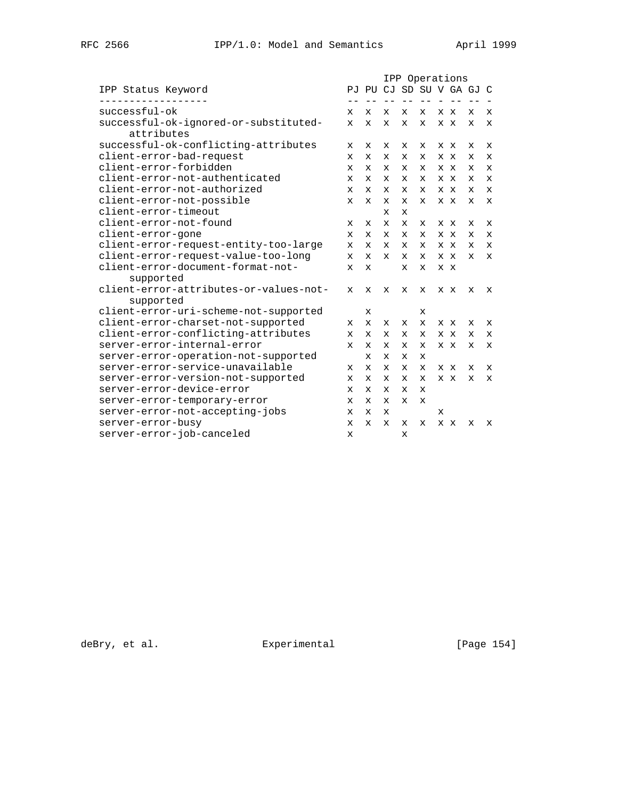|                                        |              | IPP Operations           |                                   |             |              |   |     |              |             |
|----------------------------------------|--------------|--------------------------|-----------------------------------|-------------|--------------|---|-----|--------------|-------------|
| IPP Status Keyword                     |              | PJ PU CJ SD SU V GA GJ C |                                   |             |              |   |     |              |             |
| ---------<br>successful-ok             | x            | X                        | $\qquad \qquad -$<br>$\mathbf{x}$ | $- -$<br>X  | $- -$<br>X   |   | x x | X            | X           |
| successful-ok-ignored-or-substituted-  | $\mathbf x$  | $\mathbf{x}$             | $\mathbf{x}$                      | $\mathbf x$ | $\mathbf{x}$ |   | x x | $\mathbf{x}$ | $\mathbf x$ |
| attributes                             |              |                          |                                   |             |              |   |     |              |             |
| successful-ok-conflicting-attributes   | $\mathbf x$  | $\mathbf x$              | x                                 | x           | X            |   | x x | x            | X           |
| client-error-bad-request               | $\mathbf{x}$ | $\mathbf x$              | x                                 | X           | X            |   | X X | x            | $\mathbf x$ |
| client-error-forbidden                 | $\mathbf x$  | $\mathbf x$              | x                                 | х           | X            |   | x x | x            | $\mathbf x$ |
| client-error-not-authenticated         | X            | $\mathbf x$              | $\mathbf{x}$                      | X           | $\mathbf{x}$ |   | X X | x            | X           |
| client-error-not-authorized            | X            | $\mathbf x$              | x                                 | X           | X            |   | x x | x            | X           |
| client-error-not-possible              | $\mathbf{x}$ | $\mathbf{x}$             | $\mathbf{x}$                      | $\mathbf x$ | $\mathbf{x}$ |   | x x | $\mathbf{x}$ | $\mathbf x$ |
| client-error-timeout                   |              |                          | x                                 | X           |              |   |     |              |             |
| client-error-not-found                 | $\mathbf x$  | $\mathbf x$              | $\mathbf{x}$                      | $\mathbf x$ | X            |   | x x | x            | X           |
| client-error-gone                      | X            | $\mathbf x$              | x                                 | x           | X            |   | X X | x            | X           |
| client-error-request-entity-too-large  | $\mathbf{x}$ | $\mathbf{x}$             | $\mathbf{x}$                      | $\mathbf x$ | $\mathbf{x}$ |   | x x | $\mathbf x$  | $\mathbf x$ |
| client-error-request-value-too-long    | $\mathbf x$  | $\mathbf x$              | x                                 | x           | X            |   | x x | X            | X           |
| client-error-document-format-not-      | $\mathbf x$  | $\mathbf x$              |                                   | $\mathbf x$ | $\mathbf{x}$ |   | x x |              |             |
| supported                              |              |                          |                                   |             |              |   |     |              |             |
| client-error-attributes-or-values-not- | x            | $\mathbf{x}$             | x                                 | x           | x            |   | x x | x            | x           |
| supported                              |              |                          |                                   |             |              |   |     |              |             |
| client-error-uri-scheme-not-supported  |              | X                        |                                   |             | x            |   |     |              |             |
| client-error-charset-not-supported     | x            | $\mathbf x$              | x                                 | x           | X            |   | x x | x            | X           |
| client-error-conflicting-attributes    | x            | X                        | X                                 | x           | x            |   | X X | x            | x           |
| server-error-internal-error            | $\mathbf x$  | $\mathbf x$              | x                                 | X           | X            |   | x x | x            | $\mathbf x$ |
| server-error-operation-not-supported   |              | $\mathbf x$              | x                                 | x           | x            |   |     |              |             |
| server-error-service-unavailable       | x            | X                        | x                                 | x           | X            |   | x x | х            | X           |
| server-error-version-not-supported     | x            | x                        | x                                 | x           | x            |   | x x | x            | x           |
| server-error-device-error              | X            | X                        | x                                 | x           | X            |   |     |              |             |
| server-error-temporary-error           | $\mathbf x$  | $\mathbf{x}$             | x                                 | X           | $\mathbf x$  |   |     |              |             |
| server-error-not-accepting-jobs        | x            | x                        | x                                 |             |              | х |     |              |             |
| server-error-busy                      | X            | X                        | x                                 | x           | x            |   | x x | x            | X           |
| server-error-job-canceled              | X            |                          |                                   | x           |              |   |     |              |             |

deBry, et al. <br>Experimental [Page 154]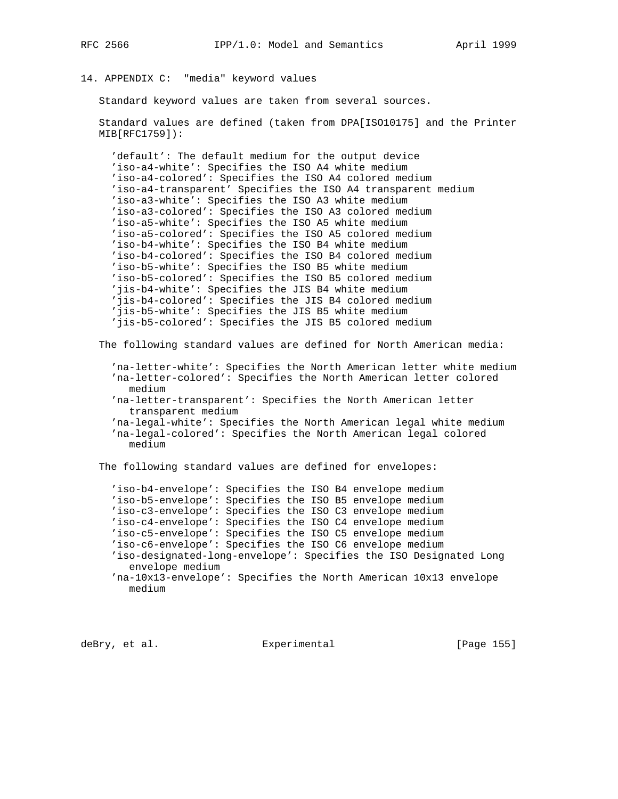# 14. APPENDIX C: "media" keyword values

Standard keyword values are taken from several sources.

 Standard values are defined (taken from DPA[ISO10175] and the Printer MIB[RFC1759]):

 'default': The default medium for the output device 'iso-a4-white': Specifies the ISO A4 white medium 'iso-a4-colored': Specifies the ISO A4 colored medium 'iso-a4-transparent' Specifies the ISO A4 transparent medium 'iso-a3-white': Specifies the ISO A3 white medium 'iso-a3-colored': Specifies the ISO A3 colored medium 'iso-a5-white': Specifies the ISO A5 white medium 'iso-a5-colored': Specifies the ISO A5 colored medium 'iso-b4-white': Specifies the ISO B4 white medium 'iso-b4-colored': Specifies the ISO B4 colored medium 'iso-b5-white': Specifies the ISO B5 white medium 'iso-b5-colored': Specifies the ISO B5 colored medium 'jis-b4-white': Specifies the JIS B4 white medium 'jis-b4-colored': Specifies the JIS B4 colored medium 'jis-b5-white': Specifies the JIS B5 white medium 'jis-b5-colored': Specifies the JIS B5 colored medium

The following standard values are defined for North American media:

 'na-letter-white': Specifies the North American letter white medium 'na-letter-colored': Specifies the North American letter colored medium 'na-letter-transparent': Specifies the North American letter

transparent medium

 'na-legal-white': Specifies the North American legal white medium 'na-legal-colored': Specifies the North American legal colored medium

The following standard values are defined for envelopes:

 'iso-b4-envelope': Specifies the ISO B4 envelope medium 'iso-b5-envelope': Specifies the ISO B5 envelope medium 'iso-c3-envelope': Specifies the ISO C3 envelope medium 'iso-c4-envelope': Specifies the ISO C4 envelope medium 'iso-c5-envelope': Specifies the ISO C5 envelope medium 'iso-c6-envelope': Specifies the ISO C6 envelope medium 'iso-designated-long-envelope': Specifies the ISO Designated Long envelope medium 'na-10x13-envelope': Specifies the North American 10x13 envelope medium

deBry, et al. Experimental [Page 155]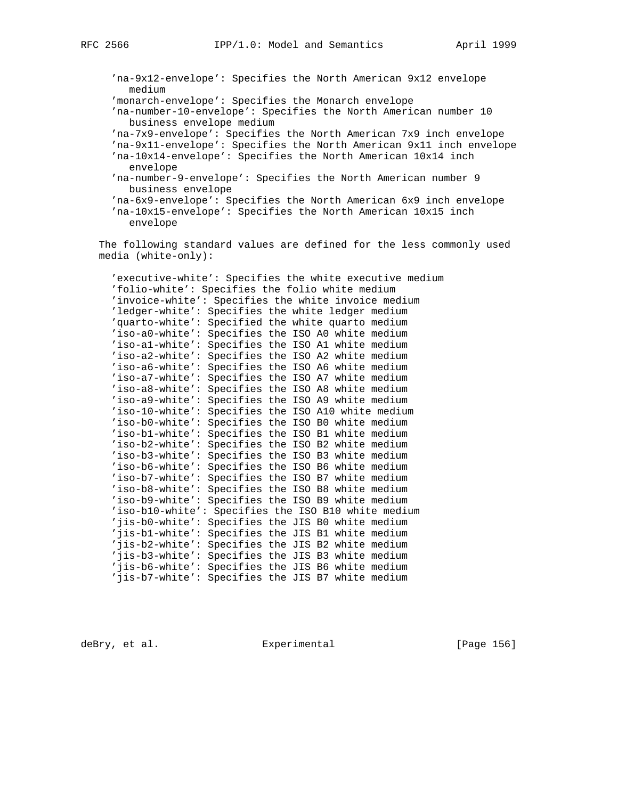```
 'na-9x12-envelope': Specifies the North American 9x12 envelope
  medium
'monarch-envelope': Specifies the Monarch envelope
'na-number-10-envelope': Specifies the North American number 10
  business envelope medium
'na-7x9-envelope': Specifies the North American 7x9 inch envelope
'na-9x11-envelope': Specifies the North American 9x11 inch envelope
'na-10x14-envelope': Specifies the North American 10x14 inch
  envelope
'na-number-9-envelope': Specifies the North American number 9
  business envelope
'na-6x9-envelope': Specifies the North American 6x9 inch envelope
'na-10x15-envelope': Specifies the North American 10x15 inch
  envelope
```
 The following standard values are defined for the less commonly used media (white-only):

 'executive-white': Specifies the white executive medium 'folio-white': Specifies the folio white medium 'invoice-white': Specifies the white invoice medium 'ledger-white': Specifies the white ledger medium 'quarto-white': Specified the white quarto medium 'iso-a0-white': Specifies the ISO A0 white medium 'iso-a1-white': Specifies the ISO A1 white medium 'iso-a2-white': Specifies the ISO A2 white medium 'iso-a6-white': Specifies the ISO A6 white medium 'iso-a7-white': Specifies the ISO A7 white medium 'iso-a8-white': Specifies the ISO A8 white medium 'iso-a9-white': Specifies the ISO A9 white medium 'iso-10-white': Specifies the ISO A10 white medium 'iso-b0-white': Specifies the ISO B0 white medium 'iso-b1-white': Specifies the ISO B1 white medium 'iso-b2-white': Specifies the ISO B2 white medium 'iso-b3-white': Specifies the ISO B3 white medium 'iso-b6-white': Specifies the ISO B6 white medium 'iso-b7-white': Specifies the ISO B7 white medium 'iso-b8-white': Specifies the ISO B8 white medium 'iso-b9-white': Specifies the ISO B9 white medium 'iso-b10-white': Specifies the ISO B10 white medium 'jis-b0-white': Specifies the JIS B0 white medium 'jis-b1-white': Specifies the JIS B1 white medium 'jis-b2-white': Specifies the JIS B2 white medium 'jis-b3-white': Specifies the JIS B3 white medium 'jis-b6-white': Specifies the JIS B6 white medium 'jis-b7-white': Specifies the JIS B7 white medium

deBry, et al. Experimental [Page 156]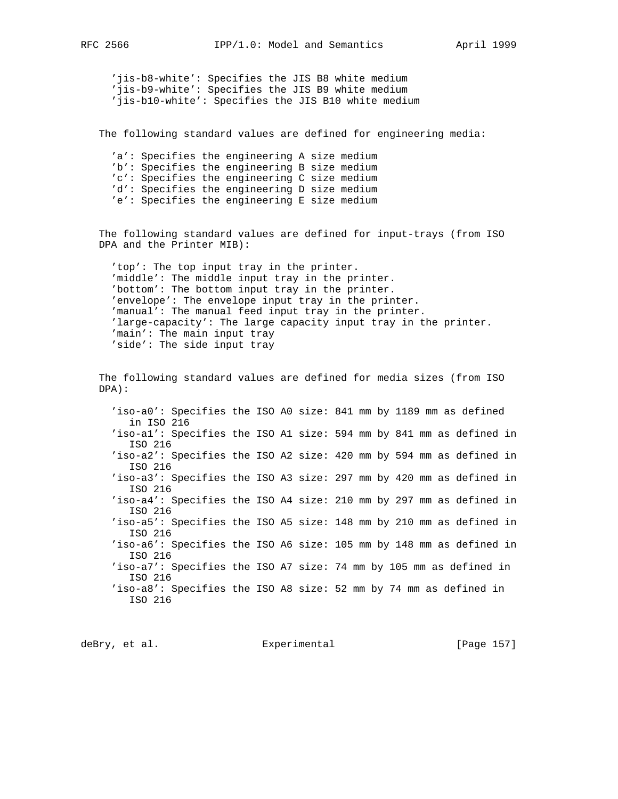'jis-b8-white': Specifies the JIS B8 white medium 'jis-b9-white': Specifies the JIS B9 white medium 'jis-b10-white': Specifies the JIS B10 white medium

The following standard values are defined for engineering media:

 'a': Specifies the engineering A size medium 'b': Specifies the engineering B size medium 'c': Specifies the engineering C size medium 'd': Specifies the engineering D size medium 'e': Specifies the engineering E size medium

 The following standard values are defined for input-trays (from ISO DPA and the Printer MIB):

 'top': The top input tray in the printer. 'middle': The middle input tray in the printer. 'bottom': The bottom input tray in the printer. 'envelope': The envelope input tray in the printer. 'manual': The manual feed input tray in the printer. 'large-capacity': The large capacity input tray in the printer. 'main': The main input tray 'side': The side input tray

 The following standard values are defined for media sizes (from ISO DPA):

 'iso-a0': Specifies the ISO A0 size: 841 mm by 1189 mm as defined in ISO 216 'iso-a1': Specifies the ISO A1 size: 594 mm by 841 mm as defined in ISO 216 'iso-a2': Specifies the ISO A2 size: 420 mm by 594 mm as defined in ISO 216 'iso-a3': Specifies the ISO A3 size: 297 mm by 420 mm as defined in ISO 216 'iso-a4': Specifies the ISO A4 size: 210 mm by 297 mm as defined in ISO 216 'iso-a5': Specifies the ISO A5 size: 148 mm by 210 mm as defined in ISO 216 'iso-a6': Specifies the ISO A6 size: 105 mm by 148 mm as defined in ISO 216 'iso-a7': Specifies the ISO A7 size: 74 mm by 105 mm as defined in ISO 216 'iso-a8': Specifies the ISO A8 size: 52 mm by 74 mm as defined in ISO 216

deBry, et al. Subsectimental Experimental [Page 157]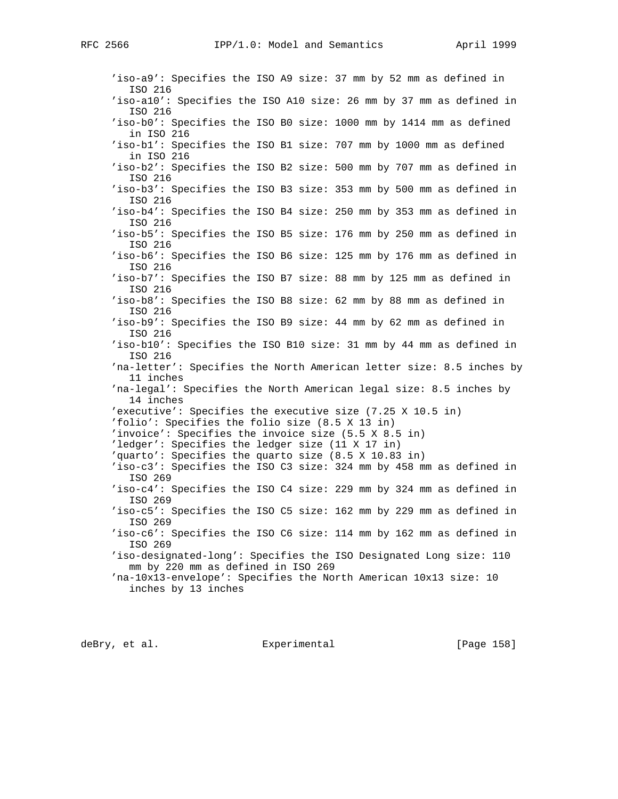'iso-a9': Specifies the ISO A9 size: 37 mm by 52 mm as defined in ISO 216 'iso-a10': Specifies the ISO A10 size: 26 mm by 37 mm as defined in ISO 216 'iso-b0': Specifies the ISO B0 size: 1000 mm by 1414 mm as defined in ISO 216 'iso-b1': Specifies the ISO B1 size: 707 mm by 1000 mm as defined in ISO 216 'iso-b2': Specifies the ISO B2 size: 500 mm by 707 mm as defined in ISO 216 'iso-b3': Specifies the ISO B3 size: 353 mm by 500 mm as defined in ISO 216 'iso-b4': Specifies the ISO B4 size: 250 mm by 353 mm as defined in ISO 216 'iso-b5': Specifies the ISO B5 size: 176 mm by 250 mm as defined in ISO 216 'iso-b6': Specifies the ISO B6 size: 125 mm by 176 mm as defined in ISO 216 'iso-b7': Specifies the ISO B7 size: 88 mm by 125 mm as defined in ISO 216 'iso-b8': Specifies the ISO B8 size: 62 mm by 88 mm as defined in ISO 216 'iso-b9': Specifies the ISO B9 size: 44 mm by 62 mm as defined in ISO 216 'iso-b10': Specifies the ISO B10 size: 31 mm by 44 mm as defined in ISO 216 'na-letter': Specifies the North American letter size: 8.5 inches by 11 inches 'na-legal': Specifies the North American legal size: 8.5 inches by 14 inches 'executive': Specifies the executive size (7.25 X 10.5 in) 'folio': Specifies the folio size (8.5 X 13 in) 'invoice': Specifies the invoice size (5.5 X 8.5 in) 'ledger': Specifies the ledger size (11 X 17 in) 'quarto': Specifies the quarto size (8.5 X 10.83 in) 'iso-c3': Specifies the ISO C3 size: 324 mm by 458 mm as defined in ISO 269 'iso-c4': Specifies the ISO C4 size: 229 mm by 324 mm as defined in ISO 269 'iso-c5': Specifies the ISO C5 size: 162 mm by 229 mm as defined in ISO 269 'iso-c6': Specifies the ISO C6 size: 114 mm by 162 mm as defined in ISO 269 'iso-designated-long': Specifies the ISO Designated Long size: 110 mm by 220 mm as defined in ISO 269 'na-10x13-envelope': Specifies the North American 10x13 size: 10 inches by 13 inches

deBry, et al.  $\qquad \qquad$  Experimental  $\qquad \qquad$  [Page 158]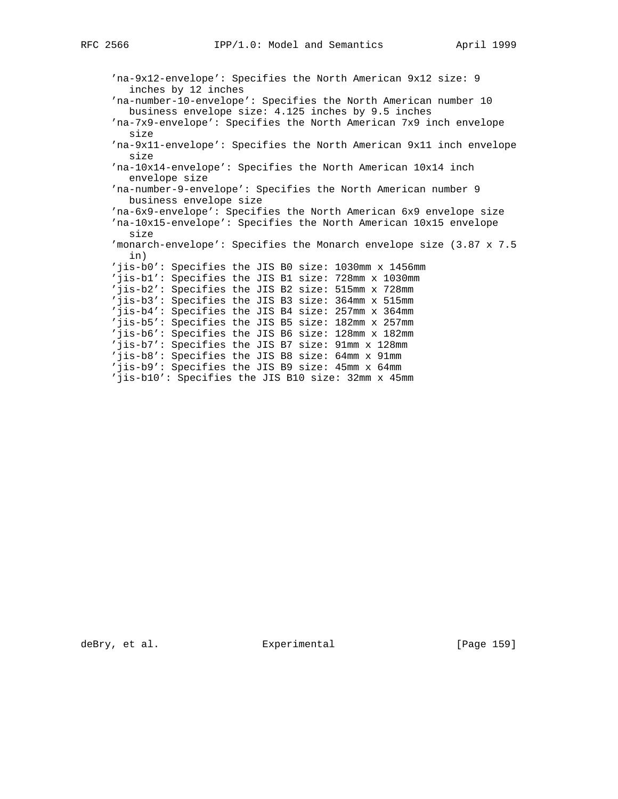'na-9x12-envelope': Specifies the North American 9x12 size: 9 inches by 12 inches 'na-number-10-envelope': Specifies the North American number 10 business envelope size: 4.125 inches by 9.5 inches 'na-7x9-envelope': Specifies the North American 7x9 inch envelope size 'na-9x11-envelope': Specifies the North American 9x11 inch envelope size 'na-10x14-envelope': Specifies the North American 10x14 inch envelope size 'na-number-9-envelope': Specifies the North American number 9 business envelope size 'na-6x9-envelope': Specifies the North American 6x9 envelope size 'na-10x15-envelope': Specifies the North American 10x15 envelope size 'monarch-envelope': Specifies the Monarch envelope size (3.87 x 7.5 in) 'jis-b0': Specifies the JIS B0 size: 1030mm x 1456mm 'jis-b1': Specifies the JIS B1 size: 728mm x 1030mm 'jis-b2': Specifies the JIS B2 size: 515mm x 728mm 'jis-b3': Specifies the JIS B3 size: 364mm x 515mm 'jis-b4': Specifies the JIS B4 size: 257mm x 364mm 'jis-b5': Specifies the JIS B5 size: 182mm x 257mm 'jis-b6': Specifies the JIS B6 size: 128mm x 182mm 'jis-b7': Specifies the JIS B7 size: 91mm x 128mm 'jis-b8': Specifies the JIS B8 size: 64mm x 91mm 'jis-b9': Specifies the JIS B9 size: 45mm x 64mm 'jis-b10': Specifies the JIS B10 size: 32mm x 45mm

deBry, et al. Experimental [Page 159]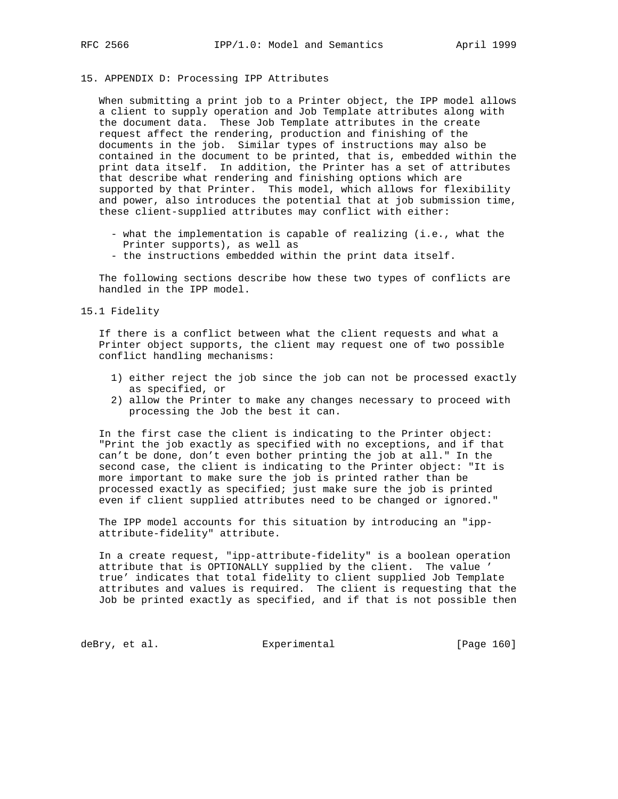### 15. APPENDIX D: Processing IPP Attributes

 When submitting a print job to a Printer object, the IPP model allows a client to supply operation and Job Template attributes along with the document data. These Job Template attributes in the create request affect the rendering, production and finishing of the documents in the job. Similar types of instructions may also be contained in the document to be printed, that is, embedded within the print data itself. In addition, the Printer has a set of attributes that describe what rendering and finishing options which are supported by that Printer. This model, which allows for flexibility and power, also introduces the potential that at job submission time, these client-supplied attributes may conflict with either:

- what the implementation is capable of realizing (i.e., what the Printer supports), as well as
- the instructions embedded within the print data itself.

 The following sections describe how these two types of conflicts are handled in the IPP model.

15.1 Fidelity

 If there is a conflict between what the client requests and what a Printer object supports, the client may request one of two possible conflict handling mechanisms:

- 1) either reject the job since the job can not be processed exactly as specified, or
- 2) allow the Printer to make any changes necessary to proceed with processing the Job the best it can.

 In the first case the client is indicating to the Printer object: "Print the job exactly as specified with no exceptions, and if that can't be done, don't even bother printing the job at all." In the second case, the client is indicating to the Printer object: "It is more important to make sure the job is printed rather than be processed exactly as specified; just make sure the job is printed even if client supplied attributes need to be changed or ignored."

 The IPP model accounts for this situation by introducing an "ipp attribute-fidelity" attribute.

 In a create request, "ipp-attribute-fidelity" is a boolean operation attribute that is OPTIONALLY supplied by the client. The value ' true' indicates that total fidelity to client supplied Job Template attributes and values is required. The client is requesting that the Job be printed exactly as specified, and if that is not possible then

deBry, et al.  $\qquad \qquad$  Experimental  $\qquad \qquad$  [Page 160]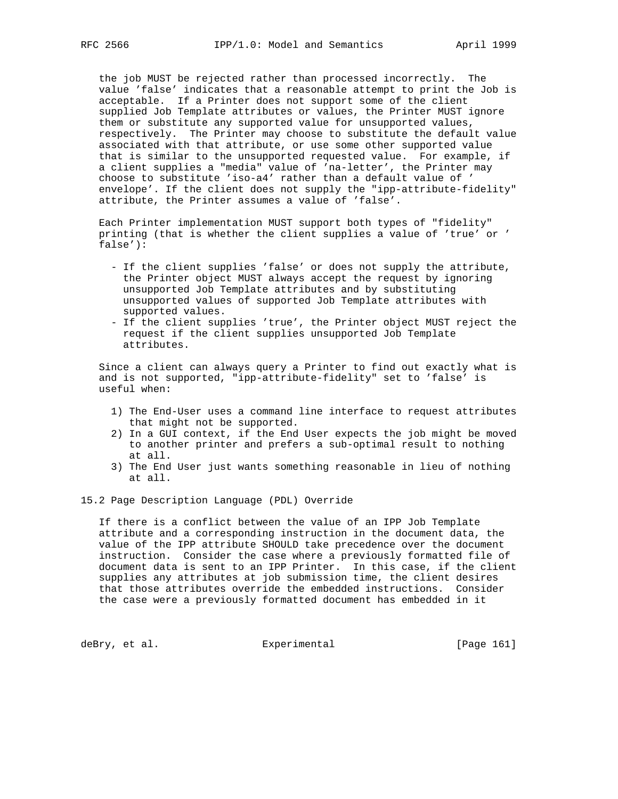the job MUST be rejected rather than processed incorrectly. The value 'false' indicates that a reasonable attempt to print the Job is acceptable. If a Printer does not support some of the client supplied Job Template attributes or values, the Printer MUST ignore them or substitute any supported value for unsupported values, respectively. The Printer may choose to substitute the default value associated with that attribute, or use some other supported value that is similar to the unsupported requested value. For example, if a client supplies a "media" value of 'na-letter', the Printer may choose to substitute 'iso-a4' rather than a default value of ' envelope'. If the client does not supply the "ipp-attribute-fidelity" attribute, the Printer assumes a value of 'false'.

 Each Printer implementation MUST support both types of "fidelity" printing (that is whether the client supplies a value of 'true' or ' false'):

- If the client supplies 'false' or does not supply the attribute, the Printer object MUST always accept the request by ignoring unsupported Job Template attributes and by substituting unsupported values of supported Job Template attributes with supported values.
- If the client supplies 'true', the Printer object MUST reject the request if the client supplies unsupported Job Template attributes.

 Since a client can always query a Printer to find out exactly what is and is not supported, "ipp-attribute-fidelity" set to 'false' is useful when:

- 1) The End-User uses a command line interface to request attributes that might not be supported.
- 2) In a GUI context, if the End User expects the job might be moved to another printer and prefers a sub-optimal result to nothing at all.
- 3) The End User just wants something reasonable in lieu of nothing at all.

15.2 Page Description Language (PDL) Override

 If there is a conflict between the value of an IPP Job Template attribute and a corresponding instruction in the document data, the value of the IPP attribute SHOULD take precedence over the document instruction. Consider the case where a previously formatted file of document data is sent to an IPP Printer. In this case, if the client supplies any attributes at job submission time, the client desires that those attributes override the embedded instructions. Consider the case were a previously formatted document has embedded in it

deBry, et al. Subsection Experimental Experimental [Page 161]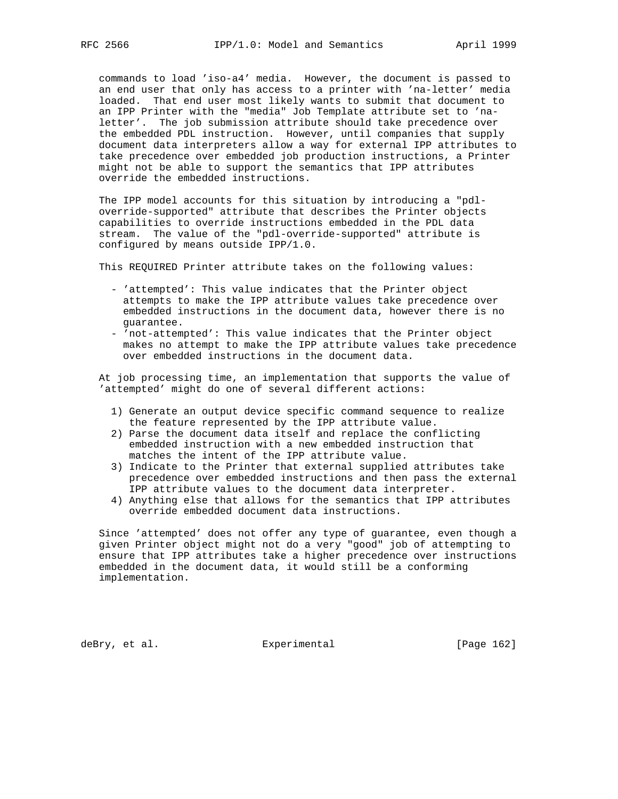commands to load 'iso-a4' media. However, the document is passed to an end user that only has access to a printer with 'na-letter' media loaded. That end user most likely wants to submit that document to an IPP Printer with the "media" Job Template attribute set to 'na letter'. The job submission attribute should take precedence over the embedded PDL instruction. However, until companies that supply document data interpreters allow a way for external IPP attributes to take precedence over embedded job production instructions, a Printer might not be able to support the semantics that IPP attributes override the embedded instructions.

 The IPP model accounts for this situation by introducing a "pdl override-supported" attribute that describes the Printer objects capabilities to override instructions embedded in the PDL data stream. The value of the "pdl-override-supported" attribute is configured by means outside IPP/1.0.

This REQUIRED Printer attribute takes on the following values:

- 'attempted': This value indicates that the Printer object attempts to make the IPP attribute values take precedence over embedded instructions in the document data, however there is no guarantee.
- 'not-attempted': This value indicates that the Printer object makes no attempt to make the IPP attribute values take precedence over embedded instructions in the document data.

 At job processing time, an implementation that supports the value of 'attempted' might do one of several different actions:

- 1) Generate an output device specific command sequence to realize the feature represented by the IPP attribute value.
- 2) Parse the document data itself and replace the conflicting embedded instruction with a new embedded instruction that matches the intent of the IPP attribute value.
- 3) Indicate to the Printer that external supplied attributes take precedence over embedded instructions and then pass the external IPP attribute values to the document data interpreter.
- 4) Anything else that allows for the semantics that IPP attributes override embedded document data instructions.

 Since 'attempted' does not offer any type of guarantee, even though a given Printer object might not do a very "good" job of attempting to ensure that IPP attributes take a higher precedence over instructions embedded in the document data, it would still be a conforming implementation.

deBry, et al. Subsectimental Experimental [Page 162]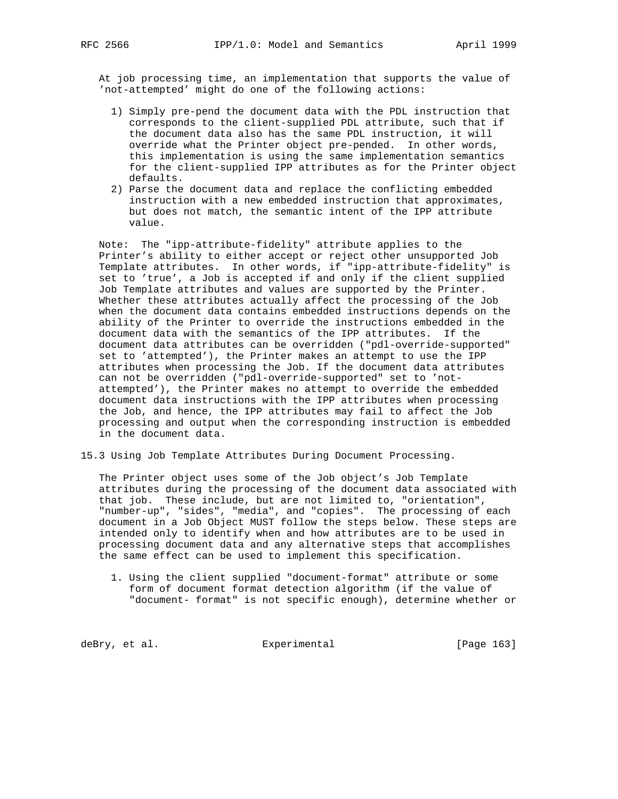At job processing time, an implementation that supports the value of 'not-attempted' might do one of the following actions:

- 1) Simply pre-pend the document data with the PDL instruction that corresponds to the client-supplied PDL attribute, such that if the document data also has the same PDL instruction, it will override what the Printer object pre-pended. In other words, this implementation is using the same implementation semantics for the client-supplied IPP attributes as for the Printer object defaults.
- 2) Parse the document data and replace the conflicting embedded instruction with a new embedded instruction that approximates, but does not match, the semantic intent of the IPP attribute value.

 Note: The "ipp-attribute-fidelity" attribute applies to the Printer's ability to either accept or reject other unsupported Job Template attributes. In other words, if "ipp-attribute-fidelity" is set to 'true', a Job is accepted if and only if the client supplied Job Template attributes and values are supported by the Printer. Whether these attributes actually affect the processing of the Job when the document data contains embedded instructions depends on the ability of the Printer to override the instructions embedded in the document data with the semantics of the IPP attributes. If the document data attributes can be overridden ("pdl-override-supported" set to 'attempted'), the Printer makes an attempt to use the IPP attributes when processing the Job. If the document data attributes can not be overridden ("pdl-override-supported" set to 'not attempted'), the Printer makes no attempt to override the embedded document data instructions with the IPP attributes when processing the Job, and hence, the IPP attributes may fail to affect the Job processing and output when the corresponding instruction is embedded in the document data.

15.3 Using Job Template Attributes During Document Processing.

 The Printer object uses some of the Job object's Job Template attributes during the processing of the document data associated with that job. These include, but are not limited to, "orientation", "number-up", "sides", "media", and "copies". The processing of each document in a Job Object MUST follow the steps below. These steps are intended only to identify when and how attributes are to be used in processing document data and any alternative steps that accomplishes the same effect can be used to implement this specification.

 1. Using the client supplied "document-format" attribute or some form of document format detection algorithm (if the value of "document- format" is not specific enough), determine whether or

deBry, et al. Subsectimental Experimental (Page 163)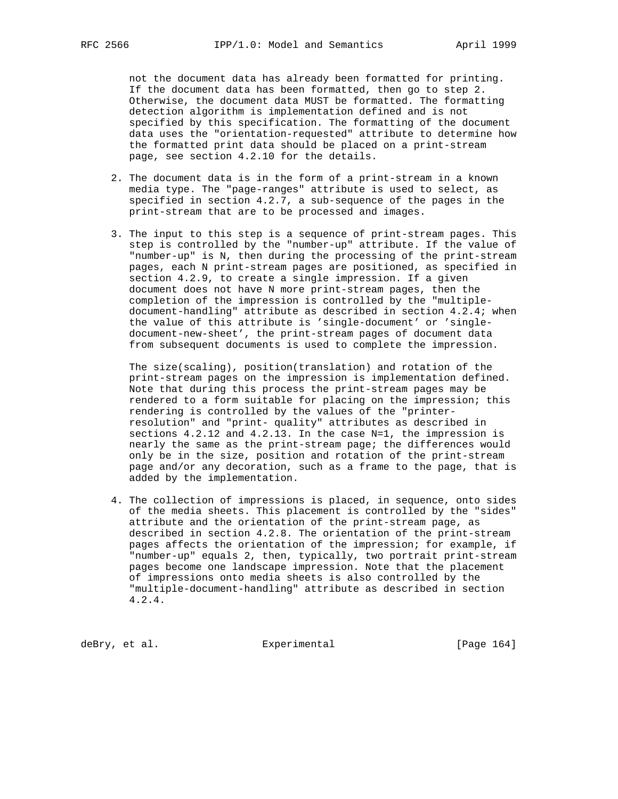not the document data has already been formatted for printing. If the document data has been formatted, then go to step 2. Otherwise, the document data MUST be formatted. The formatting detection algorithm is implementation defined and is not specified by this specification. The formatting of the document data uses the "orientation-requested" attribute to determine how the formatted print data should be placed on a print-stream page, see section 4.2.10 for the details.

- 2. The document data is in the form of a print-stream in a known media type. The "page-ranges" attribute is used to select, as specified in section 4.2.7, a sub-sequence of the pages in the print-stream that are to be processed and images.
- 3. The input to this step is a sequence of print-stream pages. This step is controlled by the "number-up" attribute. If the value of "number-up" is N, then during the processing of the print-stream pages, each N print-stream pages are positioned, as specified in section 4.2.9, to create a single impression. If a given document does not have N more print-stream pages, then the completion of the impression is controlled by the "multiple document-handling" attribute as described in section 4.2.4; when the value of this attribute is 'single-document' or 'single document-new-sheet', the print-stream pages of document data from subsequent documents is used to complete the impression.

 The size(scaling), position(translation) and rotation of the print-stream pages on the impression is implementation defined. Note that during this process the print-stream pages may be rendered to a form suitable for placing on the impression; this rendering is controlled by the values of the "printer resolution" and "print- quality" attributes as described in sections 4.2.12 and 4.2.13. In the case N=1, the impression is nearly the same as the print-stream page; the differences would only be in the size, position and rotation of the print-stream page and/or any decoration, such as a frame to the page, that is added by the implementation.

 4. The collection of impressions is placed, in sequence, onto sides of the media sheets. This placement is controlled by the "sides" attribute and the orientation of the print-stream page, as described in section 4.2.8. The orientation of the print-stream pages affects the orientation of the impression; for example, if "number-up" equals 2, then, typically, two portrait print-stream pages become one landscape impression. Note that the placement of impressions onto media sheets is also controlled by the "multiple-document-handling" attribute as described in section 4.2.4.

deBry, et al. Subsection Experimental Formula (Page 164)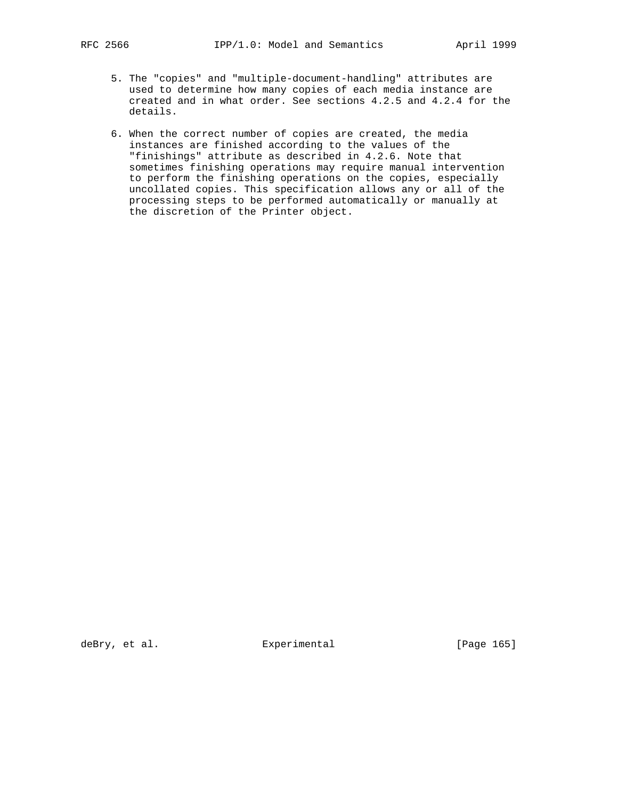- 
- 5. The "copies" and "multiple-document-handling" attributes are used to determine how many copies of each media instance are created and in what order. See sections 4.2.5 and 4.2.4 for the details.
	- 6. When the correct number of copies are created, the media instances are finished according to the values of the "finishings" attribute as described in 4.2.6. Note that sometimes finishing operations may require manual intervention to perform the finishing operations on the copies, especially uncollated copies. This specification allows any or all of the processing steps to be performed automatically or manually at the discretion of the Printer object.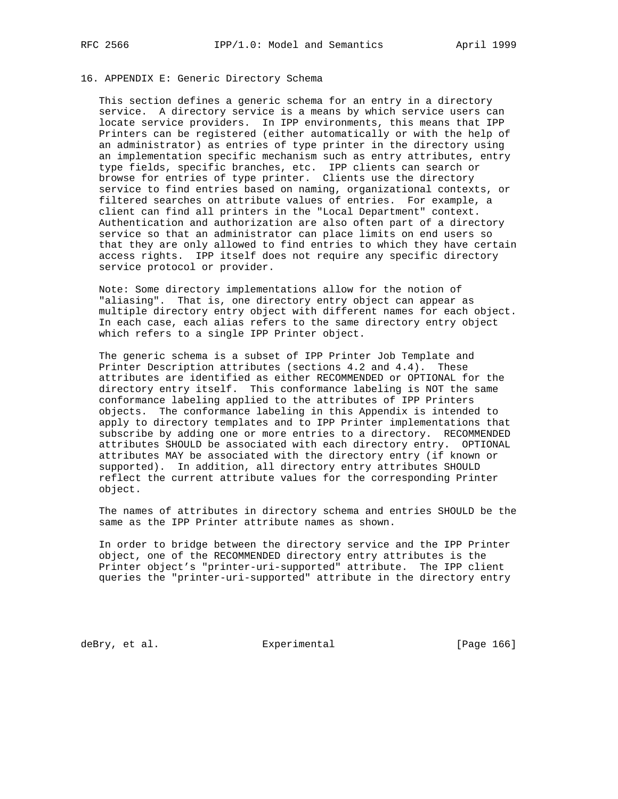## 16. APPENDIX E: Generic Directory Schema

 This section defines a generic schema for an entry in a directory service. A directory service is a means by which service users can locate service providers. In IPP environments, this means that IPP Printers can be registered (either automatically or with the help of an administrator) as entries of type printer in the directory using an implementation specific mechanism such as entry attributes, entry type fields, specific branches, etc. IPP clients can search or browse for entries of type printer. Clients use the directory service to find entries based on naming, organizational contexts, or filtered searches on attribute values of entries. For example, a client can find all printers in the "Local Department" context. Authentication and authorization are also often part of a directory service so that an administrator can place limits on end users so that they are only allowed to find entries to which they have certain access rights. IPP itself does not require any specific directory service protocol or provider.

 Note: Some directory implementations allow for the notion of "aliasing". That is, one directory entry object can appear as multiple directory entry object with different names for each object. In each case, each alias refers to the same directory entry object which refers to a single IPP Printer object.

 The generic schema is a subset of IPP Printer Job Template and Printer Description attributes (sections 4.2 and 4.4). These attributes are identified as either RECOMMENDED or OPTIONAL for the directory entry itself. This conformance labeling is NOT the same conformance labeling applied to the attributes of IPP Printers objects. The conformance labeling in this Appendix is intended to apply to directory templates and to IPP Printer implementations that subscribe by adding one or more entries to a directory. RECOMMENDED attributes SHOULD be associated with each directory entry. OPTIONAL attributes MAY be associated with the directory entry (if known or supported). In addition, all directory entry attributes SHOULD reflect the current attribute values for the corresponding Printer object.

 The names of attributes in directory schema and entries SHOULD be the same as the IPP Printer attribute names as shown.

 In order to bridge between the directory service and the IPP Printer object, one of the RECOMMENDED directory entry attributes is the Printer object's "printer-uri-supported" attribute. The IPP client queries the "printer-uri-supported" attribute in the directory entry

deBry, et al. Subsectimental Experimental (Page 166)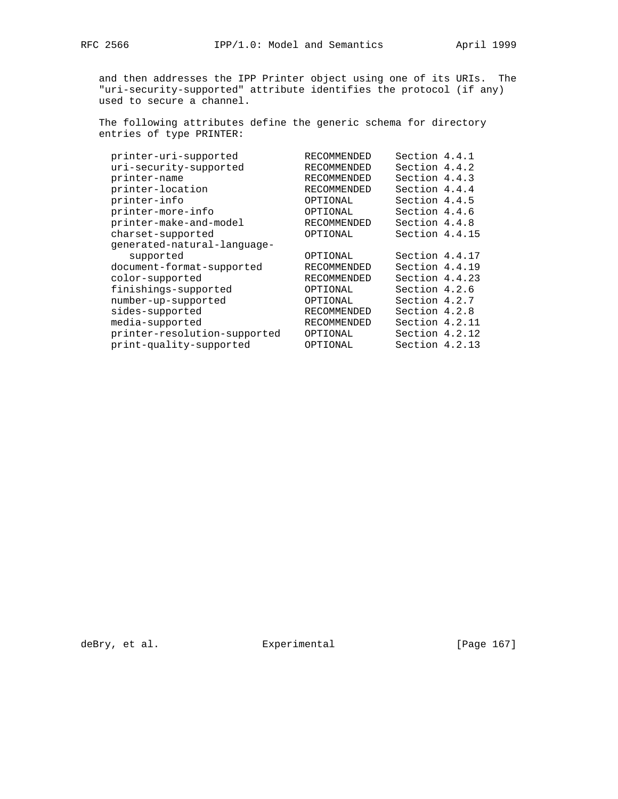and then addresses the IPP Printer object using one of its URIs. The "uri-security-supported" attribute identifies the protocol (if any) used to secure a channel.

 The following attributes define the generic schema for directory entries of type PRINTER:

| printer-uri-supported        | RECOMMENDED        | Section 4.4.1  |  |
|------------------------------|--------------------|----------------|--|
| uri-security-supported       | RECOMMENDED        | Section 4.4.2  |  |
| printer-name                 | <b>RECOMMENDED</b> | Section 4.4.3  |  |
| printer-location             | <b>RECOMMENDED</b> | Section 4.4.4  |  |
| printer-info                 | OPTIONAL           | Section 4.4.5  |  |
| printer-more-info            | OPTIONAL           | Section 4.4.6  |  |
| printer-make-and-model       | RECOMMENDED        | Section 4.4.8  |  |
| charset-supported            | OPTIONAL           | Section 4.4.15 |  |
| qenerated-natural-language-  |                    |                |  |
| supported                    | OPTIONAL           | Section 4.4.17 |  |
| document-format-supported    | RECOMMENDED        | Section 4.4.19 |  |
| color-supported              | RECOMMENDED        | Section 4.4.23 |  |
| finishings-supported         | OPTIONAL           | Section 4.2.6  |  |
| number-up-supported          | OPTIONAL           | Section 4.2.7  |  |
| sides-supported              | <b>RECOMMENDED</b> | Section 4.2.8  |  |
| media-supported              | <b>RECOMMENDED</b> | Section 4.2.11 |  |
| printer-resolution-supported | OPTIONAL           | Section 4.2.12 |  |
| print-quality-supported      | OPTIONAL           | Section 4.2.13 |  |
|                              |                    |                |  |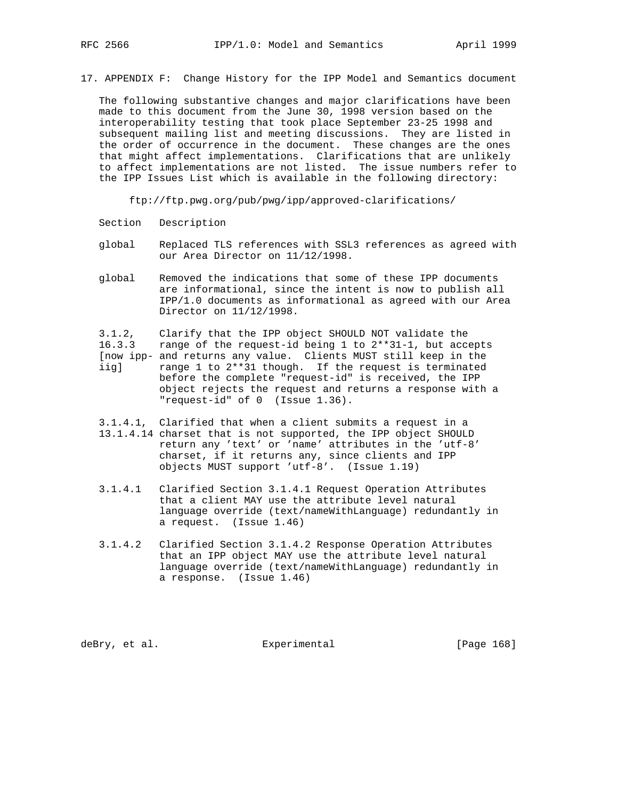17. APPENDIX F: Change History for the IPP Model and Semantics document

 The following substantive changes and major clarifications have been made to this document from the June 30, 1998 version based on the interoperability testing that took place September 23-25 1998 and subsequent mailing list and meeting discussions. They are listed in the order of occurrence in the document. These changes are the ones that might affect implementations. Clarifications that are unlikely to affect implementations are not listed. The issue numbers refer to the IPP Issues List which is available in the following directory:

ftp://ftp.pwg.org/pub/pwg/ipp/approved-clarifications/

- Section Description
- global Replaced TLS references with SSL3 references as agreed with our Area Director on 11/12/1998.
- global Removed the indications that some of these IPP documents are informational, since the intent is now to publish all IPP/1.0 documents as informational as agreed with our Area Director on 11/12/1998.

 3.1.2, Clarify that the IPP object SHOULD NOT validate the 16.3.3 range of the request-id being 1 to 2\*\*31-1, but accepts [now ipp- and returns any value. Clients MUST still keep in the iig] range 1 to 2\*\*31 though. If the request is terminated before the complete "request-id" is received, the IPP object rejects the request and returns a response with a "request-id" of 0 (Issue 1.36).

- 3.1.4.1, Clarified that when a client submits a request in a 13.1.4.14 charset that is not supported, the IPP object SHOULD return any 'text' or 'name' attributes in the 'utf-8' charset, if it returns any, since clients and IPP objects MUST support 'utf-8'. (Issue 1.19)
- 3.1.4.1 Clarified Section 3.1.4.1 Request Operation Attributes that a client MAY use the attribute level natural language override (text/nameWithLanguage) redundantly in a request. (Issue 1.46)
- 3.1.4.2 Clarified Section 3.1.4.2 Response Operation Attributes that an IPP object MAY use the attribute level natural language override (text/nameWithLanguage) redundantly in a response. (Issue 1.46)

deBry, et al. Subsectimental Experimental (Page 168)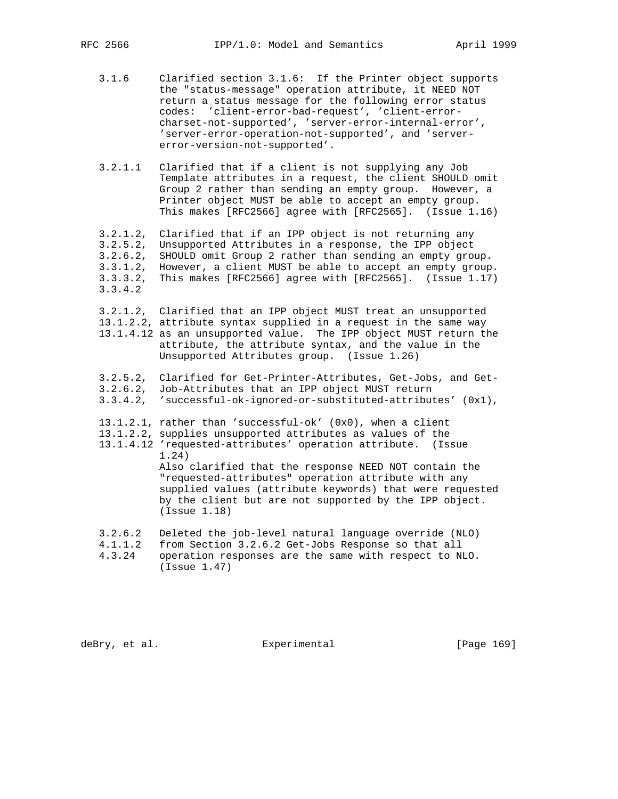- 3.1.6 Clarified section 3.1.6: If the Printer object supports the "status-message" operation attribute, it NEED NOT return a status message for the following error status codes: 'client-error-bad-request', 'client-error charset-not-supported', 'server-error-internal-error', 'server-error-operation-not-supported', and 'server error-version-not-supported'.
- 3.2.1.1 Clarified that if a client is not supplying any Job Template attributes in a request, the client SHOULD omit Group 2 rather than sending an empty group. However, a Printer object MUST be able to accept an empty group. This makes [RFC2566] agree with [RFC2565]. (Issue 1.16)

 3.2.1.2, Clarified that if an IPP object is not returning any 3.2.5.2, Unsupported Attributes in a response, the IPP object 3.2.6.2, SHOULD omit Group 2 rather than sending an empty group. 3.3.1.2, However, a client MUST be able to accept an empty group. 3.3.3.2, This makes [RFC2566] agree with [RFC2565]. (Issue 1.17) 3.3.4.2

 3.2.1.2, Clarified that an IPP object MUST treat an unsupported 13.1.2.2, attribute syntax supplied in a request in the same way 13.1.4.12 as an unsupported value. The IPP object MUST return the attribute, the attribute syntax, and the value in the Unsupported Attributes group. (Issue 1.26)

- 3.2.5.2, Clarified for Get-Printer-Attributes, Get-Jobs, and Get- 3.2.6.2, Job-Attributes that an IPP object MUST return 3.3.4.2, 'successful-ok-ignored-or-substituted-attributes' (0x1), 13.1.2.1, rather than 'successful-ok' (0x0), when a client 13.1.2.2, supplies unsupported attributes as values of the 13.1.4.12 'requested-attributes' operation attribute. (Issue 1.24) Also clarified that the response NEED NOT contain the "requested-attributes" operation attribute with any supplied values (attribute keywords) that were requested by the client but are not supported by the IPP object. (Issue 1.18) 3.2.6.2 Deleted the job-level natural language override (NLO) 4.1.1.2 from Section 3.2.6.2 Get-Jobs Response so that all
- 4.3.24 operation responses are the same with respect to NLO.
- (Issue 1.47)

deBry, et al. Subsectimental Experimental [Page 169]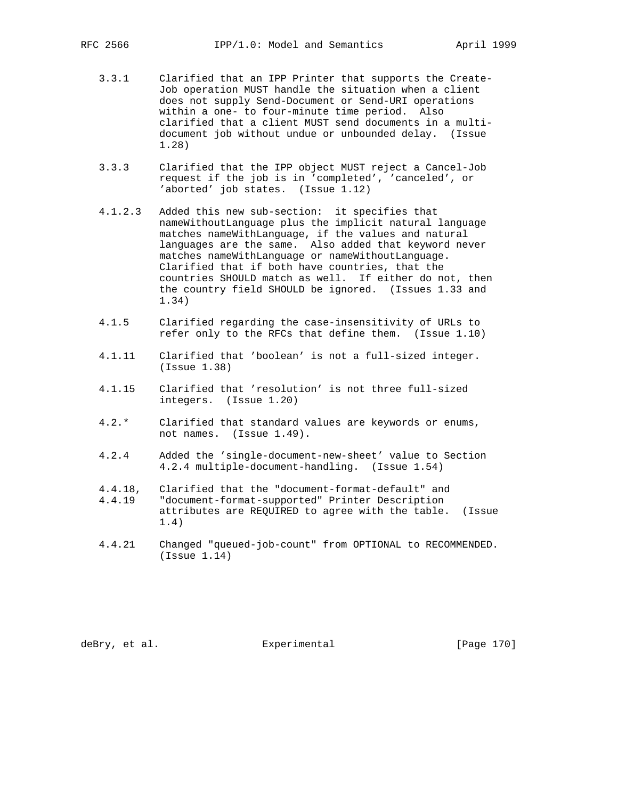- 3.3.1 Clarified that an IPP Printer that supports the Create- Job operation MUST handle the situation when a client does not supply Send-Document or Send-URI operations within a one- to four-minute time period. Also clarified that a client MUST send documents in a multi document job without undue or unbounded delay. (Issue 1.28)
- 3.3.3 Clarified that the IPP object MUST reject a Cancel-Job request if the job is in 'completed', 'canceled', or 'aborted' job states. (Issue 1.12)
- 4.1.2.3 Added this new sub-section: it specifies that nameWithoutLanguage plus the implicit natural language matches nameWithLanguage, if the values and natural languages are the same. Also added that keyword never matches nameWithLanguage or nameWithoutLanguage. Clarified that if both have countries, that the countries SHOULD match as well. If either do not, then the country field SHOULD be ignored. (Issues 1.33 and 1.34)
- 4.1.5 Clarified regarding the case-insensitivity of URLs to refer only to the RFCs that define them. (Issue 1.10)
- 4.1.11 Clarified that 'boolean' is not a full-sized integer. (Issue 1.38)
- 4.1.15 Clarified that 'resolution' is not three full-sized integers. (Issue 1.20)
- 4.2.\* Clarified that standard values are keywords or enums, not names. (Issue 1.49).
- 4.2.4 Added the 'single-document-new-sheet' value to Section 4.2.4 multiple-document-handling. (Issue 1.54)
- 4.4.18, Clarified that the "document-format-default" and 4.4.19 "document-format-supported" Printer Description attributes are REQUIRED to agree with the table. (Issue 1.4)
- 4.4.21 Changed "queued-job-count" from OPTIONAL to RECOMMENDED. (Issue 1.14)

deBry, et al. Subsectimental Experimental [Page 170]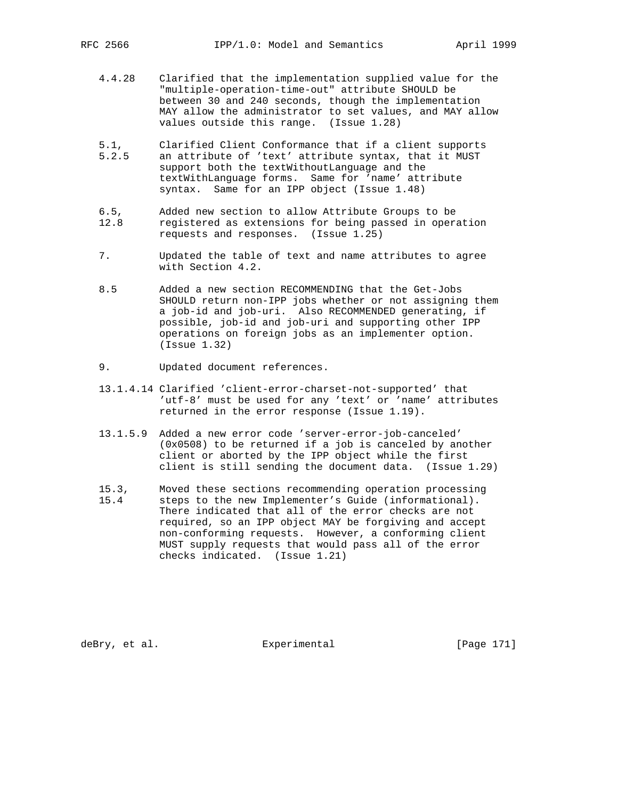- 4.4.28 Clarified that the implementation supplied value for the "multiple-operation-time-out" attribute SHOULD be between 30 and 240 seconds, though the implementation MAY allow the administrator to set values, and MAY allow values outside this range. (Issue 1.28)
- 5.1, Clarified Client Conformance that if a client supports 5.2.5 an attribute of 'text' attribute syntax, that it MUST support both the textWithoutLanguage and the textWithLanguage forms. Same for 'name' attribute syntax. Same for an IPP object (Issue 1.48)
- 6.5, Added new section to allow Attribute Groups to be 12.8 registered as extensions for being passed in operation requests and responses. (Issue 1.25)
- 7. Updated the table of text and name attributes to agree with Section 4.2.
- 8.5 Added a new section RECOMMENDING that the Get-Jobs SHOULD return non-IPP jobs whether or not assigning them a job-id and job-uri. Also RECOMMENDED generating, if possible, job-id and job-uri and supporting other IPP operations on foreign jobs as an implementer option. (Issue 1.32)
- 9. Updated document references.
- 13.1.4.14 Clarified 'client-error-charset-not-supported' that 'utf-8' must be used for any 'text' or 'name' attributes returned in the error response (Issue 1.19).
- 13.1.5.9 Added a new error code 'server-error-job-canceled' (0x0508) to be returned if a job is canceled by another client or aborted by the IPP object while the first client is still sending the document data. (Issue 1.29)
- 15.3, Moved these sections recommending operation processing
- 15.4 steps to the new Implementer's Guide (informational). There indicated that all of the error checks are not required, so an IPP object MAY be forgiving and accept non-conforming requests. However, a conforming client MUST supply requests that would pass all of the error checks indicated. (Issue 1.21)

deBry, et al. Subsectimental Experimental [Page 171]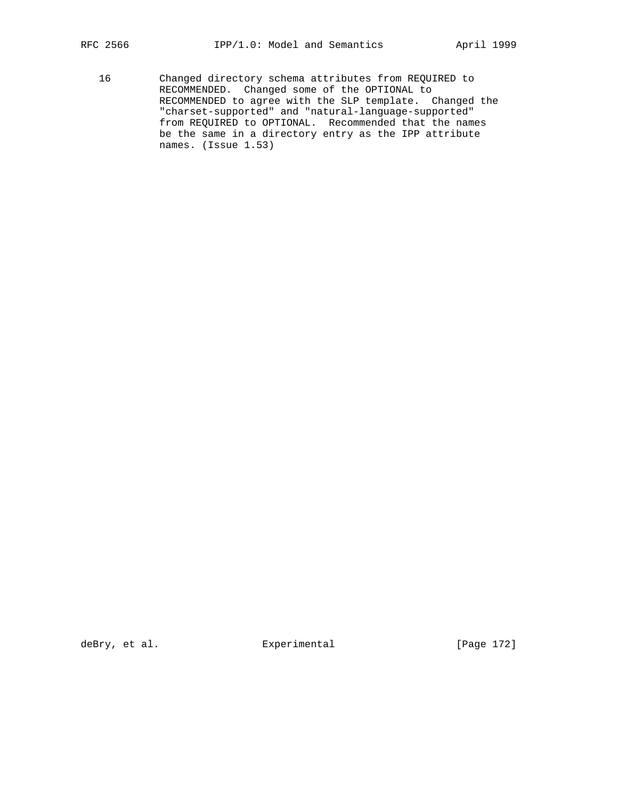- 
- 16 Changed directory schema attributes from REQUIRED to RECOMMENDED. Changed some of the OPTIONAL to RECOMMENDED to agree with the SLP template. Changed the "charset-supported" and "natural-language-supported" from REQUIRED to OPTIONAL. Recommended that the names be the same in a directory entry as the IPP attribute names. (Issue 1.53)